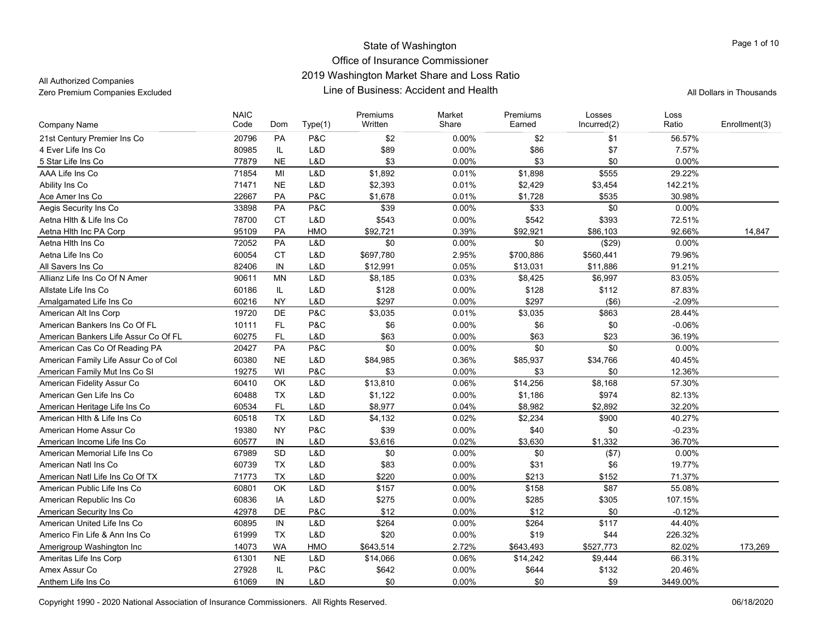All Authorized Companies

| Company Name                         | <b>NAIC</b><br>Code | Dom       | Type(1) | Premiums<br>Written | Market<br>Share | Premiums<br>Earned | Losses<br>Incurred(2) | Loss<br>Ratio | Enrollment(3) |
|--------------------------------------|---------------------|-----------|---------|---------------------|-----------------|--------------------|-----------------------|---------------|---------------|
| 21st Century Premier Ins Co          | 20796               | PA        | P&C     | \$2                 | $0.00\%$        | \$2                | \$1                   | 56.57%        |               |
| 4 Ever Life Ins Co                   | 80985               | IL.       | L&D     | \$89                | 0.00%           | \$86               | \$7                   | 7.57%         |               |
| 5 Star Life Ins Co                   | 77879               | <b>NE</b> | L&D     | \$3                 | 0.00%           | \$3                | \$0                   | 0.00%         |               |
| AAA Life Ins Co                      | 71854               | MI        | L&D     | \$1,892             | 0.01%           | \$1,898            | \$555                 | 29.22%        |               |
| Ability Ins Co                       | 71471               | <b>NE</b> | L&D     | \$2,393             | 0.01%           | \$2,429            | \$3,454               | 142.21%       |               |
| Ace Amer Ins Co                      | 22667               | PA        | P&C     | \$1,678             | 0.01%           | \$1,728            | \$535                 | 30.98%        |               |
| Aegis Security Ins Co                | 33898               | PA        | P&C     | \$39                | 0.00%           | \$33               | \$0                   | 0.00%         |               |
| Aetna Hith & Life Ins Co             | 78700               | <b>CT</b> | L&D     | \$543               | $0.00\%$        | \$542              | \$393                 | 72.51%        |               |
| Aetna Hith Inc PA Corp               | 95109               | PA        | HMO     | \$92,721            | 0.39%           | \$92,921           | \$86,103              | 92.66%        | 14,847        |
| Aetna Hith Ins Co                    | 72052               | PA        | L&D     | \$0                 | $0.00\%$        | \$0                | (\$29)                | 0.00%         |               |
| Aetna Life Ins Co                    | 60054               | <b>CT</b> | L&D     | \$697,780           | 2.95%           | \$700,886          | \$560,441             | 79.96%        |               |
| All Savers Ins Co                    | 82406               | IN        | L&D     | \$12,991            | 0.05%           | \$13,031           | \$11,886              | 91.21%        |               |
| Allianz Life Ins Co Of N Amer        | 90611               | <b>MN</b> | L&D     | \$8,185             | 0.03%           | \$8,425            | \$6,997               | 83.05%        |               |
| Allstate Life Ins Co                 | 60186               | IL        | L&D     | \$128               | $0.00\%$        | \$128              | \$112                 | 87.83%        |               |
| Amalgamated Life Ins Co              | 60216               | <b>NY</b> | L&D     | \$297               | $0.00\%$        | \$297              | $($ \$6)              | $-2.09%$      |               |
| American Alt Ins Corp                | 19720               | DE        | P&C     | \$3,035             | 0.01%           | \$3,035            | \$863                 | 28.44%        |               |
| American Bankers Ins Co Of FL        | 10111               | <b>FL</b> | P&C     | \$6                 | 0.00%           | \$6                | \$0                   | $-0.06%$      |               |
| American Bankers Life Assur Co Of FL | 60275               | <b>FL</b> | L&D     | \$63                | $0.00\%$        | \$63               | \$23                  | 36.19%        |               |
| American Cas Co Of Reading PA        | 20427               | <b>PA</b> | P&C     | \$0                 | 0.00%           | \$0                | \$0                   | 0.00%         |               |
| American Family Life Assur Co of Col | 60380               | <b>NE</b> | L&D     | \$84,985            | 0.36%           | \$85,937           | \$34,766              | 40.45%        |               |
| American Family Mut Ins Co SI        | 19275               | WI        | P&C     | \$3                 | 0.00%           | \$3                | \$0                   | 12.36%        |               |
| American Fidelity Assur Co           | 60410               | <b>OK</b> | L&D     | \$13,810            | 0.06%           | \$14,256           | \$8,168               | 57.30%        |               |
| American Gen Life Ins Co             | 60488               | TX        | L&D     | \$1,122             | 0.00%           | \$1,186            | \$974                 | 82.13%        |               |
| American Heritage Life Ins Co        | 60534               | FL        | L&D     | \$8,977             | 0.04%           | \$8,982            | \$2,892               | 32.20%        |               |
| American Hlth & Life Ins Co          | 60518               | <b>TX</b> | L&D     | \$4,132             | 0.02%           | \$2,234            | \$900                 | 40.27%        |               |
| American Home Assur Co               | 19380               | <b>NY</b> | P&C     | \$39                | 0.00%           | \$40               | \$0                   | $-0.23%$      |               |
| American Income Life Ins Co          | 60577               | IN        | L&D     | \$3,616             | 0.02%           | \$3,630            | \$1,332               | 36.70%        |               |
| American Memorial Life Ins Co        | 67989               | <b>SD</b> | L&D     | \$0                 | $0.00\%$        | \$0                | (\$7)                 | 0.00%         |               |
| American Natl Ins Co                 | 60739               | <b>TX</b> | L&D     | \$83                | 0.00%           | \$31               | \$6                   | 19.77%        |               |
| American Natl Life Ins Co Of TX      | 71773               | <b>TX</b> | L&D     | \$220               | 0.00%           | \$213              | \$152                 | 71.37%        |               |
| American Public Life Ins Co          | 60801               | OK        | L&D     | \$157               | $0.00\%$        | \$158              | \$87                  | 55.08%        |               |
| American Republic Ins Co             | 60836               | IA        | L&D     | \$275               | 0.00%           | \$285              | \$305                 | 107.15%       |               |
| American Security Ins Co             | 42978               | DE        | P&C     | \$12                | 0.00%           | \$12               | \$0                   | $-0.12%$      |               |
| American United Life Ins Co          | 60895               | IN        | L&D     | \$264               | 0.00%           | \$264              | \$117                 | 44.40%        |               |
| Americo Fin Life & Ann Ins Co        | 61999               | <b>TX</b> | L&D     | \$20                | $0.00\%$        | \$19               | \$44                  | 226.32%       |               |
| Amerigroup Washington Inc            | 14073               | <b>WA</b> | HMO     | \$643,514           | 2.72%           | \$643,493          | \$527,773             | 82.02%        | 173,269       |
| Ameritas Life Ins Corp               | 61301               | <b>NE</b> | L&D     | \$14,066            | 0.06%           | \$14,242           | \$9,444               | 66.31%        |               |
| Amex Assur Co                        | 27928               | IL        | P&C     | \$642               | 0.00%           | \$644              | \$132                 | 20.46%        |               |
| Anthem Life Ins Co                   | 61069               | IN        | L&D     | \$0                 | $0.00\%$        | \$0                | \$9                   | 3449.00%      |               |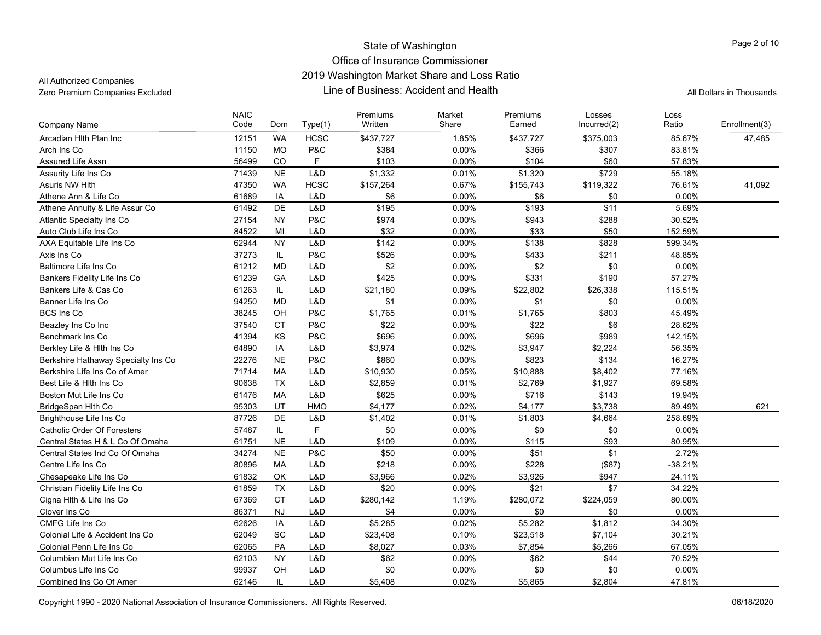All Authorized Companies

| Company Name                        | <b>NAIC</b><br>Code | Dom       | Type(1)     | Premiums<br>Written | Market<br>Share | Premiums<br>Earned | Losses<br>Incurred(2) | Loss<br>Ratio | Enrollment(3) |
|-------------------------------------|---------------------|-----------|-------------|---------------------|-----------------|--------------------|-----------------------|---------------|---------------|
|                                     |                     |           |             |                     |                 |                    |                       |               |               |
| Arcadian Hith Plan Inc              | 12151               | <b>WA</b> | <b>HCSC</b> | \$437,727           | 1.85%           | \$437,727          | \$375,003             | 85.67%        | 47,485        |
| Arch Ins Co                         | 11150               | <b>MO</b> | P&C         | \$384               | 0.00%           | \$366              | \$307                 | 83.81%        |               |
| Assured Life Assn                   | 56499               | CO        | F           | \$103               | 0.00%           | \$104              | \$60                  | 57.83%        |               |
| Assurity Life Ins Co                | 71439               | <b>NE</b> | L&D         | \$1,332             | 0.01%           | \$1,320            | \$729                 | 55.18%        |               |
| Asuris NW Hith                      | 47350               | <b>WA</b> | <b>HCSC</b> | \$157,264           | 0.67%           | \$155,743          | \$119,322             | 76.61%        | 41,092        |
| Athene Ann & Life Co                | 61689               | IA        | L&D         | \$6                 | 0.00%           | \$6                | \$0                   | 0.00%         |               |
| Athene Annuity & Life Assur Co      | 61492               | DE        | L&D         | \$195               | $0.00\%$        | \$193              | $\overline{$11}$      | 5.69%         |               |
| Atlantic Specialty Ins Co           | 27154               | <b>NY</b> | P&C         | \$974               | 0.00%           | \$943              | \$288                 | 30.52%        |               |
| Auto Club Life Ins Co               | 84522               | MI        | L&D         | \$32                | 0.00%           | \$33               | \$50                  | 152.59%       |               |
| AXA Equitable Life Ins Co           | 62944               | <b>NY</b> | L&D         | \$142               | $0.00\%$        | \$138              | \$828                 | 599.34%       |               |
| Axis Ins Co                         | 37273               | IL        | P&C         | \$526               | 0.00%           | \$433              | \$211                 | 48.85%        |               |
| Baltimore Life Ins Co               | 61212               | <b>MD</b> | L&D         | \$2                 | 0.00%           | \$2                | \$0                   | 0.00%         |               |
| Bankers Fidelity Life Ins Co        | 61239               | GA        | L&D         | \$425               | 0.00%           | \$331              | \$190                 | 57.27%        |               |
| Bankers Life & Cas Co               | 61263               | IL        | L&D         | \$21,180            | 0.09%           | \$22,802           | \$26,338              | 115.51%       |               |
| Banner Life Ins Co                  | 94250               | <b>MD</b> | L&D         | \$1                 | 0.00%           | \$1                | \$0                   | 0.00%         |               |
| <b>BCS Ins Co</b>                   | 38245               | OH        | P&C         | \$1,765             | 0.01%           | \$1,765            | \$803                 | 45.49%        |               |
| Beazley Ins Co Inc                  | 37540               | <b>CT</b> | P&C         | \$22                | 0.00%           | \$22               | \$6                   | 28.62%        |               |
| Benchmark Ins Co                    | 41394               | <b>KS</b> | P&C         | \$696               | 0.00%           | \$696              | \$989                 | 142.15%       |               |
| Berkley Life & Hlth Ins Co          | 64890               | IA        | L&D         | \$3,974             | 0.02%           | \$3,947            | \$2,224               | 56.35%        |               |
| Berkshire Hathaway Specialty Ins Co | 22276               | <b>NE</b> | P&C         | \$860               | 0.00%           | \$823              | \$134                 | 16.27%        |               |
| Berkshire Life Ins Co of Amer       | 71714               | <b>MA</b> | L&D         | \$10,930            | 0.05%           | \$10,888           | \$8,402               | 77.16%        |               |
| Best Life & Hith Ins Co             | 90638               | <b>TX</b> | L&D         | \$2,859             | 0.01%           | \$2,769            | \$1,927               | 69.58%        |               |
| Boston Mut Life Ins Co              | 61476               | MA        | L&D         | \$625               | 0.00%           | \$716              | \$143                 | 19.94%        |               |
| BridgeSpan Hlth Co                  | 95303               | UT        | HMO         | \$4,177             | 0.02%           | \$4,177            | \$3,738               | 89.49%        | 621           |
| Brighthouse Life Ins Co             | 87726               | DE        | L&D         | \$1,402             | 0.01%           | \$1,803            | \$4,664               | 258.69%       |               |
| Catholic Order Of Foresters         | 57487               | IL.       | F           | \$0                 | $0.00\%$        | \$0                | \$0                   | 0.00%         |               |
| Central States H & L Co Of Omaha    | 61751               | <b>NE</b> | L&D         | \$109               | 0.00%           | \$115              | \$93                  | 80.95%        |               |
| Central States Ind Co Of Omaha      | 34274               | <b>NE</b> | P&C         | \$50                | 0.00%           | \$51               | \$1                   | 2.72%         |               |
| Centre Life Ins Co                  | 80896               | <b>MA</b> | L&D         | \$218               | 0.00%           | \$228              | (\$87)                | $-38.21%$     |               |
| Chesapeake Life Ins Co              | 61832               | OK        | L&D         | \$3,966             | 0.02%           | \$3,926            | \$947                 | 24.11%        |               |
| Christian Fidelity Life Ins Co      | 61859               | <b>TX</b> | L&D         | \$20                | 0.00%           | \$21               | \$7                   | 34.22%        |               |
| Cigna Hlth & Life Ins Co            | 67369               | <b>CT</b> | L&D         | \$280,142           | 1.19%           | \$280,072          | \$224,059             | 80.00%        |               |
| Clover Ins Co                       | 86371               | <b>NJ</b> | L&D         | \$4                 | 0.00%           | \$0                | \$0                   | 0.00%         |               |
| CMFG Life Ins Co                    | 62626               | IA        | L&D         | \$5,285             | 0.02%           | \$5,282            | \$1,812               | 34.30%        |               |
| Colonial Life & Accident Ins Co     | 62049               | SC        | L&D         | \$23,408            | 0.10%           | \$23,518           | \$7,104               | 30.21%        |               |
| Colonial Penn Life Ins Co           | 62065               | PA        | L&D         | \$8,027             | 0.03%           | \$7,854            | \$5,266               | 67.05%        |               |
| Columbian Mut Life Ins Co           | 62103               | <b>NY</b> | L&D         | \$62                | 0.00%           | \$62               | \$44                  | 70.52%        |               |
| Columbus Life Ins Co                | 99937               | OH        | L&D         | \$0                 | 0.00%           | \$0                | \$0                   | 0.00%         |               |
| Combined Ins Co Of Amer             | 62146               | IL        | L&D         | \$5,408             | 0.02%           | \$5,865            | \$2,804               | 47.81%        |               |
|                                     |                     |           |             |                     |                 |                    |                       |               |               |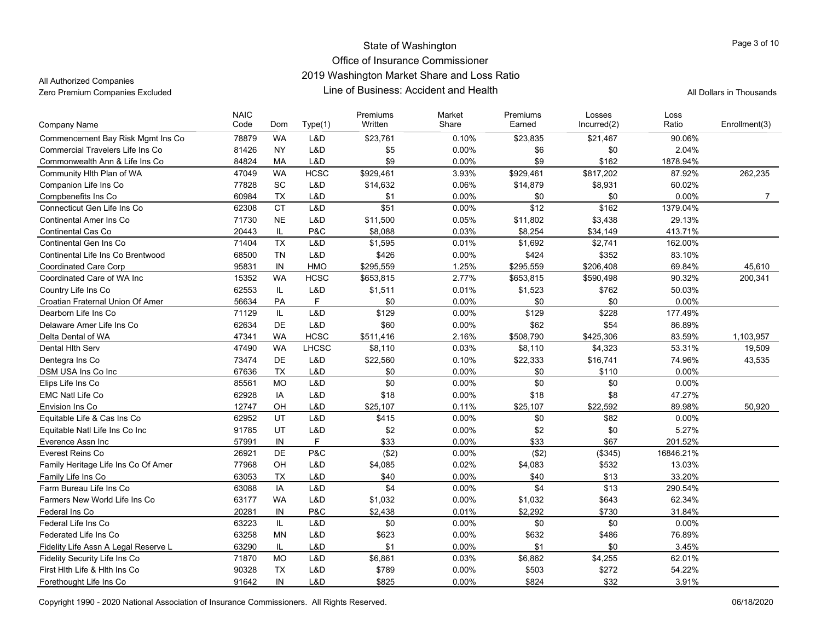All Authorized Companies

| <b>Company Name</b>                          | <b>NAIC</b><br>Code | Dom             | Type(1)      | Premiums<br>Written | Market<br>Share | Premiums<br>Earned | Losses<br>Incurred(2) | Loss<br>Ratio      | Enrollment(3)  |
|----------------------------------------------|---------------------|-----------------|--------------|---------------------|-----------------|--------------------|-----------------------|--------------------|----------------|
| Commencement Bay Risk Mgmt Ins Co            | 78879               | <b>WA</b>       | L&D          | \$23,761            | 0.10%           | \$23,835           | \$21,467              | 90.06%             |                |
| <b>Commercial Travelers Life Ins Co</b>      | 81426               | <b>NY</b>       | L&D          | \$5                 | 0.00%           | \$6                | \$0                   | 2.04%              |                |
| Commonwealth Ann & Life Ins Co               | 84824               | <b>MA</b>       | L&D          | \$9                 | 0.00%           | \$9                | \$162                 | 1878.94%           |                |
| Community Hith Plan of WA                    | 47049               | <b>WA</b>       | <b>HCSC</b>  | \$929,461           | 3.93%           | \$929,461          | \$817,202             | 87.92%             | 262,235        |
| Companion Life Ins Co                        | 77828               | <b>SC</b>       | L&D          | \$14,632            | 0.06%           | \$14,879           | \$8,931               | 60.02%             |                |
| Compbenefits Ins Co                          | 60984               | <b>TX</b>       | L&D          | \$1                 | 0.00%           | \$0                | \$0                   | 0.00%              | $\overline{7}$ |
| Connecticut Gen Life Ins Co                  | 62308               | CT              | L&D          | $\overline{$51}$    | 0.00%           | \$12               | \$162                 | 1379.04%           |                |
| <b>Continental Amer Ins Co</b>               | 71730               | <b>NE</b>       | L&D          | \$11,500            | 0.05%           | \$11,802           | \$3,438               | 29.13%             |                |
|                                              |                     |                 |              |                     |                 |                    |                       |                    |                |
| Continental Cas Co<br>Continental Gen Ins Co | 20443<br>71404      | IL<br><b>TX</b> | P&C<br>L&D   | \$8,088             | 0.03%<br>0.01%  | \$8,254            | \$34,149              | 413.71%<br>162.00% |                |
|                                              |                     |                 |              | \$1,595             |                 | \$1,692            | \$2,741               |                    |                |
| Continental Life Ins Co Brentwood            | 68500               | <b>TN</b>       | L&D          | \$426               | 0.00%           | \$424              | \$352                 | 83.10%             |                |
| <b>Coordinated Care Corp</b>                 | 95831               | IN              | <b>HMO</b>   | \$295,559           | 1.25%           | \$295,559          | \$206,408             | 69.84%             | 45,610         |
| Coordinated Care of WA Inc                   | 15352               | <b>WA</b>       | <b>HCSC</b>  | \$653,815           | 2.77%           | \$653,815          | \$590,498             | 90.32%             | 200,341        |
| Country Life Ins Co                          | 62553               | IL.             | L&D          | \$1,511             | 0.01%           | \$1,523            | \$762                 | 50.03%             |                |
| Croatian Fraternal Union Of Amer             | 56634               | PA              | F            | \$0                 | 0.00%           | \$0                | \$0                   | 0.00%              |                |
| Dearborn Life Ins Co                         | 71129               | IL.             | L&D          | \$129               | 0.00%           | \$129              | \$228                 | 177.49%            |                |
| Delaware Amer Life Ins Co                    | 62634               | DE              | L&D          | \$60                | 0.00%           | \$62               | \$54                  | 86.89%             |                |
| Delta Dental of WA                           | 47341               | <b>WA</b>       | <b>HCSC</b>  | \$511,416           | 2.16%           | \$508,790          | \$425,306             | 83.59%             | 1,103,957      |
| Dental Hith Serv                             | 47490               | <b>WA</b>       | <b>LHCSC</b> | \$8,110             | 0.03%           | \$8,110            | \$4,323               | 53.31%             | 19,509         |
| Dentegra Ins Co                              | 73474               | DE              | L&D          | \$22,560            | 0.10%           | \$22,333           | \$16,741              | 74.96%             | 43,535         |
| DSM USA Ins Co Inc                           | 67636               | <b>TX</b>       | L&D          | \$0                 | 0.00%           | \$0                | \$110                 | 0.00%              |                |
| Elips Life Ins Co                            | 85561               | <b>MO</b>       | L&D          | \$0                 | 0.00%           | \$0                | \$0                   | 0.00%              |                |
| <b>EMC Natl Life Co</b>                      | 62928               | IA              | L&D          | \$18                | 0.00%           | \$18               | \$8                   | 47.27%             |                |
| Envision Ins Co                              | 12747               | OH              | L&D          | \$25,107            | 0.11%           | \$25,107           | \$22,592              | 89.98%             | 50.920         |
| Equitable Life & Cas Ins Co                  | 62952               | UT              | L&D          | \$415               | 0.00%           | \$0                | \$82                  | 0.00%              |                |
| Equitable Natl Life Ins Co Inc               | 91785               | UT              | L&D          | \$2                 | 0.00%           | \$2                | \$0                   | 5.27%              |                |
| Everence Assn Inc                            | 57991               | IN              | F            | \$33                | 0.00%           | \$33               | \$67                  | 201.52%            |                |
| Everest Reins Co                             | 26921               | <b>DE</b>       | P&C          | (\$2)               | 0.00%           | (\$2)              | (\$345)               | 16846.21%          |                |
| Family Heritage Life Ins Co Of Amer          | 77968               | OH              | L&D          | \$4,085             | 0.02%           | \$4,083            | \$532                 | 13.03%             |                |
| Family Life Ins Co                           | 63053               | <b>TX</b>       | L&D          | \$40                | 0.00%           | \$40               | \$13                  | 33.20%             |                |
| Farm Bureau Life Ins Co                      | 63088               | IA              | L&D          | \$4                 | 0.00%           | \$4                | \$13                  | 290.54%            |                |
| Farmers New World Life Ins Co                | 63177               | <b>WA</b>       | L&D          | \$1,032             | 0.00%           | \$1,032            | \$643                 | 62.34%             |                |
| Federal Ins Co                               | 20281               | IN              | P&C          | \$2,438             | 0.01%           | \$2,292            | \$730                 | 31.84%             |                |
| Federal Life Ins Co                          | 63223               | IL              | L&D          | \$0                 | 0.00%           | \$0                | \$0                   | 0.00%              |                |
| Federated Life Ins Co                        | 63258               | <b>MN</b>       | L&D          | \$623               | 0.00%           | \$632              | \$486                 | 76.89%             |                |
| Fidelity Life Assn A Legal Reserve L         | 63290               | IL.             | L&D          | \$1                 | 0.00%           | \$1                | \$0                   | 3.45%              |                |
| <b>Fidelity Security Life Ins Co</b>         | 71870               | <b>MO</b>       | L&D          | \$6,861             | 0.03%           | \$6,862            | \$4,255               | 62.01%             |                |
| First Hith Life & Hith Ins Co                | 90328               | <b>TX</b>       | L&D          | \$789               | 0.00%           | \$503              | \$272                 | 54.22%             |                |
| Forethought Life Ins Co                      | 91642               | IN              | L&D          | \$825               | $0.00\%$        | \$824              | \$32                  | 3.91%              |                |
|                                              |                     |                 |              |                     |                 |                    |                       |                    |                |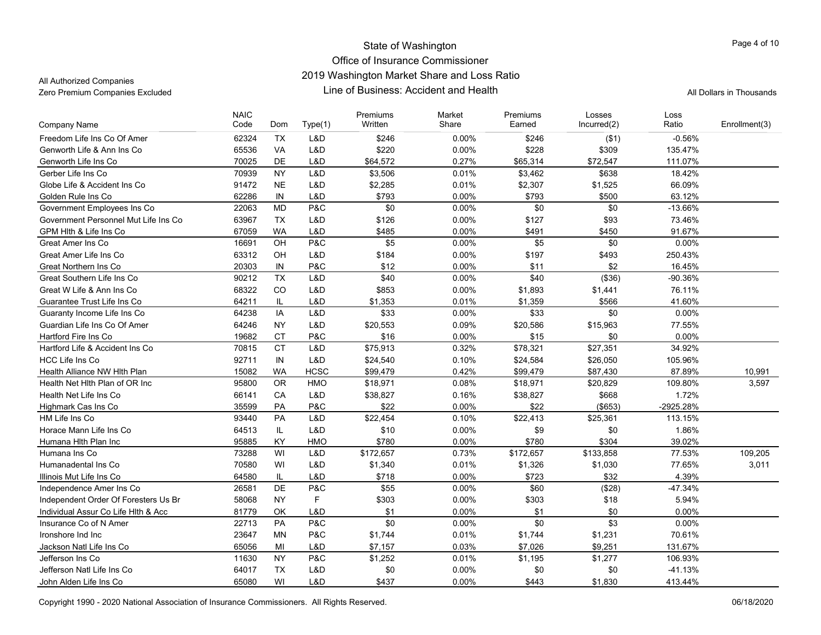All Authorized Companies

| Freedom Life Ins Co Of Amer<br>62324<br><b>TX</b><br>L&D<br>\$246<br>$-0.56%$<br>\$246<br>0.00%<br>( \$1)<br>65536<br><b>VA</b><br>L&D<br>\$220<br>0.00%<br>\$228<br>\$309<br>Genworth Life & Ann Ins Co<br>135.47%<br><b>DE</b><br>0.27%<br>70025<br>L&D<br>\$64,572<br>\$65,314<br>\$72,547<br>111.07%<br>Genworth Life Ins Co<br>\$3,462<br>Gerber Life Ins Co<br>70939<br><b>NY</b><br>L&D<br>\$3,506<br>0.01%<br>\$638<br>18.42%<br>91472<br><b>NE</b><br>L&D<br>\$2,285<br>0.01%<br>\$2,307<br>\$1,525<br>66.09%<br>Globe Life & Accident Ins Co<br>IN<br>L&D<br>\$793<br>\$793<br>\$500<br>Golden Rule Ins Co<br>62286<br>0.00%<br>63.12%<br><b>MD</b><br>P&C<br>\$0<br>\$0<br>\$0<br>Government Employees Ins Co<br>22063<br>0.00%<br>$-13.66%$<br>Government Personnel Mut Life Ins Co<br>63967<br><b>TX</b><br>L&D<br>\$126<br>0.00%<br>\$127<br>\$93<br>73.46%<br>\$485<br>\$491<br>91.67%<br>GPM Hith & Life Ins Co<br>67059<br><b>WA</b><br>L&D<br>0.00%<br>\$450<br>OH<br>P&C<br>\$5<br>\$5<br>\$0<br>Great Amer Ins Co<br>16691<br>0.00%<br>$0.00\%$<br>Great Amer Life Ins Co<br>63312<br>OH<br>L&D<br>\$184<br>0.00%<br>\$197<br>\$493<br>250.43%<br>P&C<br>\$12<br>$0.00\%$<br>\$11<br>\$2<br>Great Northern Ins Co<br>20303<br>IN<br>16.45%<br><b>TX</b><br>\$40<br>\$40<br>(\$36)<br>Great Southern Life Ins Co<br>90212<br>L&D<br>0.00%<br>-90.36%<br>68322<br>CO<br>L&D<br>\$853<br>0.00%<br>Great W Life & Ann Ins Co<br>\$1,893<br>\$1,441<br>76.11%<br>0.01%<br>41.60%<br>64211<br>IL.<br>L&D<br>\$1,359<br>\$566<br>Guarantee Trust Life Ins Co<br>\$1,353<br>IA<br>L&D<br>\$33<br>\$33<br>\$0<br>0.00%<br>Guaranty Income Life Ins Co<br>64238<br>$0.00\%$<br>Guardian Life Ins Co Of Amer<br>64246<br><b>NY</b><br>L&D<br>\$20,553<br>0.09%<br>\$20,586<br>77.55%<br>\$15,963<br>P&C<br>19682<br>CT<br>\$16<br>$0.00\%$<br>\$15<br>\$0<br>0.00%<br>Hartford Fire Ins Co<br><b>CT</b><br>L&D<br>\$75,913<br>\$78,321<br>\$27,351<br>34.92%<br>70815<br>0.32%<br>Hartford Life & Accident Ins Co<br>IN<br>L&D<br>0.10%<br><b>HCC Life Ins Co</b><br>92711<br>\$24,540<br>\$24,584<br>\$26,050<br>105.96%<br><b>WA</b><br><b>HCSC</b><br>\$99,479<br>0.42%<br>\$99,479<br>87.89%<br>Health Alliance NW Hlth Plan<br>15082<br>\$87,430<br>10,991<br><b>OR</b><br>Health Net Hith Plan of OR Inc<br>95800<br><b>HMO</b><br>\$18,971<br>0.08%<br>\$18,971<br>\$20,829<br>109.80%<br>3,597<br>CA<br>0.16%<br>\$668<br>Health Net Life Ins Co<br>66141<br>L&D<br>\$38,827<br>\$38,827<br>1.72%<br>35599<br>P&C<br>\$22<br>0.00%<br>\$22<br>(\$653)<br>-2925.28%<br>Highmark Cas Ins Co<br>PA<br>93440<br>PA<br>L&D<br>\$22,454<br>0.10%<br>\$22,413<br>\$25,361<br>113.15%<br>HM Life Ins Co<br>IL<br>\$10<br>\$9<br>Horace Mann Life Ins Co<br>64513<br>L&D<br>0.00%<br>\$0<br>1.86%<br>39.02%<br>Humana Hith Plan Inc<br>95885<br>KY.<br><b>HMO</b><br>\$780<br>$0.00\%$<br>\$780<br>\$304<br>\$172,657<br>109,205<br>Humana Ins Co<br>73288<br>WI<br>L&D<br>0.73%<br>\$172,657<br>\$133,858<br>77.53%<br>WI<br>L&D<br>0.01%<br>77.65%<br>3,011<br>Humanadental Ins Co<br>70580<br>\$1,340<br>\$1,326<br>\$1,030<br>64580<br>L&D<br>\$718<br>0.00%<br>\$723<br>\$32<br>4.39%<br>Illinois Mut Life Ins Co<br>IL<br>P&C<br><b>DE</b><br>\$55<br>$0.00\%$<br>\$60<br>(\$28)<br>-47.34%<br>Independence Amer Ins Co<br>26581<br>F<br><b>NY</b><br>\$303<br>0.00%<br>\$303<br>Independent Order Of Foresters Us Br<br>58068<br>\$18<br>5.94%<br>\$1<br>\$1<br>0.00%<br>Individual Assur Co Life Hith & Acc<br>81779<br>OK<br>L&D<br>$0.00\%$<br>\$0<br>P&C<br>\$0<br>\$0<br>\$3<br>Insurance Co of N Amer<br>22713<br><b>PA</b><br>0.00%<br>0.00%<br>P&C<br>23647<br><b>MN</b><br>0.01%<br>\$1,231<br>70.61%<br>Ironshore Ind Inc<br>\$1,744<br>\$1,744<br>L&D<br>0.03%<br>\$7,026<br>\$9,251<br>65056<br>MI<br>\$7,157<br>131.67%<br>Jackson Natl Life Ins Co<br><b>NY</b><br>P&C<br>\$1,252<br>0.01%<br>\$1,277<br>Jefferson Ins Co<br>11630<br>\$1,195<br>106.93%<br><b>TX</b><br>\$0<br>0.00%<br>\$0<br>Jefferson Natl Life Ins Co<br>64017<br>L&D<br>\$0<br>$-41.13%$<br>\$437<br>65080<br>WI<br>L&D<br>0.00%<br>\$443<br>\$1,830<br>John Alden Life Ins Co<br>413.44% | Company Name | <b>NAIC</b><br>Code | Dom | Type(1) | Premiums<br>Written | Market<br>Share | Premiums<br>Earned | Losses<br>Incurred(2) | Loss<br>Ratio | Enrollment(3) |
|----------------------------------------------------------------------------------------------------------------------------------------------------------------------------------------------------------------------------------------------------------------------------------------------------------------------------------------------------------------------------------------------------------------------------------------------------------------------------------------------------------------------------------------------------------------------------------------------------------------------------------------------------------------------------------------------------------------------------------------------------------------------------------------------------------------------------------------------------------------------------------------------------------------------------------------------------------------------------------------------------------------------------------------------------------------------------------------------------------------------------------------------------------------------------------------------------------------------------------------------------------------------------------------------------------------------------------------------------------------------------------------------------------------------------------------------------------------------------------------------------------------------------------------------------------------------------------------------------------------------------------------------------------------------------------------------------------------------------------------------------------------------------------------------------------------------------------------------------------------------------------------------------------------------------------------------------------------------------------------------------------------------------------------------------------------------------------------------------------------------------------------------------------------------------------------------------------------------------------------------------------------------------------------------------------------------------------------------------------------------------------------------------------------------------------------------------------------------------------------------------------------------------------------------------------------------------------------------------------------------------------------------------------------------------------------------------------------------------------------------------------------------------------------------------------------------------------------------------------------------------------------------------------------------------------------------------------------------------------------------------------------------------------------------------------------------------------------------------------------------------------------------------------------------------------------------------------------------------------------------------------------------------------------------------------------------------------------------------------------------------------------------------------------------------------------------------------------------------------------------------------------------------------------------------------------------------------------------------------------------------------------------------------------------------------------------------------------------------------------------------------------------------------------------------------------------------------------------------------------------------------------------------------------------------------------------------------------------------------------------------------------------------------------------------------------------------------------------------------------------------------------------------------------------------------------------|--------------|---------------------|-----|---------|---------------------|-----------------|--------------------|-----------------------|---------------|---------------|
|                                                                                                                                                                                                                                                                                                                                                                                                                                                                                                                                                                                                                                                                                                                                                                                                                                                                                                                                                                                                                                                                                                                                                                                                                                                                                                                                                                                                                                                                                                                                                                                                                                                                                                                                                                                                                                                                                                                                                                                                                                                                                                                                                                                                                                                                                                                                                                                                                                                                                                                                                                                                                                                                                                                                                                                                                                                                                                                                                                                                                                                                                                                                                                                                                                                                                                                                                                                                                                                                                                                                                                                                                                                                                                                                                                                                                                                                                                                                                                                                                                                                                                                                                                                              |              |                     |     |         |                     |                 |                    |                       |               |               |
|                                                                                                                                                                                                                                                                                                                                                                                                                                                                                                                                                                                                                                                                                                                                                                                                                                                                                                                                                                                                                                                                                                                                                                                                                                                                                                                                                                                                                                                                                                                                                                                                                                                                                                                                                                                                                                                                                                                                                                                                                                                                                                                                                                                                                                                                                                                                                                                                                                                                                                                                                                                                                                                                                                                                                                                                                                                                                                                                                                                                                                                                                                                                                                                                                                                                                                                                                                                                                                                                                                                                                                                                                                                                                                                                                                                                                                                                                                                                                                                                                                                                                                                                                                                              |              |                     |     |         |                     |                 |                    |                       |               |               |
|                                                                                                                                                                                                                                                                                                                                                                                                                                                                                                                                                                                                                                                                                                                                                                                                                                                                                                                                                                                                                                                                                                                                                                                                                                                                                                                                                                                                                                                                                                                                                                                                                                                                                                                                                                                                                                                                                                                                                                                                                                                                                                                                                                                                                                                                                                                                                                                                                                                                                                                                                                                                                                                                                                                                                                                                                                                                                                                                                                                                                                                                                                                                                                                                                                                                                                                                                                                                                                                                                                                                                                                                                                                                                                                                                                                                                                                                                                                                                                                                                                                                                                                                                                                              |              |                     |     |         |                     |                 |                    |                       |               |               |
|                                                                                                                                                                                                                                                                                                                                                                                                                                                                                                                                                                                                                                                                                                                                                                                                                                                                                                                                                                                                                                                                                                                                                                                                                                                                                                                                                                                                                                                                                                                                                                                                                                                                                                                                                                                                                                                                                                                                                                                                                                                                                                                                                                                                                                                                                                                                                                                                                                                                                                                                                                                                                                                                                                                                                                                                                                                                                                                                                                                                                                                                                                                                                                                                                                                                                                                                                                                                                                                                                                                                                                                                                                                                                                                                                                                                                                                                                                                                                                                                                                                                                                                                                                                              |              |                     |     |         |                     |                 |                    |                       |               |               |
|                                                                                                                                                                                                                                                                                                                                                                                                                                                                                                                                                                                                                                                                                                                                                                                                                                                                                                                                                                                                                                                                                                                                                                                                                                                                                                                                                                                                                                                                                                                                                                                                                                                                                                                                                                                                                                                                                                                                                                                                                                                                                                                                                                                                                                                                                                                                                                                                                                                                                                                                                                                                                                                                                                                                                                                                                                                                                                                                                                                                                                                                                                                                                                                                                                                                                                                                                                                                                                                                                                                                                                                                                                                                                                                                                                                                                                                                                                                                                                                                                                                                                                                                                                                              |              |                     |     |         |                     |                 |                    |                       |               |               |
|                                                                                                                                                                                                                                                                                                                                                                                                                                                                                                                                                                                                                                                                                                                                                                                                                                                                                                                                                                                                                                                                                                                                                                                                                                                                                                                                                                                                                                                                                                                                                                                                                                                                                                                                                                                                                                                                                                                                                                                                                                                                                                                                                                                                                                                                                                                                                                                                                                                                                                                                                                                                                                                                                                                                                                                                                                                                                                                                                                                                                                                                                                                                                                                                                                                                                                                                                                                                                                                                                                                                                                                                                                                                                                                                                                                                                                                                                                                                                                                                                                                                                                                                                                                              |              |                     |     |         |                     |                 |                    |                       |               |               |
|                                                                                                                                                                                                                                                                                                                                                                                                                                                                                                                                                                                                                                                                                                                                                                                                                                                                                                                                                                                                                                                                                                                                                                                                                                                                                                                                                                                                                                                                                                                                                                                                                                                                                                                                                                                                                                                                                                                                                                                                                                                                                                                                                                                                                                                                                                                                                                                                                                                                                                                                                                                                                                                                                                                                                                                                                                                                                                                                                                                                                                                                                                                                                                                                                                                                                                                                                                                                                                                                                                                                                                                                                                                                                                                                                                                                                                                                                                                                                                                                                                                                                                                                                                                              |              |                     |     |         |                     |                 |                    |                       |               |               |
|                                                                                                                                                                                                                                                                                                                                                                                                                                                                                                                                                                                                                                                                                                                                                                                                                                                                                                                                                                                                                                                                                                                                                                                                                                                                                                                                                                                                                                                                                                                                                                                                                                                                                                                                                                                                                                                                                                                                                                                                                                                                                                                                                                                                                                                                                                                                                                                                                                                                                                                                                                                                                                                                                                                                                                                                                                                                                                                                                                                                                                                                                                                                                                                                                                                                                                                                                                                                                                                                                                                                                                                                                                                                                                                                                                                                                                                                                                                                                                                                                                                                                                                                                                                              |              |                     |     |         |                     |                 |                    |                       |               |               |
|                                                                                                                                                                                                                                                                                                                                                                                                                                                                                                                                                                                                                                                                                                                                                                                                                                                                                                                                                                                                                                                                                                                                                                                                                                                                                                                                                                                                                                                                                                                                                                                                                                                                                                                                                                                                                                                                                                                                                                                                                                                                                                                                                                                                                                                                                                                                                                                                                                                                                                                                                                                                                                                                                                                                                                                                                                                                                                                                                                                                                                                                                                                                                                                                                                                                                                                                                                                                                                                                                                                                                                                                                                                                                                                                                                                                                                                                                                                                                                                                                                                                                                                                                                                              |              |                     |     |         |                     |                 |                    |                       |               |               |
|                                                                                                                                                                                                                                                                                                                                                                                                                                                                                                                                                                                                                                                                                                                                                                                                                                                                                                                                                                                                                                                                                                                                                                                                                                                                                                                                                                                                                                                                                                                                                                                                                                                                                                                                                                                                                                                                                                                                                                                                                                                                                                                                                                                                                                                                                                                                                                                                                                                                                                                                                                                                                                                                                                                                                                                                                                                                                                                                                                                                                                                                                                                                                                                                                                                                                                                                                                                                                                                                                                                                                                                                                                                                                                                                                                                                                                                                                                                                                                                                                                                                                                                                                                                              |              |                     |     |         |                     |                 |                    |                       |               |               |
|                                                                                                                                                                                                                                                                                                                                                                                                                                                                                                                                                                                                                                                                                                                                                                                                                                                                                                                                                                                                                                                                                                                                                                                                                                                                                                                                                                                                                                                                                                                                                                                                                                                                                                                                                                                                                                                                                                                                                                                                                                                                                                                                                                                                                                                                                                                                                                                                                                                                                                                                                                                                                                                                                                                                                                                                                                                                                                                                                                                                                                                                                                                                                                                                                                                                                                                                                                                                                                                                                                                                                                                                                                                                                                                                                                                                                                                                                                                                                                                                                                                                                                                                                                                              |              |                     |     |         |                     |                 |                    |                       |               |               |
|                                                                                                                                                                                                                                                                                                                                                                                                                                                                                                                                                                                                                                                                                                                                                                                                                                                                                                                                                                                                                                                                                                                                                                                                                                                                                                                                                                                                                                                                                                                                                                                                                                                                                                                                                                                                                                                                                                                                                                                                                                                                                                                                                                                                                                                                                                                                                                                                                                                                                                                                                                                                                                                                                                                                                                                                                                                                                                                                                                                                                                                                                                                                                                                                                                                                                                                                                                                                                                                                                                                                                                                                                                                                                                                                                                                                                                                                                                                                                                                                                                                                                                                                                                                              |              |                     |     |         |                     |                 |                    |                       |               |               |
|                                                                                                                                                                                                                                                                                                                                                                                                                                                                                                                                                                                                                                                                                                                                                                                                                                                                                                                                                                                                                                                                                                                                                                                                                                                                                                                                                                                                                                                                                                                                                                                                                                                                                                                                                                                                                                                                                                                                                                                                                                                                                                                                                                                                                                                                                                                                                                                                                                                                                                                                                                                                                                                                                                                                                                                                                                                                                                                                                                                                                                                                                                                                                                                                                                                                                                                                                                                                                                                                                                                                                                                                                                                                                                                                                                                                                                                                                                                                                                                                                                                                                                                                                                                              |              |                     |     |         |                     |                 |                    |                       |               |               |
|                                                                                                                                                                                                                                                                                                                                                                                                                                                                                                                                                                                                                                                                                                                                                                                                                                                                                                                                                                                                                                                                                                                                                                                                                                                                                                                                                                                                                                                                                                                                                                                                                                                                                                                                                                                                                                                                                                                                                                                                                                                                                                                                                                                                                                                                                                                                                                                                                                                                                                                                                                                                                                                                                                                                                                                                                                                                                                                                                                                                                                                                                                                                                                                                                                                                                                                                                                                                                                                                                                                                                                                                                                                                                                                                                                                                                                                                                                                                                                                                                                                                                                                                                                                              |              |                     |     |         |                     |                 |                    |                       |               |               |
|                                                                                                                                                                                                                                                                                                                                                                                                                                                                                                                                                                                                                                                                                                                                                                                                                                                                                                                                                                                                                                                                                                                                                                                                                                                                                                                                                                                                                                                                                                                                                                                                                                                                                                                                                                                                                                                                                                                                                                                                                                                                                                                                                                                                                                                                                                                                                                                                                                                                                                                                                                                                                                                                                                                                                                                                                                                                                                                                                                                                                                                                                                                                                                                                                                                                                                                                                                                                                                                                                                                                                                                                                                                                                                                                                                                                                                                                                                                                                                                                                                                                                                                                                                                              |              |                     |     |         |                     |                 |                    |                       |               |               |
|                                                                                                                                                                                                                                                                                                                                                                                                                                                                                                                                                                                                                                                                                                                                                                                                                                                                                                                                                                                                                                                                                                                                                                                                                                                                                                                                                                                                                                                                                                                                                                                                                                                                                                                                                                                                                                                                                                                                                                                                                                                                                                                                                                                                                                                                                                                                                                                                                                                                                                                                                                                                                                                                                                                                                                                                                                                                                                                                                                                                                                                                                                                                                                                                                                                                                                                                                                                                                                                                                                                                                                                                                                                                                                                                                                                                                                                                                                                                                                                                                                                                                                                                                                                              |              |                     |     |         |                     |                 |                    |                       |               |               |
|                                                                                                                                                                                                                                                                                                                                                                                                                                                                                                                                                                                                                                                                                                                                                                                                                                                                                                                                                                                                                                                                                                                                                                                                                                                                                                                                                                                                                                                                                                                                                                                                                                                                                                                                                                                                                                                                                                                                                                                                                                                                                                                                                                                                                                                                                                                                                                                                                                                                                                                                                                                                                                                                                                                                                                                                                                                                                                                                                                                                                                                                                                                                                                                                                                                                                                                                                                                                                                                                                                                                                                                                                                                                                                                                                                                                                                                                                                                                                                                                                                                                                                                                                                                              |              |                     |     |         |                     |                 |                    |                       |               |               |
|                                                                                                                                                                                                                                                                                                                                                                                                                                                                                                                                                                                                                                                                                                                                                                                                                                                                                                                                                                                                                                                                                                                                                                                                                                                                                                                                                                                                                                                                                                                                                                                                                                                                                                                                                                                                                                                                                                                                                                                                                                                                                                                                                                                                                                                                                                                                                                                                                                                                                                                                                                                                                                                                                                                                                                                                                                                                                                                                                                                                                                                                                                                                                                                                                                                                                                                                                                                                                                                                                                                                                                                                                                                                                                                                                                                                                                                                                                                                                                                                                                                                                                                                                                                              |              |                     |     |         |                     |                 |                    |                       |               |               |
|                                                                                                                                                                                                                                                                                                                                                                                                                                                                                                                                                                                                                                                                                                                                                                                                                                                                                                                                                                                                                                                                                                                                                                                                                                                                                                                                                                                                                                                                                                                                                                                                                                                                                                                                                                                                                                                                                                                                                                                                                                                                                                                                                                                                                                                                                                                                                                                                                                                                                                                                                                                                                                                                                                                                                                                                                                                                                                                                                                                                                                                                                                                                                                                                                                                                                                                                                                                                                                                                                                                                                                                                                                                                                                                                                                                                                                                                                                                                                                                                                                                                                                                                                                                              |              |                     |     |         |                     |                 |                    |                       |               |               |
|                                                                                                                                                                                                                                                                                                                                                                                                                                                                                                                                                                                                                                                                                                                                                                                                                                                                                                                                                                                                                                                                                                                                                                                                                                                                                                                                                                                                                                                                                                                                                                                                                                                                                                                                                                                                                                                                                                                                                                                                                                                                                                                                                                                                                                                                                                                                                                                                                                                                                                                                                                                                                                                                                                                                                                                                                                                                                                                                                                                                                                                                                                                                                                                                                                                                                                                                                                                                                                                                                                                                                                                                                                                                                                                                                                                                                                                                                                                                                                                                                                                                                                                                                                                              |              |                     |     |         |                     |                 |                    |                       |               |               |
|                                                                                                                                                                                                                                                                                                                                                                                                                                                                                                                                                                                                                                                                                                                                                                                                                                                                                                                                                                                                                                                                                                                                                                                                                                                                                                                                                                                                                                                                                                                                                                                                                                                                                                                                                                                                                                                                                                                                                                                                                                                                                                                                                                                                                                                                                                                                                                                                                                                                                                                                                                                                                                                                                                                                                                                                                                                                                                                                                                                                                                                                                                                                                                                                                                                                                                                                                                                                                                                                                                                                                                                                                                                                                                                                                                                                                                                                                                                                                                                                                                                                                                                                                                                              |              |                     |     |         |                     |                 |                    |                       |               |               |
|                                                                                                                                                                                                                                                                                                                                                                                                                                                                                                                                                                                                                                                                                                                                                                                                                                                                                                                                                                                                                                                                                                                                                                                                                                                                                                                                                                                                                                                                                                                                                                                                                                                                                                                                                                                                                                                                                                                                                                                                                                                                                                                                                                                                                                                                                                                                                                                                                                                                                                                                                                                                                                                                                                                                                                                                                                                                                                                                                                                                                                                                                                                                                                                                                                                                                                                                                                                                                                                                                                                                                                                                                                                                                                                                                                                                                                                                                                                                                                                                                                                                                                                                                                                              |              |                     |     |         |                     |                 |                    |                       |               |               |
|                                                                                                                                                                                                                                                                                                                                                                                                                                                                                                                                                                                                                                                                                                                                                                                                                                                                                                                                                                                                                                                                                                                                                                                                                                                                                                                                                                                                                                                                                                                                                                                                                                                                                                                                                                                                                                                                                                                                                                                                                                                                                                                                                                                                                                                                                                                                                                                                                                                                                                                                                                                                                                                                                                                                                                                                                                                                                                                                                                                                                                                                                                                                                                                                                                                                                                                                                                                                                                                                                                                                                                                                                                                                                                                                                                                                                                                                                                                                                                                                                                                                                                                                                                                              |              |                     |     |         |                     |                 |                    |                       |               |               |
|                                                                                                                                                                                                                                                                                                                                                                                                                                                                                                                                                                                                                                                                                                                                                                                                                                                                                                                                                                                                                                                                                                                                                                                                                                                                                                                                                                                                                                                                                                                                                                                                                                                                                                                                                                                                                                                                                                                                                                                                                                                                                                                                                                                                                                                                                                                                                                                                                                                                                                                                                                                                                                                                                                                                                                                                                                                                                                                                                                                                                                                                                                                                                                                                                                                                                                                                                                                                                                                                                                                                                                                                                                                                                                                                                                                                                                                                                                                                                                                                                                                                                                                                                                                              |              |                     |     |         |                     |                 |                    |                       |               |               |
|                                                                                                                                                                                                                                                                                                                                                                                                                                                                                                                                                                                                                                                                                                                                                                                                                                                                                                                                                                                                                                                                                                                                                                                                                                                                                                                                                                                                                                                                                                                                                                                                                                                                                                                                                                                                                                                                                                                                                                                                                                                                                                                                                                                                                                                                                                                                                                                                                                                                                                                                                                                                                                                                                                                                                                                                                                                                                                                                                                                                                                                                                                                                                                                                                                                                                                                                                                                                                                                                                                                                                                                                                                                                                                                                                                                                                                                                                                                                                                                                                                                                                                                                                                                              |              |                     |     |         |                     |                 |                    |                       |               |               |
|                                                                                                                                                                                                                                                                                                                                                                                                                                                                                                                                                                                                                                                                                                                                                                                                                                                                                                                                                                                                                                                                                                                                                                                                                                                                                                                                                                                                                                                                                                                                                                                                                                                                                                                                                                                                                                                                                                                                                                                                                                                                                                                                                                                                                                                                                                                                                                                                                                                                                                                                                                                                                                                                                                                                                                                                                                                                                                                                                                                                                                                                                                                                                                                                                                                                                                                                                                                                                                                                                                                                                                                                                                                                                                                                                                                                                                                                                                                                                                                                                                                                                                                                                                                              |              |                     |     |         |                     |                 |                    |                       |               |               |
|                                                                                                                                                                                                                                                                                                                                                                                                                                                                                                                                                                                                                                                                                                                                                                                                                                                                                                                                                                                                                                                                                                                                                                                                                                                                                                                                                                                                                                                                                                                                                                                                                                                                                                                                                                                                                                                                                                                                                                                                                                                                                                                                                                                                                                                                                                                                                                                                                                                                                                                                                                                                                                                                                                                                                                                                                                                                                                                                                                                                                                                                                                                                                                                                                                                                                                                                                                                                                                                                                                                                                                                                                                                                                                                                                                                                                                                                                                                                                                                                                                                                                                                                                                                              |              |                     |     |         |                     |                 |                    |                       |               |               |
|                                                                                                                                                                                                                                                                                                                                                                                                                                                                                                                                                                                                                                                                                                                                                                                                                                                                                                                                                                                                                                                                                                                                                                                                                                                                                                                                                                                                                                                                                                                                                                                                                                                                                                                                                                                                                                                                                                                                                                                                                                                                                                                                                                                                                                                                                                                                                                                                                                                                                                                                                                                                                                                                                                                                                                                                                                                                                                                                                                                                                                                                                                                                                                                                                                                                                                                                                                                                                                                                                                                                                                                                                                                                                                                                                                                                                                                                                                                                                                                                                                                                                                                                                                                              |              |                     |     |         |                     |                 |                    |                       |               |               |
|                                                                                                                                                                                                                                                                                                                                                                                                                                                                                                                                                                                                                                                                                                                                                                                                                                                                                                                                                                                                                                                                                                                                                                                                                                                                                                                                                                                                                                                                                                                                                                                                                                                                                                                                                                                                                                                                                                                                                                                                                                                                                                                                                                                                                                                                                                                                                                                                                                                                                                                                                                                                                                                                                                                                                                                                                                                                                                                                                                                                                                                                                                                                                                                                                                                                                                                                                                                                                                                                                                                                                                                                                                                                                                                                                                                                                                                                                                                                                                                                                                                                                                                                                                                              |              |                     |     |         |                     |                 |                    |                       |               |               |
|                                                                                                                                                                                                                                                                                                                                                                                                                                                                                                                                                                                                                                                                                                                                                                                                                                                                                                                                                                                                                                                                                                                                                                                                                                                                                                                                                                                                                                                                                                                                                                                                                                                                                                                                                                                                                                                                                                                                                                                                                                                                                                                                                                                                                                                                                                                                                                                                                                                                                                                                                                                                                                                                                                                                                                                                                                                                                                                                                                                                                                                                                                                                                                                                                                                                                                                                                                                                                                                                                                                                                                                                                                                                                                                                                                                                                                                                                                                                                                                                                                                                                                                                                                                              |              |                     |     |         |                     |                 |                    |                       |               |               |
|                                                                                                                                                                                                                                                                                                                                                                                                                                                                                                                                                                                                                                                                                                                                                                                                                                                                                                                                                                                                                                                                                                                                                                                                                                                                                                                                                                                                                                                                                                                                                                                                                                                                                                                                                                                                                                                                                                                                                                                                                                                                                                                                                                                                                                                                                                                                                                                                                                                                                                                                                                                                                                                                                                                                                                                                                                                                                                                                                                                                                                                                                                                                                                                                                                                                                                                                                                                                                                                                                                                                                                                                                                                                                                                                                                                                                                                                                                                                                                                                                                                                                                                                                                                              |              |                     |     |         |                     |                 |                    |                       |               |               |
|                                                                                                                                                                                                                                                                                                                                                                                                                                                                                                                                                                                                                                                                                                                                                                                                                                                                                                                                                                                                                                                                                                                                                                                                                                                                                                                                                                                                                                                                                                                                                                                                                                                                                                                                                                                                                                                                                                                                                                                                                                                                                                                                                                                                                                                                                                                                                                                                                                                                                                                                                                                                                                                                                                                                                                                                                                                                                                                                                                                                                                                                                                                                                                                                                                                                                                                                                                                                                                                                                                                                                                                                                                                                                                                                                                                                                                                                                                                                                                                                                                                                                                                                                                                              |              |                     |     |         |                     |                 |                    |                       |               |               |
|                                                                                                                                                                                                                                                                                                                                                                                                                                                                                                                                                                                                                                                                                                                                                                                                                                                                                                                                                                                                                                                                                                                                                                                                                                                                                                                                                                                                                                                                                                                                                                                                                                                                                                                                                                                                                                                                                                                                                                                                                                                                                                                                                                                                                                                                                                                                                                                                                                                                                                                                                                                                                                                                                                                                                                                                                                                                                                                                                                                                                                                                                                                                                                                                                                                                                                                                                                                                                                                                                                                                                                                                                                                                                                                                                                                                                                                                                                                                                                                                                                                                                                                                                                                              |              |                     |     |         |                     |                 |                    |                       |               |               |
|                                                                                                                                                                                                                                                                                                                                                                                                                                                                                                                                                                                                                                                                                                                                                                                                                                                                                                                                                                                                                                                                                                                                                                                                                                                                                                                                                                                                                                                                                                                                                                                                                                                                                                                                                                                                                                                                                                                                                                                                                                                                                                                                                                                                                                                                                                                                                                                                                                                                                                                                                                                                                                                                                                                                                                                                                                                                                                                                                                                                                                                                                                                                                                                                                                                                                                                                                                                                                                                                                                                                                                                                                                                                                                                                                                                                                                                                                                                                                                                                                                                                                                                                                                                              |              |                     |     |         |                     |                 |                    |                       |               |               |
|                                                                                                                                                                                                                                                                                                                                                                                                                                                                                                                                                                                                                                                                                                                                                                                                                                                                                                                                                                                                                                                                                                                                                                                                                                                                                                                                                                                                                                                                                                                                                                                                                                                                                                                                                                                                                                                                                                                                                                                                                                                                                                                                                                                                                                                                                                                                                                                                                                                                                                                                                                                                                                                                                                                                                                                                                                                                                                                                                                                                                                                                                                                                                                                                                                                                                                                                                                                                                                                                                                                                                                                                                                                                                                                                                                                                                                                                                                                                                                                                                                                                                                                                                                                              |              |                     |     |         |                     |                 |                    |                       |               |               |
|                                                                                                                                                                                                                                                                                                                                                                                                                                                                                                                                                                                                                                                                                                                                                                                                                                                                                                                                                                                                                                                                                                                                                                                                                                                                                                                                                                                                                                                                                                                                                                                                                                                                                                                                                                                                                                                                                                                                                                                                                                                                                                                                                                                                                                                                                                                                                                                                                                                                                                                                                                                                                                                                                                                                                                                                                                                                                                                                                                                                                                                                                                                                                                                                                                                                                                                                                                                                                                                                                                                                                                                                                                                                                                                                                                                                                                                                                                                                                                                                                                                                                                                                                                                              |              |                     |     |         |                     |                 |                    |                       |               |               |
|                                                                                                                                                                                                                                                                                                                                                                                                                                                                                                                                                                                                                                                                                                                                                                                                                                                                                                                                                                                                                                                                                                                                                                                                                                                                                                                                                                                                                                                                                                                                                                                                                                                                                                                                                                                                                                                                                                                                                                                                                                                                                                                                                                                                                                                                                                                                                                                                                                                                                                                                                                                                                                                                                                                                                                                                                                                                                                                                                                                                                                                                                                                                                                                                                                                                                                                                                                                                                                                                                                                                                                                                                                                                                                                                                                                                                                                                                                                                                                                                                                                                                                                                                                                              |              |                     |     |         |                     |                 |                    |                       |               |               |
|                                                                                                                                                                                                                                                                                                                                                                                                                                                                                                                                                                                                                                                                                                                                                                                                                                                                                                                                                                                                                                                                                                                                                                                                                                                                                                                                                                                                                                                                                                                                                                                                                                                                                                                                                                                                                                                                                                                                                                                                                                                                                                                                                                                                                                                                                                                                                                                                                                                                                                                                                                                                                                                                                                                                                                                                                                                                                                                                                                                                                                                                                                                                                                                                                                                                                                                                                                                                                                                                                                                                                                                                                                                                                                                                                                                                                                                                                                                                                                                                                                                                                                                                                                                              |              |                     |     |         |                     |                 |                    |                       |               |               |
|                                                                                                                                                                                                                                                                                                                                                                                                                                                                                                                                                                                                                                                                                                                                                                                                                                                                                                                                                                                                                                                                                                                                                                                                                                                                                                                                                                                                                                                                                                                                                                                                                                                                                                                                                                                                                                                                                                                                                                                                                                                                                                                                                                                                                                                                                                                                                                                                                                                                                                                                                                                                                                                                                                                                                                                                                                                                                                                                                                                                                                                                                                                                                                                                                                                                                                                                                                                                                                                                                                                                                                                                                                                                                                                                                                                                                                                                                                                                                                                                                                                                                                                                                                                              |              |                     |     |         |                     |                 |                    |                       |               |               |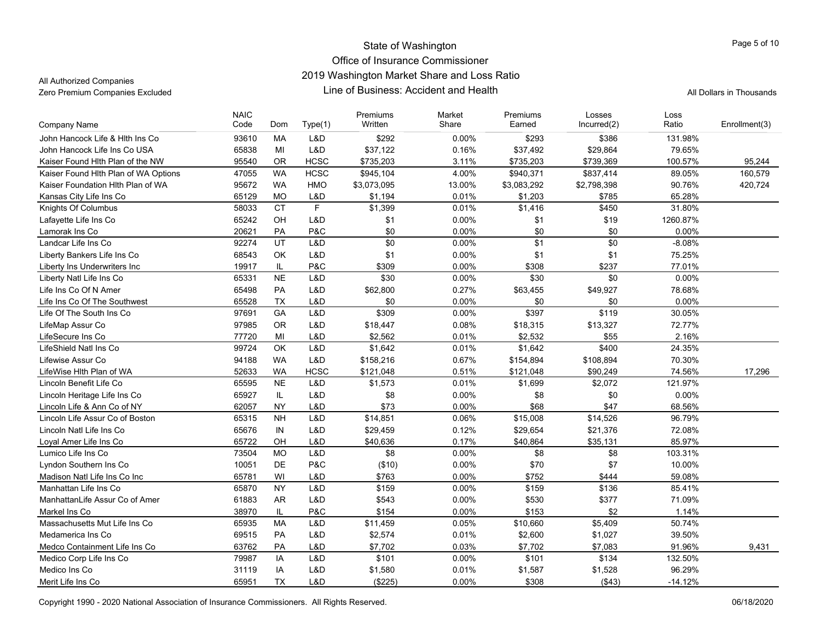All Authorized Companies

| L&D<br>John Hancock Life & Hith Ins Co<br>93610<br>MA<br>\$292<br>$0.00\%$<br>\$293<br>\$386<br>131.98%<br>65838<br>MI<br>L&D<br>0.16%<br>John Hancock Life Ins Co USA<br>\$37,122<br>\$37,492<br>\$29,864<br>79.65%<br><b>OR</b><br><b>HCSC</b><br>95540<br>\$735,203<br>3.11%<br>\$735,203<br>\$739,369<br>100.57%<br>95,244<br>Kaiser Found Hith Plan of the NW<br><b>WA</b><br><b>HCSC</b><br>\$945.104<br>4.00%<br>\$940,371<br>\$837,414<br>89.05%<br>160,579<br>Kaiser Found Hlth Plan of WA Options<br>47055<br>95672<br><b>WA</b><br><b>HMO</b><br>\$3,073,095<br>13.00%<br>\$3,083,292<br>\$2,798,398<br>90.76%<br>420,724<br>Kaiser Foundation Hith Plan of WA<br>65129<br><b>MO</b><br>L&D<br>0.01%<br>\$1,203<br>\$785<br>65.28%<br>Kansas City Life Ins Co<br>\$1,194<br>$\mathsf F$<br><b>CT</b><br>Knights Of Columbus<br>58033<br>\$1,399<br>0.01%<br>\$1,416<br>\$450<br>31.80%<br>\$1<br>\$1<br>65242<br>OH<br>L&D<br>0.00%<br>\$19<br>1260.87%<br>Lafayette Life Ins Co<br>\$0<br>20621<br>PA<br>P&C<br>$0.00\%$<br>\$0<br>\$0<br>0.00%<br>Lamorak Ins Co<br>\$0<br>UT<br>\$1<br>\$0<br>Landcar Life Ins Co<br>92274<br>L&D<br>0.00%<br>$-8.08%$<br>68543<br>OK<br>L&D<br>\$1<br>0.00%<br>\$1<br>\$1<br>75.25%<br>Liberty Bankers Life Ins Co<br>P&C<br>\$309<br>0.00%<br>\$237<br>19917<br>IL<br>\$308<br>77.01%<br>Liberty Ins Underwriters Inc<br><b>NE</b><br>L&D<br>\$30<br>0.00%<br>\$30<br>\$0<br>0.00%<br>Liberty Natl Life Ins Co<br>65331<br>65498<br><b>PA</b><br>L&D<br>\$62,800<br>0.27%<br>\$63,455<br>\$49,927<br>78.68%<br>Life Ins Co Of N Amer<br>65528<br><b>TX</b><br>L&D<br>\$0<br>0.00%<br>\$0<br>0.00%<br>Life Ins Co Of The Southwest<br>\$0<br>L&D<br>\$309<br>0.00%<br>\$397<br>\$119<br>30.05%<br>Life Of The South Ins Co<br>97691<br><b>GA</b><br>97985<br><b>OR</b><br>L&D<br>\$18,447<br>0.08%<br>\$18,315<br>\$13,327<br>72.77%<br>LifeMap Assur Co<br>MI<br>L&D<br>\$2,532<br>\$55<br>2.16%<br>77720<br>\$2,562<br>0.01%<br>LifeSecure Ins Co<br>OK<br>L&D<br>0.01%<br>\$1,642<br>\$400<br>24.35%<br>LifeShield Natl Ins Co<br>99724<br>\$1,642<br><b>WA</b><br>94188<br>L&D<br>\$158,216<br>0.67%<br>\$108,894<br>70.30%<br>Lifewise Assur Co<br>\$154,894<br><b>WA</b><br><b>HCSC</b><br>\$121,048<br>0.51%<br>\$121,048<br>\$90,249<br>74.56%<br>LifeWise Hlth Plan of WA<br>52633<br>17,296<br><b>NE</b><br>Lincoln Benefit Life Co<br>65595<br>L&D<br>0.01%<br>121.97%<br>\$1,573<br>\$1,699<br>\$2,072<br>65927<br>IL.<br>L&D<br>\$8<br>0.00%<br>\$8<br>0.00%<br>\$0<br>Lincoln Heritage Life Ins Co<br>L&D<br>\$73<br>0.00%<br>\$47<br>62057<br><b>NY</b><br>\$68<br>68.56%<br>Lincoln Life & Ann Co of NY<br>L&D<br>\$14,851<br>\$15,008<br>Lincoln Life Assur Co of Boston<br>65315<br><b>NH</b><br>0.06%<br>\$14,526<br>96.79%<br>0.12%<br>Lincoln Natl Life Ins Co<br>65676<br>IN<br>L&D<br>\$29,459<br>\$29,654<br>\$21,376<br>72.08%<br>65722<br>L&D<br>\$40,636<br>0.17%<br>\$40,864<br>85.97%<br>Loyal Amer Life Ins Co<br>OH<br>\$35,131<br><b>MO</b><br>L&D<br>\$8<br>0.00%<br>\$8<br>\$8<br>Lumico Life Ins Co<br>73504<br>103.31%<br>DE<br>P&C<br>$0.00\%$<br>\$70<br>\$7<br>Lyndon Southern Ins Co<br>10051<br>(\$10)<br>10.00%<br>WI<br>L&D<br>\$763<br>0.00%<br>\$752<br>59.08%<br>65781<br>\$444<br>Madison Natl Life Ins Co Inc<br><b>NY</b><br>L&D<br>\$159<br>0.00%<br>\$159<br>\$136<br>85.41%<br>Manhattan Life Ins Co<br>65870<br>ManhattanLife Assur Co of Amer<br>61883<br><b>AR</b><br>L&D<br>\$543<br>0.00%<br>\$530<br>\$377<br>71.09%<br>P&C<br>38970<br>IL<br>\$154<br>0.00%<br>\$153<br>\$2<br>1.14%<br>Markel Ins Co<br>Massachusetts Mut Life Ins Co<br>MA<br>L&D<br>\$5,409<br>65935<br>\$11,459<br>0.05%<br>\$10,660<br>50.74%<br>PA<br>L&D<br>0.01%<br>39.50%<br>Medamerica Ins Co<br>69515<br>\$2,574<br>\$2,600<br>\$1,027<br>PA<br>L&D<br>0.03%<br>91.96%<br>63762<br>\$7,702<br>\$7,702<br>\$7,083<br>9.431<br>Medco Containment Life Ins Co<br>L&D<br>\$101<br>\$101<br>\$134<br>Medico Corp Life Ins Co<br>79987<br>IA<br>0.00%<br>132.50%<br>Medico Ins Co<br>31119<br>IA<br>L&D<br>\$1,580<br>0.01%<br>\$1,587<br>\$1,528<br>96.29%<br>65951<br><b>TX</b><br>L&D<br>(\$225)<br>\$308<br>(\$43)<br>Merit Life Ins Co<br>$0.00\%$<br>-14.12% | <b>Company Name</b> | <b>NAIC</b><br>Code | Dom | Type(1) | Premiums<br>Written | Market<br>Share | Premiums<br>Earned | Losses<br>Incurred(2) | Loss<br>Ratio | Enrollment(3) |
|---------------------------------------------------------------------------------------------------------------------------------------------------------------------------------------------------------------------------------------------------------------------------------------------------------------------------------------------------------------------------------------------------------------------------------------------------------------------------------------------------------------------------------------------------------------------------------------------------------------------------------------------------------------------------------------------------------------------------------------------------------------------------------------------------------------------------------------------------------------------------------------------------------------------------------------------------------------------------------------------------------------------------------------------------------------------------------------------------------------------------------------------------------------------------------------------------------------------------------------------------------------------------------------------------------------------------------------------------------------------------------------------------------------------------------------------------------------------------------------------------------------------------------------------------------------------------------------------------------------------------------------------------------------------------------------------------------------------------------------------------------------------------------------------------------------------------------------------------------------------------------------------------------------------------------------------------------------------------------------------------------------------------------------------------------------------------------------------------------------------------------------------------------------------------------------------------------------------------------------------------------------------------------------------------------------------------------------------------------------------------------------------------------------------------------------------------------------------------------------------------------------------------------------------------------------------------------------------------------------------------------------------------------------------------------------------------------------------------------------------------------------------------------------------------------------------------------------------------------------------------------------------------------------------------------------------------------------------------------------------------------------------------------------------------------------------------------------------------------------------------------------------------------------------------------------------------------------------------------------------------------------------------------------------------------------------------------------------------------------------------------------------------------------------------------------------------------------------------------------------------------------------------------------------------------------------------------------------------------------------------------------------------------------------------------------------------------------------------------------------------------------------------------------------------------------------------------------------------------------------------------------------------------------------------------------------------------------------------------------------------------------------------------------------------------------------------------------------------------------------------------------------------------------------------------------------------------------------------------------------------|---------------------|---------------------|-----|---------|---------------------|-----------------|--------------------|-----------------------|---------------|---------------|
|                                                                                                                                                                                                                                                                                                                                                                                                                                                                                                                                                                                                                                                                                                                                                                                                                                                                                                                                                                                                                                                                                                                                                                                                                                                                                                                                                                                                                                                                                                                                                                                                                                                                                                                                                                                                                                                                                                                                                                                                                                                                                                                                                                                                                                                                                                                                                                                                                                                                                                                                                                                                                                                                                                                                                                                                                                                                                                                                                                                                                                                                                                                                                                                                                                                                                                                                                                                                                                                                                                                                                                                                                                                                                                                                                                                                                                                                                                                                                                                                                                                                                                                                                                                                                                                   |                     |                     |     |         |                     |                 |                    |                       |               |               |
|                                                                                                                                                                                                                                                                                                                                                                                                                                                                                                                                                                                                                                                                                                                                                                                                                                                                                                                                                                                                                                                                                                                                                                                                                                                                                                                                                                                                                                                                                                                                                                                                                                                                                                                                                                                                                                                                                                                                                                                                                                                                                                                                                                                                                                                                                                                                                                                                                                                                                                                                                                                                                                                                                                                                                                                                                                                                                                                                                                                                                                                                                                                                                                                                                                                                                                                                                                                                                                                                                                                                                                                                                                                                                                                                                                                                                                                                                                                                                                                                                                                                                                                                                                                                                                                   |                     |                     |     |         |                     |                 |                    |                       |               |               |
|                                                                                                                                                                                                                                                                                                                                                                                                                                                                                                                                                                                                                                                                                                                                                                                                                                                                                                                                                                                                                                                                                                                                                                                                                                                                                                                                                                                                                                                                                                                                                                                                                                                                                                                                                                                                                                                                                                                                                                                                                                                                                                                                                                                                                                                                                                                                                                                                                                                                                                                                                                                                                                                                                                                                                                                                                                                                                                                                                                                                                                                                                                                                                                                                                                                                                                                                                                                                                                                                                                                                                                                                                                                                                                                                                                                                                                                                                                                                                                                                                                                                                                                                                                                                                                                   |                     |                     |     |         |                     |                 |                    |                       |               |               |
|                                                                                                                                                                                                                                                                                                                                                                                                                                                                                                                                                                                                                                                                                                                                                                                                                                                                                                                                                                                                                                                                                                                                                                                                                                                                                                                                                                                                                                                                                                                                                                                                                                                                                                                                                                                                                                                                                                                                                                                                                                                                                                                                                                                                                                                                                                                                                                                                                                                                                                                                                                                                                                                                                                                                                                                                                                                                                                                                                                                                                                                                                                                                                                                                                                                                                                                                                                                                                                                                                                                                                                                                                                                                                                                                                                                                                                                                                                                                                                                                                                                                                                                                                                                                                                                   |                     |                     |     |         |                     |                 |                    |                       |               |               |
|                                                                                                                                                                                                                                                                                                                                                                                                                                                                                                                                                                                                                                                                                                                                                                                                                                                                                                                                                                                                                                                                                                                                                                                                                                                                                                                                                                                                                                                                                                                                                                                                                                                                                                                                                                                                                                                                                                                                                                                                                                                                                                                                                                                                                                                                                                                                                                                                                                                                                                                                                                                                                                                                                                                                                                                                                                                                                                                                                                                                                                                                                                                                                                                                                                                                                                                                                                                                                                                                                                                                                                                                                                                                                                                                                                                                                                                                                                                                                                                                                                                                                                                                                                                                                                                   |                     |                     |     |         |                     |                 |                    |                       |               |               |
|                                                                                                                                                                                                                                                                                                                                                                                                                                                                                                                                                                                                                                                                                                                                                                                                                                                                                                                                                                                                                                                                                                                                                                                                                                                                                                                                                                                                                                                                                                                                                                                                                                                                                                                                                                                                                                                                                                                                                                                                                                                                                                                                                                                                                                                                                                                                                                                                                                                                                                                                                                                                                                                                                                                                                                                                                                                                                                                                                                                                                                                                                                                                                                                                                                                                                                                                                                                                                                                                                                                                                                                                                                                                                                                                                                                                                                                                                                                                                                                                                                                                                                                                                                                                                                                   |                     |                     |     |         |                     |                 |                    |                       |               |               |
|                                                                                                                                                                                                                                                                                                                                                                                                                                                                                                                                                                                                                                                                                                                                                                                                                                                                                                                                                                                                                                                                                                                                                                                                                                                                                                                                                                                                                                                                                                                                                                                                                                                                                                                                                                                                                                                                                                                                                                                                                                                                                                                                                                                                                                                                                                                                                                                                                                                                                                                                                                                                                                                                                                                                                                                                                                                                                                                                                                                                                                                                                                                                                                                                                                                                                                                                                                                                                                                                                                                                                                                                                                                                                                                                                                                                                                                                                                                                                                                                                                                                                                                                                                                                                                                   |                     |                     |     |         |                     |                 |                    |                       |               |               |
|                                                                                                                                                                                                                                                                                                                                                                                                                                                                                                                                                                                                                                                                                                                                                                                                                                                                                                                                                                                                                                                                                                                                                                                                                                                                                                                                                                                                                                                                                                                                                                                                                                                                                                                                                                                                                                                                                                                                                                                                                                                                                                                                                                                                                                                                                                                                                                                                                                                                                                                                                                                                                                                                                                                                                                                                                                                                                                                                                                                                                                                                                                                                                                                                                                                                                                                                                                                                                                                                                                                                                                                                                                                                                                                                                                                                                                                                                                                                                                                                                                                                                                                                                                                                                                                   |                     |                     |     |         |                     |                 |                    |                       |               |               |
|                                                                                                                                                                                                                                                                                                                                                                                                                                                                                                                                                                                                                                                                                                                                                                                                                                                                                                                                                                                                                                                                                                                                                                                                                                                                                                                                                                                                                                                                                                                                                                                                                                                                                                                                                                                                                                                                                                                                                                                                                                                                                                                                                                                                                                                                                                                                                                                                                                                                                                                                                                                                                                                                                                                                                                                                                                                                                                                                                                                                                                                                                                                                                                                                                                                                                                                                                                                                                                                                                                                                                                                                                                                                                                                                                                                                                                                                                                                                                                                                                                                                                                                                                                                                                                                   |                     |                     |     |         |                     |                 |                    |                       |               |               |
|                                                                                                                                                                                                                                                                                                                                                                                                                                                                                                                                                                                                                                                                                                                                                                                                                                                                                                                                                                                                                                                                                                                                                                                                                                                                                                                                                                                                                                                                                                                                                                                                                                                                                                                                                                                                                                                                                                                                                                                                                                                                                                                                                                                                                                                                                                                                                                                                                                                                                                                                                                                                                                                                                                                                                                                                                                                                                                                                                                                                                                                                                                                                                                                                                                                                                                                                                                                                                                                                                                                                                                                                                                                                                                                                                                                                                                                                                                                                                                                                                                                                                                                                                                                                                                                   |                     |                     |     |         |                     |                 |                    |                       |               |               |
|                                                                                                                                                                                                                                                                                                                                                                                                                                                                                                                                                                                                                                                                                                                                                                                                                                                                                                                                                                                                                                                                                                                                                                                                                                                                                                                                                                                                                                                                                                                                                                                                                                                                                                                                                                                                                                                                                                                                                                                                                                                                                                                                                                                                                                                                                                                                                                                                                                                                                                                                                                                                                                                                                                                                                                                                                                                                                                                                                                                                                                                                                                                                                                                                                                                                                                                                                                                                                                                                                                                                                                                                                                                                                                                                                                                                                                                                                                                                                                                                                                                                                                                                                                                                                                                   |                     |                     |     |         |                     |                 |                    |                       |               |               |
|                                                                                                                                                                                                                                                                                                                                                                                                                                                                                                                                                                                                                                                                                                                                                                                                                                                                                                                                                                                                                                                                                                                                                                                                                                                                                                                                                                                                                                                                                                                                                                                                                                                                                                                                                                                                                                                                                                                                                                                                                                                                                                                                                                                                                                                                                                                                                                                                                                                                                                                                                                                                                                                                                                                                                                                                                                                                                                                                                                                                                                                                                                                                                                                                                                                                                                                                                                                                                                                                                                                                                                                                                                                                                                                                                                                                                                                                                                                                                                                                                                                                                                                                                                                                                                                   |                     |                     |     |         |                     |                 |                    |                       |               |               |
|                                                                                                                                                                                                                                                                                                                                                                                                                                                                                                                                                                                                                                                                                                                                                                                                                                                                                                                                                                                                                                                                                                                                                                                                                                                                                                                                                                                                                                                                                                                                                                                                                                                                                                                                                                                                                                                                                                                                                                                                                                                                                                                                                                                                                                                                                                                                                                                                                                                                                                                                                                                                                                                                                                                                                                                                                                                                                                                                                                                                                                                                                                                                                                                                                                                                                                                                                                                                                                                                                                                                                                                                                                                                                                                                                                                                                                                                                                                                                                                                                                                                                                                                                                                                                                                   |                     |                     |     |         |                     |                 |                    |                       |               |               |
|                                                                                                                                                                                                                                                                                                                                                                                                                                                                                                                                                                                                                                                                                                                                                                                                                                                                                                                                                                                                                                                                                                                                                                                                                                                                                                                                                                                                                                                                                                                                                                                                                                                                                                                                                                                                                                                                                                                                                                                                                                                                                                                                                                                                                                                                                                                                                                                                                                                                                                                                                                                                                                                                                                                                                                                                                                                                                                                                                                                                                                                                                                                                                                                                                                                                                                                                                                                                                                                                                                                                                                                                                                                                                                                                                                                                                                                                                                                                                                                                                                                                                                                                                                                                                                                   |                     |                     |     |         |                     |                 |                    |                       |               |               |
|                                                                                                                                                                                                                                                                                                                                                                                                                                                                                                                                                                                                                                                                                                                                                                                                                                                                                                                                                                                                                                                                                                                                                                                                                                                                                                                                                                                                                                                                                                                                                                                                                                                                                                                                                                                                                                                                                                                                                                                                                                                                                                                                                                                                                                                                                                                                                                                                                                                                                                                                                                                                                                                                                                                                                                                                                                                                                                                                                                                                                                                                                                                                                                                                                                                                                                                                                                                                                                                                                                                                                                                                                                                                                                                                                                                                                                                                                                                                                                                                                                                                                                                                                                                                                                                   |                     |                     |     |         |                     |                 |                    |                       |               |               |
|                                                                                                                                                                                                                                                                                                                                                                                                                                                                                                                                                                                                                                                                                                                                                                                                                                                                                                                                                                                                                                                                                                                                                                                                                                                                                                                                                                                                                                                                                                                                                                                                                                                                                                                                                                                                                                                                                                                                                                                                                                                                                                                                                                                                                                                                                                                                                                                                                                                                                                                                                                                                                                                                                                                                                                                                                                                                                                                                                                                                                                                                                                                                                                                                                                                                                                                                                                                                                                                                                                                                                                                                                                                                                                                                                                                                                                                                                                                                                                                                                                                                                                                                                                                                                                                   |                     |                     |     |         |                     |                 |                    |                       |               |               |
|                                                                                                                                                                                                                                                                                                                                                                                                                                                                                                                                                                                                                                                                                                                                                                                                                                                                                                                                                                                                                                                                                                                                                                                                                                                                                                                                                                                                                                                                                                                                                                                                                                                                                                                                                                                                                                                                                                                                                                                                                                                                                                                                                                                                                                                                                                                                                                                                                                                                                                                                                                                                                                                                                                                                                                                                                                                                                                                                                                                                                                                                                                                                                                                                                                                                                                                                                                                                                                                                                                                                                                                                                                                                                                                                                                                                                                                                                                                                                                                                                                                                                                                                                                                                                                                   |                     |                     |     |         |                     |                 |                    |                       |               |               |
|                                                                                                                                                                                                                                                                                                                                                                                                                                                                                                                                                                                                                                                                                                                                                                                                                                                                                                                                                                                                                                                                                                                                                                                                                                                                                                                                                                                                                                                                                                                                                                                                                                                                                                                                                                                                                                                                                                                                                                                                                                                                                                                                                                                                                                                                                                                                                                                                                                                                                                                                                                                                                                                                                                                                                                                                                                                                                                                                                                                                                                                                                                                                                                                                                                                                                                                                                                                                                                                                                                                                                                                                                                                                                                                                                                                                                                                                                                                                                                                                                                                                                                                                                                                                                                                   |                     |                     |     |         |                     |                 |                    |                       |               |               |
|                                                                                                                                                                                                                                                                                                                                                                                                                                                                                                                                                                                                                                                                                                                                                                                                                                                                                                                                                                                                                                                                                                                                                                                                                                                                                                                                                                                                                                                                                                                                                                                                                                                                                                                                                                                                                                                                                                                                                                                                                                                                                                                                                                                                                                                                                                                                                                                                                                                                                                                                                                                                                                                                                                                                                                                                                                                                                                                                                                                                                                                                                                                                                                                                                                                                                                                                                                                                                                                                                                                                                                                                                                                                                                                                                                                                                                                                                                                                                                                                                                                                                                                                                                                                                                                   |                     |                     |     |         |                     |                 |                    |                       |               |               |
|                                                                                                                                                                                                                                                                                                                                                                                                                                                                                                                                                                                                                                                                                                                                                                                                                                                                                                                                                                                                                                                                                                                                                                                                                                                                                                                                                                                                                                                                                                                                                                                                                                                                                                                                                                                                                                                                                                                                                                                                                                                                                                                                                                                                                                                                                                                                                                                                                                                                                                                                                                                                                                                                                                                                                                                                                                                                                                                                                                                                                                                                                                                                                                                                                                                                                                                                                                                                                                                                                                                                                                                                                                                                                                                                                                                                                                                                                                                                                                                                                                                                                                                                                                                                                                                   |                     |                     |     |         |                     |                 |                    |                       |               |               |
|                                                                                                                                                                                                                                                                                                                                                                                                                                                                                                                                                                                                                                                                                                                                                                                                                                                                                                                                                                                                                                                                                                                                                                                                                                                                                                                                                                                                                                                                                                                                                                                                                                                                                                                                                                                                                                                                                                                                                                                                                                                                                                                                                                                                                                                                                                                                                                                                                                                                                                                                                                                                                                                                                                                                                                                                                                                                                                                                                                                                                                                                                                                                                                                                                                                                                                                                                                                                                                                                                                                                                                                                                                                                                                                                                                                                                                                                                                                                                                                                                                                                                                                                                                                                                                                   |                     |                     |     |         |                     |                 |                    |                       |               |               |
|                                                                                                                                                                                                                                                                                                                                                                                                                                                                                                                                                                                                                                                                                                                                                                                                                                                                                                                                                                                                                                                                                                                                                                                                                                                                                                                                                                                                                                                                                                                                                                                                                                                                                                                                                                                                                                                                                                                                                                                                                                                                                                                                                                                                                                                                                                                                                                                                                                                                                                                                                                                                                                                                                                                                                                                                                                                                                                                                                                                                                                                                                                                                                                                                                                                                                                                                                                                                                                                                                                                                                                                                                                                                                                                                                                                                                                                                                                                                                                                                                                                                                                                                                                                                                                                   |                     |                     |     |         |                     |                 |                    |                       |               |               |
|                                                                                                                                                                                                                                                                                                                                                                                                                                                                                                                                                                                                                                                                                                                                                                                                                                                                                                                                                                                                                                                                                                                                                                                                                                                                                                                                                                                                                                                                                                                                                                                                                                                                                                                                                                                                                                                                                                                                                                                                                                                                                                                                                                                                                                                                                                                                                                                                                                                                                                                                                                                                                                                                                                                                                                                                                                                                                                                                                                                                                                                                                                                                                                                                                                                                                                                                                                                                                                                                                                                                                                                                                                                                                                                                                                                                                                                                                                                                                                                                                                                                                                                                                                                                                                                   |                     |                     |     |         |                     |                 |                    |                       |               |               |
|                                                                                                                                                                                                                                                                                                                                                                                                                                                                                                                                                                                                                                                                                                                                                                                                                                                                                                                                                                                                                                                                                                                                                                                                                                                                                                                                                                                                                                                                                                                                                                                                                                                                                                                                                                                                                                                                                                                                                                                                                                                                                                                                                                                                                                                                                                                                                                                                                                                                                                                                                                                                                                                                                                                                                                                                                                                                                                                                                                                                                                                                                                                                                                                                                                                                                                                                                                                                                                                                                                                                                                                                                                                                                                                                                                                                                                                                                                                                                                                                                                                                                                                                                                                                                                                   |                     |                     |     |         |                     |                 |                    |                       |               |               |
|                                                                                                                                                                                                                                                                                                                                                                                                                                                                                                                                                                                                                                                                                                                                                                                                                                                                                                                                                                                                                                                                                                                                                                                                                                                                                                                                                                                                                                                                                                                                                                                                                                                                                                                                                                                                                                                                                                                                                                                                                                                                                                                                                                                                                                                                                                                                                                                                                                                                                                                                                                                                                                                                                                                                                                                                                                                                                                                                                                                                                                                                                                                                                                                                                                                                                                                                                                                                                                                                                                                                                                                                                                                                                                                                                                                                                                                                                                                                                                                                                                                                                                                                                                                                                                                   |                     |                     |     |         |                     |                 |                    |                       |               |               |
|                                                                                                                                                                                                                                                                                                                                                                                                                                                                                                                                                                                                                                                                                                                                                                                                                                                                                                                                                                                                                                                                                                                                                                                                                                                                                                                                                                                                                                                                                                                                                                                                                                                                                                                                                                                                                                                                                                                                                                                                                                                                                                                                                                                                                                                                                                                                                                                                                                                                                                                                                                                                                                                                                                                                                                                                                                                                                                                                                                                                                                                                                                                                                                                                                                                                                                                                                                                                                                                                                                                                                                                                                                                                                                                                                                                                                                                                                                                                                                                                                                                                                                                                                                                                                                                   |                     |                     |     |         |                     |                 |                    |                       |               |               |
|                                                                                                                                                                                                                                                                                                                                                                                                                                                                                                                                                                                                                                                                                                                                                                                                                                                                                                                                                                                                                                                                                                                                                                                                                                                                                                                                                                                                                                                                                                                                                                                                                                                                                                                                                                                                                                                                                                                                                                                                                                                                                                                                                                                                                                                                                                                                                                                                                                                                                                                                                                                                                                                                                                                                                                                                                                                                                                                                                                                                                                                                                                                                                                                                                                                                                                                                                                                                                                                                                                                                                                                                                                                                                                                                                                                                                                                                                                                                                                                                                                                                                                                                                                                                                                                   |                     |                     |     |         |                     |                 |                    |                       |               |               |
|                                                                                                                                                                                                                                                                                                                                                                                                                                                                                                                                                                                                                                                                                                                                                                                                                                                                                                                                                                                                                                                                                                                                                                                                                                                                                                                                                                                                                                                                                                                                                                                                                                                                                                                                                                                                                                                                                                                                                                                                                                                                                                                                                                                                                                                                                                                                                                                                                                                                                                                                                                                                                                                                                                                                                                                                                                                                                                                                                                                                                                                                                                                                                                                                                                                                                                                                                                                                                                                                                                                                                                                                                                                                                                                                                                                                                                                                                                                                                                                                                                                                                                                                                                                                                                                   |                     |                     |     |         |                     |                 |                    |                       |               |               |
|                                                                                                                                                                                                                                                                                                                                                                                                                                                                                                                                                                                                                                                                                                                                                                                                                                                                                                                                                                                                                                                                                                                                                                                                                                                                                                                                                                                                                                                                                                                                                                                                                                                                                                                                                                                                                                                                                                                                                                                                                                                                                                                                                                                                                                                                                                                                                                                                                                                                                                                                                                                                                                                                                                                                                                                                                                                                                                                                                                                                                                                                                                                                                                                                                                                                                                                                                                                                                                                                                                                                                                                                                                                                                                                                                                                                                                                                                                                                                                                                                                                                                                                                                                                                                                                   |                     |                     |     |         |                     |                 |                    |                       |               |               |
|                                                                                                                                                                                                                                                                                                                                                                                                                                                                                                                                                                                                                                                                                                                                                                                                                                                                                                                                                                                                                                                                                                                                                                                                                                                                                                                                                                                                                                                                                                                                                                                                                                                                                                                                                                                                                                                                                                                                                                                                                                                                                                                                                                                                                                                                                                                                                                                                                                                                                                                                                                                                                                                                                                                                                                                                                                                                                                                                                                                                                                                                                                                                                                                                                                                                                                                                                                                                                                                                                                                                                                                                                                                                                                                                                                                                                                                                                                                                                                                                                                                                                                                                                                                                                                                   |                     |                     |     |         |                     |                 |                    |                       |               |               |
|                                                                                                                                                                                                                                                                                                                                                                                                                                                                                                                                                                                                                                                                                                                                                                                                                                                                                                                                                                                                                                                                                                                                                                                                                                                                                                                                                                                                                                                                                                                                                                                                                                                                                                                                                                                                                                                                                                                                                                                                                                                                                                                                                                                                                                                                                                                                                                                                                                                                                                                                                                                                                                                                                                                                                                                                                                                                                                                                                                                                                                                                                                                                                                                                                                                                                                                                                                                                                                                                                                                                                                                                                                                                                                                                                                                                                                                                                                                                                                                                                                                                                                                                                                                                                                                   |                     |                     |     |         |                     |                 |                    |                       |               |               |
|                                                                                                                                                                                                                                                                                                                                                                                                                                                                                                                                                                                                                                                                                                                                                                                                                                                                                                                                                                                                                                                                                                                                                                                                                                                                                                                                                                                                                                                                                                                                                                                                                                                                                                                                                                                                                                                                                                                                                                                                                                                                                                                                                                                                                                                                                                                                                                                                                                                                                                                                                                                                                                                                                                                                                                                                                                                                                                                                                                                                                                                                                                                                                                                                                                                                                                                                                                                                                                                                                                                                                                                                                                                                                                                                                                                                                                                                                                                                                                                                                                                                                                                                                                                                                                                   |                     |                     |     |         |                     |                 |                    |                       |               |               |
|                                                                                                                                                                                                                                                                                                                                                                                                                                                                                                                                                                                                                                                                                                                                                                                                                                                                                                                                                                                                                                                                                                                                                                                                                                                                                                                                                                                                                                                                                                                                                                                                                                                                                                                                                                                                                                                                                                                                                                                                                                                                                                                                                                                                                                                                                                                                                                                                                                                                                                                                                                                                                                                                                                                                                                                                                                                                                                                                                                                                                                                                                                                                                                                                                                                                                                                                                                                                                                                                                                                                                                                                                                                                                                                                                                                                                                                                                                                                                                                                                                                                                                                                                                                                                                                   |                     |                     |     |         |                     |                 |                    |                       |               |               |
|                                                                                                                                                                                                                                                                                                                                                                                                                                                                                                                                                                                                                                                                                                                                                                                                                                                                                                                                                                                                                                                                                                                                                                                                                                                                                                                                                                                                                                                                                                                                                                                                                                                                                                                                                                                                                                                                                                                                                                                                                                                                                                                                                                                                                                                                                                                                                                                                                                                                                                                                                                                                                                                                                                                                                                                                                                                                                                                                                                                                                                                                                                                                                                                                                                                                                                                                                                                                                                                                                                                                                                                                                                                                                                                                                                                                                                                                                                                                                                                                                                                                                                                                                                                                                                                   |                     |                     |     |         |                     |                 |                    |                       |               |               |
|                                                                                                                                                                                                                                                                                                                                                                                                                                                                                                                                                                                                                                                                                                                                                                                                                                                                                                                                                                                                                                                                                                                                                                                                                                                                                                                                                                                                                                                                                                                                                                                                                                                                                                                                                                                                                                                                                                                                                                                                                                                                                                                                                                                                                                                                                                                                                                                                                                                                                                                                                                                                                                                                                                                                                                                                                                                                                                                                                                                                                                                                                                                                                                                                                                                                                                                                                                                                                                                                                                                                                                                                                                                                                                                                                                                                                                                                                                                                                                                                                                                                                                                                                                                                                                                   |                     |                     |     |         |                     |                 |                    |                       |               |               |
|                                                                                                                                                                                                                                                                                                                                                                                                                                                                                                                                                                                                                                                                                                                                                                                                                                                                                                                                                                                                                                                                                                                                                                                                                                                                                                                                                                                                                                                                                                                                                                                                                                                                                                                                                                                                                                                                                                                                                                                                                                                                                                                                                                                                                                                                                                                                                                                                                                                                                                                                                                                                                                                                                                                                                                                                                                                                                                                                                                                                                                                                                                                                                                                                                                                                                                                                                                                                                                                                                                                                                                                                                                                                                                                                                                                                                                                                                                                                                                                                                                                                                                                                                                                                                                                   |                     |                     |     |         |                     |                 |                    |                       |               |               |
|                                                                                                                                                                                                                                                                                                                                                                                                                                                                                                                                                                                                                                                                                                                                                                                                                                                                                                                                                                                                                                                                                                                                                                                                                                                                                                                                                                                                                                                                                                                                                                                                                                                                                                                                                                                                                                                                                                                                                                                                                                                                                                                                                                                                                                                                                                                                                                                                                                                                                                                                                                                                                                                                                                                                                                                                                                                                                                                                                                                                                                                                                                                                                                                                                                                                                                                                                                                                                                                                                                                                                                                                                                                                                                                                                                                                                                                                                                                                                                                                                                                                                                                                                                                                                                                   |                     |                     |     |         |                     |                 |                    |                       |               |               |
|                                                                                                                                                                                                                                                                                                                                                                                                                                                                                                                                                                                                                                                                                                                                                                                                                                                                                                                                                                                                                                                                                                                                                                                                                                                                                                                                                                                                                                                                                                                                                                                                                                                                                                                                                                                                                                                                                                                                                                                                                                                                                                                                                                                                                                                                                                                                                                                                                                                                                                                                                                                                                                                                                                                                                                                                                                                                                                                                                                                                                                                                                                                                                                                                                                                                                                                                                                                                                                                                                                                                                                                                                                                                                                                                                                                                                                                                                                                                                                                                                                                                                                                                                                                                                                                   |                     |                     |     |         |                     |                 |                    |                       |               |               |
|                                                                                                                                                                                                                                                                                                                                                                                                                                                                                                                                                                                                                                                                                                                                                                                                                                                                                                                                                                                                                                                                                                                                                                                                                                                                                                                                                                                                                                                                                                                                                                                                                                                                                                                                                                                                                                                                                                                                                                                                                                                                                                                                                                                                                                                                                                                                                                                                                                                                                                                                                                                                                                                                                                                                                                                                                                                                                                                                                                                                                                                                                                                                                                                                                                                                                                                                                                                                                                                                                                                                                                                                                                                                                                                                                                                                                                                                                                                                                                                                                                                                                                                                                                                                                                                   |                     |                     |     |         |                     |                 |                    |                       |               |               |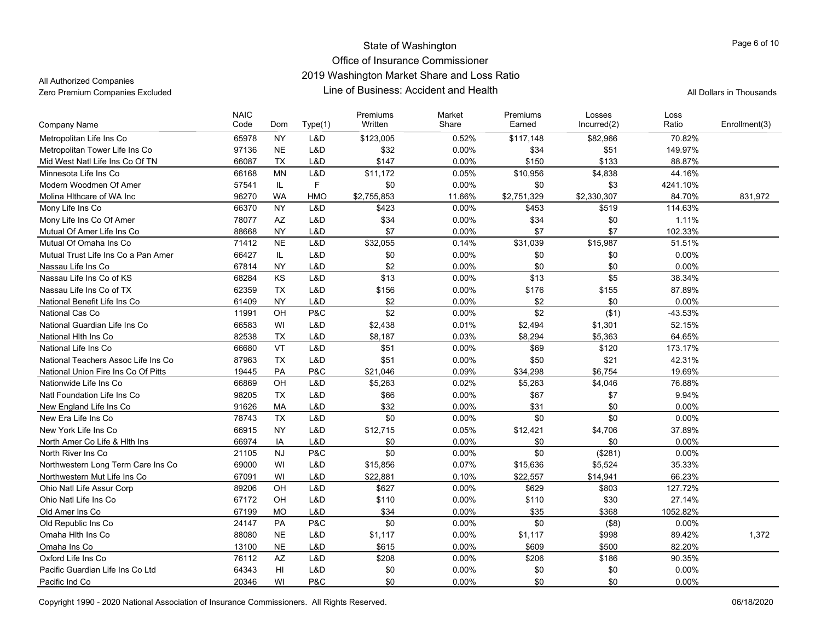All Authorized Companies

| <b>Company Name</b>                 | <b>NAIC</b><br>Code | Dom       | Type(1)    | Premiums<br>Written | Market<br>Share | Premiums<br>Earned | Losses<br>Incurred(2) | Loss<br>Ratio | Enrollment(3) |
|-------------------------------------|---------------------|-----------|------------|---------------------|-----------------|--------------------|-----------------------|---------------|---------------|
| Metropolitan Life Ins Co            | 65978               | <b>NY</b> | L&D        | \$123,005           | 0.52%           | \$117,148          | \$82,966              | 70.82%        |               |
| Metropolitan Tower Life Ins Co      | 97136               | <b>NE</b> | L&D        | \$32                | 0.00%           | \$34               | \$51                  | 149.97%       |               |
| Mid West Natl Life Ins Co Of TN     | 66087               | <b>TX</b> | L&D        | \$147               | 0.00%           | \$150              | \$133                 | 88.87%        |               |
| Minnesota Life Ins Co               | 66168               | <b>MN</b> | L&D        | \$11,172            | 0.05%           | \$10,956           | \$4,838               | 44.16%        |               |
| Modern Woodmen Of Amer              | 57541               | IL.       | F          | \$0                 | 0.00%           | \$0                | \$3                   | 4241.10%      |               |
| Molina Hithcare of WA Inc           | 96270               | <b>WA</b> | <b>HMO</b> | \$2,755,853         | 11.66%          | \$2,751,329        | \$2,330,307           | 84.70%        | 831,972       |
| Mony Life Ins Co                    | 66370               | <b>NY</b> | L&D        | \$423               | 0.00%           | \$453              | \$519                 | 114.63%       |               |
| Mony Life Ins Co Of Amer            | 78077               | AZ        | L&D        | \$34                | 0.00%           | \$34               | \$0                   | 1.11%         |               |
| Mutual Of Amer Life Ins Co          | 88668               | <b>NY</b> | L&D        | \$7                 | 0.00%           | \$7                | \$7                   | 102.33%       |               |
| Mutual Of Omaha Ins Co              | 71412               | <b>NE</b> | L&D        | \$32,055            | 0.14%           | \$31,039           | \$15,987              | 51.51%        |               |
| Mutual Trust Life Ins Co a Pan Amer | 66427               | IL.       | L&D        | \$0                 | 0.00%           | \$0                | \$0                   | 0.00%         |               |
| Nassau Life Ins Co                  | 67814               | <b>NY</b> | L&D        | \$2                 | 0.00%           | \$0                | \$0                   | 0.00%         |               |
| Nassau Life Ins Co of KS            | 68284               | KS        | L&D        | \$13                | 0.00%           | \$13               | \$5                   | 38.34%        |               |
| Nassau Life Ins Co of TX            | 62359               | <b>TX</b> | L&D        | \$156               | 0.00%           | \$176              | \$155                 | 87.89%        |               |
| National Benefit Life Ins Co        | 61409               | <b>NY</b> | L&D        | \$2                 | 0.00%           | \$2                | \$0                   | 0.00%         |               |
| National Cas Co                     | 11991               | OH        | P&C        | \$2                 | 0.00%           | \$2                | (\$1)                 | -43.53%       |               |
| National Guardian Life Ins Co       | 66583               | WI        | L&D        | \$2,438             | 0.01%           | \$2,494            | \$1,301               | 52.15%        |               |
| National Hith Ins Co                | 82538               | <b>TX</b> | L&D        | \$8,187             | 0.03%           | \$8,294            | \$5,363               | 64.65%        |               |
| National Life Ins Co                | 66680               | VT        | L&D        | \$51                | 0.00%           | \$69               | \$120                 | 173.17%       |               |
| National Teachers Assoc Life Ins Co | 87963               | <b>TX</b> | L&D        | \$51                | 0.00%           | \$50               | \$21                  | 42.31%        |               |
| National Union Fire Ins Co Of Pitts | 19445               | PA        | P&C        | \$21,046            | 0.09%           | \$34,298           | \$6,754               | 19.69%        |               |
| Nationwide Life Ins Co              | 66869               | OH        | L&D        | \$5,263             | 0.02%           | \$5,263            | \$4,046               | 76.88%        |               |
| Natl Foundation Life Ins Co         | 98205               | <b>TX</b> | L&D        | \$66                | 0.00%           | \$67               | \$7                   | 9.94%         |               |
| New England Life Ins Co             | 91626               | MA        | L&D        | \$32                | $0.00\%$        | \$31               | \$0                   | 0.00%         |               |
| New Era Life Ins Co                 | 78743               | <b>TX</b> | L&D        | \$0                 | 0.00%           | \$0                | \$0                   | 0.00%         |               |
| New York Life Ins Co                | 66915               | <b>NY</b> | L&D        | \$12,715            | 0.05%           | \$12,421           | \$4,706               | 37.89%        |               |
| North Amer Co Life & Hith Ins       | 66974               | IA        | L&D        | \$0                 | 0.00%           | \$0                | \$0                   | 0.00%         |               |
| North River Ins Co.                 | 21105               | <b>NJ</b> | P&C        | \$0                 | 0.00%           | \$0                | (\$281)               | 0.00%         |               |
| Northwestern Long Term Care Ins Co  | 69000               | WI        | L&D        | \$15,856            | 0.07%           | \$15,636           | \$5,524               | 35.33%        |               |
| Northwestern Mut Life Ins Co        | 67091               | WI        | L&D        | \$22,881            | 0.10%           | \$22,557           | \$14,941              | 66.23%        |               |
| Ohio Natl Life Assur Corp           | 89206               | OH        | L&D        | \$627               | 0.00%           | \$629              | \$803                 | 127.72%       |               |
| Ohio Natl Life Ins Co               | 67172               | OH        | L&D        | \$110               | 0.00%           | \$110              | \$30                  | 27.14%        |               |
| Old Amer Ins Co                     | 67199               | <b>MO</b> | L&D        | \$34                | 0.00%           | \$35               | \$368                 | 1052.82%      |               |
| Old Republic Ins Co.                | 24147               | PA        | P&C        | \$0                 | 0.00%           | \$0                | (\$8)                 | 0.00%         |               |
| Omaha Hith Ins Co                   | 88080               | <b>NE</b> | L&D        | \$1,117             | 0.00%           | \$1,117            | \$998                 | 89.42%        | 1,372         |
| Omaha Ins Co                        | 13100               | <b>NE</b> | L&D        | \$615               | 0.00%           | \$609              | \$500                 | 82.20%        |               |
| Oxford Life Ins Co                  | 76112               | AZ        | L&D        | \$208               | 0.00%           | \$206              | \$186                 | 90.35%        |               |
| Pacific Guardian Life Ins Co Ltd    | 64343               | HI        | L&D        | \$0                 | 0.00%           | \$0                | \$0                   | 0.00%         |               |
| Pacific Ind Co                      | 20346               | WI        | P&C        | \$0                 | 0.00%           | \$0                | \$0                   | 0.00%         |               |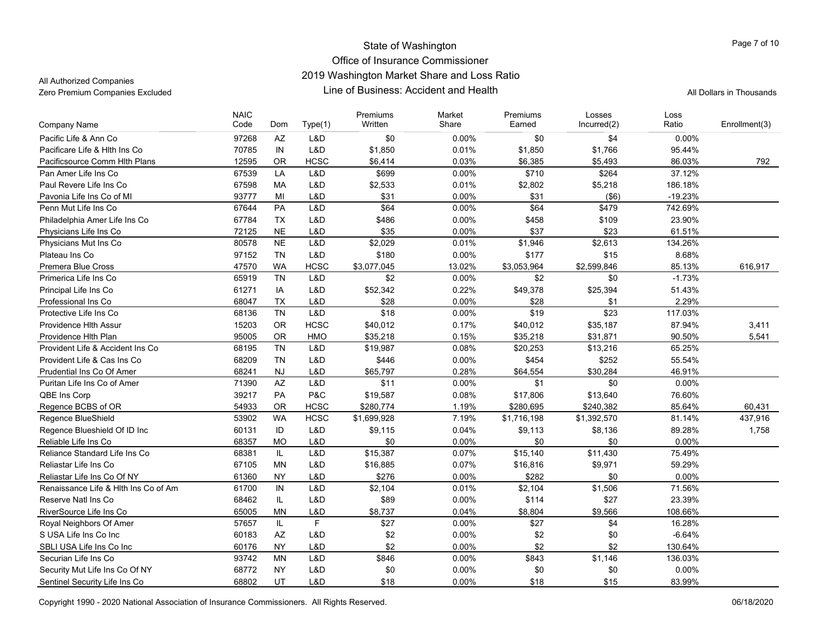All Authorized Companies

| Written<br>Code<br>Share<br>Earned<br>Incurred(2)<br>Ratio<br>Dom<br>Type(1)<br>Company Name<br>Pacific Life & Ann Co<br>97268<br>AZ<br>L&D<br>\$0<br>0.00%<br>0.00%<br>\$0<br>\$4<br>L&D<br>70785<br>IN<br>\$1,850<br>0.01%<br>\$1,850<br>95.44%<br>Pacificare Life & Hith Ins Co.<br>\$1,766<br><b>HCSC</b><br>12595<br><b>OR</b><br>\$6,414<br>0.03%<br>\$6,385<br>\$5,493<br>86.03%<br>Pacificsource Comm Hith Plans<br>LA<br>L&D<br>\$699<br>0.00%<br>\$710<br>\$264<br>Pan Amer Life Ins Co<br>67539<br>37.12%<br>Paul Revere Life Ins Co<br>67598<br>L&D<br>\$2,533<br>0.01%<br>\$2,802<br>\$5,218<br>186.18%<br>MA<br>93777<br>L&D<br>0.00%<br>\$31<br>(\$6)<br>Pavonia Life Ins Co of MI<br>MI<br>\$31<br>$-19.23%$<br>PA<br>L&D<br>Penn Mut Life Ins Co<br>67644 | Enrollment(3)<br>792<br>\$64<br>\$64<br>\$479<br>0.00%<br>742.69%<br>\$486<br>0.00%<br>\$109<br>23.90%<br>\$458<br>\$35<br>0.00%<br>\$37<br>\$23<br>61.51%<br>\$2,029<br>\$1,946<br>\$2,613<br>0.01%<br>134.26% |
|----------------------------------------------------------------------------------------------------------------------------------------------------------------------------------------------------------------------------------------------------------------------------------------------------------------------------------------------------------------------------------------------------------------------------------------------------------------------------------------------------------------------------------------------------------------------------------------------------------------------------------------------------------------------------------------------------------------------------------------------------------------------------|-----------------------------------------------------------------------------------------------------------------------------------------------------------------------------------------------------------------|
|                                                                                                                                                                                                                                                                                                                                                                                                                                                                                                                                                                                                                                                                                                                                                                            |                                                                                                                                                                                                                 |
|                                                                                                                                                                                                                                                                                                                                                                                                                                                                                                                                                                                                                                                                                                                                                                            |                                                                                                                                                                                                                 |
|                                                                                                                                                                                                                                                                                                                                                                                                                                                                                                                                                                                                                                                                                                                                                                            |                                                                                                                                                                                                                 |
|                                                                                                                                                                                                                                                                                                                                                                                                                                                                                                                                                                                                                                                                                                                                                                            |                                                                                                                                                                                                                 |
|                                                                                                                                                                                                                                                                                                                                                                                                                                                                                                                                                                                                                                                                                                                                                                            |                                                                                                                                                                                                                 |
|                                                                                                                                                                                                                                                                                                                                                                                                                                                                                                                                                                                                                                                                                                                                                                            |                                                                                                                                                                                                                 |
|                                                                                                                                                                                                                                                                                                                                                                                                                                                                                                                                                                                                                                                                                                                                                                            |                                                                                                                                                                                                                 |
| 67784<br><b>TX</b><br>L&D<br>Philadelphia Amer Life Ins Co                                                                                                                                                                                                                                                                                                                                                                                                                                                                                                                                                                                                                                                                                                                 |                                                                                                                                                                                                                 |
| <b>NE</b><br>L&D<br>72125<br>Physicians Life Ins Co                                                                                                                                                                                                                                                                                                                                                                                                                                                                                                                                                                                                                                                                                                                        |                                                                                                                                                                                                                 |
| <b>NE</b><br>L&D<br>Physicians Mut Ins Co<br>80578                                                                                                                                                                                                                                                                                                                                                                                                                                                                                                                                                                                                                                                                                                                         |                                                                                                                                                                                                                 |
| L&D<br>8.68%<br>Plateau Ins Co<br>97152<br><b>TN</b><br>\$180<br>0.00%<br>\$177<br>\$15                                                                                                                                                                                                                                                                                                                                                                                                                                                                                                                                                                                                                                                                                    |                                                                                                                                                                                                                 |
| 47570<br><b>WA</b><br><b>HCSC</b><br>13.02%<br>\$2,599,846<br>Premera Blue Cross<br>\$3,077,045<br>\$3,053,964<br>85.13%                                                                                                                                                                                                                                                                                                                                                                                                                                                                                                                                                                                                                                                   | 616,917                                                                                                                                                                                                         |
| <b>TN</b><br>L&D<br>\$2<br>\$0<br>Primerica Life Ins Co<br>65919<br>0.00%<br>\$2<br>$-1.73%$                                                                                                                                                                                                                                                                                                                                                                                                                                                                                                                                                                                                                                                                               |                                                                                                                                                                                                                 |
| 61271<br>IA<br>L&D<br>0.22%<br>Principal Life Ins Co<br>\$52,342<br>\$49,378<br>\$25,394<br>51.43%                                                                                                                                                                                                                                                                                                                                                                                                                                                                                                                                                                                                                                                                         |                                                                                                                                                                                                                 |
| <b>TX</b><br>L&D<br>0.00%<br>2.29%<br>68047<br>\$28<br>\$28<br>\$1<br>Professional Ins Co                                                                                                                                                                                                                                                                                                                                                                                                                                                                                                                                                                                                                                                                                  |                                                                                                                                                                                                                 |
| L&D<br>\$18<br>\$19<br>\$23<br><b>TN</b><br>0.00%<br>117.03%<br>Protective Life Ins Co<br>68136                                                                                                                                                                                                                                                                                                                                                                                                                                                                                                                                                                                                                                                                            |                                                                                                                                                                                                                 |
| 15203<br><b>OR</b><br><b>HCSC</b><br>\$40,012<br>0.17%<br>\$40,012<br>\$35,187<br>87.94%<br>Providence Hith Assur                                                                                                                                                                                                                                                                                                                                                                                                                                                                                                                                                                                                                                                          | 3,411                                                                                                                                                                                                           |
| <b>OR</b><br>95005<br>HMO<br>0.15%<br>\$35,218<br>90.50%<br>\$35,218<br>\$31,871<br>Providence Hith Plan                                                                                                                                                                                                                                                                                                                                                                                                                                                                                                                                                                                                                                                                   | 5,541                                                                                                                                                                                                           |
| <b>TN</b><br>L&D<br>0.08%<br>Provident Life & Accident Ins Co<br>68195<br>\$19,987<br>\$20,253<br>\$13,216<br>65.25%                                                                                                                                                                                                                                                                                                                                                                                                                                                                                                                                                                                                                                                       |                                                                                                                                                                                                                 |
| <b>TN</b><br>L&D<br>\$446<br>0.00%<br>\$454<br>\$252<br>Provident Life & Cas Ins Co<br>68209<br>55.54%                                                                                                                                                                                                                                                                                                                                                                                                                                                                                                                                                                                                                                                                     |                                                                                                                                                                                                                 |
| <b>NJ</b><br>L&D<br>0.28%<br>\$64,554<br>\$30,284<br>46.91%<br>Prudential Ins Co Of Amer<br>68241<br>\$65,797                                                                                                                                                                                                                                                                                                                                                                                                                                                                                                                                                                                                                                                              |                                                                                                                                                                                                                 |
| <b>AZ</b><br>L&D<br>\$11<br>0.00%<br>\$1<br>\$0<br>0.00%<br>Puritan Life Ins Co of Amer<br>71390                                                                                                                                                                                                                                                                                                                                                                                                                                                                                                                                                                                                                                                                           |                                                                                                                                                                                                                 |
| 39217<br><b>PA</b><br>P&C<br>0.08%<br>76.60%<br>QBE Ins Corp<br>\$19,587<br>\$17,806<br>\$13,640                                                                                                                                                                                                                                                                                                                                                                                                                                                                                                                                                                                                                                                                           |                                                                                                                                                                                                                 |
| 54933<br><b>OR</b><br><b>HCSC</b><br>\$280,774<br>1.19%<br>\$240,382<br>85.64%<br>Regence BCBS of OR<br>\$280,695                                                                                                                                                                                                                                                                                                                                                                                                                                                                                                                                                                                                                                                          | 60,431                                                                                                                                                                                                          |
| <b>HCSC</b><br>Regence BlueShield<br>53902<br><b>WA</b><br>\$1,699,928<br>7.19%<br>\$1,716,198<br>\$1,392,570<br>81.14%                                                                                                                                                                                                                                                                                                                                                                                                                                                                                                                                                                                                                                                    | 437,916                                                                                                                                                                                                         |
| ID<br>L&D<br>0.04%<br>89.28%<br>Regence Blueshield Of ID Inc<br>60131<br>\$9,115<br>\$9,113<br>\$8,136                                                                                                                                                                                                                                                                                                                                                                                                                                                                                                                                                                                                                                                                     | 1,758                                                                                                                                                                                                           |
| \$0<br>\$0<br>Reliable Life Ins Co<br>68357<br><b>MO</b><br>L&D<br>0.00%<br>\$0<br>$0.00\%$                                                                                                                                                                                                                                                                                                                                                                                                                                                                                                                                                                                                                                                                                |                                                                                                                                                                                                                 |
| Reliance Standard Life Ins Co<br>IL.<br>L&D<br>\$15,387<br>0.07%<br>\$15,140<br>75.49%<br>68381<br>\$11,430                                                                                                                                                                                                                                                                                                                                                                                                                                                                                                                                                                                                                                                                |                                                                                                                                                                                                                 |
| 67105<br><b>MN</b><br>L&D<br>0.07%<br>\$9,971<br>59.29%<br>Reliastar Life Ins Co<br>\$16,885<br>\$16,816                                                                                                                                                                                                                                                                                                                                                                                                                                                                                                                                                                                                                                                                   |                                                                                                                                                                                                                 |
| \$276<br>\$0<br><b>NY</b><br>L&D<br>0.00%<br>\$282<br>0.00%<br>Reliastar Life Ins Co Of NY<br>61360                                                                                                                                                                                                                                                                                                                                                                                                                                                                                                                                                                                                                                                                        |                                                                                                                                                                                                                 |
| 61700<br>IN<br>L&D<br>\$2,104<br>0.01%<br>\$2,104<br>\$1,506<br>71.56%<br>Renaissance Life & Hith Ins Co of Am                                                                                                                                                                                                                                                                                                                                                                                                                                                                                                                                                                                                                                                             |                                                                                                                                                                                                                 |
| IL.<br>L&D<br>\$89<br>0.00%<br>\$114<br>\$27<br>23.39%<br>Reserve Natl Ins Co.<br>68462                                                                                                                                                                                                                                                                                                                                                                                                                                                                                                                                                                                                                                                                                    |                                                                                                                                                                                                                 |
| L&D<br>\$9,566<br>RiverSource Life Ins Co<br>65005<br><b>MN</b><br>\$8,737<br>0.04%<br>\$8,804<br>108.66%                                                                                                                                                                                                                                                                                                                                                                                                                                                                                                                                                                                                                                                                  |                                                                                                                                                                                                                 |
| F<br>57657<br>IL.<br>\$27<br>0.00%<br>\$27<br>\$4<br>16.28%<br>Royal Neighbors Of Amer                                                                                                                                                                                                                                                                                                                                                                                                                                                                                                                                                                                                                                                                                     |                                                                                                                                                                                                                 |
| AZ<br>S USA Life Ins Co Inc<br>60183<br>L&D<br>\$2<br>0.00%<br>\$2<br>\$0<br>$-6.64%$                                                                                                                                                                                                                                                                                                                                                                                                                                                                                                                                                                                                                                                                                      |                                                                                                                                                                                                                 |
| \$2<br><b>NY</b><br>L&D<br>0.00%<br>\$2<br>\$2<br>130.64%<br>SBLI USA Life Ins Co Inc<br>60176                                                                                                                                                                                                                                                                                                                                                                                                                                                                                                                                                                                                                                                                             |                                                                                                                                                                                                                 |
| <b>MN</b><br>L&D<br>\$846<br>0.00%<br>\$843<br>\$1,146<br>Securian Life Ins Co<br>93742<br>136.03%                                                                                                                                                                                                                                                                                                                                                                                                                                                                                                                                                                                                                                                                         |                                                                                                                                                                                                                 |
| <b>NY</b><br>L&D<br>\$0<br>0.00%<br>\$0<br>Security Mut Life Ins Co Of NY<br>68772<br>\$0<br>0.00%                                                                                                                                                                                                                                                                                                                                                                                                                                                                                                                                                                                                                                                                         |                                                                                                                                                                                                                 |
| UT<br>L&D<br>68802<br>\$18<br>0.00%<br>\$18<br>\$15<br>83.99%<br>Sentinel Security Life Ins Co                                                                                                                                                                                                                                                                                                                                                                                                                                                                                                                                                                                                                                                                             |                                                                                                                                                                                                                 |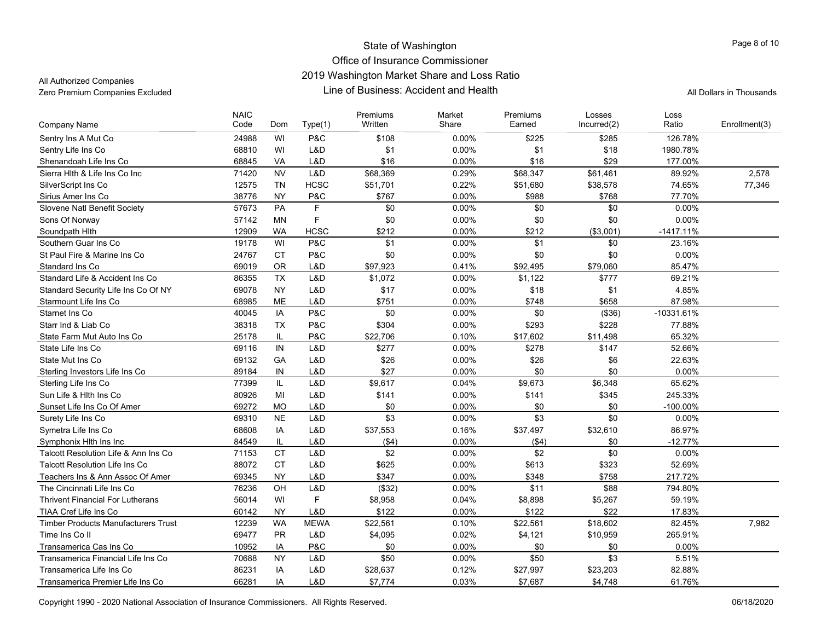All Authorized Companies

|                                            | <b>NAIC</b> |           |             | Premiums | Market   | Premiums | Losses      | Loss         |               |
|--------------------------------------------|-------------|-----------|-------------|----------|----------|----------|-------------|--------------|---------------|
| <b>Company Name</b>                        | Code        | Dom       | Type(1)     | Written  | Share    | Earned   | Incurred(2) | Ratio        | Enrollment(3) |
| Sentry Ins A Mut Co                        | 24988       | WI        | P&C         | \$108    | 0.00%    | \$225    | \$285       | 126.78%      |               |
| Sentry Life Ins Co                         | 68810       | WI        | L&D         | \$1      | 0.00%    | \$1      | \$18        | 1980.78%     |               |
| Shenandoah Life Ins Co                     | 68845       | VA        | L&D         | \$16     | 0.00%    | \$16     | \$29        | 177.00%      |               |
| Sierra Hith & Life Ins Co Inc              | 71420       | <b>NV</b> | L&D         | \$68,369 | 0.29%    | \$68,347 | \$61,461    | 89.92%       | 2.578         |
| SilverScript Ins Co                        | 12575       | <b>TN</b> | <b>HCSC</b> | \$51,701 | 0.22%    | \$51,680 | \$38,578    | 74.65%       | 77,346        |
| Sirius Amer Ins Co                         | 38776       | <b>NY</b> | P&C         | \$767    | 0.00%    | \$988    | \$768       | 77.70%       |               |
| Slovene Natl Benefit Society               | 57673       | PA        | $\mathsf F$ | \$0      | 0.00%    | \$0      | \$0         | 0.00%        |               |
| Sons Of Norway                             | 57142       | <b>MN</b> | $\mathsf F$ | \$0      | 0.00%    | \$0      | \$0         | 0.00%        |               |
| Soundpath Hith                             | 12909       | <b>WA</b> | <b>HCSC</b> | \$212    | 0.00%    | \$212    | (\$3,001)   | $-1417.11%$  |               |
| Southern Guar Ins Co                       | 19178       | WI        | P&C         | \$1      | 0.00%    | \$1      | \$0         | 23.16%       |               |
| St Paul Fire & Marine Ins Co.              | 24767       | <b>CT</b> | P&C         | \$0      | 0.00%    | \$0      | \$0         | 0.00%        |               |
| Standard Ins Co                            | 69019       | <b>OR</b> | L&D         | \$97,923 | 0.41%    | \$92,495 | \$79,060    | 85.47%       |               |
| Standard Life & Accident Ins Co.           | 86355       | <b>TX</b> | L&D         | \$1,072  | 0.00%    | \$1,122  | \$777       | 69.21%       |               |
| Standard Security Life Ins Co Of NY        | 69078       | <b>NY</b> | L&D         | \$17     | 0.00%    | \$18     | \$1         | 4.85%        |               |
| Starmount Life Ins Co                      | 68985       | <b>ME</b> | L&D         | \$751    | 0.00%    | \$748    | \$658       | 87.98%       |               |
| Starnet Ins Co                             | 40045       | IA        | P&C         | \$0      | 0.00%    | \$0      | (\$36)      | $-10331.61%$ |               |
| Starr Ind & Liab Co                        | 38318       | <b>TX</b> | P&C         | \$304    | 0.00%    | \$293    | \$228       | 77.88%       |               |
| State Farm Mut Auto Ins Co                 | 25178       | IL.       | P&C         | \$22,706 | 0.10%    | \$17,602 | \$11,498    | 65.32%       |               |
| State Life Ins Co                          | 69116       | IN        | L&D         | \$277    | 0.00%    | \$278    | \$147       | 52.66%       |               |
| State Mut Ins Co                           | 69132       | GA        | L&D         | \$26     | 0.00%    | \$26     | \$6         | 22.63%       |               |
| Sterling Investors Life Ins Co             | 89184       | IN        | L&D         | \$27     | 0.00%    | \$0      | \$0         | 0.00%        |               |
| Sterling Life Ins Co                       | 77399       | IL        | L&D         | \$9,617  | 0.04%    | \$9,673  | \$6,348     | 65.62%       |               |
| Sun Life & Hlth Ins Co                     | 80926       | MI        | L&D         | \$141    | 0.00%    | \$141    | \$345       | 245.33%      |               |
| Sunset Life Ins Co Of Amer                 | 69272       | <b>MO</b> | L&D         | \$0      | 0.00%    | \$0      | \$0         | $-100.00\%$  |               |
| Surety Life Ins Co                         | 69310       | <b>NE</b> | L&D         | \$3      | 0.00%    | \$3      | \$0         | 0.00%        |               |
| Symetra Life Ins Co                        | 68608       | IA        | L&D         | \$37,553 | 0.16%    | \$37,497 | \$32,610    | 86.97%       |               |
| Symphonix Hith Ins Inc                     | 84549       | IL.       | L&D         | ( \$4)   | $0.00\%$ | ( \$4)   | \$0         | $-12.77%$    |               |
| Talcott Resolution Life & Ann Ins Co       | 71153       | <b>CT</b> | L&D         | \$2      | 0.00%    | \$2      | \$0         | 0.00%        |               |
| <b>Talcott Resolution Life Ins Co</b>      | 88072       | <b>CT</b> | L&D         | \$625    | 0.00%    | \$613    | \$323       | 52.69%       |               |
| Teachers Ins & Ann Assoc Of Amer           | 69345       | <b>NY</b> | L&D         | \$347    | 0.00%    | \$348    | \$758       | 217.72%      |               |
| The Cincinnati Life Ins Co                 | 76236       | OH        | L&D         | (\$32)   | 0.00%    | \$11     | \$88        | 794.80%      |               |
| <b>Thrivent Financial For Lutherans</b>    | 56014       | WI        | $\mathsf F$ | \$8,958  | 0.04%    | \$8,898  | \$5,267     | 59.19%       |               |
| TIAA Cref Life Ins Co                      | 60142       | <b>NY</b> | L&D         | \$122    | 0.00%    | \$122    | \$22        | 17.83%       |               |
| <b>Timber Products Manufacturers Trust</b> | 12239       | <b>WA</b> | <b>MEWA</b> | \$22,561 | 0.10%    | \$22,561 | \$18,602    | 82.45%       | 7.982         |
| Time Ins Co II                             | 69477       | <b>PR</b> | L&D         | \$4,095  | 0.02%    | \$4,121  | \$10,959    | 265.91%      |               |
| Transamerica Cas Ins Co                    | 10952       | IA        | P&C         | \$0      | 0.00%    | \$0      | \$0         | 0.00%        |               |
| Transamerica Financial Life Ins Co         | 70688       | <b>NY</b> | L&D         | \$50     | 0.00%    | \$50     | \$3         | 5.51%        |               |
| Transamerica Life Ins Co                   | 86231       | IA        | L&D         | \$28,637 | 0.12%    | \$27,997 | \$23,203    | 82.88%       |               |
| Transamerica Premier Life Ins Co           | 66281       | IA        | L&D         | \$7,774  | 0.03%    | \$7,687  | \$4,748     | 61.76%       |               |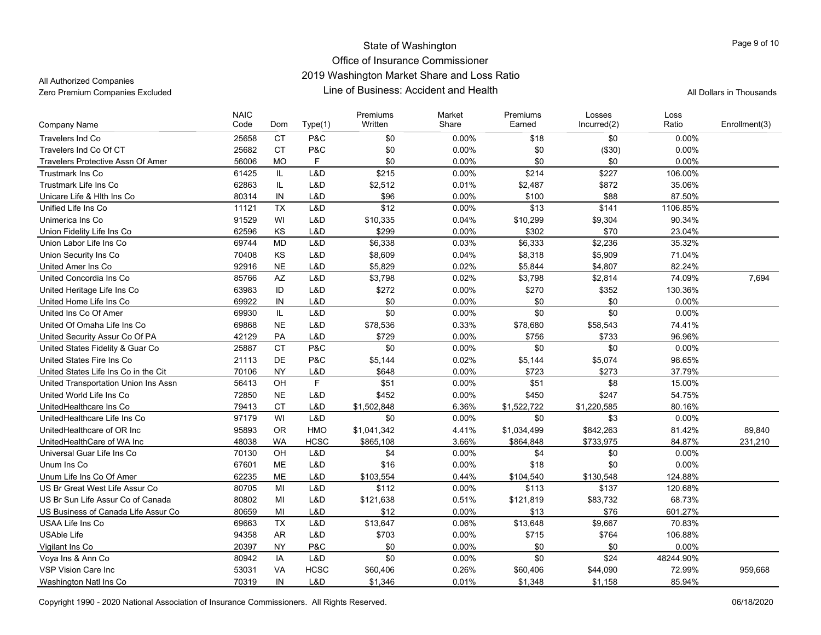All Authorized Companies

| <b>Company Name</b>                      | <b>NAIC</b><br>Code | Dom             | Type(1)     | Premiums<br>Written | Market<br>Share | Premiums<br>Earned | Losses<br>Incurred(2) | Loss<br>Ratio | Enrollment(3) |
|------------------------------------------|---------------------|-----------------|-------------|---------------------|-----------------|--------------------|-----------------------|---------------|---------------|
|                                          |                     |                 |             |                     |                 |                    |                       |               |               |
| <b>Travelers Ind Co</b>                  | 25658               | <b>CT</b>       | P&C         | \$0                 | 0.00%           | \$18               | \$0                   | 0.00%         |               |
| Travelers Ind Co Of CT                   | 25682               | <b>CT</b>       | P&C         | \$0                 | $0.00\%$        | \$0                | (\$30)                | 0.00%         |               |
| <b>Travelers Protective Assn Of Amer</b> | 56006               | <b>MO</b>       | F           | \$0                 | 0.00%           | \$0                | \$0                   | 0.00%         |               |
| <b>Trustmark Ins Co</b>                  | 61425               | IL.             | L&D         | \$215               | 0.00%           | \$214              | \$227                 | 106.00%       |               |
| Trustmark Life Ins Co                    | 62863               | IL              | L&D         | \$2,512             | 0.01%           | \$2,487            | \$872                 | 35.06%        |               |
| Unicare Life & Hith Ins Co               | 80314               | IN              | L&D         | \$96                | 0.00%           | \$100              | \$88                  | 87.50%        |               |
| Unified Life Ins Co                      | 11121               | <b>TX</b>       | L&D         | \$12                | 0.00%           | \$13               | \$141                 | 1106.85%      |               |
| Unimerica Ins Co                         | 91529               | WI              | L&D         | \$10,335            | 0.04%           | \$10,299           | \$9,304               | 90.34%        |               |
| Union Fidelity Life Ins Co               | 62596               | KS              | L&D         | \$299               | 0.00%           | \$302              | \$70                  | 23.04%        |               |
| Union Labor Life Ins Co                  | 69744               | <b>MD</b>       | L&D         | \$6,338             | 0.03%           | \$6,333            | \$2,236               | 35.32%        |               |
| Union Security Ins Co                    | 70408               | KS              | L&D         | \$8,609             | 0.04%           | \$8,318            | \$5,909               | 71.04%        |               |
| United Amer Ins Co                       | 92916               | NE              | L&D         | \$5,829             | 0.02%           | \$5,844            | \$4,807               | 82.24%        |               |
| United Concordia Ins Co                  | 85766               | $\overline{AZ}$ | L&D         | \$3,798             | 0.02%           | \$3,798            | \$2,814               | 74.09%        | 7,694         |
| United Heritage Life Ins Co              | 63983               | ID              | L&D         | \$272               | 0.00%           | \$270              | \$352                 | 130.36%       |               |
| United Home Life Ins Co                  | 69922               | IN              | L&D         | \$0                 | 0.00%           | \$0                | \$0                   | 0.00%         |               |
| United Ins Co Of Amer                    | 69930               | IL.             | L&D         | \$0                 | 0.00%           | \$0                | \$0                   | 0.00%         |               |
| United Of Omaha Life Ins Co              | 69868               | <b>NE</b>       | L&D         | \$78,536            | 0.33%           | \$78,680           | \$58,543              | 74.41%        |               |
| United Security Assur Co Of PA           | 42129               | PA              | L&D         | \$729               | 0.00%           | \$756              | \$733                 | 96.96%        |               |
| United States Fidelity & Guar Co         | 25887               | <b>CT</b>       | P&C         | \$0                 | 0.00%           | \$0                | \$0                   | 0.00%         |               |
| United States Fire Ins Co                | 21113               | DE              | P&C         | \$5,144             | 0.02%           | \$5,144            | \$5,074               | 98.65%        |               |
| United States Life Ins Co in the Cit     | 70106               | <b>NY</b>       | L&D         | \$648               | 0.00%           | \$723              | \$273                 | 37.79%        |               |
| United Transportation Union Ins Assn     | 56413               | OH              | F           | \$51                | 0.00%           | \$51               | \$8                   | 15.00%        |               |
| United World Life Ins Co                 | 72850               | <b>NE</b>       | L&D         | \$452               | 0.00%           | \$450              | \$247                 | 54.75%        |               |
| UnitedHealthcare Ins Co                  | 79413               | <b>CT</b>       | L&D         | \$1,502,848         | 6.36%           | \$1,522,722        | \$1,220,585           | 80.16%        |               |
| UnitedHealthcare Life Ins Co             | 97179               | WI              | L&D         | \$0                 | 0.00%           | \$0                | \$3                   | 0.00%         |               |
| UnitedHealthcare of OR Inc               | 95893               | <b>OR</b>       | HMO         | \$1,041,342         | 4.41%           | \$1,034,499        | \$842,263             | 81.42%        | 89,840        |
| UnitedHealthCare of WA Inc               | 48038               | <b>WA</b>       | <b>HCSC</b> | \$865,108           | 3.66%           | \$864,848          | \$733,975             | 84.87%        | 231,210       |
| Universal Guar Life Ins Co               | 70130               | OH              | L&D         | \$4                 | 0.00%           | \$4                | \$0                   | 0.00%         |               |
| Unum Ins Co                              | 67601               | ME              | L&D         | \$16                | $0.00\%$        | \$18               | \$0                   | 0.00%         |               |
| Unum Life Ins Co Of Amer                 | 62235               | <b>ME</b>       | L&D         | \$103,554           | 0.44%           | \$104,540          | \$130,548             | 124.88%       |               |
| US Br Great West Life Assur Co           | 80705               | MI              | L&D         | \$112               | 0.00%           | \$113              | \$137                 | 120.68%       |               |
| US Br Sun Life Assur Co of Canada        | 80802               | MI              | L&D         | \$121,638           | 0.51%           | \$121,819          | \$83,732              | 68.73%        |               |
| US Business of Canada Life Assur Co      | 80659               | MI              | L&D         | \$12                | 0.00%           | \$13               | \$76                  | 601.27%       |               |
| USAA Life Ins Co                         | 69663               | <b>TX</b>       | L&D         | \$13,647            | 0.06%           | \$13,648           | \$9,667               | 70.83%        |               |
| <b>USAble Life</b>                       | 94358               | <b>AR</b>       | L&D         | \$703               | 0.00%           | \$715              | \$764                 | 106.88%       |               |
| Vigilant Ins Co                          | 20397               | <b>NY</b>       | P&C         | \$0                 | 0.00%           | \$0                | \$0                   | 0.00%         |               |
| Voya Ins & Ann Co                        | 80942               | IA              | L&D         | \$0                 | 0.00%           | \$0                | \$24                  | 48244.90%     |               |
| <b>VSP Vision Care Inc</b>               | 53031               | <b>VA</b>       | <b>HCSC</b> | \$60,406            | 0.26%           | \$60,406           | \$44,090              | 72.99%        | 959,668       |
| Washington Natl Ins Co                   | 70319               | IN              | L&D         | \$1,346             | 0.01%           | \$1,348            | \$1,158               | 85.94%        |               |
|                                          |                     |                 |             |                     |                 |                    |                       |               |               |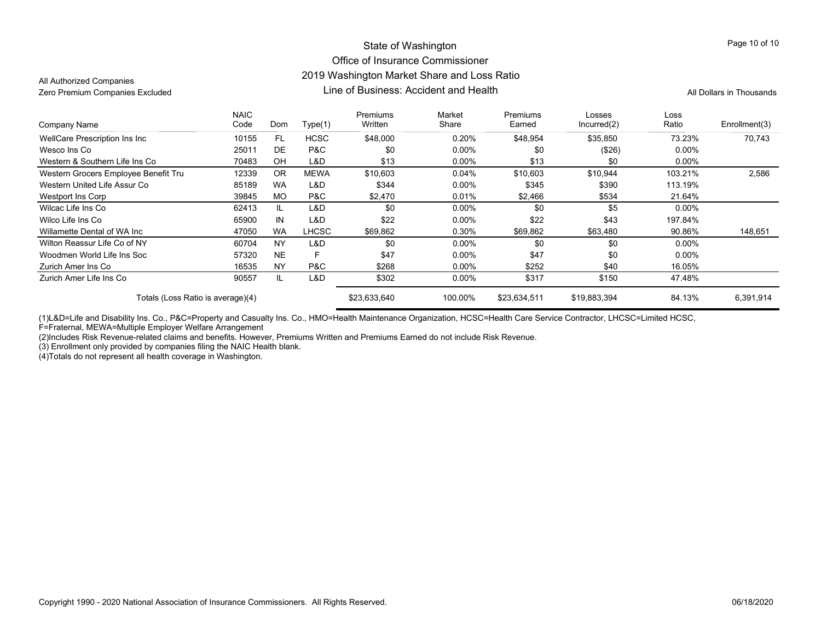#### State of Washington Office of Insurance Commissioner 2019 Washington Market Share and Loss Ratio Line of Business: Accident and HealthZero Premium Companies Excluded **All Dollars in Thousands** Line of Business: Accident and Health All Dollars in Thousands

All Authorized Companies

| Company Name                         | <b>NAIC</b><br>Code | Dom       | Type(1)      | Premiums<br>Written | Market<br>Share | Premiums<br>Earned | Losses<br>Incurred(2) | Loss<br>Ratio | Enrollment(3) |
|--------------------------------------|---------------------|-----------|--------------|---------------------|-----------------|--------------------|-----------------------|---------------|---------------|
| WellCare Prescription Ins Inc        | 10155               | FL.       | <b>HCSC</b>  | \$48,000            | 0.20%           | \$48,954           | \$35,850              | 73.23%        | 70.743        |
| Wesco Ins Co                         | 25011               | DE        | P&C          | \$0                 | $0.00\%$        | \$0                | (\$26)                | $0.00\%$      |               |
| Western & Southern Life Ins Co       | 70483               | OH        | L&D          | \$13                | $0.00\%$        | \$13               | \$0                   | $0.00\%$      |               |
| Western Grocers Employee Benefit Tru | 12339               | <b>OR</b> | <b>MEWA</b>  | \$10,603            | $0.04\%$        | \$10,603           | \$10,944              | 103.21%       | 2,586         |
| Western United Life Assur Co         | 85189               | <b>WA</b> | L&D          | \$344               | $0.00\%$        | \$345              | \$390                 | 113.19%       |               |
| Westport Ins Corp                    | 39845               | <b>MO</b> | P&C          | \$2,470             | 0.01%           | \$2,466            | \$534                 | 21.64%        |               |
| Wilcac Life Ins Co                   | 62413               | IL        | L&D          | \$0                 | $0.00\%$        | \$0                | \$5                   | $0.00\%$      |               |
| Wilco Life Ins Co                    | 65900               | IN        | L&D          | \$22                | $0.00\%$        | \$22               | \$43                  | 197.84%       |               |
| Willamette Dental of WA Inc          | 47050               | <b>WA</b> | <b>LHCSC</b> | \$69,862            | 0.30%           | \$69,862           | \$63,480              | 90.86%        | 148,651       |
| Wilton Reassur Life Co of NY         | 60704               | <b>NY</b> | L&D          | \$0                 | $0.00\%$        | \$0                | \$0                   | $0.00\%$      |               |
| Woodmen World Life Ins Soc           | 57320               | <b>NE</b> | F            | \$47                | $0.00\%$        | \$47               | \$0                   | $0.00\%$      |               |
| Zurich Amer Ins Co                   | 16535               | <b>NY</b> | P&C          | \$268               | $0.00\%$        | \$252              | \$40                  | 16.05%        |               |
| Zurich Amer Life Ins Co              | 90557               | IL        | L&D          | \$302               | $0.00\%$        | \$317              | \$150                 | 47.48%        |               |
| Totals (Loss Ratio is average)(4)    |                     |           | \$23,633,640 | 100.00%             | \$23,634,511    | \$19,883,394       | 84.13%                | 6,391,914     |               |

(1)L&D=Life and Disability Ins. Co., P&C=Property and Casualty Ins. Co., HMO=Health Maintenance Organization, HCSC=Health Care Service Contractor, LHCSC=Limited HCSC,

F=Fraternal, MEWA=Multiple Employer Welfare Arrangement

(2)Includes Risk Revenue-related claims and benefits. However, Premiums Written and Premiums Earned do not include Risk Revenue.

(3) Enrollment only provided by companies filing the NAIC Health blank.

(4)Totals do not represent all health coverage in Washington.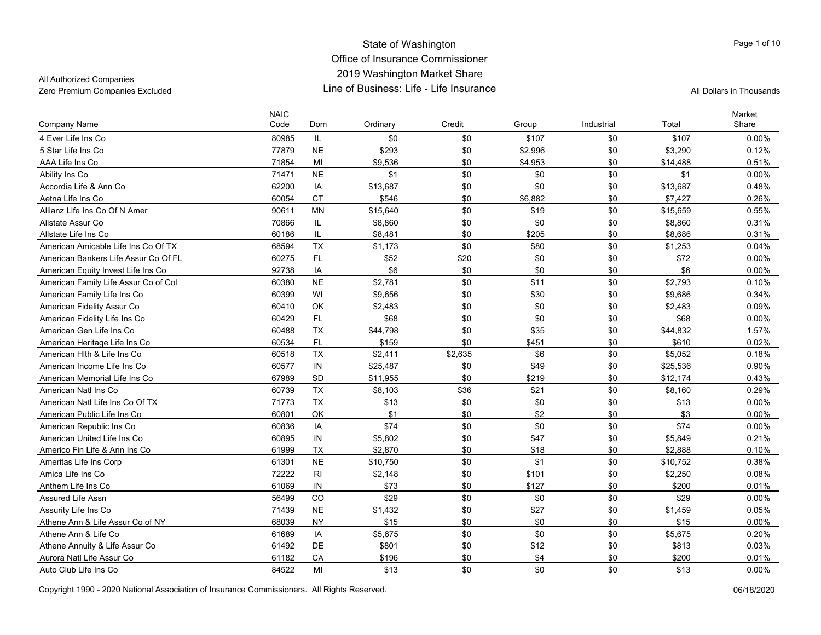### All Authorized Companies

| Company Name                         | <b>NAIC</b><br>Code | Dom       | Ordinary | Credit  | Group   | Industrial | Total    | Market<br>Share |
|--------------------------------------|---------------------|-----------|----------|---------|---------|------------|----------|-----------------|
| 4 Ever Life Ins Co                   | 80985               | IL.       | \$0      | \$0     | \$107   | \$0        | \$107    | $0.00\%$        |
| 5 Star Life Ins Co                   | 77879               | <b>NE</b> | \$293    | \$0     | \$2,996 | \$0        | \$3,290  | 0.12%           |
| AAA Life Ins Co                      | 71854               | MI        | \$9,536  | \$0     | \$4,953 | \$0        | \$14,488 | 0.51%           |
| Ability Ins Co                       | 71471               | <b>NE</b> | \$1      | \$0     | \$0     | \$0        | \$1      | $0.00\%$        |
| Accordia Life & Ann Co               | 62200               | IA        | \$13,687 | \$0     | \$0     | \$0        | \$13,687 | 0.48%           |
| Aetna Life Ins Co                    | 60054               | <b>CT</b> | \$546    | \$0     | \$6.882 | \$0        | \$7.427  | 0.26%           |
| Allianz Life Ins Co Of N Amer        | 90611               | <b>MN</b> | \$15,640 | \$0     | \$19    | \$0        | \$15,659 | 0.55%           |
| Allstate Assur Co                    | 70866               | IL        | \$8,860  | \$0     | \$0     | \$0        | \$8,860  | 0.31%           |
| Allstate Life Ins Co                 | 60186               | IL        | \$8,481  | \$0     | \$205   | \$0        | \$8,686  | 0.31%           |
| American Amicable Life Ins Co Of TX  | 68594               | <b>TX</b> | \$1,173  | \$0     | \$80    | \$0        | \$1,253  | 0.04%           |
| American Bankers Life Assur Co Of FL | 60275               | FL.       | \$52     | \$20    | \$0     | \$0        | \$72     | 0.00%           |
| American Equity Invest Life Ins Co   | 92738               | IA        | \$6      | \$0     | \$0     | \$0        | \$6      | $0.00\%$        |
| American Family Life Assur Co of Col | 60380               | <b>NE</b> | \$2,781  | \$0     | \$11    | \$0        | \$2,793  | 0.10%           |
| American Family Life Ins Co          | 60399               | WI        | \$9,656  | \$0     | \$30    | \$0        | \$9,686  | 0.34%           |
| American Fidelity Assur Co           | 60410               | OK        | \$2,483  | \$0     | \$0     | \$0        | \$2,483  | 0.09%           |
| American Fidelity Life Ins Co        | 60429               | FL        | \$68     | \$0     | \$0     | \$0        | \$68     | $0.00\%$        |
| American Gen Life Ins Co             | 60488               | <b>TX</b> | \$44,798 | \$0     | \$35    | \$0        | \$44,832 | 1.57%           |
| American Heritage Life Ins Co        | 60534               | FL.       | \$159    | \$0     | \$451   | \$0        | \$610    | 0.02%           |
| American Hith & Life Ins Co          | 60518               | <b>TX</b> | \$2,411  | \$2,635 | \$6     | \$0        | \$5,052  | 0.18%           |
| American Income Life Ins Co          | 60577               | IN        | \$25,487 | \$0     | \$49    | \$0        | \$25,536 | 0.90%           |
| American Memorial Life Ins Co        | 67989               | <b>SD</b> | \$11,955 | \$0     | \$219   | \$0        | \$12,174 | 0.43%           |
| American Natl Ins Co                 | 60739               | <b>TX</b> | \$8,103  | \$36    | \$21    | \$0        | \$8,160  | 0.29%           |
| American Natl Life Ins Co Of TX      | 71773               | TX        | \$13     | \$0     | \$0     | \$0        | \$13     | 0.00%           |
| American Public Life Ins Co          | 60801               | OK        | \$1      | \$0     | \$2     | \$0        | \$3      | 0.00%           |
| American Republic Ins Co             | 60836               | IA        | \$74     | \$0     | \$0     | \$0        | \$74     | 0.00%           |
| American United Life Ins Co          | 60895               | IN        | \$5,802  | \$0     | \$47    | \$0        | \$5,849  | 0.21%           |
| Americo Fin Life & Ann Ins Co        | 61999               | <b>TX</b> | \$2,870  | \$0     | \$18    | \$0        | \$2,888  | 0.10%           |
| Ameritas Life Ins Corp               | 61301               | <b>NE</b> | \$10,750 | \$0     | \$1     | \$0        | \$10,752 | 0.38%           |
| Amica Life Ins Co                    | 72222               | RI        | \$2,148  | \$0     | \$101   | \$0        | \$2,250  | 0.08%           |
| Anthem Life Ins Co                   | 61069               | IN        | \$73     | \$0     | \$127   | \$0        | \$200    | 0.01%           |
| <b>Assured Life Assn</b>             | 56499               | CO        | \$29     | \$0     | \$0     | \$0        | \$29     | 0.00%           |
| Assurity Life Ins Co                 | 71439               | <b>NE</b> | \$1,432  | \$0     | \$27    | \$0        | \$1,459  | 0.05%           |
| Athene Ann & Life Assur Co of NY     | 68039               | <b>NY</b> | \$15     | \$0     | \$0     | \$0        | \$15     | $0.00\%$        |
| Athene Ann & Life Co                 | 61689               | IA        | \$5,675  | \$0     | \$0     | \$0        | \$5,675  | 0.20%           |
| Athene Annuity & Life Assur Co       | 61492               | DE        | \$801    | \$0     | \$12    | \$0        | \$813    | 0.03%           |
| Aurora Natl Life Assur Co            | 61182               | CA        | \$196    | \$0     | \$4     | \$0        | \$200    | 0.01%           |
| Auto Club Life Ins Co                | 84522               | MI        | \$13     | \$0     | \$0     | \$0        | \$13     | 0.00%           |

Copyright 1990 - 2020 National Association of Insurance Commissioners. All Rights Reserved. 06/18/2020

Page 1 of 10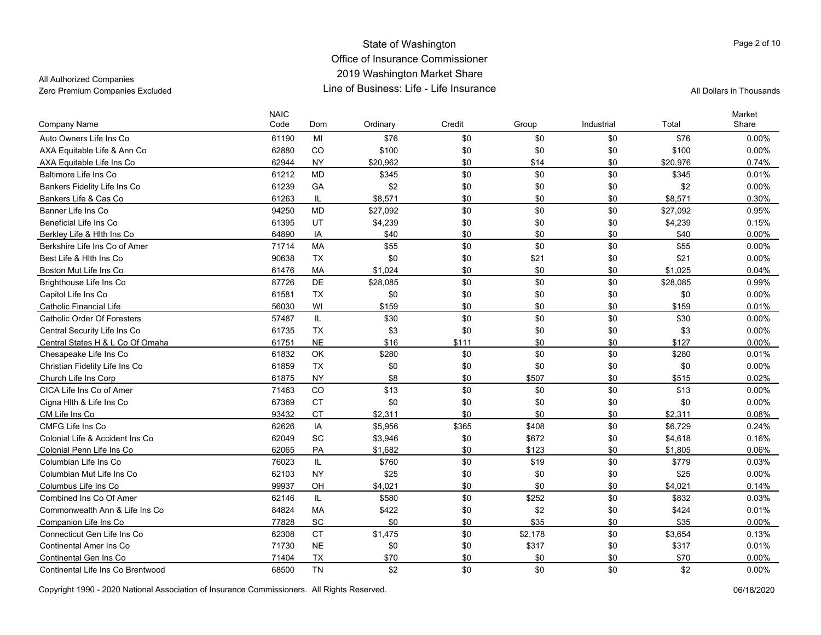All Authorized Companies

Page 2 of 10

| Company Name                      | <b>NAIC</b><br>Code | Dom       | Ordinary | Credit | Group   | Industrial | Total    | Market<br>Share |
|-----------------------------------|---------------------|-----------|----------|--------|---------|------------|----------|-----------------|
| Auto Owners Life Ins Co           | 61190               | MI        | \$76     | \$0    | \$0     | \$0        | \$76     | $0.00\%$        |
| AXA Equitable Life & Ann Co       | 62880               | CO        | \$100    | \$0    | \$0     | \$0        | \$100    | 0.00%           |
| AXA Equitable Life Ins Co         | 62944               | <b>NY</b> | \$20,962 | \$0    | \$14    | \$0        | \$20,976 | 0.74%           |
| Baltimore Life Ins Co             | 61212               | <b>MD</b> | \$345    | \$0    | \$0     | \$0        | \$345    | 0.01%           |
| Bankers Fidelity Life Ins Co      | 61239               | GA        | \$2      | \$0    | \$0     | \$0        | \$2      | 0.00%           |
| Bankers Life & Cas Co             | 61263               | IL        | \$8,571  | \$0    | \$0     | \$0        | \$8.571  | 0.30%           |
| Banner Life Ins Co                | 94250               | <b>MD</b> | \$27,092 | \$0    | \$0     | \$0        | \$27,092 | 0.95%           |
| <b>Beneficial Life Ins Co</b>     | 61395               | UT        | \$4,239  | \$0    | \$0     | \$0        | \$4,239  | 0.15%           |
| Berkley Life & Hith Ins Co        | 64890               | IA        | \$40     | \$0    | \$0     | \$0        | \$40     | 0.00%           |
| Berkshire Life Ins Co of Amer     | 71714               | <b>MA</b> | \$55     | \$0    | \$0     | \$0        | \$55     | $0.00\%$        |
| Best Life & Hith Ins Co           | 90638               | <b>TX</b> | \$0      | \$0    | \$21    | \$0        | \$21     | 0.00%           |
| Boston Mut Life Ins Co            | 61476               | <b>MA</b> | \$1.024  | \$0    | \$0     | \$0        | \$1.025  | 0.04%           |
| Brighthouse Life Ins Co           | 87726               | DE        | \$28,085 | \$0    | \$0     | \$0        | \$28,085 | 0.99%           |
| Capitol Life Ins Co               | 61581               | <b>TX</b> | \$0      | \$0    | \$0     | \$0        | \$0      | 0.00%           |
| <b>Catholic Financial Life</b>    | 56030               | WI        | \$159    | \$0    | \$0     | \$0        | \$159    | 0.01%           |
| Catholic Order Of Foresters       | 57487               | IL        | \$30     | \$0    | \$0     | \$0        | \$30     | $0.00\%$        |
| Central Security Life Ins Co      | 61735               | <b>TX</b> | \$3      | \$0    | \$0     | \$0        | \$3      | 0.00%           |
| Central States H & L Co Of Omaha  | 61751               | <b>NE</b> | \$16     | \$111  | \$0     | \$0        | \$127    | $0.00\%$        |
| Chesapeake Life Ins Co            | 61832               | OK        | \$280    | \$0    | \$0     | \$0        | \$280    | 0.01%           |
| Christian Fidelity Life Ins Co    | 61859               | <b>TX</b> | \$0      | \$0    | \$0     | \$0        | \$0      | 0.00%           |
| Church Life Ins Corp              | 61875               | <b>NY</b> | \$8      | \$0    | \$507   | \$0        | \$515    | 0.02%           |
| CICA Life Ins Co of Amer          | 71463               | CO        | \$13     | \$0    | \$0     | \$0        | \$13     | $0.00\%$        |
| Cigna Hlth & Life Ins Co          | 67369               | <b>CT</b> | \$0      | \$0    | \$0     | \$0        | \$0      | 0.00%           |
| CM Life Ins Co                    | 93432               | <b>CT</b> | \$2,311  | \$0    | \$0     | \$0        | \$2,311  | 0.08%           |
| CMFG Life Ins Co                  | 62626               | IA        | \$5,956  | \$365  | \$408   | \$0        | \$6,729  | 0.24%           |
| Colonial Life & Accident Ins Co.  | 62049               | SC        | \$3,946  | \$0    | \$672   | \$0        | \$4,618  | 0.16%           |
| Colonial Penn Life Ins Co         | 62065               | PA        | \$1,682  | \$0    | \$123   | \$0        | \$1,805  | 0.06%           |
| Columbian Life Ins Co             | 76023               | IL        | \$760    | \$0    | \$19    | \$0        | \$779    | 0.03%           |
| Columbian Mut Life Ins Co         | 62103               | <b>NY</b> | \$25     | \$0    | \$0     | \$0        | \$25     | 0.00%           |
| Columbus Life Ins Co              | 99937               | OH        | \$4,021  | \$0    | \$0     | \$0        | \$4,021  | 0.14%           |
| Combined Ins Co Of Amer           | 62146               | IL        | \$580    | \$0    | \$252   | \$0        | \$832    | 0.03%           |
| Commonwealth Ann & Life Ins Co    | 84824               | <b>MA</b> | \$422    | \$0    | \$2     | \$0        | \$424    | 0.01%           |
| Companion Life Ins Co             | 77828               | SC        | \$0      | \$0    | \$35    | \$0        | \$35     | $0.00\%$        |
| Connecticut Gen Life Ins Co       | 62308               | <b>CT</b> | \$1,475  | \$0    | \$2,178 | \$0        | \$3,654  | 0.13%           |
| <b>Continental Amer Ins Co</b>    | 71730               | <b>NE</b> | \$0      | \$0    | \$317   | \$0        | \$317    | 0.01%           |
| Continental Gen Ins Co            | 71404               | <b>TX</b> | \$70     | \$0    | \$0     | \$0        | \$70     | 0.00%           |
| Continental Life Ins Co Brentwood | 68500               | <b>TN</b> | \$2      | \$0    | \$0     | \$0        | \$2      | 0.00%           |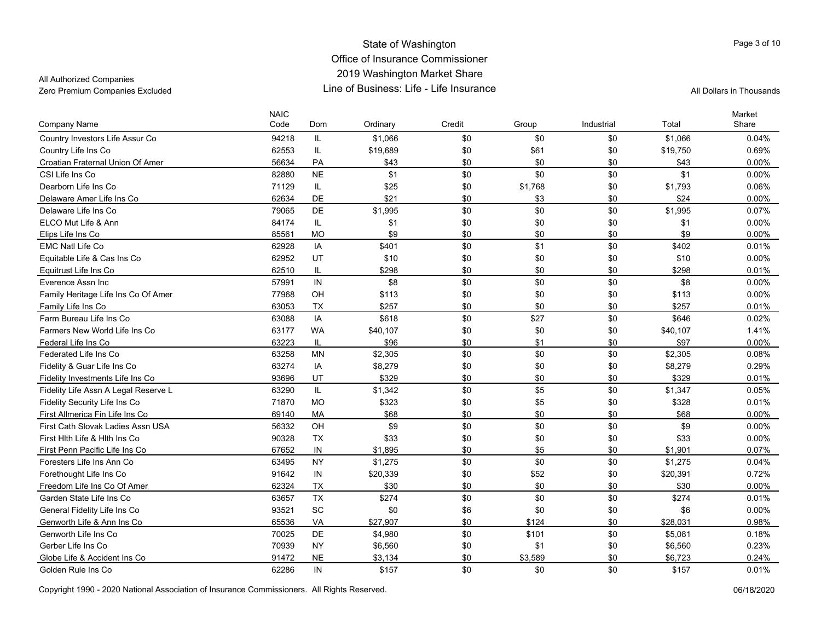All Authorized Companies

| Company Name                         | <b>NAIC</b><br>Code | Dom       | Ordinary | Credit | Group   | Industrial | Total    | Market<br>Share |
|--------------------------------------|---------------------|-----------|----------|--------|---------|------------|----------|-----------------|
| Country Investors Life Assur Co      | 94218               | IL.       | \$1,066  | \$0    | \$0     | \$0        | \$1,066  | 0.04%           |
| Country Life Ins Co                  | 62553               | $\sf IL$  | \$19,689 | \$0    | \$61    | \$0        | \$19,750 | 0.69%           |
| Croatian Fraternal Union Of Amer     | 56634               | PA        | \$43     | \$0    | \$0     | \$0        | \$43     | 0.00%           |
| CSI Life Ins Co                      | 82880               | <b>NE</b> | \$1      | \$0    | \$0     | \$0        | \$1      | $0.00\%$        |
| Dearborn Life Ins Co                 | 71129               | IL        | \$25     | \$0    | \$1,768 | \$0        | \$1,793  | 0.06%           |
| Delaware Amer Life Ins Co            | 62634               | DE        | \$21     | \$0    | \$3     | \$0        | \$24     | 0.00%           |
| Delaware Life Ins Co                 | 79065               | DE        | \$1,995  | \$0    | \$0     | \$0        | \$1,995  | 0.07%           |
| ELCO Mut Life & Ann                  | 84174               | IL.       | \$1      | \$0    | \$0     | \$0        | \$1      | 0.00%           |
| Elips Life Ins Co                    | 85561               | <b>MO</b> | \$9      | \$0    | \$0     | \$0        | \$9      | 0.00%           |
| <b>EMC Natl Life Co</b>              | 62928               | IA        | \$401    | \$0    | \$1     | \$0        | \$402    | 0.01%           |
| Equitable Life & Cas Ins Co          | 62952               | UT        | \$10     | \$0    | \$0     | \$0        | \$10     | 0.00%           |
| Equitrust Life Ins Co                | 62510               | IL        | \$298    | \$0    | \$0     | \$0        | \$298    | 0.01%           |
| Everence Assn Inc.                   | 57991               | IN        | \$8      | \$0    | \$0     | \$0        | \$8      | 0.00%           |
| Family Heritage Life Ins Co Of Amer  | 77968               | OH        | \$113    | \$0    | \$0     | \$0        | \$113    | 0.00%           |
| Family Life Ins Co                   | 63053               | <b>TX</b> | \$257    | \$0    | \$0     | \$0        | \$257    | 0.01%           |
| Farm Bureau Life Ins Co              | 63088               | IA        | \$618    | \$0    | \$27    | \$0        | \$646    | 0.02%           |
| Farmers New World Life Ins Co        | 63177               | <b>WA</b> | \$40,107 | \$0    | \$0     | \$0        | \$40,107 | 1.41%           |
| Federal Life Ins Co                  | 63223               | IL        | \$96     | \$0    | \$1     | \$0        | \$97     | 0.00%           |
| Federated Life Ins Co                | 63258               | <b>MN</b> | \$2,305  | \$0    | \$0     | \$0        | \$2,305  | 0.08%           |
| Fidelity & Guar Life Ins Co          | 63274               | IA        | \$8,279  | \$0    | \$0     | \$0        | \$8,279  | 0.29%           |
| Fidelity Investments Life Ins Co     | 93696               | UT        | \$329    | \$0    | \$0     | \$0        | \$329    | 0.01%           |
| Fidelity Life Assn A Legal Reserve L | 63290               | IL        | \$1,342  | \$0    | \$5     | \$0        | \$1,347  | 0.05%           |
| Fidelity Security Life Ins Co        | 71870               | <b>MO</b> | \$323    | \$0    | \$5     | \$0        | \$328    | 0.01%           |
| First Allmerica Fin Life Ins Co      | 69140               | MA        | \$68     | \$0    | \$0     | \$0        | \$68     | 0.00%           |
| First Cath Slovak Ladies Assn USA    | 56332               | OH        | \$9      | \$0    | \$0     | \$0        | \$9      | 0.00%           |
| First Hith Life & Hith Ins Co        | 90328               | <b>TX</b> | \$33     | \$0    | \$0     | \$0        | \$33     | 0.00%           |
| First Penn Pacific Life Ins Co       | 67652               | IN        | \$1,895  | \$0    | \$5     | \$0        | \$1,901  | 0.07%           |
| Foresters Life Ins Ann Co            | 63495               | <b>NY</b> | \$1,275  | \$0    | \$0     | \$0        | \$1,275  | 0.04%           |
| Forethought Life Ins Co              | 91642               | IN        | \$20,339 | \$0    | \$52    | \$0        | \$20,391 | 0.72%           |
| Freedom Life Ins Co Of Amer          | 62324               | <b>TX</b> | \$30     | \$0    | \$0     | \$0        | \$30     | 0.00%           |
| Garden State Life Ins Co             | 63657               | <b>TX</b> | \$274    | \$0    | \$0     | \$0        | \$274    | 0.01%           |
| General Fidelity Life Ins Co         | 93521               | SC        | \$0      | \$6    | \$0     | \$0        | \$6      | 0.00%           |
| Genworth Life & Ann Ins Co           | 65536               | VA        | \$27,907 | \$0    | \$124   | \$0        | \$28,031 | 0.98%           |
| Genworth Life Ins Co                 | 70025               | DE        | \$4,980  | \$0    | \$101   | \$0        | \$5,081  | 0.18%           |
| Gerber Life Ins Co                   | 70939               | <b>NY</b> | \$6,560  | \$0    | \$1     | \$0        | \$6,560  | 0.23%           |
| Globe Life & Accident Ins Co         | 91472               | <b>NE</b> | \$3,134  | \$0    | \$3,589 | \$0        | \$6,723  | 0.24%           |
| Golden Rule Ins Co                   | 62286               | IN        | \$157    | \$0    | \$0     | \$0        | \$157    | 0.01%           |

Copyright 1990 - 2020 National Association of Insurance Commissioners. All Rights Reserved. 06/18/2020

Page 3 of 10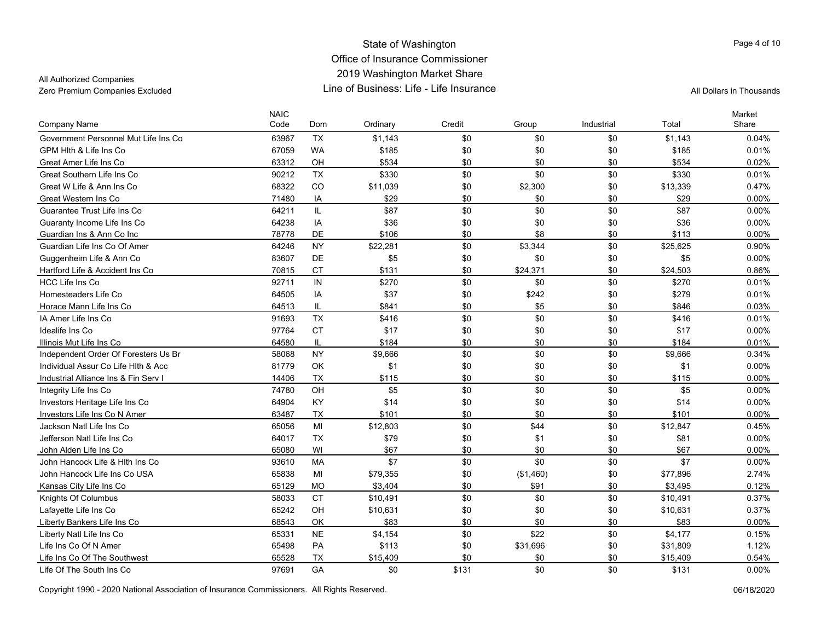All Authorized Companies

| <b>Company Name</b>                  | <b>NAIC</b><br>Code | Dom       | Ordinary | Credit | Group     | Industrial | Total    | Market<br>Share |
|--------------------------------------|---------------------|-----------|----------|--------|-----------|------------|----------|-----------------|
| Government Personnel Mut Life Ins Co | 63967               | <b>TX</b> | \$1,143  | \$0    | \$0       | \$0        | \$1.143  | 0.04%           |
| GPM Hith & Life Ins Co               | 67059               | <b>WA</b> | \$185    | \$0    | \$0       | \$0        | \$185    | 0.01%           |
| Great Amer Life Ins Co               | 63312               | OH        | \$534    | \$0    | \$0       | \$0        | \$534    | 0.02%           |
| Great Southern Life Ins Co           | 90212               | <b>TX</b> | \$330    | \$0    | \$0       | \$0        | \$330    | 0.01%           |
| Great W Life & Ann Ins Co            | 68322               | CO        | \$11,039 | \$0    | \$2,300   | \$0        | \$13,339 | 0.47%           |
| Great Western Ins Co                 | 71480               | IA        | \$29     | \$0    | \$0       | \$0        | \$29     | 0.00%           |
| Guarantee Trust Life Ins Co          | 64211               | IL.       | \$87     | \$0    | \$0       | \$0        | \$87     | 0.00%           |
| Guaranty Income Life Ins Co          | 64238               | IA        | \$36     | \$0    | \$0       | \$0        | \$36     | 0.00%           |
| Guardian Ins & Ann Co Inc            | 78778               | DE        | \$106    | \$0    | \$8       | \$0        | \$113    | $0.00\%$        |
| Guardian Life Ins Co Of Amer         | 64246               | <b>NY</b> | \$22,281 | \$0    | \$3,344   | \$0        | \$25,625 | 0.90%           |
| Guggenheim Life & Ann Co             | 83607               | DE        | \$5      | \$0    | \$0       | \$0        | \$5      | 0.00%           |
| Hartford Life & Accident Ins Co      | 70815               | <b>CT</b> | \$131    | \$0    | \$24,371  | \$0        | \$24.503 | 0.86%           |
| HCC Life Ins Co                      | 92711               | IN        | \$270    | \$0    | \$0       | \$0        | \$270    | 0.01%           |
| Homesteaders Life Co                 | 64505               | IA        | \$37     | \$0    | \$242     | \$0        | \$279    | 0.01%           |
| Horace Mann Life Ins Co              | 64513               | IL        | \$841    | \$0    | \$5       | \$0        | \$846    | 0.03%           |
| IA Amer Life Ins Co                  | 91693               | <b>TX</b> | \$416    | \$0    | \$0       | \$0        | \$416    | 0.01%           |
| Idealife Ins Co                      | 97764               | <b>CT</b> | \$17     | \$0    | \$0       | \$0        | \$17     | 0.00%           |
| Illinois Mut Life Ins Co             | 64580               | IL.       | \$184    | \$0    | \$0       | \$0        | \$184    | 0.01%           |
| Independent Order Of Foresters Us Br | 58068               | <b>NY</b> | \$9,666  | \$0    | \$0       | \$0        | \$9,666  | 0.34%           |
| Individual Assur Co Life Hith & Acc  | 81779               | OK        | \$1      | \$0    | \$0       | \$0        | \$1      | 0.00%           |
| Industrial Alliance Ins & Fin Serv I | 14406               | <b>TX</b> | \$115    | \$0    | \$0       | \$0        | \$115    | 0.00%           |
| Integrity Life Ins Co                | 74780               | OH        | \$5      | \$0    | \$0       | \$0        | \$5      | $0.00\%$        |
| Investors Heritage Life Ins Co       | 64904               | KY        | \$14     | \$0    | \$0       | \$0        | \$14     | $0.00\%$        |
| Investors Life Ins Co N Amer         | 63487               | TX        | \$101    | \$0    | \$0       | \$0        | \$101    | 0.00%           |
| Jackson Natl Life Ins Co             | 65056               | MI        | \$12,803 | \$0    | \$44      | \$0        | \$12,847 | 0.45%           |
| Jefferson Natl Life Ins Co           | 64017               | <b>TX</b> | \$79     | \$0    | \$1       | \$0        | \$81     | 0.00%           |
| John Alden Life Ins Co               | 65080               | WI        | \$67     | \$0    | \$0       | \$0        | \$67     | 0.00%           |
| John Hancock Life & Hith Ins Co      | 93610               | <b>MA</b> | \$7      | \$0    | \$0       | \$0        | \$7      | 0.00%           |
| John Hancock Life Ins Co USA         | 65838               | MI        | \$79,355 | \$0    | (\$1,460) | \$0        | \$77,896 | 2.74%           |
| Kansas City Life Ins Co              | 65129               | <b>MO</b> | \$3.404  | \$0    | \$91      | \$0        | \$3.495  | 0.12%           |
| Knights Of Columbus                  | 58033               | <b>CT</b> | \$10,491 | \$0    | \$0       | \$0        | \$10,491 | 0.37%           |
| Lafayette Life Ins Co                | 65242               | OH        | \$10,631 | \$0    | \$0       | \$0        | \$10,631 | 0.37%           |
| Liberty Bankers Life Ins Co          | 68543               | OK        | \$83     | \$0    | \$0       | \$0        | \$83     | 0.00%           |
| Liberty Natl Life Ins Co             | 65331               | <b>NE</b> | \$4,154  | \$0    | \$22      | \$0        | \$4,177  | 0.15%           |
| Life Ins Co Of N Amer                | 65498               | PA        | \$113    | \$0    | \$31,696  | \$0        | \$31,809 | 1.12%           |
| Life Ins Co Of The Southwest         | 65528               | <b>TX</b> | \$15,409 | \$0    | \$0       | \$0        | \$15,409 | 0.54%           |
| Life Of The South Ins Co             | 97691               | GA        | \$0      | \$131  | \$0       | \$0        | \$131    | $0.00\%$        |

Copyright 1990 - 2020 National Association of Insurance Commissioners. All Rights Reserved. 06/18/2020

Page 4 of 10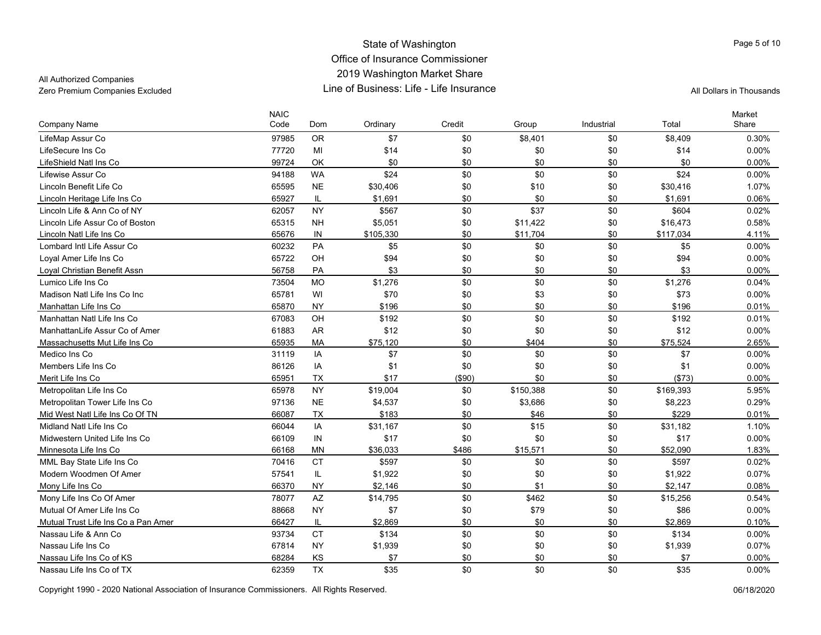All Authorized Companies

| <b>Company Name</b>                 | <b>NAIC</b><br>Code | Dom       | Ordinary  | Credit  | Group     | Industrial | Total     | Market<br>Share |
|-------------------------------------|---------------------|-----------|-----------|---------|-----------|------------|-----------|-----------------|
| LifeMap Assur Co                    | 97985               | <b>OR</b> | \$7       | \$0     | \$8,401   | \$0        | \$8,409   | 0.30%           |
| LifeSecure Ins Co                   | 77720               | MI        | \$14      | \$0     | \$0       | \$0        | \$14      | $0.00\%$        |
| LifeShield Natl Ins Co              | 99724               | OK        | \$0       | \$0     | \$0       | \$0        | \$0       | 0.00%           |
| Lifewise Assur Co                   | 94188               | <b>WA</b> | \$24      | \$0     | \$0       | \$0        | \$24      | 0.00%           |
| Lincoln Benefit Life Co             | 65595               | <b>NE</b> | \$30,406  | \$0     | \$10      | \$0        | \$30,416  | 1.07%           |
| Lincoln Heritage Life Ins Co        | 65927               | IL        | \$1,691   | \$0     | \$0       | \$0        | \$1,691   | 0.06%           |
| Lincoln Life & Ann Co of NY         | 62057               | <b>NY</b> | \$567     | \$0     | \$37      | \$0        | \$604     | 0.02%           |
| Lincoln Life Assur Co of Boston     | 65315               | <b>NH</b> | \$5,051   | \$0     | \$11,422  | \$0        | \$16,473  | 0.58%           |
| Lincoln Natl Life Ins Co            | 65676               | IN        | \$105,330 | \$0     | \$11,704  | \$0        | \$117,034 | 4.11%           |
| Lombard Intl Life Assur Co          | 60232               | PA        | \$5       | \$0     | \$0       | \$0        | \$5       | 0.00%           |
| Loyal Amer Life Ins Co              | 65722               | OH        | \$94      | \$0     | \$0       | \$0        | \$94      | $0.00\%$        |
| Loyal Christian Benefit Assn        | 56758               | PA        | \$3       | \$0     | \$0       | \$0        | \$3       | 0.00%           |
| Lumico Life Ins Co                  | 73504               | <b>MO</b> | \$1,276   | \$0     | \$0       | \$0        | \$1,276   | 0.04%           |
| Madison Natl Life Ins Co Inc        | 65781               | WI        | \$70      | \$0     | \$3       | \$0        | \$73      | 0.00%           |
| Manhattan Life Ins Co               | 65870               | <b>NY</b> | \$196     | \$0     | \$0       | \$0        | \$196     | 0.01%           |
| Manhattan Natl Life Ins Co          | 67083               | OH        | \$192     | \$0     | \$0       | \$0        | \$192     | 0.01%           |
| ManhattanLife Assur Co of Amer      | 61883               | <b>AR</b> | \$12      | \$0     | \$0       | \$0        | \$12      | 0.00%           |
| Massachusetts Mut Life Ins Co       | 65935               | MA        | \$75,120  | \$0     | \$404     | \$0        | \$75,524  | 2.65%           |
| Medico Ins Co                       | 31119               | IA        | \$7       | \$0     | \$0       | \$0        | \$7       | 0.00%           |
| Members Life Ins Co                 | 86126               | IA        | \$1       | \$0     | \$0       | \$0        | \$1       | 0.00%           |
| Merit Life Ins Co                   | 65951               | <b>TX</b> | \$17      | ( \$90) | \$0       | \$0        | ( \$73)   | $0.00\%$        |
| Metropolitan Life Ins Co            | 65978               | <b>NY</b> | \$19,004  | \$0     | \$150,388 | \$0        | \$169,393 | 5.95%           |
| Metropolitan Tower Life Ins Co      | 97136               | <b>NE</b> | \$4,537   | \$0     | \$3,686   | \$0        | \$8,223   | 0.29%           |
| Mid West Natl Life Ins Co Of TN     | 66087               | <b>TX</b> | \$183     | \$0     | \$46      | \$0        | \$229     | 0.01%           |
| Midland Natl Life Ins Co            | 66044               | IA        | \$31,167  | \$0     | \$15      | \$0        | \$31,182  | 1.10%           |
| Midwestern United Life Ins Co       | 66109               | IN        | \$17      | \$0     | \$0       | \$0        | \$17      | 0.00%           |
| Minnesota Life Ins Co               | 66168               | <b>MN</b> | \$36,033  | \$486   | \$15,571  | \$0        | \$52.090  | 1.83%           |
| MML Bay State Life Ins Co           | 70416               | <b>CT</b> | \$597     | \$0     | \$0       | \$0        | \$597     | 0.02%           |
| Modern Woodmen Of Amer              | 57541               | IL.       | \$1,922   | \$0     | \$0       | \$0        | \$1,922   | 0.07%           |
| Mony Life Ins Co                    | 66370               | <b>NY</b> | \$2,146   | \$0     | \$1       | \$0        | \$2,147   | 0.08%           |
| Mony Life Ins Co Of Amer            | 78077               | <b>AZ</b> | \$14,795  | \$0     | \$462     | \$0        | \$15,256  | 0.54%           |
| Mutual Of Amer Life Ins Co          | 88668               | <b>NY</b> | \$7       | \$0     | \$79      | \$0        | \$86      | 0.00%           |
| Mutual Trust Life Ins Co a Pan Amer | 66427               | IL        | \$2,869   | \$0     | \$0       | \$0        | \$2,869   | 0.10%           |
| Nassau Life & Ann Co                | 93734               | <b>CT</b> | \$134     | \$0     | \$0       | \$0        | \$134     | $0.00\%$        |
| Nassau Life Ins Co                  | 67814               | <b>NY</b> | \$1,939   | \$0     | \$0       | \$0        | \$1,939   | 0.07%           |
| Nassau Life Ins Co of KS            | 68284               | KS        | \$7       | \$0     | \$0       | \$0        | \$7       | 0.00%           |
| Nassau Life Ins Co of TX            | 62359               | <b>TX</b> | \$35      | \$0     | \$0       | \$0        | \$35      | 0.00%           |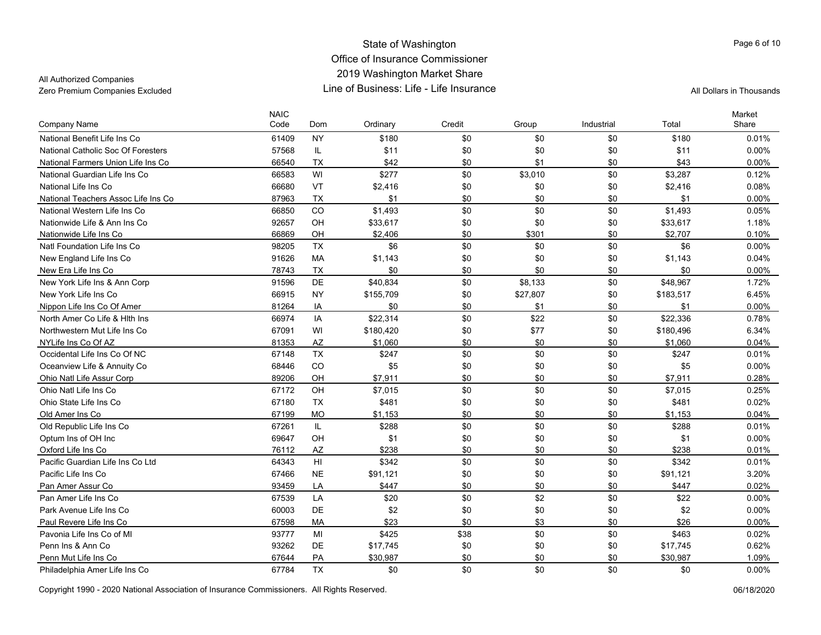# All Authorized Companies

| <b>Company Name</b>                 | <b>NAIC</b><br>Code | Dom                    | Ordinary  | Credit | Group    | Industrial | Total     | Market<br>Share |
|-------------------------------------|---------------------|------------------------|-----------|--------|----------|------------|-----------|-----------------|
| National Benefit Life Ins Co        | 61409               | <b>NY</b>              | \$180     | \$0    | \$0      | \$0        | \$180     | 0.01%           |
| National Catholic Soc Of Foresters  | 57568               | IL                     | \$11      | \$0    | \$0      | \$0        | \$11      | 0.00%           |
| National Farmers Union Life Ins Co  | 66540               | <b>TX</b>              | \$42      | \$0    | \$1      | \$0        | \$43      | 0.00%           |
| National Guardian Life Ins Co       | 66583               | WI                     | \$277     | \$0    | \$3,010  | \$0        | \$3,287   | 0.12%           |
| National Life Ins Co                | 66680               | VT                     | \$2,416   | \$0    | \$0      | \$0        | \$2,416   | 0.08%           |
| National Teachers Assoc Life Ins Co | 87963               | <b>TX</b>              | \$1       | \$0    | \$0      | \$0        | \$1       | 0.00%           |
| National Western Life Ins Co        | 66850               | CO                     | \$1,493   | \$0    | \$0      | \$0        | \$1,493   | 0.05%           |
| Nationwide Life & Ann Ins Co        | 92657               | OH                     | \$33,617  | \$0    | \$0      | \$0        | \$33,617  | 1.18%           |
| Nationwide Life Ins Co              | 66869               | OH                     | \$2,406   | \$0    | \$301    | \$0        | \$2,707   | 0.10%           |
| Natl Foundation Life Ins Co         | 98205               | <b>TX</b>              | \$6       | \$0    | \$0      | \$0        | \$6       | $0.00\%$        |
| New England Life Ins Co             | 91626               | MA                     | \$1,143   | \$0    | \$0      | \$0        | \$1,143   | 0.04%           |
| New Era Life Ins Co                 | 78743               | <b>TX</b>              | \$0       | \$0    | \$0      | \$0        | \$0       | $0.00\%$        |
| New York Life Ins & Ann Corp        | 91596               | DE                     | \$40,834  | \$0    | \$8,133  | \$0        | \$48,967  | 1.72%           |
| New York Life Ins Co                | 66915               | <b>NY</b>              | \$155,709 | \$0    | \$27,807 | \$0        | \$183,517 | 6.45%           |
| Nippon Life Ins Co Of Amer          | 81264               | IA                     | \$0       | \$0    | \$1      | \$0        | \$1       | $0.00\%$        |
| North Amer Co Life & Hith Ins       | 66974               | IA                     | \$22,314  | \$0    | \$22     | \$0        | \$22,336  | 0.78%           |
| Northwestern Mut Life Ins Co        | 67091               | WI                     | \$180,420 | \$0    | \$77     | \$0        | \$180,496 | 6.34%           |
| NYLife Ins Co Of AZ                 | 81353               | $\mathsf{A}\mathsf{Z}$ | \$1,060   | \$0    | \$0      | \$0        | \$1,060   | 0.04%           |
| Occidental Life Ins Co Of NC        | 67148               | <b>TX</b>              | \$247     | \$0    | \$0      | \$0        | \$247     | 0.01%           |
| Oceanview Life & Annuity Co         | 68446               | CO                     | \$5       | \$0    | \$0      | \$0        | \$5       | $0.00\%$        |
| Ohio Natl Life Assur Corp           | 89206               | OH                     | \$7,911   | \$0    | \$0      | \$0        | \$7,911   | 0.28%           |
| Ohio Natl Life Ins Co               | 67172               | OH                     | \$7,015   | \$0    | \$0      | \$0        | \$7,015   | 0.25%           |
| Ohio State Life Ins Co              | 67180               | <b>TX</b>              | \$481     | \$0    | \$0      | \$0        | \$481     | 0.02%           |
| Old Amer Ins Co                     | 67199               | <b>MO</b>              | \$1,153   | \$0    | \$0      | \$0        | \$1,153   | 0.04%           |
| Old Republic Life Ins Co            | 67261               | IL                     | \$288     | \$0    | \$0      | \$0        | \$288     | 0.01%           |
| Optum Ins of OH Inc                 | 69647               | OH                     | \$1       | \$0    | \$0      | \$0        | \$1       | 0.00%           |
| Oxford Life Ins Co                  | 76112               | <b>AZ</b>              | \$238     | \$0    | \$0      | \$0        | \$238     | 0.01%           |
| Pacific Guardian Life Ins Co Ltd    | 64343               | H1                     | \$342     | \$0    | \$0      | \$0        | \$342     | 0.01%           |
| Pacific Life Ins Co                 | 67466               | <b>NE</b>              | \$91,121  | \$0    | \$0      | \$0        | \$91,121  | 3.20%           |
| Pan Amer Assur Co                   | 93459               | LA                     | \$447     | \$0    | \$0      | \$0        | \$447     | 0.02%           |
| Pan Amer Life Ins Co                | 67539               | LA                     | \$20      | \$0    | \$2      | \$0        | \$22      | 0.00%           |
| Park Avenue Life Ins Co             | 60003               | DE                     | \$2       | \$0    | \$0      | \$0        | \$2       | 0.00%           |
| Paul Revere Life Ins Co             | 67598               | <b>MA</b>              | \$23      | \$0    | \$3      | \$0        | \$26      | 0.00%           |
| Pavonia Life Ins Co of MI           | 93777               | MI                     | \$425     | \$38   | \$0      | \$0        | \$463     | 0.02%           |
| Penn Ins & Ann Co                   | 93262               | DE                     | \$17,745  | \$0    | \$0      | \$0        | \$17,745  | 0.62%           |
| Penn Mut Life Ins Co                | 67644               | PA                     | \$30,987  | \$0    | \$0      | \$0        | \$30,987  | 1.09%           |
| Philadelphia Amer Life Ins Co       | 67784               | <b>TX</b>              | \$0       | \$0    | \$0      | \$0        | \$0       | $0.00\%$        |

Copyright 1990 - 2020 National Association of Insurance Commissioners. All Rights Reserved. 06/18/2020

Page 6 of 10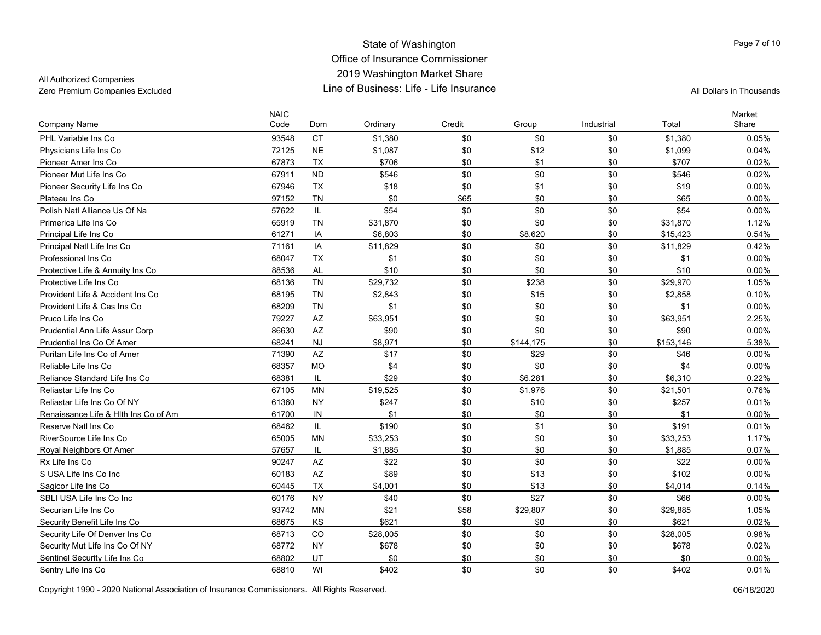### All Authorized Companies

| Company Name                         | <b>NAIC</b><br>Code | Dom       | Ordinary | Credit | Group     | Industrial | Total     | Market<br>Share |
|--------------------------------------|---------------------|-----------|----------|--------|-----------|------------|-----------|-----------------|
| PHL Variable Ins Co                  | 93548               | <b>CT</b> | \$1,380  | \$0    | \$0       | \$0        | \$1,380   | 0.05%           |
| Physicians Life Ins Co               | 72125               | <b>NE</b> | \$1,087  | \$0    | \$12      | \$0        | \$1,099   | 0.04%           |
| Pioneer Amer Ins Co                  | 67873               | <b>TX</b> | \$706    | \$0    | \$1       | \$0        | \$707     | 0.02%           |
| Pioneer Mut Life Ins Co              | 67911               | <b>ND</b> | \$546    | \$0    | \$0       | \$0        | \$546     | 0.02%           |
| Pioneer Security Life Ins Co         | 67946               | <b>TX</b> | \$18     | \$0    | \$1       | \$0        | \$19      | 0.00%           |
| Plateau Ins Co                       | 97152               | <b>TN</b> | \$0      | \$65   | \$0       | \$0        | \$65      | 0.00%           |
| Polish Natl Alliance Us Of Na        | 57622               | IL        | \$54     | \$0    | \$0       | \$0        | \$54      | 0.00%           |
| Primerica Life Ins Co                | 65919               | <b>TN</b> | \$31,870 | \$0    | \$0       | \$0        | \$31,870  | 1.12%           |
| Principal Life Ins Co                | 61271               | IA        | \$6,803  | \$0    | \$8,620   | \$0        | \$15,423  | 0.54%           |
| Principal Natl Life Ins Co           | 71161               | IA        | \$11,829 | \$0    | \$0       | \$0        | \$11,829  | 0.42%           |
| Professional Ins Co                  | 68047               | <b>TX</b> | \$1      | \$0    | \$0       | \$0        | \$1       | 0.00%           |
| Protective Life & Annuity Ins Co     | 88536               | <b>AL</b> | \$10     | \$0    | \$0       | \$0        | \$10      | $0.00\%$        |
| Protective Life Ins Co               | 68136               | <b>TN</b> | \$29,732 | \$0    | \$238     | \$0        | \$29,970  | 1.05%           |
| Provident Life & Accident Ins Co     | 68195               | <b>TN</b> | \$2,843  | \$0    | \$15      | \$0        | \$2,858   | 0.10%           |
| Provident Life & Cas Ins Co          | 68209               | <b>TN</b> | \$1      | \$0    | \$0       | \$0        | \$1       | $0.00\%$        |
| Pruco Life Ins Co                    | 79227               | AZ        | \$63,951 | \$0    | \$0       | \$0        | \$63,951  | 2.25%           |
| Prudential Ann Life Assur Corp       | 86630               | <b>AZ</b> | \$90     | \$0    | \$0       | \$0        | \$90      | 0.00%           |
| Prudential Ins Co Of Amer            | 68241               | <b>NJ</b> | \$8,971  | \$0    | \$144,175 | \$0        | \$153,146 | 5.38%           |
| Puritan Life Ins Co of Amer          | 71390               | AZ        | \$17     | \$0    | \$29      | \$0        | \$46      | 0.00%           |
| Reliable Life Ins Co                 | 68357               | <b>MO</b> | \$4      | \$0    | \$0       | \$0        | \$4       | $0.00\%$        |
| Reliance Standard Life Ins Co        | 68381               | IL        | \$29     | \$0    | \$6,281   | \$0        | \$6,310   | 0.22%           |
| Reliastar Life Ins Co                | 67105               | <b>MN</b> | \$19,525 | \$0    | \$1,976   | \$0        | \$21,501  | 0.76%           |
| Reliastar Life Ins Co Of NY          | 61360               | <b>NY</b> | \$247    | \$0    | \$10      | \$0        | \$257     | 0.01%           |
| Renaissance Life & Hith Ins Co of Am | 61700               | IN        | \$1      | \$0    | \$0       | \$0        | \$1       | 0.00%           |
| Reserve Natl Ins Co.                 | 68462               | IL.       | \$190    | \$0    | \$1       | \$0        | \$191     | 0.01%           |
| RiverSource Life Ins Co              | 65005               | <b>MN</b> | \$33,253 | \$0    | \$0       | \$0        | \$33,253  | 1.17%           |
| Royal Neighbors Of Amer              | 57657               | IL        | \$1,885  | \$0    | \$0       | \$0        | \$1,885   | 0.07%           |
| Rx Life Ins Co                       | 90247               | AZ        | \$22     | \$0    | \$0       | \$0        | \$22      | 0.00%           |
| S USA Life Ins Co Inc                | 60183               | <b>AZ</b> | \$89     | \$0    | \$13      | \$0        | \$102     | 0.00%           |
| Sagicor Life Ins Co                  | 60445               | <b>TX</b> | \$4,001  | \$0    | \$13      | \$0        | \$4,014   | 0.14%           |
| SBLI USA Life Ins Co Inc             | 60176               | <b>NY</b> | \$40     | \$0    | \$27      | \$0        | \$66      | 0.00%           |
| Securian Life Ins Co                 | 93742               | <b>MN</b> | \$21     | \$58   | \$29,807  | \$0        | \$29,885  | 1.05%           |
| Security Benefit Life Ins Co         | 68675               | KS        | \$621    | \$0    | \$0       | \$0        | \$621     | 0.02%           |
| Security Life Of Denver Ins Co       | 68713               | CO        | \$28,005 | \$0    | \$0       | \$0        | \$28,005  | 0.98%           |
| Security Mut Life Ins Co Of NY       | 68772               | <b>NY</b> | \$678    | \$0    | \$0       | \$0        | \$678     | 0.02%           |
| Sentinel Security Life Ins Co        | 68802               | UT        | \$0      | \$0    | \$0       | \$0        | \$0       | 0.00%           |
| Sentry Life Ins Co                   | 68810               | WI        | \$402    | \$0    | \$0       | \$0        | \$402     | 0.01%           |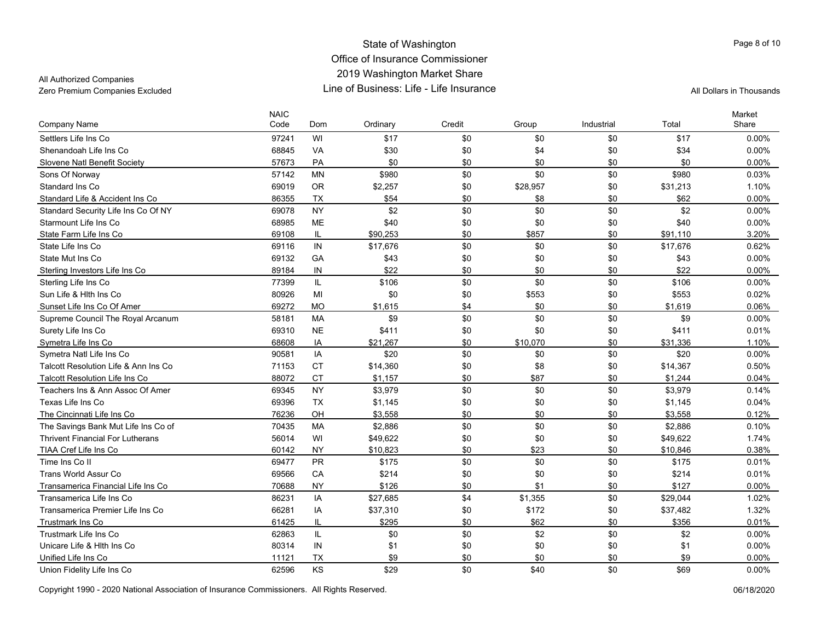### All Authorized Companies

| <b>Company Name</b>                     | <b>NAIC</b><br>Code | Dom       | Ordinary | Credit | Group    | Industrial | Total    | Market<br>Share |
|-----------------------------------------|---------------------|-----------|----------|--------|----------|------------|----------|-----------------|
| Settlers Life Ins Co                    | 97241               | WI        | \$17     | \$0    | \$0      | \$0        | \$17     | 0.00%           |
| Shenandoah Life Ins Co                  | 68845               | VA        | \$30     | \$0    | \$4      | \$0        | \$34     | 0.00%           |
| Slovene Natl Benefit Society            | 57673               | PA        | \$0      | \$0    | \$0      | \$0        | \$0      | 0.00%           |
| Sons Of Norway                          | 57142               | <b>MN</b> | \$980    | \$0    | \$0      | \$0        | \$980    | 0.03%           |
| Standard Ins Co                         | 69019               | <b>OR</b> | \$2,257  | \$0    | \$28,957 | \$0        | \$31,213 | 1.10%           |
| Standard Life & Accident Ins Co         | 86355               | <b>TX</b> | \$54     | \$0    | \$8      | \$0        | \$62     | 0.00%           |
| Standard Security Life Ins Co Of NY     | 69078               | <b>NY</b> | \$2      | \$0    | \$0      | \$0        | \$2      | 0.00%           |
| Starmount Life Ins Co                   | 68985               | <b>ME</b> | \$40     | \$0    | \$0      | \$0        | \$40     | $0.00\%$        |
| State Farm Life Ins Co                  | 69108               | IL        | \$90.253 | \$0    | \$857    | \$0        | \$91.110 | 3.20%           |
| State Life Ins Co                       | 69116               | IN        | \$17,676 | \$0    | \$0      | \$0        | \$17,676 | 0.62%           |
| State Mut Ins Co                        | 69132               | GA        | \$43     | \$0    | \$0      | \$0        | \$43     | 0.00%           |
| Sterling Investors Life Ins Co          | 89184               | IN        | \$22     | \$0    | \$0      | \$0        | \$22     | 0.00%           |
| Sterling Life Ins Co                    | 77399               | IL        | \$106    | \$0    | \$0      | \$0        | \$106    | $0.00\%$        |
| Sun Life & Hith Ins Co                  | 80926               | MI        | \$0      | \$0    | \$553    | \$0        | \$553    | 0.02%           |
| Sunset Life Ins Co Of Amer              | 69272               | <b>MO</b> | \$1,615  | \$4    | \$0      | \$0        | \$1,619  | 0.06%           |
| Supreme Council The Royal Arcanum       | 58181               | <b>MA</b> | \$9      | \$0    | \$0      | \$0        | \$9      | $0.00\%$        |
| Surety Life Ins Co                      | 69310               | <b>NE</b> | \$411    | \$0    | \$0      | \$0        | \$411    | 0.01%           |
| Symetra Life Ins Co                     | 68608               | IA        | \$21,267 | \$0    | \$10,070 | \$0        | \$31,336 | 1.10%           |
| Symetra Natl Life Ins Co                | 90581               | IA        | \$20     | \$0    | \$0      | \$0        | \$20     | $0.00\%$        |
| Talcott Resolution Life & Ann Ins Co    | 71153               | <b>CT</b> | \$14,360 | \$0    | \$8      | \$0        | \$14,367 | 0.50%           |
| <b>Talcott Resolution Life Ins Co</b>   | 88072               | <b>CT</b> | \$1.157  | \$0    | \$87     | \$0        | \$1.244  | 0.04%           |
| Teachers Ins & Ann Assoc Of Amer        | 69345               | <b>NY</b> | \$3,979  | \$0    | \$0      | \$0        | \$3,979  | 0.14%           |
| Texas Life Ins Co                       | 69396               | <b>TX</b> | \$1,145  | \$0    | \$0      | \$0        | \$1,145  | 0.04%           |
| The Cincinnati Life Ins Co              | 76236               | OH        | \$3,558  | \$0    | \$0      | \$0        | \$3,558  | 0.12%           |
| The Savings Bank Mut Life Ins Co of     | 70435               | <b>MA</b> | \$2,886  | \$0    | \$0      | \$0        | \$2,886  | 0.10%           |
| <b>Thrivent Financial For Lutherans</b> | 56014               | WI        | \$49,622 | \$0    | \$0      | \$0        | \$49,622 | 1.74%           |
| TIAA Cref Life Ins Co                   | 60142               | <b>NY</b> | \$10,823 | \$0    | \$23     | \$0        | \$10,846 | 0.38%           |
| Time Ins Co II                          | 69477               | <b>PR</b> | \$175    | \$0    | \$0      | \$0        | \$175    | 0.01%           |
| Trans World Assur Co                    | 69566               | CA        | \$214    | \$0    | \$0      | \$0        | \$214    | 0.01%           |
| Transamerica Financial Life Ins Co      | 70688               | <b>NY</b> | \$126    | \$0    | \$1      | \$0        | \$127    | $0.00\%$        |
| Transamerica Life Ins Co                | 86231               | IA        | \$27,685 | \$4    | \$1,355  | \$0        | \$29,044 | 1.02%           |
| Transamerica Premier Life Ins Co        | 66281               | IA        | \$37,310 | \$0    | \$172    | \$0        | \$37,482 | 1.32%           |
| <b>Trustmark Ins Co</b>                 | 61425               | IL        | \$295    | \$0    | \$62     | \$0        | \$356    | 0.01%           |
| Trustmark Life Ins Co                   | 62863               | IL.       | \$0      | \$0    | \$2      | \$0        | \$2      | $0.00\%$        |
| Unicare Life & Hith Ins Co              | 80314               | IN        | \$1      | \$0    | \$0      | \$0        | \$1      | 0.00%           |
| Unified Life Ins Co                     | 11121               | <b>TX</b> | \$9      | \$0    | \$0      | \$0        | \$9      | 0.00%           |
| Union Fidelity Life Ins Co              | 62596               | KS        | \$29     | \$0    | \$40     | \$0        | \$69     | 0.00%           |

Page 8 of 10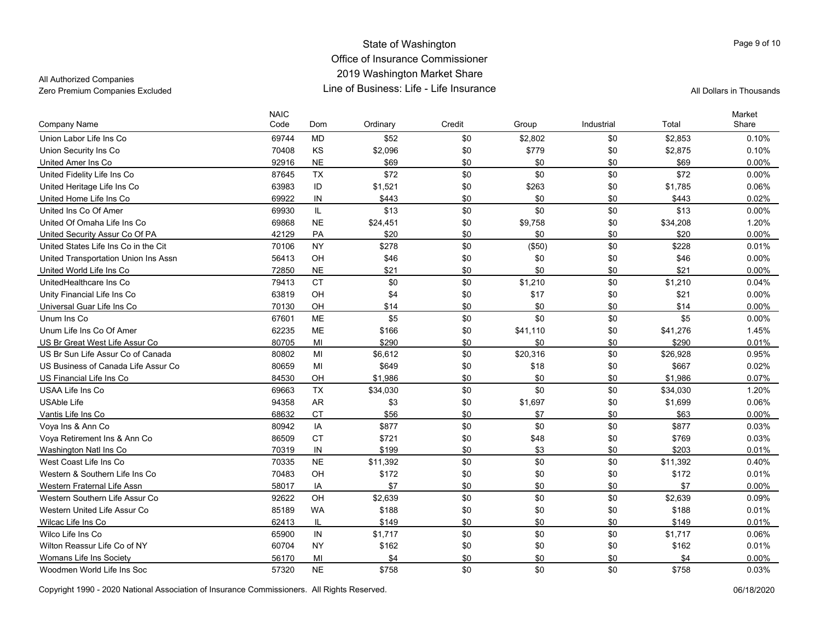# All Authorized Companies

| <b>Company Name</b>                  | <b>NAIC</b><br>Code | Dom       | Ordinary | Credit | Group    | Industrial | Total    | Market<br>Share |
|--------------------------------------|---------------------|-----------|----------|--------|----------|------------|----------|-----------------|
| Union Labor Life Ins Co              | 69744               | <b>MD</b> | \$52     | \$0    | \$2,802  | \$0        | \$2,853  | 0.10%           |
| Union Security Ins Co                | 70408               | KS        | \$2,096  | \$0    | \$779    | \$0        | \$2,875  | 0.10%           |
| United Amer Ins Co                   | 92916               | <b>NE</b> | \$69     | \$0    | \$0      | \$0        | \$69     | 0.00%           |
| United Fidelity Life Ins Co          | 87645               | <b>TX</b> | \$72     | \$0    | \$0      | \$0        | \$72     | $0.00\%$        |
| United Heritage Life Ins Co          | 63983               | ID        | \$1,521  | \$0    | \$263    | \$0        | \$1,785  | 0.06%           |
| United Home Life Ins Co              | 69922               | IN        | \$443    | \$0    | \$0      | \$0        | \$443    | 0.02%           |
| United Ins Co Of Amer                | 69930               | IL        | \$13     | \$0    | \$0      | \$0        | \$13     | 0.00%           |
| United Of Omaha Life Ins Co          | 69868               | <b>NE</b> | \$24,451 | \$0    | \$9,758  | \$0        | \$34,208 | 1.20%           |
| United Security Assur Co Of PA       | 42129               | PA        | \$20     | \$0    | \$0      | \$0        | \$20     | 0.00%           |
| United States Life Ins Co in the Cit | 70106               | <b>NY</b> | \$278    | \$0    | (\$50)   | \$0        | \$228    | 0.01%           |
| United Transportation Union Ins Assn | 56413               | OH        | \$46     | \$0    | \$0      | \$0        | \$46     | 0.00%           |
| United World Life Ins Co             | 72850               | <b>NE</b> | \$21     | \$0    | \$0      | \$0        | \$21     | 0.00%           |
| UnitedHealthcare Ins Co              | 79413               | <b>CT</b> | \$0      | \$0    | \$1,210  | \$0        | \$1,210  | 0.04%           |
| Unity Financial Life Ins Co          | 63819               | OH        | \$4      | \$0    | \$17     | \$0        | \$21     | 0.00%           |
| Universal Guar Life Ins Co           | 70130               | OH        | \$14     | \$0    | \$0      | \$0        | \$14     | 0.00%           |
| Unum Ins Co                          | 67601               | ME        | \$5      | \$0    | \$0      | \$0        | \$5      | 0.00%           |
| Unum Life Ins Co Of Amer             | 62235               | ME        | \$166    | \$0    | \$41,110 | \$0        | \$41,276 | 1.45%           |
| US Br Great West Life Assur Co       | 80705               | MI        | \$290    | \$0    | \$0      | \$0        | \$290    | 0.01%           |
| US Br Sun Life Assur Co of Canada    | 80802               | MI        | \$6,612  | \$0    | \$20,316 | \$0        | \$26,928 | 0.95%           |
| US Business of Canada Life Assur Co  | 80659               | MI        | \$649    | \$0    | \$18     | \$0        | \$667    | 0.02%           |
| US Financial Life Ins Co             | 84530               | OH        | \$1,986  | \$0    | \$0      | \$0        | \$1,986  | 0.07%           |
| USAA Life Ins Co                     | 69663               | <b>TX</b> | \$34,030 | \$0    | \$0      | \$0        | \$34,030 | 1.20%           |
| <b>USAble Life</b>                   | 94358               | <b>AR</b> | \$3      | \$0    | \$1,697  | \$0        | \$1,699  | 0.06%           |
| Vantis Life Ins Co                   | 68632               | <b>CT</b> | \$56     | \$0    | \$7      | \$0        | \$63     | $0.00\%$        |
| Voya Ins & Ann Co                    | 80942               | IA        | \$877    | \$0    | \$0      | \$0        | \$877    | 0.03%           |
| Voya Retirement Ins & Ann Co         | 86509               | <b>CT</b> | \$721    | \$0    | \$48     | \$0        | \$769    | 0.03%           |
| Washington Natl Ins Co               | 70319               | IN        | \$199    | \$0    | \$3      | \$0        | \$203    | 0.01%           |
| West Coast Life Ins Co               | 70335               | <b>NE</b> | \$11,392 | \$0    | \$0      | \$0        | \$11,392 | 0.40%           |
| Western & Southern Life Ins Co       | 70483               | OH        | \$172    | \$0    | \$0      | \$0        | \$172    | 0.01%           |
| Western Fraternal Life Assn          | 58017               | IA        | \$7      | \$0    | \$0      | \$0        | \$7      | $0.00\%$        |
| Western Southern Life Assur Co       | 92622               | OH        | \$2,639  | \$0    | \$0      | \$0        | \$2,639  | 0.09%           |
| Western United Life Assur Co         | 85189               | <b>WA</b> | \$188    | \$0    | \$0      | \$0        | \$188    | 0.01%           |
| Wilcac Life Ins Co                   | 62413               | IL        | \$149    | \$0    | \$0      | \$0        | \$149    | 0.01%           |
| Wilco Life Ins Co                    | 65900               | IN        | \$1,717  | \$0    | \$0      | \$0        | \$1,717  | 0.06%           |
| Wilton Reassur Life Co of NY         | 60704               | <b>NY</b> | \$162    | \$0    | \$0      | \$0        | \$162    | 0.01%           |
| Womans Life Ins Society              | 56170               | MI        | \$4      | \$0    | \$0      | \$0        | \$4      | 0.00%           |
| Woodmen World Life Ins Soc           | 57320               | <b>NE</b> | \$758    | \$0    | \$0      | \$0        | \$758    | 0.03%           |

Copyright 1990 - 2020 National Association of Insurance Commissioners. All Rights Reserved. 06/18/2020

Page 9 of 10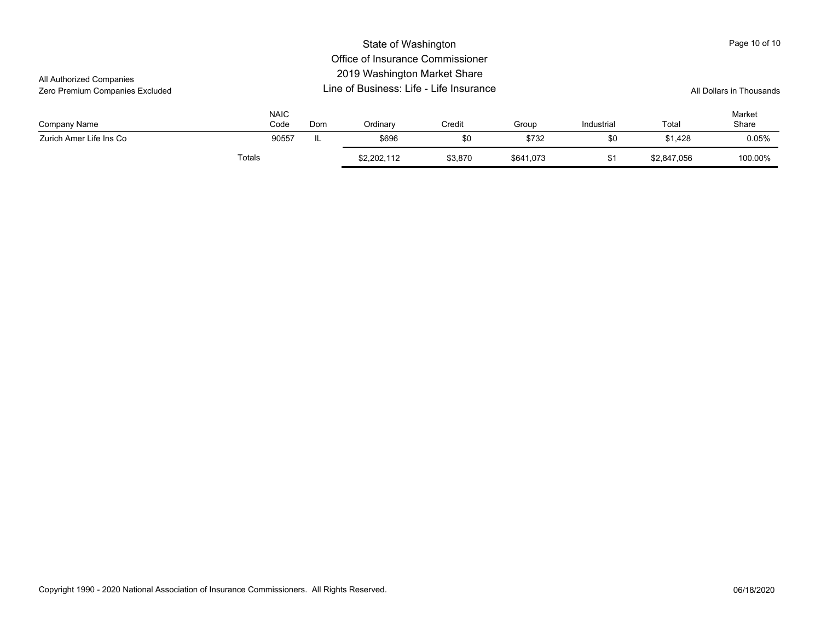|                                 |        |                     |                          | State of Washington |         |           |            |             | Page 10 of 10   |
|---------------------------------|--------|---------------------|--------------------------|---------------------|---------|-----------|------------|-------------|-----------------|
|                                 |        |                     |                          |                     |         |           |            |             |                 |
| All Authorized Companies        |        |                     |                          |                     |         |           |            |             |                 |
| Zero Premium Companies Excluded |        |                     | All Dollars in Thousands |                     |         |           |            |             |                 |
| Company Name                    |        | <b>NAIC</b><br>Code | Dom                      | Ordinary            | Credit  | Group     | Industrial | Total       | Market<br>Share |
| Zurich Amer Life Ins Co         |        | 90557               | IL                       | \$696               | \$0     | \$732     | \$0        | \$1.428     | 0.05%           |
|                                 | Totals |                     |                          | \$2,202,112         | \$3,870 | \$641,073 | \$1        | \$2.847.056 | 100.00%         |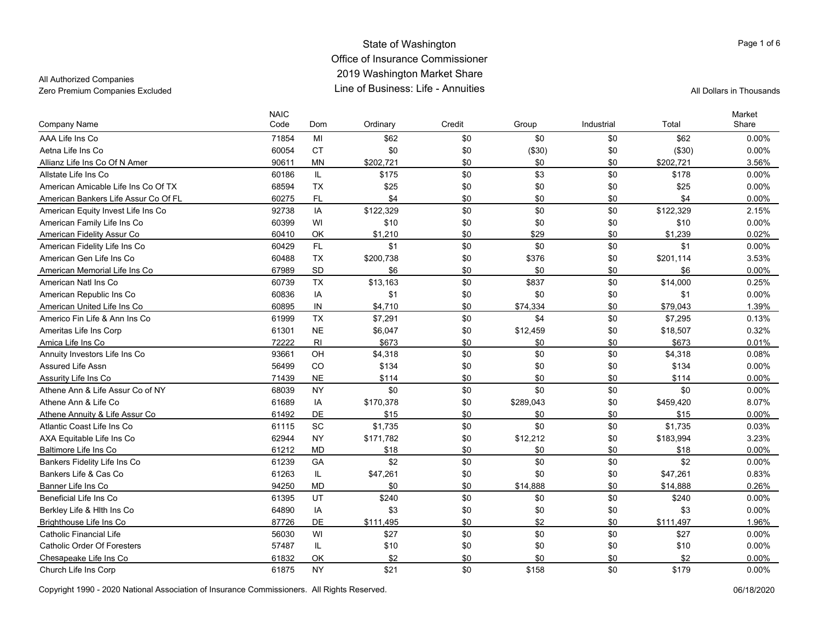### State of Washington Office of Insurance Commissioner 2019 Washington Market Share Line of Business: Life - AnnuitiesZero Premium Companies Excluded **All Dollars in Thousands** Line of Business: Life - Annuities

### All Authorized Companies

| Company Name                         | <b>NAIC</b><br>Code | Dom       | Ordinary  | Credit | Group     | Industrial | Total     | Market<br>Share |
|--------------------------------------|---------------------|-----------|-----------|--------|-----------|------------|-----------|-----------------|
| AAA Life Ins Co                      | 71854               | MI        | \$62      | \$0    | \$0       | \$0        | \$62      | 0.00%           |
| Aetna Life Ins Co                    | 60054               | <b>CT</b> | \$0       | \$0    | (\$30)    | \$0        | (\$30)    | 0.00%           |
| Allianz Life Ins Co Of N Amer        | 90611               | <b>MN</b> | \$202,721 | \$0    | \$0       | \$0        | \$202,721 | 3.56%           |
| Allstate Life Ins Co                 | 60186               | IL.       | \$175     | \$0    | \$3       | \$0        | \$178     | 0.00%           |
| American Amicable Life Ins Co Of TX  | 68594               | <b>TX</b> | \$25      | \$0    | \$0       | \$0        | \$25      | 0.00%           |
| American Bankers Life Assur Co Of FL | 60275               | FL        | \$4       | \$0    | \$0       | \$0        | \$4       | 0.00%           |
| American Equity Invest Life Ins Co   | 92738               | IA        | \$122,329 | \$0    | \$0       | \$0        | \$122,329 | 2.15%           |
| American Family Life Ins Co          | 60399               | WI        | \$10      | \$0    | \$0       | \$0        | \$10      | 0.00%           |
| American Fidelity Assur Co           | 60410               | OK        | \$1,210   | \$0    | \$29      | \$0        | \$1,239   | 0.02%           |
| American Fidelity Life Ins Co        | 60429               | <b>FL</b> | \$1       | \$0    | \$0       | \$0        | \$1       | 0.00%           |
| American Gen Life Ins Co             | 60488               | <b>TX</b> | \$200,738 | \$0    | \$376     | \$0        | \$201,114 | 3.53%           |
| American Memorial Life Ins Co        | 67989               | SD        | \$6       | \$0    | \$0       | \$0        | \$6       | 0.00%           |
| American Natl Ins Co                 | 60739               | <b>TX</b> | \$13,163  | \$0    | \$837     | \$0        | \$14,000  | 0.25%           |
| American Republic Ins Co             | 60836               | IA        | \$1       | \$0    | \$0       | \$0        | \$1       | 0.00%           |
| American United Life Ins Co          | 60895               | IN        | \$4,710   | \$0    | \$74,334  | \$0        | \$79,043  | 1.39%           |
| Americo Fin Life & Ann Ins Co        | 61999               | TX        | \$7,291   | \$0    | \$4       | \$0        | \$7,295   | 0.13%           |
| Ameritas Life Ins Corp               | 61301               | <b>NE</b> | \$6,047   | \$0    | \$12,459  | \$0        | \$18,507  | 0.32%           |
| Amica Life Ins Co                    | 72222               | RI        | \$673     | \$0    | \$0       | \$0        | \$673     | 0.01%           |
| Annuity Investors Life Ins Co        | 93661               | OH        | \$4,318   | \$0    | \$0       | \$0        | \$4,318   | 0.08%           |
| Assured Life Assn                    | 56499               | CO        | \$134     | \$0    | \$0       | \$0        | \$134     | 0.00%           |
| Assurity Life Ins Co                 | 71439               | <b>NE</b> | \$114     | \$0    | \$0       | \$0        | \$114     | 0.00%           |
| Athene Ann & Life Assur Co of NY     | 68039               | <b>NY</b> | \$0       | \$0    | \$0       | \$0        | \$0       | 0.00%           |
| Athene Ann & Life Co                 | 61689               | IA        | \$170,378 | \$0    | \$289,043 | \$0        | \$459,420 | 8.07%           |
| Athene Annuity & Life Assur Co       | 61492               | DE        | \$15      | \$0    | \$0       | \$0        | \$15      | $0.00\%$        |
| Atlantic Coast Life Ins Co           | 61115               | <b>SC</b> | \$1,735   | \$0    | \$0       | \$0        | \$1,735   | 0.03%           |
| AXA Equitable Life Ins Co            | 62944               | <b>NY</b> | \$171,782 | \$0    | \$12,212  | \$0        | \$183,994 | 3.23%           |
| Baltimore Life Ins Co                | 61212               | <b>MD</b> | \$18      | \$0    | \$0       | \$0        | \$18      | 0.00%           |
| Bankers Fidelity Life Ins Co         | 61239               | GA        | \$2       | \$0    | \$0       | \$0        | \$2       | 0.00%           |
| Bankers Life & Cas Co                | 61263               | IL.       | \$47,261  | \$0    | \$0       | \$0        | \$47,261  | 0.83%           |
| Banner Life Ins Co                   | 94250               | <b>MD</b> | \$0       | \$0    | \$14,888  | \$0        | \$14,888  | 0.26%           |
| Beneficial Life Ins Co               | 61395               | UT        | \$240     | \$0    | \$0       | \$0        | \$240     | 0.00%           |
| Berkley Life & Hith Ins Co           | 64890               | IA        | \$3       | \$0    | \$0       | \$0        | \$3       | 0.00%           |
| Brighthouse Life Ins Co              | 87726               | <b>DE</b> | \$111,495 | \$0    | \$2       | \$0        | \$111,497 | 1.96%           |
| <b>Catholic Financial Life</b>       | 56030               | WI        | \$27      | \$0    | \$0       | \$0        | \$27      | 0.00%           |
| <b>Catholic Order Of Foresters</b>   | 57487               | IL        | \$10      | \$0    | \$0       | \$0        | \$10      | 0.00%           |
| Chesapeake Life Ins Co               | 61832               | OK        | \$2       | \$0    | \$0       | \$0        | \$2       | 0.00%           |
| Church Life Ins Corp                 | 61875               | <b>NY</b> | \$21      | \$0    | \$158     | \$0        | \$179     | 0.00%           |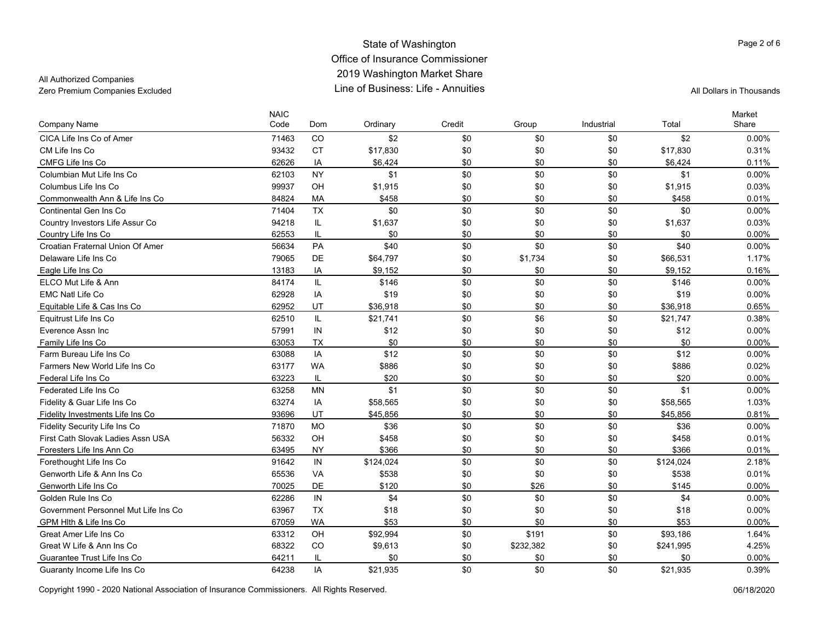#### State of Washington Office of Insurance Commissioner 2019 Washington Market Share Line of Business: Life - AnnuitiesZero Premium Companies Excluded Line of Business: Life - Annuities All Dollars in Thousands

### All Authorized Companies

Page 2 of 6

| <b>Company Name</b>                  | <b>NAIC</b><br>Code | Dom       | Ordinary  | Credit | Group     | Industrial | Total     | Market<br>Share |
|--------------------------------------|---------------------|-----------|-----------|--------|-----------|------------|-----------|-----------------|
| CICA Life Ins Co of Amer             | 71463               | CO        | \$2       | \$0    | \$0       | \$0        | \$2       | 0.00%           |
| CM Life Ins Co                       | 93432               | <b>CT</b> | \$17,830  | \$0    | \$0       | \$0        | \$17,830  | 0.31%           |
| CMFG Life Ins Co                     | 62626               | IA        | \$6,424   | \$0    | \$0       | \$0        | \$6,424   | 0.11%           |
| Columbian Mut Life Ins Co            | 62103               | <b>NY</b> | \$1       | \$0    | \$0       | \$0        | \$1       | 0.00%           |
| Columbus Life Ins Co                 | 99937               | OH        | \$1,915   | \$0    | \$0       | \$0        | \$1,915   | 0.03%           |
| Commonwealth Ann & Life Ins Co       | 84824               | MA        | \$458     | \$0    | \$0       | \$0        | \$458     | 0.01%           |
| Continental Gen Ins Co               | 71404               | <b>TX</b> | \$0       | \$0    | \$0       | \$0        | \$0       | $0.00\%$        |
| Country Investors Life Assur Co      | 94218               | IL.       | \$1,637   | \$0    | \$0       | \$0        | \$1,637   | 0.03%           |
| Country Life Ins Co                  | 62553               | IL        | \$0       | \$0    | \$0       | \$0        | \$0       | $0.00\%$        |
| Croatian Fraternal Union Of Amer     | 56634               | PA        | \$40      | \$0    | \$0       | \$0        | \$40      | $0.00\%$        |
| Delaware Life Ins Co                 | 79065               | DE        | \$64,797  | \$0    | \$1,734   | \$0        | \$66,531  | 1.17%           |
| Eagle Life Ins Co                    | 13183               | ΙA        | \$9,152   | \$0    | \$0       | \$0        | \$9,152   | 0.16%           |
| ELCO Mut Life & Ann                  | 84174               | IL.       | \$146     | \$0    | \$0       | \$0        | \$146     | $0.00\%$        |
| <b>EMC Natl Life Co</b>              | 62928               | IA        | \$19      | \$0    | \$0       | \$0        | \$19      | 0.00%           |
| Equitable Life & Cas Ins Co          | 62952               | UT        | \$36,918  | \$0    | \$0       | \$0        | \$36,918  | 0.65%           |
| Equitrust Life Ins Co                | 62510               | IL.       | \$21,741  | \$0    | \$6       | \$0        | \$21,747  | 0.38%           |
| Everence Assn Inc                    | 57991               | IN        | \$12      | \$0    | \$0       | \$0        | \$12      | $0.00\%$        |
| Family Life Ins Co                   | 63053               | <b>TX</b> | \$0       | \$0    | \$0       | \$0        | \$0       | $0.00\%$        |
| Farm Bureau Life Ins Co              | 63088               | IA        | \$12      | \$0    | \$0       | \$0        | \$12      | $0.00\%$        |
| Farmers New World Life Ins Co        | 63177               | <b>WA</b> | \$886     | \$0    | \$0       | \$0        | \$886     | 0.02%           |
| Federal Life Ins Co                  | 63223               | IL        | \$20      | \$0    | \$0       | \$0        | \$20      | $0.00\%$        |
| Federated Life Ins Co                | 63258               | ΜN        | \$1       | \$0    | \$0       | \$0        | \$1       | $0.00\%$        |
| Fidelity & Guar Life Ins Co          | 63274               | IA        | \$58,565  | \$0    | \$0       | \$0        | \$58,565  | 1.03%           |
| Fidelity Investments Life Ins Co     | 93696               | UT        | \$45,856  | \$0    | \$0       | \$0        | \$45,856  | 0.81%           |
| Fidelity Security Life Ins Co        | 71870               | <b>MO</b> | \$36      | \$0    | \$0       | \$0        | \$36      | $0.00\%$        |
| First Cath Slovak Ladies Assn USA    | 56332               | OH        | \$458     | \$0    | \$0       | \$0        | \$458     | 0.01%           |
| Foresters Life Ins Ann Co            | 63495               | <b>NY</b> | \$366     | \$0    | \$0       | \$0        | \$366     | 0.01%           |
| Forethought Life Ins Co              | 91642               | IN        | \$124,024 | \$0    | \$0       | \$0        | \$124,024 | 2.18%           |
| Genworth Life & Ann Ins Co           | 65536               | VA        | \$538     | \$0    | \$0       | \$0        | \$538     | 0.01%           |
| Genworth Life Ins Co                 | 70025               | <b>DE</b> | \$120     | \$0    | \$26      | \$0        | \$145     | $0.00\%$        |
| Golden Rule Ins Co.                  | 62286               | IN        | \$4       | \$0    | \$0       | \$0        | \$4       | $0.00\%$        |
| Government Personnel Mut Life Ins Co | 63967               | <b>TX</b> | \$18      | \$0    | \$0       | \$0        | \$18      | 0.00%           |
| GPM Hlth & Life Ins Co               | 67059               | WA        | \$53      | \$0    | \$0       | \$0        | \$53      | $0.00\%$        |
| Great Amer Life Ins Co               | 63312               | OH        | \$92,994  | \$0    | \$191     | \$0        | \$93,186  | 1.64%           |
| Great W Life & Ann Ins Co            | 68322               | CO        | \$9,613   | \$0    | \$232,382 | \$0        | \$241,995 | 4.25%           |
| Guarantee Trust Life Ins Co          | 64211               | IL        | \$0       | \$0    | \$0       | \$0        | \$0       | 0.00%           |
| Guaranty Income Life Ins Co          | 64238               | IA        | \$21.935  | \$0    | \$0       | \$0        | \$21.935  | 0.39%           |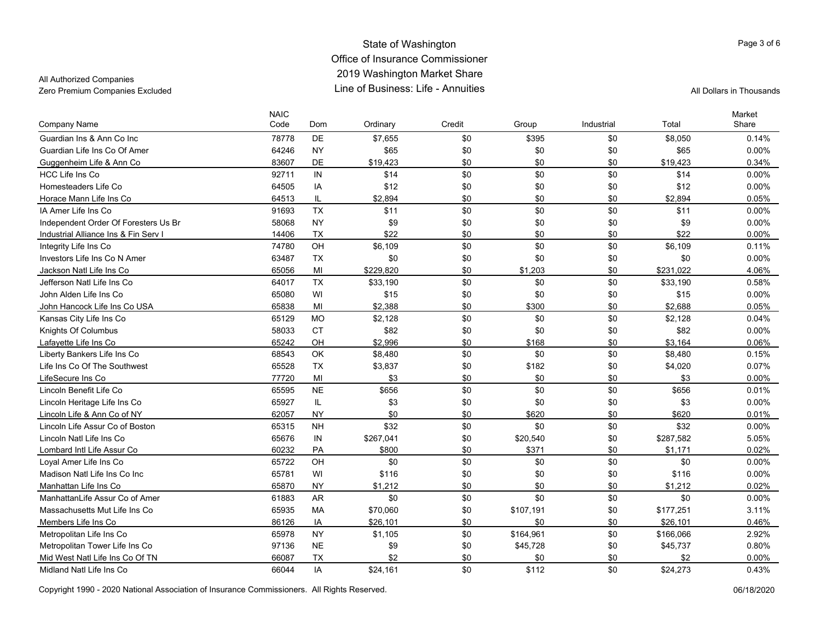### State of Washington Office of Insurance Commissioner 2019 Washington Market Share Line of Business: Life - AnnuitiesZero Premium Companies Excluded **All Dollars in Thousands** Line of Business: Life - Annuities

### All Authorized Companies

| Company Name                         | <b>NAIC</b><br>Code | Dom       | Ordinary  | Credit | Group     | Industrial | Total     | Market<br>Share |
|--------------------------------------|---------------------|-----------|-----------|--------|-----------|------------|-----------|-----------------|
| Guardian Ins & Ann Co Inc            | 78778               | <b>DE</b> | \$7,655   | \$0    | \$395     | \$0        | \$8,050   | 0.14%           |
| Guardian Life Ins Co Of Amer         | 64246               | <b>NY</b> | \$65      | \$0    | \$0       | \$0        | \$65      | 0.00%           |
| Guggenheim Life & Ann Co             | 83607               | DE        | \$19,423  | \$0    | \$0       | \$0        | \$19,423  | 0.34%           |
| HCC Life Ins Co                      | 92711               | IN        | \$14      | \$0    | \$0       | \$0        | \$14      | 0.00%           |
| Homesteaders Life Co                 | 64505               | IA        | \$12      | \$0    | \$0       | \$0        | \$12      | 0.00%           |
| Horace Mann Life Ins Co              | 64513               | IL        | \$2,894   | \$0    | \$0       | \$0        | \$2,894   | $0.05\%$        |
| IA Amer Life Ins Co                  | 91693               | <b>TX</b> | \$11      | \$0    | \$0       | \$0        | \$11      | 0.00%           |
| Independent Order Of Foresters Us Br | 58068               | <b>NY</b> | \$9       | \$0    | \$0       | \$0        | \$9       | 0.00%           |
| Industrial Alliance Ins & Fin Serv I | 14406               | <b>TX</b> | \$22      | \$0    | \$0       | \$0        | \$22      | 0.00%           |
| Integrity Life Ins Co                | 74780               | OH        | \$6,109   | \$0    | \$0       | \$0        | \$6,109   | 0.11%           |
| Investors Life Ins Co N Amer         | 63487               | TX        | \$0       | \$0    | \$0       | \$0        | \$0       | 0.00%           |
| Jackson Natl Life Ins Co             | 65056               | MI        | \$229.820 | \$0    | \$1,203   | \$0        | \$231,022 | 4.06%           |
| Jefferson Natl Life Ins Co           | 64017               | <b>TX</b> | \$33,190  | \$0    | \$0       | \$0        | \$33,190  | 0.58%           |
| John Alden Life Ins Co               | 65080               | WI        | \$15      | \$0    | \$0       | \$0        | \$15      | 0.00%           |
| John Hancock Life Ins Co USA         | 65838               | MI        | \$2.388   | \$0    | \$300     | \$0        | \$2.688   | 0.05%           |
| Kansas City Life Ins Co              | 65129               | <b>MO</b> | \$2,128   | \$0    | \$0       | \$0        | \$2,128   | 0.04%           |
| Knights Of Columbus                  | 58033               | <b>CT</b> | \$82      | \$0    | \$0       | \$0        | \$82      | 0.00%           |
| Lafayette Life Ins Co                | 65242               | OH        | \$2,996   | \$0    | \$168     | \$0        | \$3,164   | 0.06%           |
| Liberty Bankers Life Ins Co          | 68543               | OK        | \$8,480   | \$0    | \$0       | \$0        | \$8,480   | 0.15%           |
| Life Ins Co Of The Southwest         | 65528               | <b>TX</b> | \$3,837   | \$0    | \$182     | \$0        | \$4,020   | 0.07%           |
| LifeSecure Ins Co                    | 77720               | MI        | \$3       | \$0    | \$0       | \$0        | \$3       | 0.00%           |
| Lincoln Benefit Life Co              | 65595               | <b>NE</b> | \$656     | \$0    | \$0       | \$0        | \$656     | 0.01%           |
| Lincoln Heritage Life Ins Co         | 65927               | IL.       | \$3       | \$0    | \$0       | \$0        | \$3       | 0.00%           |
| Lincoln Life & Ann Co of NY          | 62057               | <b>NY</b> | \$0       | \$0    | \$620     | \$0        | \$620     | 0.01%           |
| Lincoln Life Assur Co of Boston      | 65315               | <b>NH</b> | \$32      | \$0    | \$0       | \$0        | \$32      | 0.00%           |
| Lincoln Natl Life Ins Co             | 65676               | IN        | \$267,041 | \$0    | \$20,540  | \$0        | \$287,582 | 5.05%           |
| Lombard Intl Life Assur Co           | 60232               | PA        | \$800     | \$0    | \$371     | \$0        | \$1,171   | 0.02%           |
| Loyal Amer Life Ins Co               | 65722               | OH        | \$0       | \$0    | \$0       | \$0        | \$0       | 0.00%           |
| Madison Natl Life Ins Co Inc         | 65781               | WI        | \$116     | \$0    | \$0       | \$0        | \$116     | 0.00%           |
| Manhattan Life Ins Co                | 65870               | <b>NY</b> | \$1,212   | \$0    | \$0       | \$0        | \$1,212   | 0.02%           |
| ManhattanLife Assur Co of Amer       | 61883               | <b>AR</b> | \$0       | \$0    | \$0       | \$0        | \$0       | 0.00%           |
| Massachusetts Mut Life Ins Co        | 65935               | <b>MA</b> | \$70,060  | \$0    | \$107,191 | \$0        | \$177,251 | 3.11%           |
| Members Life Ins Co                  | 86126               | IA        | \$26,101  | \$0    | \$0       | \$0        | \$26,101  | 0.46%           |
| Metropolitan Life Ins Co             | 65978               | <b>NY</b> | \$1,105   | \$0    | \$164,961 | \$0        | \$166,066 | 2.92%           |
| Metropolitan Tower Life Ins Co       | 97136               | <b>NE</b> | \$9       | \$0    | \$45,728  | \$0        | \$45,737  | 0.80%           |
| Mid West Natl Life Ins Co Of TN      | 66087               | <b>TX</b> | \$2       | \$0    | \$0       | \$0        | \$2       | 0.00%           |
| Midland Natl Life Ins Co             | 66044               | IA        | \$24,161  | \$0    | \$112     | \$0        | \$24,273  | 0.43%           |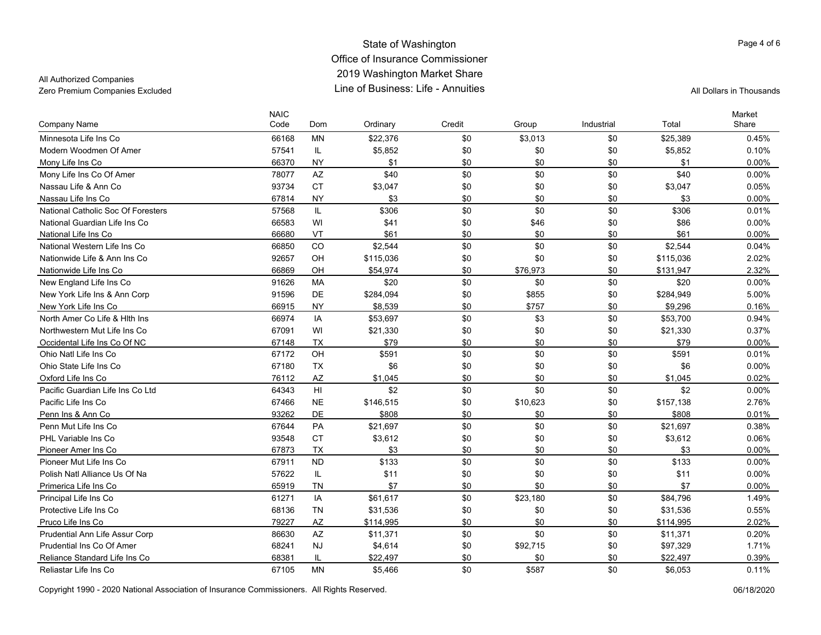#### State of Washington Office of Insurance Commissioner 2019 Washington Market Share Line of Business: Life - AnnuitiesZero Premium Companies Excluded Line of Business: Life - Annuities All Dollars in Thousands

### All Authorized Companies

| Company Name                       | <b>NAIC</b><br>Code | Dom             | Ordinary  | Credit | Group    | Industrial | Total     | Market<br>Share |
|------------------------------------|---------------------|-----------------|-----------|--------|----------|------------|-----------|-----------------|
| Minnesota Life Ins Co              | 66168               | <b>MN</b>       | \$22,376  | \$0    | \$3,013  | \$0        | \$25,389  | 0.45%           |
| Modern Woodmen Of Amer             | 57541               | IL              | \$5,852   | \$0    | \$0      | \$0        | \$5,852   | 0.10%           |
| Mony Life Ins Co                   | 66370               | <b>NY</b>       | \$1       | \$0    | \$0      | \$0        | \$1       | $0.00\%$        |
| Mony Life Ins Co Of Amer           | 78077               | AZ              | \$40      | \$0    | \$0      | \$0        | \$40      | $0.00\%$        |
| Nassau Life & Ann Co               | 93734               | <b>CT</b>       | \$3,047   | \$0    | \$0      | \$0        | \$3,047   | 0.05%           |
| Nassau Life Ins Co                 | 67814               | <b>NY</b>       | \$3       | \$0    | \$0      | \$0        | \$3       | 0.00%           |
| National Catholic Soc Of Foresters | 57568               | IL.             | \$306     | \$0    | \$0      | \$0        | \$306     | 0.01%           |
| National Guardian Life Ins Co      | 66583               | WI              | \$41      | \$0    | \$46     | \$0        | \$86      | 0.00%           |
| National Life Ins Co               | 66680               | VT              | \$61      | \$0    | \$0      | \$0        | \$61      | 0.00%           |
| National Western Life Ins Co       | 66850               | CO              | \$2,544   | \$0    | \$0      | \$0        | \$2,544   | 0.04%           |
| Nationwide Life & Ann Ins Co       | 92657               | OH              | \$115,036 | \$0    | \$0      | \$0        | \$115,036 | 2.02%           |
| Nationwide Life Ins Co             | 66869               | OH              | \$54,974  | \$0    | \$76,973 | \$0        | \$131,947 | 2.32%           |
| New England Life Ins Co            | 91626               | MA              | \$20      | \$0    | \$0      | \$0        | \$20      | 0.00%           |
| New York Life Ins & Ann Corp       | 91596               | DE              | \$284,094 | \$0    | \$855    | \$0        | \$284,949 | 5.00%           |
| New York Life Ins Co               | 66915               | <b>NY</b>       | \$8,539   | \$0    | \$757    | \$0        | \$9,296   | 0.16%           |
| North Amer Co Life & Hith Ins      | 66974               | IA              | \$53,697  | \$0    | \$3      | \$0        | \$53,700  | 0.94%           |
| Northwestern Mut Life Ins Co       | 67091               | WI              | \$21,330  | \$0    | \$0      | \$0        | \$21,330  | 0.37%           |
| Occidental Life Ins Co Of NC       | 67148               | <b>TX</b>       | \$79      | \$0    | \$0      | \$0        | \$79      | 0.00%           |
| Ohio Natl Life Ins Co              | 67172               | OH              | \$591     | \$0    | \$0      | \$0        | \$591     | 0.01%           |
| Ohio State Life Ins Co             | 67180               | <b>TX</b>       | \$6       | \$0    | \$0      | \$0        | \$6       | 0.00%           |
| Oxford Life Ins Co                 | 76112               | AZ              | \$1,045   | \$0    | \$0      | \$0        | \$1,045   | 0.02%           |
| Pacific Guardian Life Ins Co Ltd   | 64343               | H <sub>II</sub> | \$2       | \$0    | \$0      | \$0        | \$2       | $0.00\%$        |
| Pacific Life Ins Co                | 67466               | $N\mathsf{E}$   | \$146,515 | \$0    | \$10,623 | \$0        | \$157,138 | 2.76%           |
| Penn Ins & Ann Co                  | 93262               | <b>DE</b>       | \$808     | \$0    | \$0      | \$0        | \$808     | 0.01%           |
| Penn Mut Life Ins Co               | 67644               | PA              | \$21,697  | \$0    | \$0      | \$0        | \$21,697  | 0.38%           |
| PHL Variable Ins Co                | 93548               | <b>CT</b>       | \$3,612   | \$0    | \$0      | \$0        | \$3,612   | 0.06%           |
| Pioneer Amer Ins Co                | 67873               | <b>TX</b>       | \$3       | \$0    | \$0      | \$0        | \$3       | 0.00%           |
| Pioneer Mut Life Ins Co            | 67911               | <b>ND</b>       | \$133     | \$0    | \$0      | \$0        | \$133     | $0.00\%$        |
| Polish Natl Alliance Us Of Na      | 57622               | IL              | \$11      | \$0    | \$0      | \$0        | \$11      | 0.00%           |
| Primerica Life Ins Co              | 65919               | <b>TN</b>       | \$7       | \$0    | \$0      | \$0        | \$7       | 0.00%           |
| Principal Life Ins Co              | 61271               | IA              | \$61,617  | \$0    | \$23,180 | \$0        | \$84,796  | 1.49%           |
| Protective Life Ins Co             | 68136               | <b>TN</b>       | \$31,536  | \$0    | \$0      | \$0        | \$31,536  | 0.55%           |
| Pruco Life Ins Co                  | 79227               | AZ              | \$114,995 | \$0    | \$0      | \$0        | \$114,995 | 2.02%           |
| Prudential Ann Life Assur Corp     | 86630               | AZ              | \$11,371  | \$0    | \$0      | \$0        | \$11,371  | 0.20%           |
| Prudential Ins Co Of Amer          | 68241               | <b>NJ</b>       | \$4,614   | \$0    | \$92,715 | \$0        | \$97,329  | 1.71%           |
| Reliance Standard Life Ins Co      | 68381               | IL              | \$22,497  | \$0    | \$0      | \$0        | \$22,497  | 0.39%           |
| Reliastar Life Ins Co              | 67105               | <b>MN</b>       | \$5,466   | \$0    | \$587    | \$0        | \$6,053   | 0.11%           |

Copyright 1990 - 2020 National Association of Insurance Commissioners. All Rights Reserved. 06/18/2020

Page 4 of 6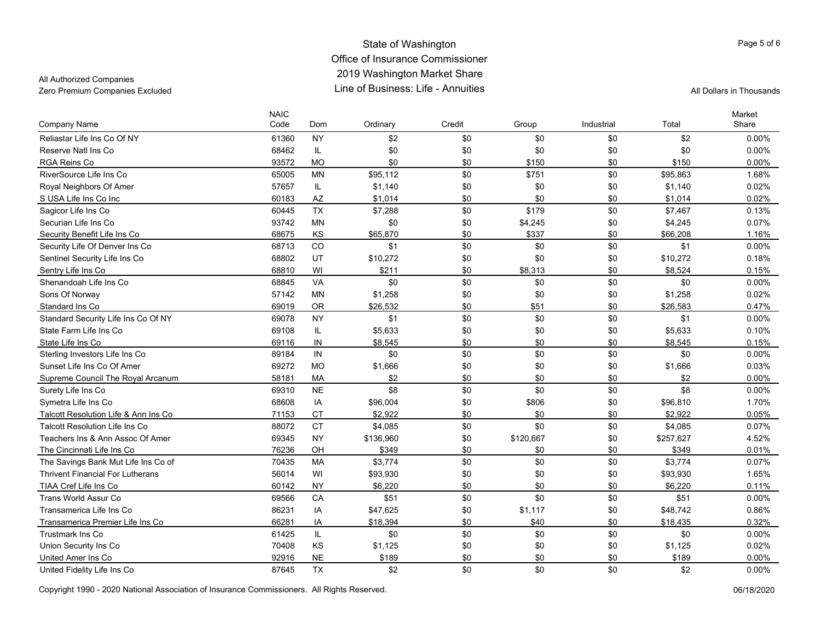### State of Washington Office of Insurance Commissioner 2019 Washington Market Share Line of Business: Life - AnnuitiesZero Premium Companies Excluded **All Dollars in Thousands** Line of Business: Life - Annuities

### All Authorized Companies

| Company Name                            | <b>NAIC</b><br>Code | Dom       | Ordinary  | Credit | Group     | Industrial | Total     | Market<br>Share |
|-----------------------------------------|---------------------|-----------|-----------|--------|-----------|------------|-----------|-----------------|
| Reliastar Life Ins Co Of NY             | 61360               | NY.       | \$2       | \$0    | \$0       | \$0        | \$2       | 0.00%           |
| Reserve Natl Ins Co                     | 68462               | IL        | \$0       | \$0    | \$0       | \$0        | \$0       | 0.00%           |
| RGA Reins Co                            | 93572               | <b>MO</b> | \$0       | \$0    | \$150     | \$0        | \$150     | 0.00%           |
| RiverSource Life Ins Co                 | 65005               | <b>MN</b> | \$95,112  | \$0    | \$751     | \$0        | \$95,863  | 1.68%           |
| Royal Neighbors Of Amer                 | 57657               | IL        | \$1,140   | \$0    | \$0       | \$0        | \$1,140   | 0.02%           |
| S USA Life Ins Co Inc                   | 60183               | <b>AZ</b> | \$1,014   | \$0    | \$0       | \$0        | \$1,014   | 0.02%           |
| Sagicor Life Ins Co                     | 60445               | <b>TX</b> | \$7,288   | \$0    | \$179     | \$0        | \$7,467   | 0.13%           |
| Securian Life Ins Co                    | 93742               | <b>MN</b> | \$0       | \$0    | \$4,245   | \$0        | \$4,245   | 0.07%           |
| Security Benefit Life Ins Co            | 68675               | KS        | \$65,870  | \$0    | \$337     | \$0        | \$66,208  | 1.16%           |
| Security Life Of Denver Ins Co          | 68713               | CO        | \$1       | \$0    | \$0       | \$0        | \$1       | 0.00%           |
| Sentinel Security Life Ins Co           | 68802               | UT        | \$10,272  | \$0    | \$0       | \$0        | \$10,272  | 0.18%           |
| Sentry Life Ins Co                      | 68810               | WI        | \$211     | \$0    | \$8,313   | \$0        | \$8.524   | 0.15%           |
| Shenandoah Life Ins Co                  | 68845               | <b>VA</b> | \$0       | \$0    | \$0       | \$0        | \$0       | 0.00%           |
| Sons Of Norway                          | 57142               | <b>MN</b> | \$1,258   | \$0    | \$0       | \$0        | \$1,258   | 0.02%           |
| Standard Ins Co                         | 69019               | <b>OR</b> | \$26,532  | \$0    | \$51      | \$0        | \$26,583  | 0.47%           |
| Standard Security Life Ins Co Of NY     | 69078               | <b>NY</b> | \$1       | \$0    | \$0       | \$0        | \$1       | 0.00%           |
| State Farm Life Ins Co                  | 69108               | IL        | \$5,633   | \$0    | \$0       | \$0        | \$5,633   | 0.10%           |
| State Life Ins Co                       | 69116               | IN        | \$8,545   | \$0    | \$0       | \$0        | \$8,545   | 0.15%           |
| Sterling Investors Life Ins Co          | 89184               | IN        | \$0       | \$0    | \$0       | \$0        | \$0       | 0.00%           |
| Sunset Life Ins Co Of Amer              | 69272               | <b>MO</b> | \$1,666   | \$0    | \$0       | \$0        | \$1,666   | 0.03%           |
| Supreme Council The Royal Arcanum       | 58181               | MA        | \$2       | \$0    | \$0       | \$0        | \$2       | 0.00%           |
| Surety Life Ins Co                      | 69310               | <b>NE</b> | \$8       | \$0    | \$0       | \$0        | \$8       | 0.00%           |
| Symetra Life Ins Co                     | 68608               | IA        | \$96,004  | \$0    | \$806     | \$0        | \$96,810  | 1.70%           |
| Talcott Resolution Life & Ann Ins Co    | 71153               | <b>CT</b> | \$2,922   | \$0    | \$0       | \$0        | \$2,922   | 0.05%           |
| Talcott Resolution Life Ins Co          | 88072               | <b>CT</b> | \$4,085   | \$0    | \$0       | \$0        | \$4,085   | 0.07%           |
| Teachers Ins & Ann Assoc Of Amer        | 69345               | <b>NY</b> | \$136,960 | \$0    | \$120,667 | \$0        | \$257,627 | 4.52%           |
| The Cincinnati Life Ins Co              | 76236               | OH        | \$349     | \$0    | \$0       | \$0        | \$349     | 0.01%           |
| The Savings Bank Mut Life Ins Co of     | 70435               | <b>MA</b> | \$3,774   | \$0    | \$0       | \$0        | \$3,774   | 0.07%           |
| <b>Thrivent Financial For Lutherans</b> | 56014               | WI        | \$93,930  | \$0    | \$0       | \$0        | \$93,930  | 1.65%           |
| TIAA Cref Life Ins Co                   | 60142               | <b>NY</b> | \$6,220   | \$0    | \$0       | \$0        | \$6,220   | 0.11%           |
| Trans World Assur Co                    | 69566               | CA        | \$51      | \$0    | \$0       | \$0        | \$51      | 0.00%           |
| Transamerica Life Ins Co                | 86231               | IA        | \$47,625  | \$0    | \$1,117   | \$0        | \$48,742  | 0.86%           |
| Transamerica Premier Life Ins Co        | 66281               | IA        | \$18,394  | \$0    | \$40      | \$0        | \$18,435  | 0.32%           |
| <b>Trustmark Ins Co</b>                 | 61425               | IL        | \$0       | \$0    | \$0       | \$0        | \$0       | 0.00%           |
| Union Security Ins Co                   | 70408               | KS        | \$1,125   | \$0    | \$0       | \$0        | \$1,125   | 0.02%           |
| United Amer Ins Co                      | 92916               | <b>NE</b> | \$189     | \$0    | \$0       | \$0        | \$189     | $0.00\%$        |
| United Fidelity Life Ins Co             | 87645               | <b>TX</b> | \$2       | \$0    | \$0       | \$0        | \$2       | 0.00%           |

Copyright 1990 - 2020 National Association of Insurance Commissioners. All Rights Reserved. 06/18/2020

Page 5 of 6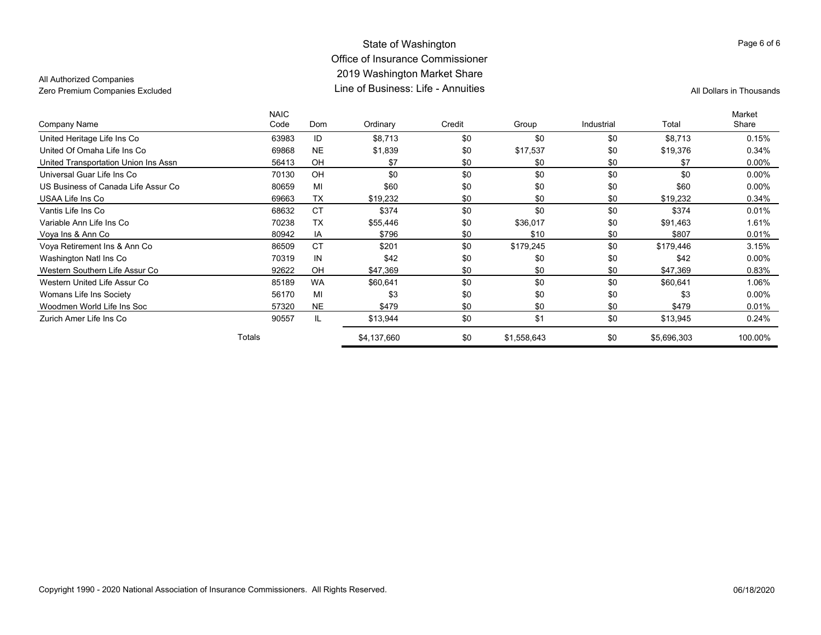### State of Washington Office of Insurance Commissioner 2019 Washington Market Share Line of Business: Life - AnnuitiesZero Premium Companies Excluded **All Dollars in Thousands** Line of Business: Life - Annuities

### All Authorized Companies

|                                      | <b>NAIC</b> |           |             |        |             |            |             | Market   |
|--------------------------------------|-------------|-----------|-------------|--------|-------------|------------|-------------|----------|
| Company Name                         | Code        | Dom       | Ordinary    | Credit | Group       | Industrial | Total       | Share    |
| United Heritage Life Ins Co          | 63983       | ID        | \$8,713     | \$0    | \$0         | \$0        | \$8,713     | 0.15%    |
| United Of Omaha Life Ins Co          | 69868       | <b>NE</b> | \$1,839     | \$0    | \$17,537    | \$0        | \$19,376    | 0.34%    |
| United Transportation Union Ins Assn | 56413       | OH        | \$7         | \$0    | \$0         | \$0        | \$7         | $0.00\%$ |
| Universal Guar Life Ins Co           | 70130       | OH        | \$0         | \$0    | \$0         | \$0        | \$0         | 0.00%    |
| US Business of Canada Life Assur Co  | 80659       | MI        | \$60        | \$0    | \$0         | \$0        | \$60        | $0.00\%$ |
| USAA Life Ins Co                     | 69663       | <b>TX</b> | \$19,232    | \$0    | \$0         | \$0        | \$19,232    | 0.34%    |
| Vantis Life Ins Co                   | 68632       | <b>CT</b> | \$374       | \$0    | \$0         | \$0        | \$374       | 0.01%    |
| Variable Ann Life Ins Co             | 70238       | <b>TX</b> | \$55,446    | \$0    | \$36,017    | \$0        | \$91,463    | 1.61%    |
| Voya Ins & Ann Co                    | 80942       | IA        | \$796       | \$0    | \$10        | \$0        | \$807       | 0.01%    |
| Voya Retirement Ins & Ann Co         | 86509       | <b>CT</b> | \$201       | \$0    | \$179,245   | \$0        | \$179,446   | 3.15%    |
| Washington Natl Ins Co               | 70319       | IN        | \$42        | \$0    | \$0         | \$0        | \$42        | $0.00\%$ |
| Western Southern Life Assur Co       | 92622       | OH        | \$47,369    | \$0    | \$0         | \$0        | \$47,369    | 0.83%    |
| Western United Life Assur Co         | 85189       | <b>WA</b> | \$60,641    | \$0    | \$0         | \$0        | \$60,641    | 1.06%    |
| Womans Life Ins Society              | 56170       | MI        | \$3         | \$0    | \$0         | \$0        | \$3         | 0.00%    |
| Woodmen World Life Ins Soc           | 57320       | <b>NE</b> | \$479       | \$0    | \$0         | \$0        | \$479       | 0.01%    |
| Zurich Amer Life Ins Co              | 90557       | IL.       | \$13,944    | \$0    | \$1         | \$0        | \$13,945    | 0.24%    |
|                                      | Totals      |           | \$4,137,660 | \$0    | \$1,558,643 | \$0        | \$5,696,303 | 100.00%  |
|                                      |             |           |             |        |             |            |             |          |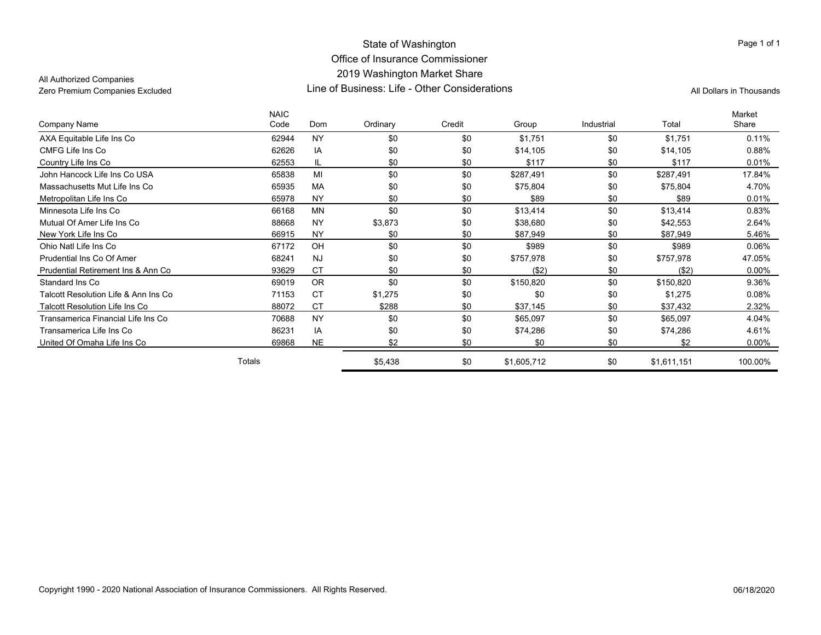#### State of Washington Office of Insurance Commissioner 2019 Washington Market Share Line of Business: Life - Other ConsiderationsZero Premium Companies Excluded Line of Business: Life - Other Considerations All Dollars in Thousands

All Authorized Companies

|                                       | <b>NAIC</b> |           |          |        |             |            |             | Market   |
|---------------------------------------|-------------|-----------|----------|--------|-------------|------------|-------------|----------|
| Company Name                          | Code        | Dom       | Ordinary | Credit | Group       | Industrial | Total       | Share    |
| AXA Equitable Life Ins Co             | 62944       | <b>NY</b> | \$0      | \$0    | \$1,751     | \$0        | \$1,751     | 0.11%    |
| CMFG Life Ins Co                      | 62626       | IA        | \$0      | \$0    | \$14,105    | \$0        | \$14,105    | 0.88%    |
| Country Life Ins Co                   | 62553       | IL.       | \$0      | \$0    | \$117       | \$0        | \$117       | 0.01%    |
| John Hancock Life Ins Co USA          | 65838       | MI        | \$0      | \$0    | \$287,491   | \$0        | \$287,491   | 17.84%   |
| Massachusetts Mut Life Ins Co         | 65935       | <b>MA</b> | \$0      | \$0    | \$75,804    | \$0        | \$75,804    | 4.70%    |
| Metropolitan Life Ins Co              | 65978       | <b>NY</b> | \$0      | \$0    | \$89        | \$0        | \$89        | 0.01%    |
| Minnesota Life Ins Co                 | 66168       | <b>MN</b> | \$0      | \$0    | \$13,414    | \$0        | \$13,414    | 0.83%    |
| Mutual Of Amer Life Ins Co            | 88668       | <b>NY</b> | \$3,873  | \$0    | \$38,680    | \$0        | \$42,553    | 2.64%    |
| New York Life Ins Co                  | 66915       | <b>NY</b> | \$0      | \$0    | \$87,949    | \$0        | \$87,949    | 5.46%    |
| Ohio Natl Life Ins Co                 | 67172       | OH        | \$0      | \$0    | \$989       | \$0        | \$989       | 0.06%    |
| Prudential Ins Co Of Amer             | 68241       | <b>NJ</b> | \$0      | \$0    | \$757,978   | \$0        | \$757,978   | 47.05%   |
| Prudential Retirement Ins & Ann Co    | 93629       | <b>CT</b> | \$0      | \$0    | (\$2)       | \$0        | ( \$2)      | $0.00\%$ |
| Standard Ins Co.                      | 69019       | <b>OR</b> | \$0      | \$0    | \$150,820   | \$0        | \$150,820   | 9.36%    |
| Talcott Resolution Life & Ann Ins Co  | 71153       | <b>CT</b> | \$1,275  | \$0    | \$0         | \$0        | \$1,275     | 0.08%    |
| <b>Talcott Resolution Life Ins Co</b> | 88072       | CT        | \$288    | \$0    | \$37,145    | \$0        | \$37,432    | 2.32%    |
| Transamerica Financial Life Ins Co    | 70688       | <b>NY</b> | \$0      | \$0    | \$65,097    | \$0        | \$65,097    | 4.04%    |
| Transamerica Life Ins Co              | 86231       | IA        | \$0      | \$0    | \$74,286    | \$0        | \$74,286    | 4.61%    |
| United Of Omaha Life Ins Co           | 69868       | <b>NE</b> | \$2      | \$0    | \$0         | \$0        | \$2         | $0.00\%$ |
|                                       | Totals      |           | \$5,438  | \$0    | \$1,605,712 | \$0        | \$1,611,151 | 100.00%  |

#### Page 1 of 1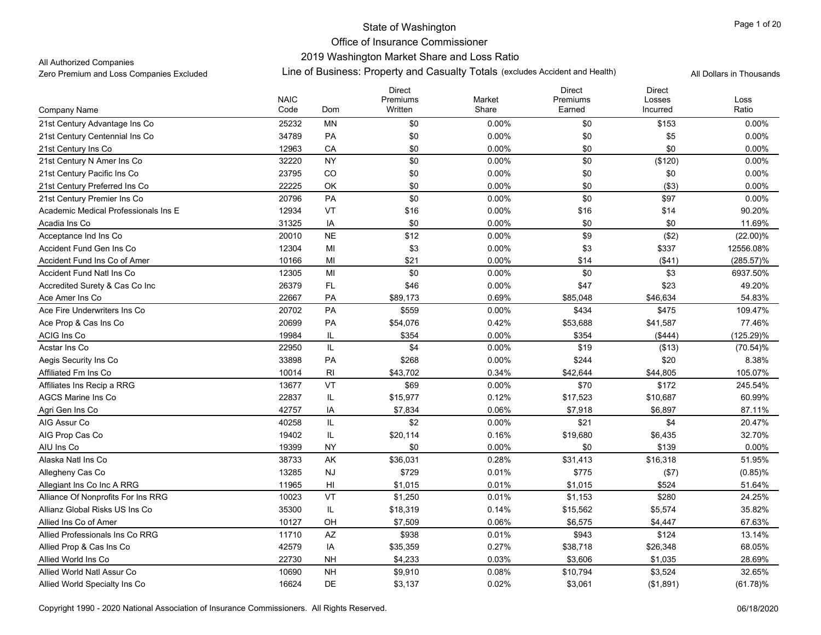### 2019 Washington Market Share and Loss Ratio

All Authorized Companies

Zero Premium and Loss Companies Excluded Line of Business: Property and Casualty Totals (excludes Accident and Health) All Dollars in Thousands

| Written<br>Ratio<br>Code<br>Dom<br>Share<br>Earned<br>Incurred<br>Company Name<br>25232<br>MN<br>\$0<br>0.00%<br>\$0<br>\$153<br>21st Century Advantage Ins Co<br>0.00%<br>34789<br>\$0<br>\$0<br>\$5<br>21st Century Centennial Ins Co<br>PA<br>0.00%<br>0.00%<br>\$0<br>21st Century Ins Co<br>12963<br>CA<br>\$0<br>0.00%<br>\$0<br>0.00%<br>32220<br><b>NY</b><br>\$0<br>\$0<br>0.00%<br>21st Century N Amer Ins Co<br>$0.00\%$<br>(\$120)<br>CO<br>23795<br>\$0<br>\$0<br>0.00%<br>21st Century Pacific Ins Co<br>0.00%<br>\$0<br>22225<br>\$0<br>\$0<br>( \$3)<br>21st Century Preferred Ins Co<br>OK<br>0.00%<br>0.00%<br>20796<br>PA<br>\$0<br>0.00%<br>\$0<br>\$97<br>0.00%<br>21st Century Premier Ins Co<br>VT<br>12934<br>\$16<br>0.00%<br>\$16<br>\$14<br>90.20%<br>Academic Medical Professionals Ins E<br>\$0<br>31325<br>IA<br>0.00%<br>\$0<br>\$0<br>11.69%<br>Acadia Ins Co |                       |             |           | <b>Direct</b> |        | <b>Direct</b> | <b>Direct</b> |             |
|-----------------------------------------------------------------------------------------------------------------------------------------------------------------------------------------------------------------------------------------------------------------------------------------------------------------------------------------------------------------------------------------------------------------------------------------------------------------------------------------------------------------------------------------------------------------------------------------------------------------------------------------------------------------------------------------------------------------------------------------------------------------------------------------------------------------------------------------------------------------------------------------------|-----------------------|-------------|-----------|---------------|--------|---------------|---------------|-------------|
|                                                                                                                                                                                                                                                                                                                                                                                                                                                                                                                                                                                                                                                                                                                                                                                                                                                                                               |                       | <b>NAIC</b> |           | Premiums      | Market | Premiums      | Losses        | Loss        |
|                                                                                                                                                                                                                                                                                                                                                                                                                                                                                                                                                                                                                                                                                                                                                                                                                                                                                               |                       |             |           |               |        |               |               |             |
|                                                                                                                                                                                                                                                                                                                                                                                                                                                                                                                                                                                                                                                                                                                                                                                                                                                                                               |                       |             |           |               |        |               |               |             |
|                                                                                                                                                                                                                                                                                                                                                                                                                                                                                                                                                                                                                                                                                                                                                                                                                                                                                               |                       |             |           |               |        |               |               |             |
|                                                                                                                                                                                                                                                                                                                                                                                                                                                                                                                                                                                                                                                                                                                                                                                                                                                                                               |                       |             |           |               |        |               |               |             |
|                                                                                                                                                                                                                                                                                                                                                                                                                                                                                                                                                                                                                                                                                                                                                                                                                                                                                               |                       |             |           |               |        |               |               |             |
|                                                                                                                                                                                                                                                                                                                                                                                                                                                                                                                                                                                                                                                                                                                                                                                                                                                                                               |                       |             |           |               |        |               |               |             |
|                                                                                                                                                                                                                                                                                                                                                                                                                                                                                                                                                                                                                                                                                                                                                                                                                                                                                               |                       |             |           |               |        |               |               |             |
|                                                                                                                                                                                                                                                                                                                                                                                                                                                                                                                                                                                                                                                                                                                                                                                                                                                                                               |                       |             |           |               |        |               |               |             |
|                                                                                                                                                                                                                                                                                                                                                                                                                                                                                                                                                                                                                                                                                                                                                                                                                                                                                               |                       |             |           |               |        |               |               |             |
|                                                                                                                                                                                                                                                                                                                                                                                                                                                                                                                                                                                                                                                                                                                                                                                                                                                                                               |                       |             |           |               |        |               |               |             |
|                                                                                                                                                                                                                                                                                                                                                                                                                                                                                                                                                                                                                                                                                                                                                                                                                                                                                               | Acceptance Ind Ins Co | 20010       | <b>NE</b> | \$12          | 0.00%  | \$9           | (\$2)         | $(22.00)\%$ |
| 12304<br>MI<br>\$3<br>0.00%<br>\$3<br>\$337<br>12556.08%<br>Accident Fund Gen Ins Co                                                                                                                                                                                                                                                                                                                                                                                                                                                                                                                                                                                                                                                                                                                                                                                                          |                       |             |           |               |        |               |               |             |
| MI<br>\$21<br>0.00%<br>\$14<br>(\$41)<br>Accident Fund Ins Co of Amer<br>10166<br>(285.57)%                                                                                                                                                                                                                                                                                                                                                                                                                                                                                                                                                                                                                                                                                                                                                                                                   |                       |             |           |               |        |               |               |             |
| \$0<br>\$0<br>\$3<br>12305<br>MI<br>0.00%<br>6937.50%<br>Accident Fund Natl Ins Co.                                                                                                                                                                                                                                                                                                                                                                                                                                                                                                                                                                                                                                                                                                                                                                                                           |                       |             |           |               |        |               |               |             |
| FL<br>26379<br>\$46<br>0.00%<br>\$47<br>\$23<br>49.20%<br>Accredited Surety & Cas Co Inc                                                                                                                                                                                                                                                                                                                                                                                                                                                                                                                                                                                                                                                                                                                                                                                                      |                       |             |           |               |        |               |               |             |
| 22667<br>0.69%<br><b>PA</b><br>\$89,173<br>\$85,048<br>\$46,634<br>54.83%<br>Ace Amer Ins Co                                                                                                                                                                                                                                                                                                                                                                                                                                                                                                                                                                                                                                                                                                                                                                                                  |                       |             |           |               |        |               |               |             |
| 20702<br><b>PA</b><br>\$559<br>0.00%<br>\$434<br>\$475<br>109.47%<br>Ace Fire Underwriters Ins Co                                                                                                                                                                                                                                                                                                                                                                                                                                                                                                                                                                                                                                                                                                                                                                                             |                       |             |           |               |        |               |               |             |
| 20699<br>77.46%<br>Ace Prop & Cas Ins Co<br><b>PA</b><br>\$54,076<br>0.42%<br>\$53,688<br>\$41,587                                                                                                                                                                                                                                                                                                                                                                                                                                                                                                                                                                                                                                                                                                                                                                                            |                       |             |           |               |        |               |               |             |
| 19984<br>\$354<br>IL<br>0.00%<br>\$354<br>(\$444)<br>$(125.29)\%$<br>ACIG Ins Co                                                                                                                                                                                                                                                                                                                                                                                                                                                                                                                                                                                                                                                                                                                                                                                                              |                       |             |           |               |        |               |               |             |
| IL<br>22950<br>\$4<br>\$19<br>0.00%<br>(\$13)<br>Acstar Ins Co<br>$(70.54)\%$                                                                                                                                                                                                                                                                                                                                                                                                                                                                                                                                                                                                                                                                                                                                                                                                                 |                       |             |           |               |        |               |               |             |
| 33898<br>PA<br>\$268<br>\$244<br>Aegis Security Ins Co<br>0.00%<br>\$20<br>8.38%                                                                                                                                                                                                                                                                                                                                                                                                                                                                                                                                                                                                                                                                                                                                                                                                              |                       |             |           |               |        |               |               |             |
| RI<br>\$43,702<br>105.07%<br>10014<br>0.34%<br>\$42,644<br>\$44,805<br>Affiliated Fm Ins Co                                                                                                                                                                                                                                                                                                                                                                                                                                                                                                                                                                                                                                                                                                                                                                                                   |                       |             |           |               |        |               |               |             |
| VT<br>13677<br>\$69<br>\$70<br>\$172<br>245.54%<br>Affiliates Ins Recip a RRG<br>0.00%                                                                                                                                                                                                                                                                                                                                                                                                                                                                                                                                                                                                                                                                                                                                                                                                        |                       |             |           |               |        |               |               |             |
| 22837<br>60.99%<br><b>AGCS Marine Ins Co</b><br>IL<br>\$15,977<br>0.12%<br>\$17,523<br>\$10,687                                                                                                                                                                                                                                                                                                                                                                                                                                                                                                                                                                                                                                                                                                                                                                                               |                       |             |           |               |        |               |               |             |
| 42757<br>IA<br>\$7,834<br>0.06%<br>\$7,918<br>\$6,897<br>87.11%<br>Agri Gen Ins Co                                                                                                                                                                                                                                                                                                                                                                                                                                                                                                                                                                                                                                                                                                                                                                                                            |                       |             |           |               |        |               |               |             |
| IL<br>\$2<br>40258<br>0.00%<br>\$21<br>\$4<br>20.47%<br>AIG Assur Co                                                                                                                                                                                                                                                                                                                                                                                                                                                                                                                                                                                                                                                                                                                                                                                                                          |                       |             |           |               |        |               |               |             |
| IL<br>AIG Prop Cas Co<br>19402<br>\$20,114<br>0.16%<br>\$19,680<br>\$6,435<br>32.70%                                                                                                                                                                                                                                                                                                                                                                                                                                                                                                                                                                                                                                                                                                                                                                                                          |                       |             |           |               |        |               |               |             |
| \$0<br>\$139<br>19399<br><b>NY</b><br>0.00%<br>\$0<br>0.00%<br>AIU Ins Co                                                                                                                                                                                                                                                                                                                                                                                                                                                                                                                                                                                                                                                                                                                                                                                                                     |                       |             |           |               |        |               |               |             |
| 38733<br>AK<br>\$36,031<br>\$16,318<br>Alaska Natl Ins Co<br>0.28%<br>\$31,413<br>51.95%                                                                                                                                                                                                                                                                                                                                                                                                                                                                                                                                                                                                                                                                                                                                                                                                      |                       |             |           |               |        |               |               |             |
| 13285<br><b>NJ</b><br>\$729<br>0.01%<br>\$775<br>$(0.85)\%$<br>Allegheny Cas Co<br>(\$7)                                                                                                                                                                                                                                                                                                                                                                                                                                                                                                                                                                                                                                                                                                                                                                                                      |                       |             |           |               |        |               |               |             |
| 11965<br>HI<br>\$524<br>51.64%<br>Allegiant Ins Co Inc A RRG<br>\$1,015<br>0.01%<br>\$1,015                                                                                                                                                                                                                                                                                                                                                                                                                                                                                                                                                                                                                                                                                                                                                                                                   |                       |             |           |               |        |               |               |             |
| VT<br>\$280<br>10023<br>\$1,250<br>0.01%<br>\$1,153<br>Alliance Of Nonprofits For Ins RRG<br>24.25%                                                                                                                                                                                                                                                                                                                                                                                                                                                                                                                                                                                                                                                                                                                                                                                           |                       |             |           |               |        |               |               |             |
| 35300<br>IL<br>35.82%<br>Allianz Global Risks US Ins Co<br>\$18,319<br>0.14%<br>\$15,562<br>\$5,574                                                                                                                                                                                                                                                                                                                                                                                                                                                                                                                                                                                                                                                                                                                                                                                           |                       |             |           |               |        |               |               |             |
| OH<br>\$7,509<br>0.06%<br>\$6,575<br>\$4,447<br>67.63%<br>Allied Ins Co of Amer<br>10127                                                                                                                                                                                                                                                                                                                                                                                                                                                                                                                                                                                                                                                                                                                                                                                                      |                       |             |           |               |        |               |               |             |
| Allied Professionals Ins Co RRG<br>11710<br>$\mathsf{A}\mathsf{Z}$<br>\$938<br>0.01%<br>\$943<br>\$124<br>13.14%                                                                                                                                                                                                                                                                                                                                                                                                                                                                                                                                                                                                                                                                                                                                                                              |                       |             |           |               |        |               |               |             |
| 42579<br>Allied Prop & Cas Ins Co<br>IA<br>\$35,359<br>0.27%<br>\$38,718<br>68.05%<br>\$26,348                                                                                                                                                                                                                                                                                                                                                                                                                                                                                                                                                                                                                                                                                                                                                                                                |                       |             |           |               |        |               |               |             |
| 22730<br>Allied World Ins Co<br><b>NH</b><br>\$4,233<br>0.03%<br>\$3,606<br>\$1,035<br>28.69%                                                                                                                                                                                                                                                                                                                                                                                                                                                                                                                                                                                                                                                                                                                                                                                                 |                       |             |           |               |        |               |               |             |
| Allied World Natl Assur Co<br>10690<br><b>NH</b><br>\$9,910<br>0.08%<br>\$10,794<br>\$3,524<br>32.65%                                                                                                                                                                                                                                                                                                                                                                                                                                                                                                                                                                                                                                                                                                                                                                                         |                       |             |           |               |        |               |               |             |
| 16624<br>DE<br>\$3,137<br>0.02%<br>\$3,061<br>(\$1,891)<br>(61.78)%<br>Allied World Specialty Ins Co                                                                                                                                                                                                                                                                                                                                                                                                                                                                                                                                                                                                                                                                                                                                                                                          |                       |             |           |               |        |               |               |             |

Copyright 1990 - 2020 National Association of Insurance Commissioners. All Rights Reserved. 06/18/2020 Commissioners. All Rights Reserved.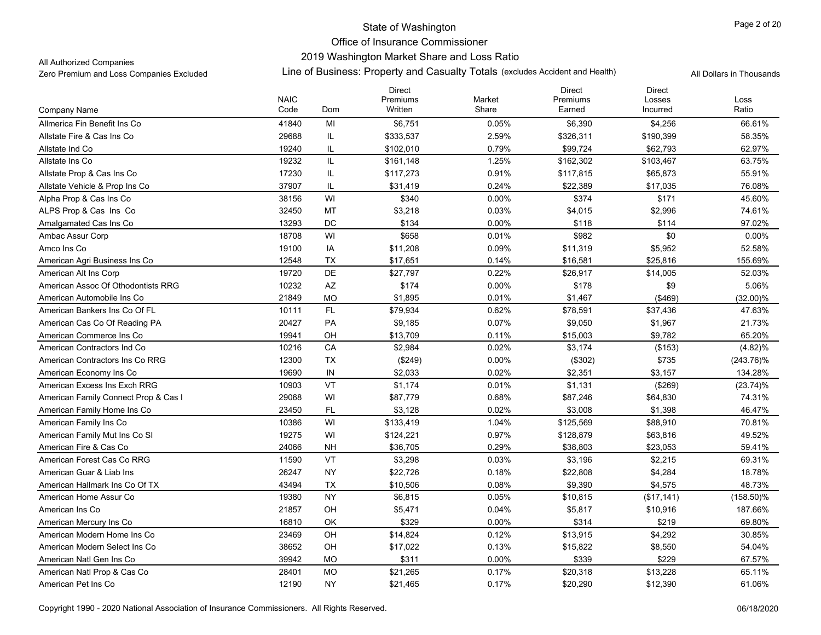# State of Washington Office of Insurance Commissioner 2019 Washington Market Share and Loss Ratio

#### All Authorized Companies

|                                      |                     |                        | <b>Direct</b>       |                 | <b>Direct</b>      | <b>Direct</b>      |               |
|--------------------------------------|---------------------|------------------------|---------------------|-----------------|--------------------|--------------------|---------------|
| Company Name                         | <b>NAIC</b><br>Code | Dom                    | Premiums<br>Written | Market<br>Share | Premiums<br>Earned | Losses<br>Incurred | Loss<br>Ratio |
| Allmerica Fin Benefit Ins Co         | 41840               | MI                     | \$6,751             | 0.05%           | \$6,390            | \$4,256            | 66.61%        |
| Allstate Fire & Cas Ins Co           | 29688               | IL                     | \$333,537           | 2.59%           | \$326,311          | \$190,399          | 58.35%        |
| Allstate Ind Co                      | 19240               | IL                     | \$102,010           | 0.79%           | \$99,724           | \$62,793           | 62.97%        |
| Allstate Ins Co                      | 19232               | IL                     | \$161,148           | 1.25%           | \$162,302          | \$103,467          | 63.75%        |
| Allstate Prop & Cas Ins Co           | 17230               | IL                     | \$117,273           | 0.91%           | \$117,815          | \$65,873           | 55.91%        |
| Allstate Vehicle & Prop Ins Co       | 37907               | IL                     | \$31,419            | 0.24%           | \$22,389           | \$17,035           | 76.08%        |
| Alpha Prop & Cas Ins Co              | 38156               | WI                     | \$340               | 0.00%           | \$374              | \$171              | 45.60%        |
| ALPS Prop & Cas Ins Co               | 32450               | MT                     | \$3,218             | 0.03%           | \$4,015            | \$2,996            | 74.61%        |
| Amalgamated Cas Ins Co               | 13293               | DC                     | \$134               | 0.00%           | \$118              | \$114              | 97.02%        |
| Ambac Assur Corp                     | 18708               | WI                     | \$658               | 0.01%           | \$982              | \$0                | 0.00%         |
|                                      |                     |                        |                     |                 |                    |                    | 52.58%        |
| Amco Ins Co                          | 19100               | IA                     | \$11,208            | 0.09%           | \$11,319           | \$5,952            |               |
| American Agri Business Ins Co        | 12548               | TX<br>DE               | \$17,651            | 0.14%           | \$16,581           | \$25,816           | 155.69%       |
| American Alt Ins Corp                | 19720               |                        | \$27,797            | 0.22%           | \$26,917           | \$14,005           | 52.03%        |
| American Assoc Of Othodontists RRG   | 10232               | $\mathsf{A}\mathsf{Z}$ | \$174               | 0.00%           | \$178              | \$9                | 5.06%         |
| American Automobile Ins Co           | 21849               | <b>MO</b>              | \$1,895             | 0.01%           | \$1,467            | (\$469)            | $(32.00)\%$   |
| American Bankers Ins Co Of FL        | 10111               | FL.                    | \$79,934            | 0.62%           | \$78,591           | \$37,436           | 47.63%        |
| American Cas Co Of Reading PA        | 20427               | PA                     | \$9,185             | 0.07%           | \$9,050            | \$1,967            | 21.73%        |
| American Commerce Ins Co             | 19941               | OH                     | \$13,709            | 0.11%           | \$15,003           | \$9,782            | 65.20%        |
| American Contractors Ind Co          | 10216               | CA                     | \$2,984             | 0.02%           | \$3,174            | (\$153)            | (4.82)%       |
| American Contractors Ins Co RRG      | 12300               | <b>TX</b>              | (\$249)             | 0.00%           | (\$302)            | \$735              | $(243.76)\%$  |
| American Economy Ins Co              | 19690               | IN                     | \$2,033             | 0.02%           | \$2,351            | \$3,157            | 134.28%       |
| American Excess Ins Exch RRG         | 10903               | VT                     | \$1,174             | 0.01%           | \$1,131            | (\$269)            | (23.74)%      |
| American Family Connect Prop & Cas I | 29068               | WI                     | \$87,779            | 0.68%           | \$87,246           | \$64,830           | 74.31%        |
| American Family Home Ins Co          | 23450               | FL                     | \$3,128             | 0.02%           | \$3,008            | \$1,398            | 46.47%        |
| American Family Ins Co               | 10386               | WI                     | \$133,419           | 1.04%           | \$125,569          | \$88,910           | 70.81%        |
| American Family Mut Ins Co SI        | 19275               | WI                     | \$124,221           | 0.97%           | \$128,879          | \$63,816           | 49.52%        |
| American Fire & Cas Co               | 24066               | <b>NH</b>              | \$36,705            | 0.29%           | \$38,803           | \$23,053           | 59.41%        |
| American Forest Cas Co RRG           | 11590               | VT                     | \$3,298             | 0.03%           | \$3,196            | \$2,215            | 69.31%        |
| American Guar & Liab Ins             | 26247               | <b>NY</b>              | \$22,726            | 0.18%           | \$22,808           | \$4,284            | 18.78%        |
| American Hallmark Ins Co Of TX       | 43494               | <b>TX</b>              | \$10,506            | 0.08%           | \$9,390            | \$4,575            | 48.73%        |
| American Home Assur Co               | 19380               | <b>NY</b>              | \$6,815             | 0.05%           | \$10,815           | (\$17,141)         | $(158.50)\%$  |
| American Ins Co                      | 21857               | OH                     | \$5,471             | 0.04%           | \$5,817            | \$10,916           | 187.66%       |
| American Mercury Ins Co              | 16810               | OK                     | \$329               | 0.00%           | \$314              | \$219              | 69.80%        |
| American Modern Home Ins Co          | 23469               | OH                     | \$14,824            | 0.12%           | \$13,915           | \$4,292            | 30.85%        |
| American Modern Select Ins Co.       | 38652               | OH                     | \$17,022            | 0.13%           | \$15,822           | \$8,550            | 54.04%        |
| American Natl Gen Ins Co             | 39942               | <b>MO</b>              | \$311               | $0.00\%$        | \$339              | \$229              | 67.57%        |
| American Natl Prop & Cas Co          | 28401               | <b>MO</b>              | \$21,265            | 0.17%           | \$20,318           | \$13,228           | 65.11%        |
| American Pet Ins Co                  | 12190               | <b>NY</b>              | \$21,465            | 0.17%           | \$20,290           | \$12,390           | 61.06%        |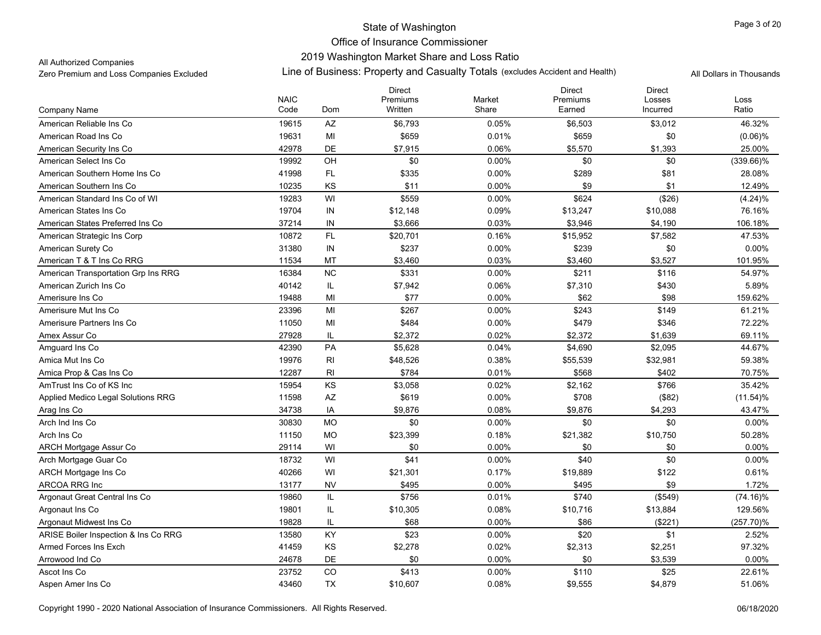# 2019 Washington Market Share and Loss Ratio

All Authorized Companies

|                                      | <b>NAIC</b> |           | <b>Direct</b><br>Premiums | Market   | <b>Direct</b><br>Premiums | <b>Direct</b><br>Losses | Loss         |
|--------------------------------------|-------------|-----------|---------------------------|----------|---------------------------|-------------------------|--------------|
| Company Name                         | Code        | Dom       | Written                   | Share    | Earned                    | Incurred                | Ratio        |
| American Reliable Ins Co             | 19615       | AZ        | \$6,793                   | 0.05%    | \$6,503                   | \$3,012                 | 46.32%       |
| American Road Ins Co                 | 19631       | MI        | \$659                     | 0.01%    | \$659                     | \$0                     | (0.06)%      |
| American Security Ins Co.            | 42978       | <b>DE</b> | \$7,915                   | 0.06%    | \$5,570                   | \$1,393                 | 25.00%       |
| American Select Ins Co               | 19992       | OH        | \$0                       | 0.00%    | \$0                       | \$0                     | $(339.66)\%$ |
| American Southern Home Ins Co        | 41998       | FL.       | \$335                     | 0.00%    | \$289                     | \$81                    | 28.08%       |
| American Southern Ins Co             | 10235       | KS        | \$11                      | $0.00\%$ | \$9                       | \$1                     | 12.49%       |
| American Standard Ins Co of WI       | 19283       | WI        | \$559                     | 0.00%    | \$624                     | (\$26)                  | (4.24)%      |
| American States Ins Co               | 19704       | $\sf IN$  | \$12,148                  | 0.09%    | \$13,247                  | \$10,088                | 76.16%       |
| American States Preferred Ins Co     | 37214       | IN        | \$3,666                   | 0.03%    | \$3,946                   | \$4,190                 | 106.18%      |
| American Strategic Ins Corp          | 10872       | <b>FL</b> | \$20,701                  | 0.16%    | \$15,952                  | \$7,582                 | 47.53%       |
| American Surety Co                   | 31380       | IN        | \$237                     | 0.00%    | \$239                     | \$0                     | 0.00%        |
| American T & T Ins Co RRG            | 11534       | MT        | \$3,460                   | 0.03%    | \$3,460                   | \$3,527                 | 101.95%      |
| American Transportation Grp Ins RRG  | 16384       | <b>NC</b> | \$331                     | 0.00%    | \$211                     | \$116                   | 54.97%       |
| American Zurich Ins Co.              | 40142       | IL        | \$7,942                   | 0.06%    | \$7,310                   | \$430                   | 5.89%        |
| Amerisure Ins Co                     | 19488       | MI        | \$77                      | 0.00%    | \$62                      | \$98                    | 159.62%      |
| Amerisure Mut Ins Co.                | 23396       | MI        | \$267                     | 0.00%    | \$243                     | \$149                   | 61.21%       |
| Amerisure Partners Ins Co            | 11050       | MI        | \$484                     | 0.00%    | \$479                     | \$346                   | 72.22%       |
| Amex Assur Co                        | 27928       | IL        | \$2,372                   | 0.02%    | \$2,372                   | \$1,639                 | 69.11%       |
| Amguard Ins Co                       | 42390       | PA        | \$5,628                   | 0.04%    | \$4,690                   | \$2,095                 | 44.67%       |
| Amica Mut Ins Co                     | 19976       | RI        | \$48,526                  | 0.38%    | \$55,539                  | \$32,981                | 59.38%       |
| Amica Prop & Cas Ins Co              | 12287       | RI        | \$784                     | 0.01%    | \$568                     | \$402                   | 70.75%       |
| AmTrust Ins Co of KS Inc             | 15954       | KS        | \$3,058                   | 0.02%    | \$2,162                   | \$766                   | 35.42%       |
| Applied Medico Legal Solutions RRG   | 11598       | AZ        | \$619                     | 0.00%    | \$708                     | (\$82)                  | $(11.54)\%$  |
| Arag Ins Co                          | 34738       | IA        | \$9,876                   | 0.08%    | \$9,876                   | \$4,293                 | 43.47%       |
| Arch Ind Ins Co                      | 30830       | <b>MO</b> | \$0                       | $0.00\%$ | \$0                       | \$0                     | 0.00%        |
| Arch Ins Co                          | 11150       | <b>MO</b> | \$23,399                  | 0.18%    | \$21,382                  | \$10,750                | 50.28%       |
| ARCH Mortgage Assur Co               | 29114       | WI        | \$0                       | 0.00%    | \$0                       | \$0                     | 0.00%        |
| Arch Mortgage Guar Co                | 18732       | WI        | \$41                      | 0.00%    | \$40                      | \$0                     | 0.00%        |
| <b>ARCH Mortgage Ins Co</b>          | 40266       | WI        | \$21,301                  | 0.17%    | \$19,889                  | \$122                   | 0.61%        |
| <b>ARCOA RRG Inc</b>                 | 13177       | <b>NV</b> | \$495                     | 0.00%    | \$495                     | \$9                     | 1.72%        |
| Argonaut Great Central Ins Co        | 19860       | IL        | \$756                     | 0.01%    | \$740                     | (\$549)                 | $(74.16)\%$  |
| Argonaut Ins Co                      | 19801       | IL        | \$10,305                  | 0.08%    | \$10,716                  | \$13,884                | 129.56%      |
| Argonaut Midwest Ins Co              | 19828       | IL        | \$68                      | 0.00%    | \$86                      | (\$221)                 | $(257.70)\%$ |
| ARISE Boiler Inspection & Ins Co RRG | 13580       | KY        | \$23                      | 0.00%    | \$20                      | \$1                     | 2.52%        |
| <b>Armed Forces Ins Exch</b>         | 41459       | KS        | \$2,278                   | 0.02%    | \$2,313                   | \$2,251                 | 97.32%       |
| Arrowood Ind Co                      | 24678       | DE        | \$0                       | 0.00%    | \$0                       | \$3,539                 | 0.00%        |
| Ascot Ins Co                         | 23752       | CO        | \$413                     | $0.00\%$ | \$110                     | \$25                    | 22.61%       |
| Aspen Amer Ins Co                    | 43460       | <b>TX</b> | \$10,607                  | 0.08%    | \$9,555                   | \$4,879                 | 51.06%       |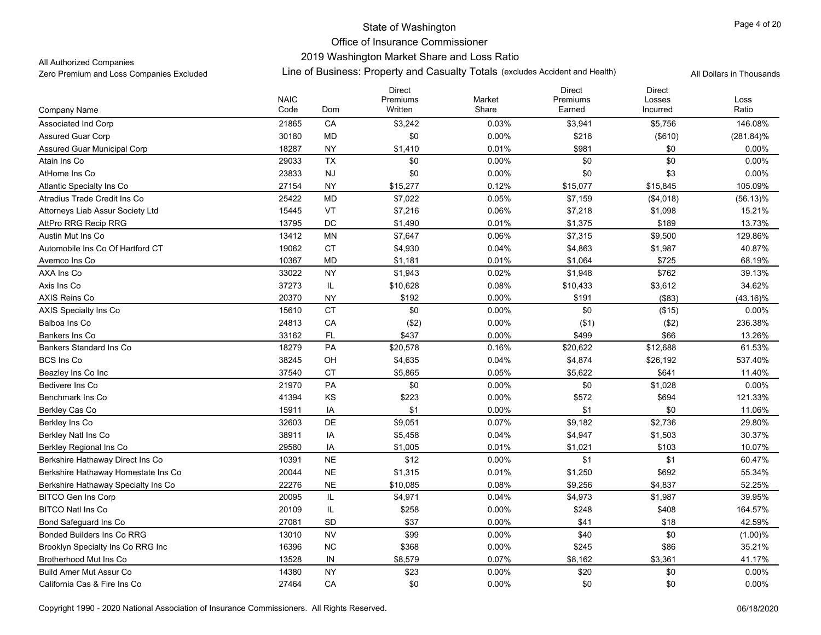# 2019 Washington Market Share and Loss Ratio

All Authorized Companies

|                                     |                     |               | <b>Direct</b>       |                 | <b>Direct</b>      | <b>Direct</b>      |               |
|-------------------------------------|---------------------|---------------|---------------------|-----------------|--------------------|--------------------|---------------|
| Company Name                        | <b>NAIC</b><br>Code | Dom           | Premiums<br>Written | Market<br>Share | Premiums<br>Earned | Losses<br>Incurred | Loss<br>Ratio |
| <b>Associated Ind Corp</b>          | 21865               | CA            | \$3,242             | 0.03%           | \$3,941            | \$5,756            | 146.08%       |
| <b>Assured Guar Corp</b>            | 30180               | <b>MD</b>     | \$0                 | 0.00%           | \$216              | (\$610)            | $(281.84)\%$  |
| Assured Guar Municipal Corp         | 18287               | <b>NY</b>     | \$1,410             | 0.01%           | \$981              | \$0                | $0.00\%$      |
| Atain Ins Co                        | 29033               | <b>TX</b>     | \$0                 | 0.00%           | \$0                | \$0                | 0.00%         |
| AtHome Ins Co                       | 23833               | <b>NJ</b>     | \$0                 | 0.00%           | \$0                | \$3                | 0.00%         |
| Atlantic Specialty Ins Co           | 27154               | <b>NY</b>     | \$15,277            | 0.12%           | \$15,077           | \$15,845           | 105.09%       |
| Atradius Trade Credit Ins Co        | 25422               | <b>MD</b>     | \$7,022             | 0.05%           | \$7,159            | (\$4,018)          | $(56.13)\%$   |
| Attorneys Liab Assur Society Ltd    | 15445               | VT            | \$7,216             | 0.06%           | \$7,218            | \$1,098            | 15.21%        |
| AttPro RRG Recip RRG                | 13795               | DC            | \$1,490             | 0.01%           | \$1,375            | \$189              | 13.73%        |
| Austin Mut Ins Co                   | 13412               | MN            | \$7,647             | 0.06%           | \$7,315            | \$9,500            | 129.86%       |
| Automobile Ins Co Of Hartford CT    | 19062               | СT            | \$4,930             | 0.04%           | \$4,863            | \$1,987            | 40.87%        |
| Avemco Ins Co                       | 10367               | <b>MD</b>     | \$1,181             | 0.01%           | \$1,064            | \$725              | 68.19%        |
| AXA Ins Co                          | 33022               | <b>NY</b>     | \$1,943             | 0.02%           | \$1,948            | \$762              | 39.13%        |
| Axis Ins Co                         | 37273               | IL            | \$10,628            | 0.08%           | \$10,433           | \$3,612            | 34.62%        |
| <b>AXIS Reins Co</b>                | 20370               | <b>NY</b>     | \$192               | 0.00%           | \$191              | (\$83)             | $(43.16)\%$   |
| <b>AXIS Specialty Ins Co</b>        | 15610               | <b>CT</b>     | \$0                 | $0.00\%$        | \$0                | (\$15)             | 0.00%         |
| Balboa Ins Co                       | 24813               | CA            | (\$2)               | $0.00\%$        | ( \$1)             | (\$2)              | 236.38%       |
| Bankers Ins Co                      | 33162               | FL            | \$437               | 0.00%           | \$499              | \$66               | 13.26%        |
| <b>Bankers Standard Ins Co</b>      | 18279               | PA            | \$20,578            | 0.16%           | \$20,622           | \$12,688           | 61.53%        |
| <b>BCS Ins Co</b>                   | 38245               | OH            | \$4,635             | 0.04%           | \$4,874            | \$26,192           | 537.40%       |
| Beazley Ins Co Inc                  | 37540               | <b>CT</b>     | \$5,865             | 0.05%           | \$5,622            | \$641              | 11.40%        |
| Bedivere Ins Co                     | 21970               | PA            | \$0                 | $0.00\%$        | \$0                | \$1,028            | $0.00\%$      |
| Benchmark Ins Co                    | 41394               | KS            | \$223               | $0.00\%$        | \$572              | \$694              | 121.33%       |
| Berkley Cas Co                      | 15911               | IA            | \$1                 | 0.00%           | \$1                | \$0                | 11.06%        |
| Berkley Ins Co                      | 32603               | DE            | \$9,051             | 0.07%           | \$9,182            | \$2,736            | 29.80%        |
| Berkley Natl Ins Co                 | 38911               | IA            | \$5,458             | 0.04%           | \$4,947            | \$1,503            | 30.37%        |
| Berkley Regional Ins Co             | 29580               | IA            | \$1,005             | 0.01%           | \$1,021            | \$103              | 10.07%        |
| Berkshire Hathaway Direct Ins Co    | 10391               | <b>NE</b>     | \$12                | $0.00\%$        | \$1                | \$1                | 60.47%        |
| Berkshire Hathaway Homestate Ins Co | 20044               | $N\mathsf{E}$ | \$1,315             | 0.01%           | \$1,250            | \$692              | 55.34%        |
| Berkshire Hathaway Specialty Ins Co | 22276               | <b>NE</b>     | \$10,085            | 0.08%           | \$9,256            | \$4,837            | 52.25%        |
| <b>BITCO Gen Ins Corp</b>           | 20095               | IL            | \$4,971             | 0.04%           | \$4,973            | \$1,987            | 39.95%        |
| <b>BITCO Natl Ins Co</b>            | 20109               | IL            | \$258               | 0.00%           | \$248              | \$408              | 164.57%       |
| Bond Safeguard Ins Co               | 27081               | <b>SD</b>     | \$37                | 0.00%           | \$41               | \$18               | 42.59%        |
| <b>Bonded Builders Ins Co RRG</b>   | 13010               | <b>NV</b>     | \$99                | $0.00\%$        | \$40               | \$0                | (1.00)%       |
| Brooklyn Specialty Ins Co RRG Inc   | 16396               | <b>NC</b>     | \$368               | 0.00%           | \$245              | \$86               | 35.21%        |
| Brotherhood Mut Ins Co              | 13528               | IN            | \$8,579             | 0.07%           | \$8,162            | \$3,361            | 41.17%        |
| <b>Build Amer Mut Assur Co</b>      | 14380               | <b>NY</b>     | \$23                | 0.00%           | \$20               | \$0                | 0.00%         |
| California Cas & Fire Ins Co        | 27464               | CA            | \$0                 | 0.00%           | \$0                | \$0                | 0.00%         |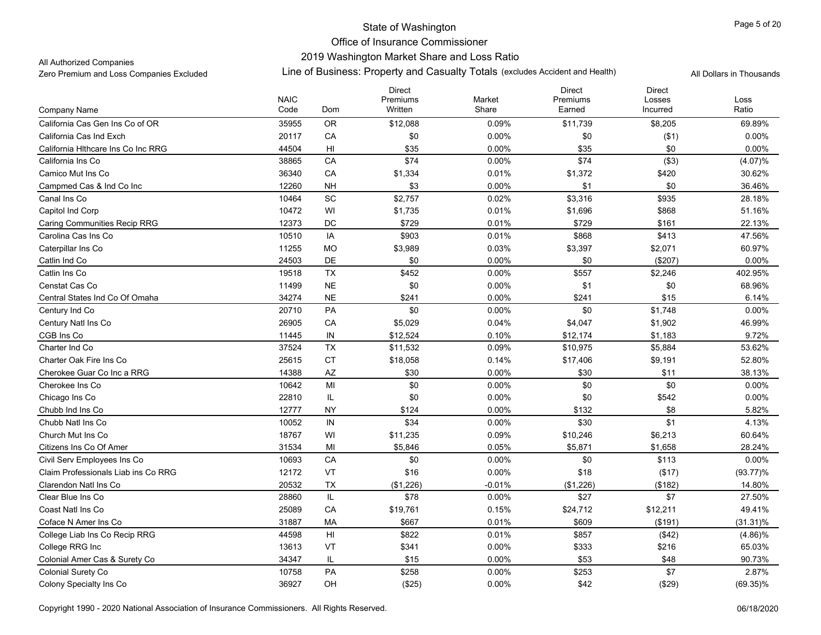### 2019 Washington Market Share and Loss Ratio

All Authorized Companies

|                                     | <b>NAIC</b> |               | <b>Direct</b><br>Premiums | Market   | <b>Direct</b><br>Premiums | <b>Direct</b><br>Losses | Loss        |
|-------------------------------------|-------------|---------------|---------------------------|----------|---------------------------|-------------------------|-------------|
| Company Name                        | Code        | Dom           | Written                   | Share    | Earned                    | Incurred                | Ratio       |
| California Cas Gen Ins Co of OR     | 35955       | <b>OR</b>     | \$12,088                  | 0.09%    | \$11,739                  | \$8,205                 | 69.89%      |
| California Cas Ind Exch             | 20117       | CA            | \$0                       | 0.00%    | \$0                       | ( \$1)                  | 0.00%       |
| California Hithcare Ins Co Inc RRG  | 44504       | HI            | \$35                      | $0.00\%$ | \$35                      | \$0                     | $0.00\%$    |
| California Ins Co                   | 38865       | CA            | \$74                      | $0.00\%$ | \$74                      | (\$3)                   | (4.07)%     |
| Camico Mut Ins Co                   | 36340       | CA            | \$1,334                   | 0.01%    | \$1,372                   | \$420                   | 30.62%      |
| Campmed Cas & Ind Co Inc            | 12260       | <b>NH</b>     | \$3                       | $0.00\%$ | \$1                       | \$0                     | 36.46%      |
| Canal Ins Co                        | 10464       | <b>SC</b>     | \$2,757                   | 0.02%    | \$3,316                   | \$935                   | 28.18%      |
| Capitol Ind Corp                    | 10472       | WI            | \$1,735                   | 0.01%    | \$1,696                   | \$868                   | 51.16%      |
| <b>Caring Communities Recip RRG</b> | 12373       | <b>DC</b>     | \$729                     | 0.01%    | \$729                     | \$161                   | 22.13%      |
| Carolina Cas Ins Co                 | 10510       | IA            | \$903                     | 0.01%    | \$868                     | \$413                   | 47.56%      |
| Caterpillar Ins Co                  | 11255       | <b>MO</b>     | \$3,989                   | 0.03%    | \$3,397                   | \$2,071                 | 60.97%      |
| Catlin Ind Co                       | 24503       | <b>DE</b>     | \$0                       | 0.00%    | \$0                       | (\$207)                 | 0.00%       |
| Catlin Ins Co                       | 19518       | TX            | \$452                     | $0.00\%$ | \$557                     | \$2,246                 | 402.95%     |
| Censtat Cas Co                      | 11499       | <b>NE</b>     | \$0                       | 0.00%    | \$1                       | \$0                     | 68.96%      |
| Central States Ind Co Of Omaha      | 34274       | <b>NE</b>     | \$241                     | 0.00%    | \$241                     | \$15                    | 6.14%       |
| Century Ind Co                      | 20710       | PA            | \$0                       | 0.00%    | \$0                       | \$1,748                 | 0.00%       |
| Century Natl Ins Co                 | 26905       | CA            | \$5,029                   | 0.04%    | \$4,047                   | \$1,902                 | 46.99%      |
| CGB Ins Co                          | 11445       | IN            | \$12,524                  | 0.10%    | \$12,174                  | \$1,183                 | 9.72%       |
| Charter Ind Co                      | 37524       | TX            | \$11,532                  | 0.09%    | \$10,975                  | \$5,884                 | 53.62%      |
| Charter Oak Fire Ins Co             | 25615       | <b>CT</b>     | \$18,058                  | 0.14%    | \$17,406                  | \$9,191                 | 52.80%      |
| Cherokee Guar Co Inc a RRG          | 14388       | AZ            | \$30                      | 0.00%    | \$30                      | \$11                    | 38.13%      |
| Cherokee Ins Co                     | 10642       | MI            | \$0                       | $0.00\%$ | \$0                       | \$0                     | $0.00\%$    |
| Chicago Ins Co                      | 22810       | IL            | \$0                       | $0.00\%$ | \$0                       | \$542                   | 0.00%       |
| Chubb Ind Ins Co                    | 12777       | <b>NY</b>     | \$124                     | $0.00\%$ | \$132                     | \$8                     | 5.82%       |
| Chubb Natl Ins Co                   | 10052       | $\mathsf{IN}$ | \$34                      | 0.00%    | \$30                      | \$1                     | 4.13%       |
| Church Mut Ins Co                   | 18767       | WI            | \$11,235                  | 0.09%    | \$10,246                  | \$6,213                 | 60.64%      |
| Citizens Ins Co Of Amer             | 31534       | MI            | \$5,846                   | 0.05%    | \$5,871                   | \$1,658                 | 28.24%      |
| Civil Serv Employees Ins Co         | 10693       | CA            | \$0                       | $0.00\%$ | \$0                       | \$113                   | 0.00%       |
| Claim Professionals Liab ins Co RRG | 12172       | VT            | \$16                      | 0.00%    | \$18                      | (\$17)                  | $(93.77)\%$ |
| Clarendon Natl Ins Co               | 20532       | <b>TX</b>     | (\$1,226)                 | $-0.01%$ | (\$1,226)                 | (\$182)                 | 14.80%      |
| Clear Blue Ins Co.                  | 28860       | IL            | \$78                      | 0.00%    | \$27                      | \$7                     | 27.50%      |
| Coast Natl Ins Co                   | 25089       | CA            | \$19,761                  | 0.15%    | \$24,712                  | \$12,211                | 49.41%      |
| Coface N Amer Ins Co                | 31887       | <b>MA</b>     | \$667                     | 0.01%    | \$609                     | (\$191)                 | $(31.31)\%$ |
| College Liab Ins Co Recip RRG       | 44598       | HI            | \$822                     | 0.01%    | \$857                     | (\$42)                  | $(4.86)\%$  |
| College RRG Inc                     | 13613       | VT            | \$341                     | $0.00\%$ | \$333                     | \$216                   | 65.03%      |
| Colonial Amer Cas & Surety Co       | 34347       | IL            | \$15                      | $0.00\%$ | \$53                      | \$48                    | 90.73%      |
| Colonial Surety Co                  | 10758       | <b>PA</b>     | \$258                     | 0.00%    | \$253                     | \$7                     | 2.87%       |
| Colony Specialty Ins Co             | 36927       | OH            | (\$25)                    | 0.00%    | \$42                      | (\$29)                  | $(69.35)\%$ |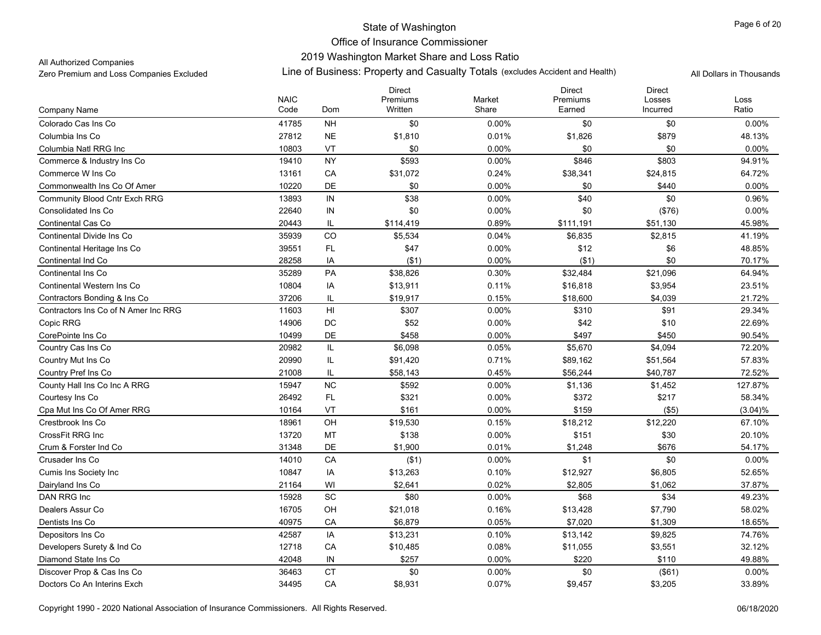### 2019 Washington Market Share and Loss Ratio

All Authorized Companies

|                                      |                     |                              | <b>Direct</b>       |                 | <b>Direct</b>      | <b>Direct</b>      |                  |
|--------------------------------------|---------------------|------------------------------|---------------------|-----------------|--------------------|--------------------|------------------|
| Company Name                         | <b>NAIC</b><br>Code | Dom                          | Premiums<br>Written | Market<br>Share | Premiums<br>Earned | Losses<br>Incurred | Loss<br>Ratio    |
| Colorado Cas Ins Co                  | 41785               | <b>NH</b>                    | \$0                 | $0.00\%$        | \$0                | \$0                | 0.00%            |
| Columbia Ins Co                      | 27812               | $N\mathsf{E}$                | \$1,810             | 0.01%           | \$1,826            | \$879              | 48.13%           |
| Columbia Natl RRG Inc                | 10803               | VT                           | \$0                 | 0.00%           | \$0                | \$0                | $0.00\%$         |
| Commerce & Industry Ins Co           | 19410               | <b>NY</b>                    | \$593               | 0.00%           | \$846              | \$803              | 94.91%           |
| Commerce W Ins Co                    | 13161               | CA                           | \$31,072            | 0.24%           | \$38,341           | \$24,815           | 64.72%           |
| Commonwealth Ins Co Of Amer          | 10220               | DE                           | \$0                 | 0.00%           | \$0                | \$440              | 0.00%            |
| <b>Community Blood Cntr Exch RRG</b> | 13893               | $\sf IN$                     | \$38                | 0.00%           | \$40               | \$0                | 0.96%            |
| Consolidated Ins Co                  | 22640               | ${\sf IN}$                   | \$0                 | 0.00%           | \$0                | (\$76)             | 0.00%            |
| Continental Cas Co                   | 20443               | IL                           | \$114,419           | 0.89%           | \$111,191          | \$51,130           | 45.98%           |
| Continental Divide Ins Co            | 35939               | $_{\rm CO}$                  | \$5,534             | 0.04%           | \$6,835            | \$2,815            | 41.19%           |
| Continental Heritage Ins Co          | 39551               | FL                           | \$47                | $0.00\%$        | \$12               | \$6                | 48.85%           |
|                                      | 28258               |                              | ( \$1)              | 0.00%           | ( \$1)             | \$0                |                  |
| Continental Ind Co                   | 35289               | IA<br>PA                     | \$38,826            | 0.30%           | \$32,484           | \$21,096           | 70.17%<br>64.94% |
| Continental Ins Co                   |                     |                              |                     |                 |                    |                    | 23.51%           |
| <b>Continental Western Ins Co</b>    | 10804               | IA                           | \$13,911            | 0.11%           | \$16,818           | \$3,954            |                  |
| Contractors Bonding & Ins Co         | 37206               | IL                           | \$19,917            | 0.15%           | \$18,600           | \$4,039            | 21.72%           |
| Contractors Ins Co of N Amer Inc RRG | 11603               | H <sub>II</sub>              | \$307               | 0.00%           | \$310              | \$91               | 29.34%           |
| Copic RRG                            | 14906               | DC                           | \$52                | $0.00\%$        | \$42               | \$10               | 22.69%           |
| CorePointe Ins Co                    | 10499               | DE                           | \$458               | 0.00%           | \$497              | \$450              | 90.54%           |
| Country Cas Ins Co                   | 20982               | IL                           | \$6,098             | 0.05%           | \$5,670            | \$4,094            | 72.20%           |
| <b>Country Mut Ins Co</b>            | 20990               | IL                           | \$91,420            | 0.71%           | \$89,162           | \$51,564           | 57.83%           |
| Country Pref Ins Co                  | 21008               | IL                           | \$58,143            | 0.45%           | \$56,244           | \$40,787           | 72.52%           |
| County Hall Ins Co Inc A RRG         | 15947               | NC                           | \$592               | $0.00\%$        | \$1,136            | \$1,452            | 127.87%          |
| Courtesy Ins Co                      | 26492               | FL.                          | \$321               | $0.00\%$        | \$372              | \$217              | 58.34%           |
| Cpa Mut Ins Co Of Amer RRG           | 10164               | VT                           | \$161               | 0.00%           | \$159              | (\$5)              | (3.04)%          |
| Crestbrook Ins Co                    | 18961               | OH                           | \$19,530            | 0.15%           | \$18,212           | \$12,220           | 67.10%           |
| CrossFit RRG Inc                     | 13720               | MT                           | \$138               | $0.00\%$        | \$151              | \$30               | 20.10%           |
| Crum & Forster Ind Co                | 31348               | DE                           | \$1,900             | 0.01%           | \$1,248            | \$676              | 54.17%           |
| Crusader Ins Co                      | 14010               | CA                           | ( \$1)              | $0.00\%$        | \$1                | \$0                | 0.00%            |
| Cumis Ins Society Inc                | 10847               | IA                           | \$13,263            | 0.10%           | \$12,927           | \$6,805            | 52.65%           |
| Dairyland Ins Co                     | 21164               | WI                           | \$2,641             | 0.02%           | \$2,805            | \$1,062            | 37.87%           |
| DAN RRG Inc                          | 15928               | $\operatorname{\textsf{SC}}$ | \$80                | $0.00\%$        | \$68               | \$34               | 49.23%           |
| Dealers Assur Co                     | 16705               | OH                           | \$21,018            | 0.16%           | \$13,428           | \$7,790            | 58.02%           |
| Dentists Ins Co                      | 40975               | CA                           | \$6,879             | 0.05%           | \$7,020            | \$1,309            | 18.65%           |
| Depositors Ins Co                    | 42587               | IA                           | \$13,231            | 0.10%           | \$13,142           | \$9,825            | 74.76%           |
| Developers Surety & Ind Co           | 12718               | CA                           | \$10,485            | 0.08%           | \$11,055           | \$3,551            | 32.12%           |
| Diamond State Ins Co                 | 42048               | IN                           | \$257               | 0.00%           | \$220              | \$110              | 49.88%           |
| Discover Prop & Cas Ins Co           | 36463               | <b>CT</b>                    | \$0                 | 0.00%           | \$0                | (\$61)             | 0.00%            |
| Doctors Co An Interins Exch          | 34495               | CA                           | \$8,931             | 0.07%           | \$9,457            | \$3,205            | 33.89%           |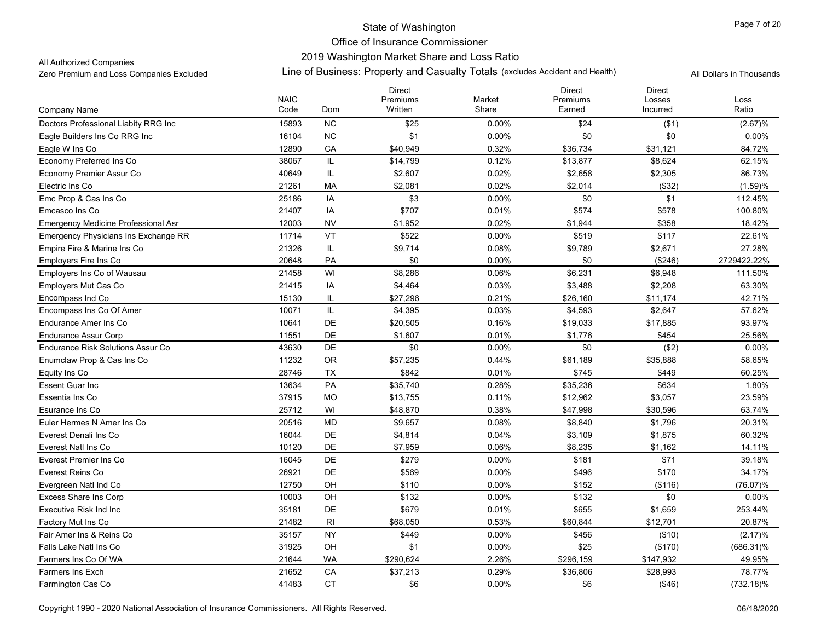### 2019 Washington Market Share and Loss Ratio

All Authorized Companies

|                                            | <b>NAIC</b> |                | <b>Direct</b><br>Premiums | Market   | <b>Direct</b><br>Premiums | <b>Direct</b><br>Losses | Loss         |
|--------------------------------------------|-------------|----------------|---------------------------|----------|---------------------------|-------------------------|--------------|
| Company Name                               | Code        | Dom            | Written                   | Share    | Earned                    | Incurred                | Ratio        |
| Doctors Professional Liabity RRG Inc       | 15893       | <b>NC</b>      | \$25                      | $0.00\%$ | \$24                      | ( \$1)                  | (2.67)%      |
| Eagle Builders Ins Co RRG Inc              | 16104       | NC             | \$1                       | 0.00%    | \$0                       | \$0                     | 0.00%        |
| Eagle W Ins Co                             | 12890       | CA             | \$40,949                  | 0.32%    | \$36,734                  | \$31,121                | 84.72%       |
| Economy Preferred Ins Co                   | 38067       | IL             | \$14,799                  | 0.12%    | \$13,877                  | \$8,624                 | 62.15%       |
| Economy Premier Assur Co                   | 40649       | IL             | \$2,607                   | 0.02%    | \$2,658                   | \$2,305                 | 86.73%       |
| Electric Ins Co                            | 21261       | МA             | \$2,081                   | 0.02%    | \$2,014                   | (\$32)                  | (1.59)%      |
| Emc Prop & Cas Ins Co                      | 25186       | IA             | \$3                       | $0.00\%$ | \$0                       | \$1                     | 112.45%      |
| Emcasco Ins Co                             | 21407       | IA             | \$707                     | 0.01%    | \$574                     | \$578                   | 100.80%      |
| <b>Emergency Medicine Professional Asr</b> | 12003       | <b>NV</b>      | \$1,952                   | 0.02%    | \$1,944                   | \$358                   | 18.42%       |
| Emergency Physicians Ins Exchange RR       | 11714       | VT             | \$522                     | $0.00\%$ | \$519                     | \$117                   | 22.61%       |
| Empire Fire & Marine Ins Co                | 21326       | IL             | \$9,714                   | 0.08%    | \$9,789                   | \$2,671                 | 27.28%       |
| Employers Fire Ins Co                      | 20648       | <b>PA</b>      | \$0                       | 0.00%    | \$0                       | (\$246)                 | 2729422.22%  |
| Employers Ins Co of Wausau                 | 21458       | WI             | \$8,286                   | 0.06%    | \$6,231                   | \$6,948                 | 111.50%      |
| Employers Mut Cas Co                       | 21415       | IA             | \$4,464                   | 0.03%    | \$3,488                   | \$2,208                 | 63.30%       |
| Encompass Ind Co                           | 15130       | IL             | \$27,296                  | 0.21%    | \$26,160                  | \$11,174                | 42.71%       |
| Encompass Ins Co Of Amer                   | 10071       | IL.            | \$4,395                   | 0.03%    | \$4,593                   | \$2,647                 | 57.62%       |
| <b>Endurance Amer Ins Co</b>               | 10641       | DE             | \$20,505                  | 0.16%    | \$19,033                  | \$17,885                | 93.97%       |
| <b>Endurance Assur Corp</b>                | 11551       | <b>DE</b>      | \$1,607                   | 0.01%    | \$1,776                   | \$454                   | 25.56%       |
| Endurance Risk Solutions Assur Co          | 43630       | DE             | \$0                       | $0.00\%$ | \$0                       | (\$2)                   | 0.00%        |
| Enumclaw Prop & Cas Ins Co                 | 11232       | OR             | \$57,235                  | 0.44%    | \$61,189                  | \$35,888                | 58.65%       |
| Equity Ins Co                              | 28746       | TX             | \$842                     | 0.01%    | \$745                     | \$449                   | 60.25%       |
| <b>Essent Guar Inc</b>                     | 13634       | PA             | \$35,740                  | 0.28%    | \$35,236                  | \$634                   | 1.80%        |
| Essentia Ins Co                            | 37915       | <b>MO</b>      | \$13,755                  | 0.11%    | \$12,962                  | \$3,057                 | 23.59%       |
| Esurance Ins Co                            | 25712       | WI             | \$48,870                  | 0.38%    | \$47,998                  | \$30,596                | 63.74%       |
| Euler Hermes N Amer Ins Co                 | 20516       | <b>MD</b>      | \$9,657                   | 0.08%    | \$8,840                   | \$1,796                 | 20.31%       |
| Everest Denali Ins Co                      | 16044       | DE             | \$4,814                   | 0.04%    | \$3,109                   | \$1,875                 | 60.32%       |
| Everest Natl Ins Co                        | 10120       | DE             | \$7,959                   | 0.06%    | \$8,235                   | \$1,162                 | 14.11%       |
| Everest Premier Ins Co                     | 16045       | DE             | \$279                     | $0.00\%$ | \$181                     | \$71                    | 39.18%       |
| Everest Reins Co                           | 26921       | <b>DE</b>      | \$569                     | $0.00\%$ | \$496                     | \$170                   | 34.17%       |
| Evergreen Natl Ind Co                      | 12750       | OH             | \$110                     | 0.00%    | \$152                     | (\$116)                 | (76.07)%     |
| <b>Excess Share Ins Corp</b>               | 10003       | OH             | \$132                     | 0.00%    | \$132                     | \$0                     | $0.00\%$     |
| Executive Risk Ind Inc.                    | 35181       | DE             | \$679                     | 0.01%    | \$655                     | \$1,659                 | 253.44%      |
| Factory Mut Ins Co                         | 21482       | R <sub>l</sub> | \$68,050                  | 0.53%    | \$60,844                  | \$12,701                | 20.87%       |
| Fair Amer Ins & Reins Co                   | 35157       | <b>NY</b>      | \$449                     | $0.00\%$ | \$456                     | (\$10)                  | (2.17)%      |
| Falls Lake Natl Ins Co                     | 31925       | OH             | \$1                       | $0.00\%$ | \$25                      | (\$170)                 | $(686.31)\%$ |
| Farmers Ins Co Of WA                       | 21644       | <b>WA</b>      | \$290,624                 | 2.26%    | \$296,159                 | \$147,932               | 49.95%       |
| <b>Farmers Ins Exch</b>                    | 21652       | CA             | \$37,213                  | 0.29%    | \$36,806                  | \$28,993                | 78.77%       |
| Farmington Cas Co                          | 41483       | <b>CT</b>      | \$6                       | $0.00\%$ | \$6                       | ( \$46)                 | $(732.18)\%$ |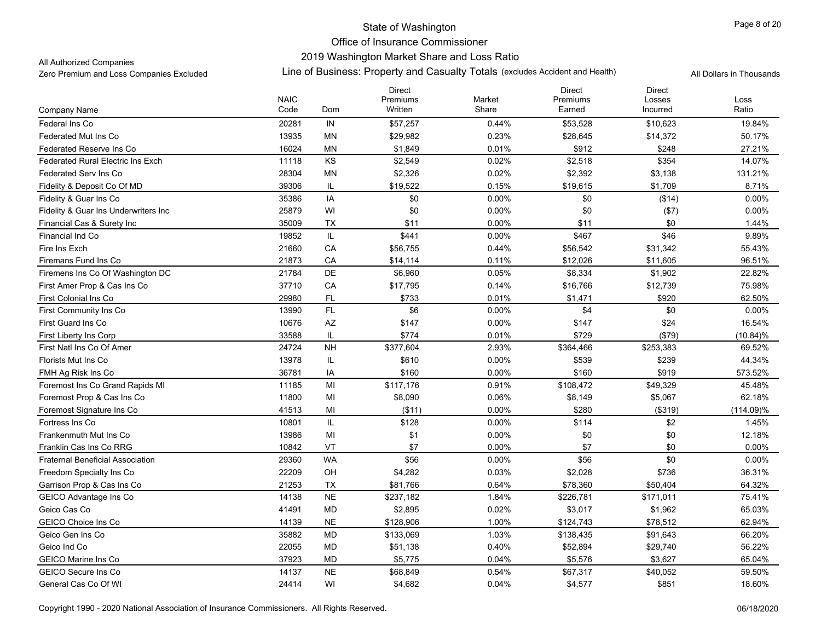# State of Washington Office of Insurance Commissioner 2019 Washington Market Share and Loss Ratio

#### All Authorized Companies

|                                          |                     |           | <b>Direct</b>       |                 | <b>Direct</b><br>Premiums | <b>Direct</b>      |               |
|------------------------------------------|---------------------|-----------|---------------------|-----------------|---------------------------|--------------------|---------------|
| Company Name                             | <b>NAIC</b><br>Code | Dom       | Premiums<br>Written | Market<br>Share | Earned                    | Losses<br>Incurred | Loss<br>Ratio |
| Federal Ins Co                           | 20281               | IN        | \$57,257            | 0.44%           | \$53,528                  | \$10,623           | 19.84%        |
| <b>Federated Mut Ins Co</b>              | 13935               | MN        | \$29,982            | 0.23%           | \$28,645                  | \$14,372           | 50.17%        |
| <b>Federated Reserve Ins Co</b>          | 16024               | ΜN        | \$1,849             | 0.01%           | \$912                     | \$248              | 27.21%        |
| <b>Federated Rural Electric Ins Exch</b> | 11118               | KS        | \$2,549             | 0.02%           | \$2,518                   | \$354              | 14.07%        |
| Federated Serv Ins Co                    | 28304               | MN        | \$2,326             | 0.02%           | \$2,392                   | \$3,138            | 131.21%       |
| Fidelity & Deposit Co Of MD              | 39306               | IL        | \$19,522            | 0.15%           | \$19,615                  | \$1,709            | 8.71%         |
| Fidelity & Guar Ins Co                   | 35386               | IA        | \$0                 | 0.00%           | \$0                       | (\$14)             | 0.00%         |
| Fidelity & Guar Ins Underwriters Inc     | 25879               | WI        | \$0                 | 0.00%           | \$0                       | ( \$7)             | 0.00%         |
| Financial Cas & Surety Inc               | 35009               | TX        | \$11                | 0.00%           | \$11                      | \$0                | 1.44%         |
| Financial Ind Co                         | 19852               | IL        | \$441               | 0.00%           | \$467                     | \$46               | 9.89%         |
| Fire Ins Exch                            | 21660               | CA        | \$56,755            | 0.44%           | \$56,542                  | \$31,342           | 55.43%        |
| Firemans Fund Ins Co                     | 21873               | CA        | \$14,114            | 0.11%           | \$12,026                  | \$11,605           | 96.51%        |
| Firemens Ins Co Of Washington DC         | 21784               | DE        | \$6,960             | 0.05%           | \$8,334                   | \$1,902            | 22.82%        |
| First Amer Prop & Cas Ins Co             | 37710               | CA        | \$17,795            | 0.14%           | \$16,766                  | \$12,739           | 75.98%        |
| <b>First Colonial Ins Co</b>             | 29980               | FL.       | \$733               | 0.01%           | \$1,471                   | \$920              | 62.50%        |
| First Community Ins Co                   | 13990               | FL        | \$6                 | 0.00%           | \$4                       | \$0                | 0.00%         |
| <b>First Guard Ins Co</b>                | 10676               | AZ        | \$147               | 0.00%           | \$147                     | \$24               | 16.54%        |
| First Liberty Ins Corp                   | 33588               | IL        | \$774               | 0.01%           | \$729                     | (\$79)             | (10.84)%      |
| First Natl Ins Co Of Amer                | 24724               | <b>NH</b> | \$377,604           | 2.93%           | \$364,466                 | \$253,383          | 69.52%        |
| Florists Mut Ins Co                      | 13978               | IL        | \$610               | 0.00%           | \$539                     | \$239              | 44.34%        |
| FMH Ag Risk Ins Co                       | 36781               | IA        | \$160               | 0.00%           | \$160                     | \$919              | 573.52%       |
| Foremost Ins Co Grand Rapids MI          | 11185               | MI        | \$117,176           | 0.91%           | \$108,472                 | \$49,329           | 45.48%        |
| Foremost Prop & Cas Ins Co               | 11800               | MI        | \$8,090             | 0.06%           | \$8,149                   | \$5,067            | 62.18%        |
| Foremost Signature Ins Co                | 41513               | MI        | ( \$11)             | 0.00%           | \$280                     | (\$319)            | $(114.09)\%$  |
| Fortress Ins Co                          | 10801               | IL        | \$128               | 0.00%           | \$114                     | \$2                | 1.45%         |
| Frankenmuth Mut Ins Co                   | 13986               | MI        | \$1                 | 0.00%           | \$0                       | \$0                | 12.18%        |
| Franklin Cas Ins Co RRG                  | 10842               | VT        | \$7                 | 0.00%           | \$7                       | \$0                | 0.00%         |
| <b>Fraternal Beneficial Association</b>  | 29360               | <b>WA</b> | \$56                | $0.00\%$        | \$56                      | \$0                | 0.00%         |
| Freedom Specialty Ins Co                 | 22209               | OH        | \$4,282             | 0.03%           | \$2,028                   | \$736              | 36.31%        |
| Garrison Prop & Cas Ins Co               | 21253               | TX        | \$81,766            | 0.64%           | \$78,360                  | \$50,404           | 64.32%        |
| <b>GEICO Advantage Ins Co</b>            | 14138               | <b>NE</b> | \$237,182           | 1.84%           | \$226,781                 | \$171,011          | 75.41%        |
| Geico Cas Co                             | 41491               | MD        | \$2,895             | 0.02%           | \$3,017                   | \$1,962            | 65.03%        |
| GEICO Choice Ins Co                      | 14139               | <b>NE</b> | \$128,906           | 1.00%           | \$124,743                 | \$78,512           | 62.94%        |
| Geico Gen Ins Co                         | 35882               | MD        | \$133,069           | 1.03%           | \$138,435                 | \$91,643           | 66.20%        |
| Geico Ind Co                             | 22055               | <b>MD</b> | \$51,138            | 0.40%           | \$52,894                  | \$29,740           | 56.22%        |
| <b>GEICO Marine Ins Co</b>               | 37923               | MD        | \$5,775             | 0.04%           | \$5,576                   | \$3,627            | 65.04%        |
| <b>GEICO Secure Ins Co</b>               | 14137               | <b>NE</b> | \$68,849            | 0.54%           | \$67,317                  | \$40,052           | 59.50%        |
| General Cas Co Of WI                     | 24414               | WI        | \$4,682             | 0.04%           | \$4,577                   | \$851              | 18.60%        |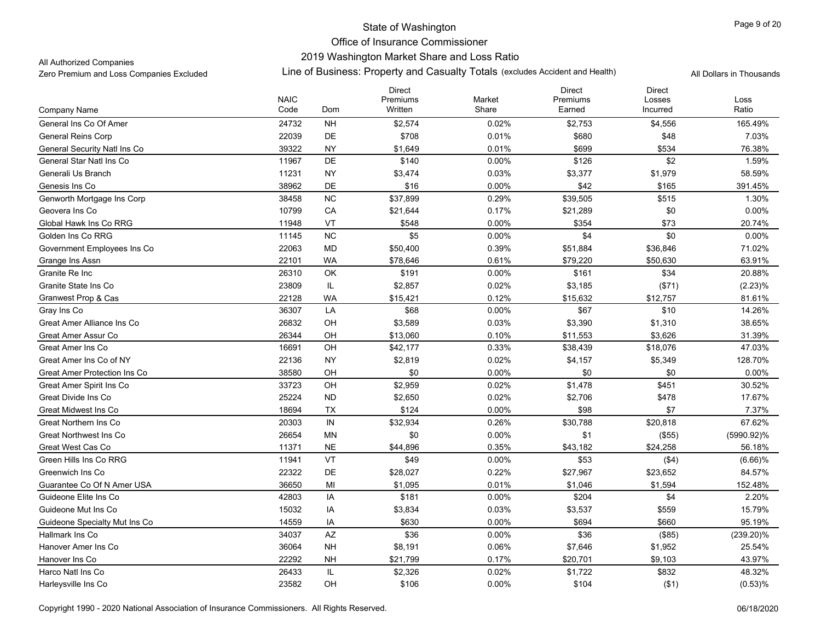# 2019 Washington Market Share and Loss Ratio

All Authorized Companies

|                                     |                     |            | <b>Direct</b>       |                 | <b>Direct</b>      | <b>Direct</b>      |               |
|-------------------------------------|---------------------|------------|---------------------|-----------------|--------------------|--------------------|---------------|
|                                     | <b>NAIC</b><br>Code | Dom        | Premiums<br>Written | Market<br>Share | Premiums<br>Earned | Losses<br>Incurred | Loss<br>Ratio |
| Company Name                        |                     |            |                     |                 |                    |                    |               |
| General Ins Co Of Amer              | 24732               | <b>NH</b>  | \$2,574             | 0.02%           | \$2,753            | \$4,556            | 165.49%       |
| <b>General Reins Corp</b>           | 22039               | DE         | \$708               | 0.01%           | \$680              | \$48               | 7.03%         |
| <b>General Security Natl Ins Co</b> | 39322               | <b>NY</b>  | \$1,649             | 0.01%           | \$699              | \$534              | 76.38%        |
| General Star Natl Ins Co            | 11967               | DE         | \$140               | 0.00%           | \$126              | \$2                | 1.59%         |
| Generali Us Branch                  | 11231               | <b>NY</b>  | \$3,474             | 0.03%           | \$3,377            | \$1,979            | 58.59%        |
| Genesis Ins Co                      | 38962               | DE         | \$16                | 0.00%           | \$42               | \$165              | 391.45%       |
| Genworth Mortgage Ins Corp          | 38458               | <b>NC</b>  | \$37,899            | 0.29%           | \$39,505           | \$515              | 1.30%         |
| Geovera Ins Co                      | 10799               | CA         | \$21,644            | 0.17%           | \$21,289           | \$0                | 0.00%         |
| Global Hawk Ins Co RRG              | 11948               | VT         | \$548               | 0.00%           | \$354              | \$73               | 20.74%        |
| Golden Ins Co RRG                   | 11145               | NC         | \$5                 | 0.00%           | \$4                | \$0                | 0.00%         |
| Government Employees Ins Co         | 22063               | MD         | \$50,400            | 0.39%           | \$51,884           | \$36,846           | 71.02%        |
| Grange Ins Assn                     | 22101               | <b>WA</b>  | \$78,646            | 0.61%           | \$79,220           | \$50,630           | 63.91%        |
| Granite Re Inc                      | 26310               | OK         | \$191               | 0.00%           | \$161              | \$34               | 20.88%        |
| Granite State Ins Co                | 23809               | IL         | \$2,857             | 0.02%           | \$3,185            | (\$71)             | (2.23)%       |
| Granwest Prop & Cas                 | 22128               | <b>WA</b>  | \$15,421            | 0.12%           | \$15,632           | \$12,757           | 81.61%        |
| Gray Ins Co                         | 36307               | LA         | \$68                | 0.00%           | \$67               | \$10               | 14.26%        |
| Great Amer Alliance Ins Co          | 26832               | OH         | \$3,589             | 0.03%           | \$3,390            | \$1,310            | 38.65%        |
| Great Amer Assur Co                 | 26344               | OH         | \$13,060            | 0.10%           | \$11,553           | \$3,626            | 31.39%        |
| Great Amer Ins Co                   | 16691               | OH         | \$42,177            | 0.33%           | \$38,439           | \$18,076           | 47.03%        |
| Great Amer Ins Co of NY             | 22136               | <b>NY</b>  | \$2,819             | 0.02%           | \$4,157            | \$5,349            | 128.70%       |
| Great Amer Protection Ins Co        | 38580               | OH         | \$0                 | 0.00%           | \$0                | \$0                | 0.00%         |
| Great Amer Spirit Ins Co            | 33723               | OH         | \$2,959             | 0.02%           | \$1,478            | \$451              | 30.52%        |
| Great Divide Ins Co                 | 25224               | <b>ND</b>  | \$2,650             | 0.02%           | \$2,706            | \$478              | 17.67%        |
| Great Midwest Ins Co                | 18694               | <b>TX</b>  | \$124               | 0.00%           | \$98               | \$7                | 7.37%         |
| Great Northern Ins Co               | 20303               | ${\sf IN}$ | \$32,934            | 0.26%           | \$30,788           | \$20,818           | 67.62%        |
| <b>Great Northwest Ins Co</b>       | 26654               | MN         | \$0                 | 0.00%           | \$1                | (\$55)             | (5990.92)%    |
| Great West Cas Co                   | 11371               | <b>NE</b>  | \$44,896            | 0.35%           | \$43,182           | \$24,258           | 56.18%        |
| Green Hills Ins Co RRG              | 11941               | VT         | \$49                | $0.00\%$        | \$53               | ( \$4)             | $(6.66)$ %    |
| Greenwich Ins Co.                   | 22322               | DE         | \$28,027            | 0.22%           | \$27,967           | \$23,652           | 84.57%        |
| Guarantee Co Of N Amer USA          | 36650               | MI         | \$1,095             | 0.01%           | \$1,046            | \$1,594            | 152.48%       |
| Guideone Elite Ins Co               | 42803               | IA         | \$181               | $0.00\%$        | \$204              | \$4                | 2.20%         |
| Guideone Mut Ins Co                 | 15032               | IA         | \$3,834             | 0.03%           | \$3,537            | \$559              | 15.79%        |
| Guideone Specialty Mut Ins Co       | 14559               | IA         | \$630               | 0.00%           | \$694              | \$660              | 95.19%        |
| Hallmark Ins Co                     | 34037               | AZ         | \$36                | $0.00\%$        | \$36               | (\$85)             | $(239.20)\%$  |
| Hanover Amer Ins Co                 | 36064               | <b>NH</b>  | \$8,191             | 0.06%           | \$7,646            | \$1,952            | 25.54%        |
| Hanover Ins Co                      | 22292               | <b>NH</b>  | \$21,799            | 0.17%           | \$20,701           | \$9,103            | 43.97%        |
| Harco Natl Ins Co                   | 26433               | IL         | \$2,326             | 0.02%           | \$1,722            | \$832              | 48.32%        |
| Harleysville Ins Co                 | 23582               | OH         | \$106               | 0.00%           | \$104              | ( \$1)             | (0.53)%       |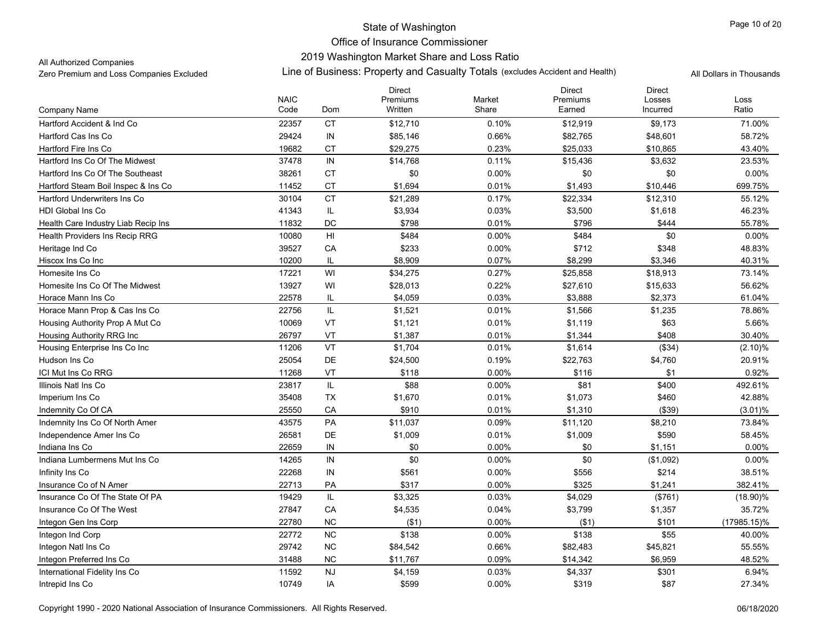# 2019 Washington Market Share and Loss Ratio

All Authorized Companies

|                                     |                     |                | <b>Direct</b>       |                 | <b>Direct</b>      | <b>Direct</b>      |               |
|-------------------------------------|---------------------|----------------|---------------------|-----------------|--------------------|--------------------|---------------|
| Company Name                        | <b>NAIC</b><br>Code | Dom            | Premiums<br>Written | Market<br>Share | Premiums<br>Earned | Losses<br>Incurred | Loss<br>Ratio |
| Hartford Accident & Ind Co.         | 22357               | <b>CT</b>      | \$12,710            | 0.10%           | \$12,919           | \$9,173            | 71.00%        |
| Hartford Cas Ins Co                 | 29424               | $\sf IN$       | \$85,146            | 0.66%           | \$82,765           | \$48,601           | 58.72%        |
| Hartford Fire Ins Co                | 19682               | <b>CT</b>      | \$29,275            | 0.23%           | \$25,033           | \$10,865           | 43.40%        |
| Hartford Ins Co Of The Midwest      | 37478               | IN             | \$14,768            | 0.11%           | \$15,436           | \$3,632            | 23.53%        |
| Hartford Ins Co Of The Southeast    | 38261               | <b>CT</b>      | \$0                 | 0.00%           | \$0                | \$0                | 0.00%         |
| Hartford Steam Boil Inspec & Ins Co | 11452               | <b>CT</b>      | \$1,694             | 0.01%           | \$1,493            | \$10,446           | 699.75%       |
| <b>Hartford Underwriters Ins Co</b> | 30104               | <b>CT</b>      | \$21,289            | 0.17%           | \$22,334           | \$12,310           | 55.12%        |
| <b>HDI Global Ins Co</b>            | 41343               | IL             | \$3,934             | 0.03%           | \$3,500            | \$1,618            | 46.23%        |
| Health Care Industry Liab Recip Ins | 11832               | DC             | \$798               | 0.01%           | \$796              | \$444              | 55.78%        |
| Health Providers Ins Recip RRG      | 10080               | H <sub>l</sub> | \$484               | $0.00\%$        | \$484              | \$0                | 0.00%         |
| Heritage Ind Co                     | 39527               | CA             | \$233               | $0.00\%$        | \$712              | \$348              | 48.83%        |
| Hiscox Ins Co Inc                   | 10200               | IL             | \$8,909             | 0.07%           | \$8,299            | \$3,346            | 40.31%        |
| Homesite Ins Co                     | 17221               | WI             | \$34,275            | 0.27%           | \$25,858           | \$18,913           | 73.14%        |
| Homesite Ins Co Of The Midwest      | 13927               | WI             | \$28,013            | 0.22%           | \$27,610           | \$15,633           | 56.62%        |
| Horace Mann Ins Co                  | 22578               | IL             | \$4,059             | 0.03%           | \$3,888            | \$2,373            | 61.04%        |
| Horace Mann Prop & Cas Ins Co       | 22756               | IL.            | \$1,521             | 0.01%           | \$1,566            | \$1,235            | 78.86%        |
| Housing Authority Prop A Mut Co     | 10069               | VT             | \$1,121             | 0.01%           | \$1,119            | \$63               | 5.66%         |
| Housing Authority RRG Inc           | 26797               | VT             | \$1,387             | 0.01%           | \$1,344            | \$408              | 30.40%        |
| Housing Enterprise Ins Co Inc       | 11206               | VT             | \$1,704             | 0.01%           | \$1,614            | (\$34)             | (2.10)%       |
| Hudson Ins Co                       | 25054               | DE             | \$24,500            | 0.19%           | \$22,763           | \$4,760            | 20.91%        |
| ICI Mut Ins Co RRG                  | 11268               | VT             | \$118               | 0.00%           | \$116              | \$1                | 0.92%         |
| Illinois Natl Ins Co                | 23817               | IL             | \$88                | $0.00\%$        | \$81               | \$400              | 492.61%       |
| Imperium Ins Co                     | 35408               | <b>TX</b>      | \$1,670             | 0.01%           | \$1,073            | \$460              | 42.88%        |
| Indemnity Co Of CA                  | 25550               | CA             | \$910               | 0.01%           | \$1,310            | (\$39)             | $(3.01)\%$    |
| Indemnity Ins Co Of North Amer      | 43575               | PA             | \$11,037            | 0.09%           | \$11,120           | \$8,210            | 73.84%        |
| Independence Amer Ins Co            | 26581               | DE             | \$1,009             | 0.01%           | \$1,009            | \$590              | 58.45%        |
| Indiana Ins Co                      | 22659               | IN             | \$0                 | 0.00%           | \$0                | \$1,151            | 0.00%         |
| Indiana Lumbermens Mut Ins Co       | 14265               | IN             | \$0                 | $0.00\%$        | \$0                | (\$1,092)          | 0.00%         |
| Infinity Ins Co                     | 22268               | IN             | \$561               | $0.00\%$        | \$556              | \$214              | 38.51%        |
| Insurance Co of N Amer              | 22713               | PA             | \$317               | 0.00%           | \$325              | \$1,241            | 382.41%       |
| Insurance Co Of The State Of PA     | 19429               | IL             | \$3,325             | 0.03%           | \$4,029            | (\$761)            | $(18.90)\%$   |
| Insurance Co Of The West            | 27847               | CA             | \$4,535             | 0.04%           | \$3,799            | \$1,357            | 35.72%        |
| Integon Gen Ins Corp                | 22780               | <b>NC</b>      | (\$1)               | 0.00%           | ( \$1)             | \$101              | (17985.15)%   |
| Integon Ind Corp                    | 22772               | <b>NC</b>      | \$138               | $0.00\%$        | \$138              | \$55               | 40.00%        |
| Integon Natl Ins Co                 | 29742               | <b>NC</b>      | \$84,542            | 0.66%           | \$82,483           | \$45,821           | 55.55%        |
| Integon Preferred Ins Co            | 31488               | <b>NC</b>      | \$11,767            | 0.09%           | \$14,342           | \$6,959            | 48.52%        |
| International Fidelity Ins Co       | 11592               | <b>NJ</b>      | \$4,159             | 0.03%           | \$4,337            | \$301              | 6.94%         |
| Intrepid Ins Co                     | 10749               | IA             | \$599               | $0.00\%$        | \$319              | \$87               | 27.34%        |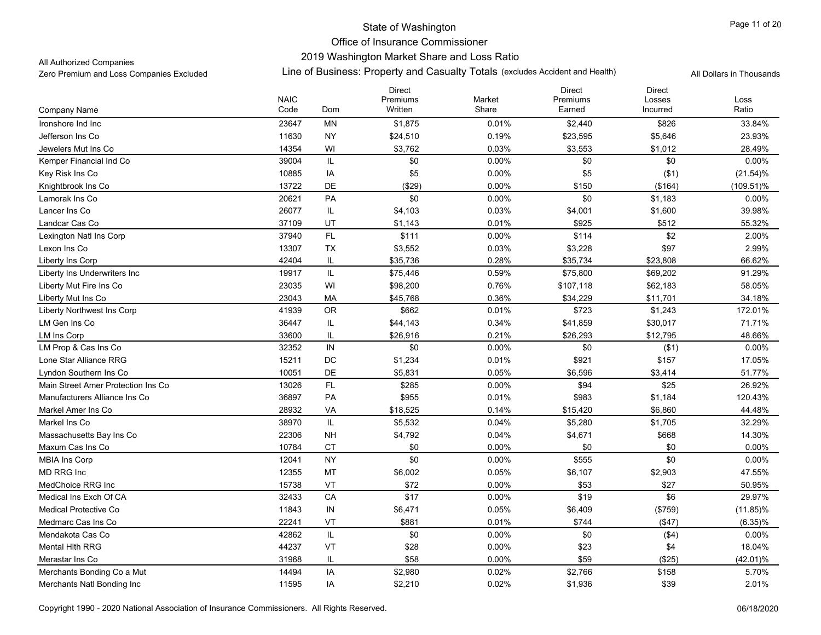### 2019 Washington Market Share and Loss Ratio

All Authorized Companies

|                                    |                     |             | <b>Direct</b>       |                 | <b>Direct</b>      | <b>Direct</b>      |               |
|------------------------------------|---------------------|-------------|---------------------|-----------------|--------------------|--------------------|---------------|
| Company Name                       | <b>NAIC</b><br>Code | Dom         | Premiums<br>Written | Market<br>Share | Premiums<br>Earned | Losses<br>Incurred | Loss<br>Ratio |
| Ironshore Ind Inc                  | 23647               | MN          | \$1,875             | 0.01%           | \$2,440            | \$826              | 33.84%        |
| Jefferson Ins Co                   | 11630               | <b>NY</b>   | \$24,510            | 0.19%           | \$23,595           | \$5,646            | 23.93%        |
| Jewelers Mut Ins Co                | 14354               | WI          | \$3,762             | 0.03%           | \$3,553            | \$1,012            | 28.49%        |
| Kemper Financial Ind Co            | 39004               | IL          | \$0                 | 0.00%           | \$0                | \$0                | 0.00%         |
| Key Risk Ins Co                    | 10885               | IA          | \$5                 | 0.00%           | \$5                | ( \$1)             | $(21.54)\%$   |
| Knightbrook Ins Co                 | 13722               | DE          | ( \$29)             | 0.00%           | \$150              | (\$164)            | $(109.51)\%$  |
| Lamorak Ins Co                     | 20621               | PA          | \$0                 | 0.00%           | \$0                | \$1,183            | 0.00%         |
| Lancer Ins Co                      | 26077               | IL          | \$4,103             | 0.03%           | \$4,001            | \$1,600            | 39.98%        |
| Landcar Cas Co                     | 37109               | UT          | \$1,143             | 0.01%           | \$925              | \$512              | 55.32%        |
| Lexington Natl Ins Corp            | 37940               | FL          | \$111               | 0.00%           | \$114              | \$2                | 2.00%         |
| Lexon Ins Co                       | 13307               | TX          | \$3,552             | 0.03%           | \$3,228            | \$97               | 2.99%         |
| Liberty Ins Corp                   | 42404               | IL          | \$35,736            | 0.28%           | \$35,734           | \$23,808           | 66.62%        |
| Liberty Ins Underwriters Inc       | 19917               | $\sf IL$    | \$75,446            | 0.59%           | \$75,800           | \$69,202           | 91.29%        |
| Liberty Mut Fire Ins Co            | 23035               | WI          | \$98,200            | 0.76%           | \$107,118          | \$62,183           | 58.05%        |
| Liberty Mut Ins Co                 | 23043               | МA          | \$45,768            | 0.36%           | \$34,229           | \$11,701           | 34.18%        |
| <b>Liberty Northwest Ins Corp</b>  | 41939               | OR          | \$662               | 0.01%           | \$723              | \$1,243            | 172.01%       |
| LM Gen Ins Co                      | 36447               | IL          | \$44,143            | 0.34%           | \$41,859           | \$30,017           | 71.71%        |
| <b>LM Ins Corp</b>                 | 33600               | IL          | \$26,916            | 0.21%           | \$26,293           | \$12,795           | 48.66%        |
| LM Prop & Cas Ins Co               | 32352               | IN          | \$0                 | 0.00%           | \$0                | (\$1)              | 0.00%         |
| Lone Star Alliance RRG             | 15211               | $_{\rm DC}$ | \$1,234             | 0.01%           | \$921              | \$157              | 17.05%        |
| Lyndon Southern Ins Co             | 10051               | <b>DE</b>   | \$5,831             | 0.05%           | \$6,596            | \$3,414            | 51.77%        |
| Main Street Amer Protection Ins Co | 13026               | FL          | \$285               | 0.00%           | \$94               | \$25               | 26.92%        |
| Manufacturers Alliance Ins Co      | 36897               | PA          | \$955               | 0.01%           | \$983              | \$1,184            | 120.43%       |
| Markel Amer Ins Co                 | 28932               | VA          | \$18,525            | 0.14%           | \$15,420           | \$6,860            | 44.48%        |
| Markel Ins Co                      | 38970               | $\sf IL$    | \$5,532             | 0.04%           | \$5,280            | \$1,705            | 32.29%        |
| Massachusetts Bay Ins Co           | 22306               | <b>NH</b>   | \$4,792             | 0.04%           | \$4,671            | \$668              | 14.30%        |
| Maxum Cas Ins Co                   | 10784               | <b>CT</b>   | \$0                 | 0.00%           | \$0                | \$0                | 0.00%         |
| <b>MBIA Ins Corp</b>               | 12041               | <b>NY</b>   | \$0                 | $0.00\%$        | \$555              | \$0                | $0.00\%$      |
| <b>MD RRG Inc</b>                  | 12355               | MT          | \$6,002             | 0.05%           | \$6,107            | \$2,903            | 47.55%        |
| MedChoice RRG Inc                  | 15738               | VT          | \$72                | 0.00%           | \$53               | \$27               | 50.95%        |
| Medical Ins Exch Of CA             | 32433               | CA          | \$17                | 0.00%           | \$19               | \$6                | 29.97%        |
| Medical Protective Co              | 11843               | ${\sf IN}$  | \$6,471             | 0.05%           | \$6,409            | (\$759)            | $(11.85)\%$   |
| Medmarc Cas Ins Co                 | 22241               | VT          | \$881               | 0.01%           | \$744              | (\$47)             | $(6.35)\%$    |
| Mendakota Cas Co                   | 42862               | IL          | \$0                 | 0.00%           | \$0                | ( \$4)             | 0.00%         |
| <b>Mental Hith RRG</b>             | 44237               | VT          | \$28                | $0.00\%$        | \$23               | \$4                | 18.04%        |
| Merastar Ins Co                    | 31968               | IL          | \$58                | 0.00%           | \$59               | (\$25)             | (42.01)%      |
| Merchants Bonding Co a Mut         | 14494               | IA          | \$2,980             | 0.02%           | \$2,766            | \$158              | 5.70%         |
| Merchants Natl Bonding Inc         | 11595               | IA          | \$2,210             | 0.02%           | \$1,936            | \$39               | 2.01%         |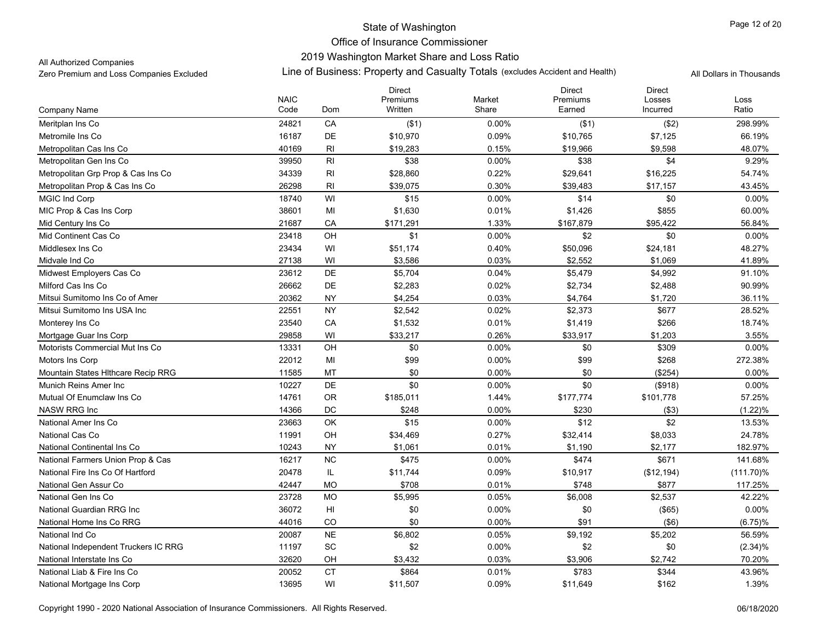# 2019 Washington Market Share and Loss Ratio

All Authorized Companies

|                                      |                     |                 | <b>Direct</b>       |                 | <b>Direct</b>      | <b>Direct</b>      |               |
|--------------------------------------|---------------------|-----------------|---------------------|-----------------|--------------------|--------------------|---------------|
| Company Name                         | <b>NAIC</b><br>Code | Dom             | Premiums<br>Written | Market<br>Share | Premiums<br>Earned | Losses<br>Incurred | Loss<br>Ratio |
|                                      | 24821               | CA              |                     | 0.00%           |                    |                    | 298.99%       |
| Meritplan Ins Co                     |                     | <b>DE</b>       | ( \$1)              |                 | ( \$1)             | (\$2)              |               |
| Metromile Ins Co                     | 16187               |                 | \$10,970            | 0.09%           | \$10,765           | \$7,125            | 66.19%        |
| Metropolitan Cas Ins Co              | 40169               | RI              | \$19,283            | 0.15%           | \$19,966           | \$9,598            | 48.07%        |
| Metropolitan Gen Ins Co              | 39950               | RI              | \$38                | $0.00\%$        | \$38               | \$4                | 9.29%         |
| Metropolitan Grp Prop & Cas Ins Co   | 34339               | RI              | \$28,860            | 0.22%           | \$29,641           | \$16,225           | 54.74%        |
| Metropolitan Prop & Cas Ins Co       | 26298               | RI              | \$39,075            | 0.30%           | \$39,483           | \$17,157           | 43.45%        |
| <b>MGIC Ind Corp</b>                 | 18740               | WI              | \$15                | 0.00%           | \$14               | \$0                | 0.00%         |
| MIC Prop & Cas Ins Corp              | 38601               | MI              | \$1,630             | 0.01%           | \$1,426            | \$855              | 60.00%        |
| Mid Century Ins Co                   | 21687               | CA              | \$171,291           | 1.33%           | \$167,879          | \$95,422           | 56.84%        |
| Mid Continent Cas Co                 | 23418               | OH              | \$1                 | 0.00%           | \$2                | \$0                | 0.00%         |
| Middlesex Ins Co                     | 23434               | WI              | \$51,174            | 0.40%           | \$50,096           | \$24,181           | 48.27%        |
| Midvale Ind Co                       | 27138               | WI              | \$3,586             | 0.03%           | \$2,552            | \$1,069            | 41.89%        |
| Midwest Employers Cas Co             | 23612               | DE              | \$5,704             | 0.04%           | \$5,479            | \$4,992            | 91.10%        |
| Milford Cas Ins Co                   | 26662               | DE              | \$2,283             | 0.02%           | \$2,734            | \$2,488            | 90.99%        |
| Mitsui Sumitomo Ins Co of Amer       | 20362               | <b>NY</b>       | \$4,254             | 0.03%           | \$4,764            | \$1,720            | 36.11%        |
| Mitsui Sumitomo Ins USA Inc          | 22551               | <b>NY</b>       | \$2,542             | 0.02%           | \$2,373            | \$677              | 28.52%        |
| Monterey Ins Co                      | 23540               | CA              | \$1,532             | 0.01%           | \$1,419            | \$266              | 18.74%        |
| Mortgage Guar Ins Corp               | 29858               | WI              | \$33,217            | 0.26%           | \$33,917           | \$1,203            | 3.55%         |
| Motorists Commercial Mut Ins Co      | 13331               | OH              | \$0                 | 0.00%           | \$0                | \$309              | 0.00%         |
| Motors Ins Corp                      | 22012               | MI              | \$99                | $0.00\%$        | \$99               | \$268              | 272.38%       |
| Mountain States Hithcare Recip RRG   | 11585               | <b>MT</b>       | \$0                 | 0.00%           | \$0                | (\$254)            | 0.00%         |
| Munich Reins Amer Inc                | 10227               | DE              | \$0                 | 0.00%           | \$0                | (\$918)            | 0.00%         |
| Mutual Of Enumclaw Ins Co.           | 14761               | <b>OR</b>       | \$185,011           | 1.44%           | \$177,774          | \$101,778          | 57.25%        |
| NASW RRG Inc                         | 14366               | DC              | \$248               | $0.00\%$        | \$230              | (\$3)              | (1.22)%       |
| National Amer Ins Co                 | 23663               | OK              | \$15                | $0.00\%$        | \$12               | \$2                | 13.53%        |
| National Cas Co                      | 11991               | OH              | \$34,469            | 0.27%           | \$32,414           | \$8,033            | 24.78%        |
| National Continental Ins Co          | 10243               | <b>NY</b>       | \$1,061             | 0.01%           | \$1,190            | \$2,177            | 182.97%       |
| National Farmers Union Prop & Cas    | 16217               | <b>NC</b>       | \$475               | $0.00\%$        | \$474              | \$671              | 141.68%       |
| National Fire Ins Co Of Hartford     | 20478               | IL.             | \$11,744            | 0.09%           | \$10,917           | (\$12,194)         | $(111.70)\%$  |
| National Gen Assur Co                | 42447               | <b>MO</b>       | \$708               | 0.01%           | \$748              | \$877              | 117.25%       |
| National Gen Ins Co                  | 23728               | <b>MO</b>       | \$5,995             | 0.05%           | \$6,008            | \$2,537            | 42.22%        |
| National Guardian RRG Inc.           | 36072               | H <sub>II</sub> | \$0                 | 0.00%           | \$0                | (\$65)             | 0.00%         |
| National Home Ins Co RRG             | 44016               | CO              | \$0                 | 0.00%           | \$91               | (\$6)              | $(6.75)\%$    |
| National Ind Co                      | 20087               | <b>NE</b>       | \$6,802             | 0.05%           | \$9,192            | \$5,202            | 56.59%        |
| National Independent Truckers IC RRG | 11197               | SC              | \$2                 | 0.00%           | \$2                | \$0                | $(2.34)\%$    |
| National Interstate Ins Co           | 32620               | OH              | \$3,432             | 0.03%           | \$3,906            | \$2,742            | 70.20%        |
| National Liab & Fire Ins Co          | 20052               | <b>CT</b>       | \$864               | 0.01%           | \$783              | \$344              | 43.96%        |
| National Mortgage Ins Corp           | 13695               | WI              | \$11,507            | 0.09%           | \$11,649           | \$162              | 1.39%         |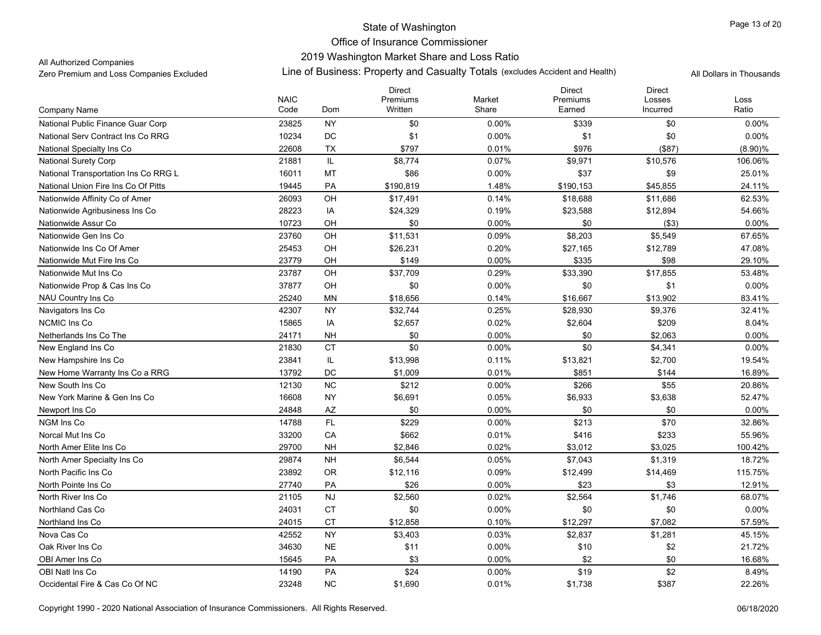# 2019 Washington Market Share and Loss Ratio

All Authorized Companies

|                                      |                     |           | <b>Direct</b>       |                 | <b>Direct</b>      | <b>Direct</b>      |               |
|--------------------------------------|---------------------|-----------|---------------------|-----------------|--------------------|--------------------|---------------|
| Company Name                         | <b>NAIC</b><br>Code | Dom       | Premiums<br>Written | Market<br>Share | Premiums<br>Earned | Losses<br>Incurred | Loss<br>Ratio |
|                                      |                     | <b>NY</b> | \$0                 |                 |                    | \$0                |               |
| National Public Finance Guar Corp    | 23825               | DC        |                     | 0.00%           | \$339              |                    | $0.00\%$      |
| National Serv Contract Ins Co RRG    | 10234               |           | \$1                 | 0.00%           | \$1                | \$0                | 0.00%         |
| National Specialty Ins Co            | 22608               | <b>TX</b> | \$797               | 0.01%           | \$976              | (\$87)             | $(8.90)\%$    |
| <b>National Surety Corp</b>          | 21881               | IL        | \$8,774             | 0.07%           | \$9,971            | \$10,576           | 106.06%       |
| National Transportation Ins Co RRG L | 16011               | MT        | \$86                | 0.00%           | \$37               | \$9                | 25.01%        |
| National Union Fire Ins Co Of Pitts  | 19445               | PA        | \$190,819           | 1.48%           | \$190,153          | \$45,855           | 24.11%        |
| Nationwide Affinity Co of Amer       | 26093               | OH        | \$17,491            | 0.14%           | \$18,688           | \$11,686           | 62.53%        |
| Nationwide Agribusiness Ins Co       | 28223               | IA        | \$24,329            | 0.19%           | \$23,588           | \$12,894           | 54.66%        |
| Nationwide Assur Co                  | 10723               | OH        | \$0                 | 0.00%           | \$0                | ( \$3)             | 0.00%         |
| Nationwide Gen Ins Co                | 23760               | OH        | \$11,531            | 0.09%           | \$8,203            | \$5,549            | 67.65%        |
| Nationwide Ins Co Of Amer            | 25453               | OH        | \$26,231            | 0.20%           | \$27,165           | \$12,789           | 47.08%        |
| Nationwide Mut Fire Ins Co           | 23779               | OH        | \$149               | 0.00%           | \$335              | \$98               | 29.10%        |
| Nationwide Mut Ins Co                | 23787               | OH        | \$37,709            | 0.29%           | \$33,390           | \$17,855           | 53.48%        |
| Nationwide Prop & Cas Ins Co         | 37877               | OH        | \$0                 | 0.00%           | \$0                | \$1                | 0.00%         |
| NAU Country Ins Co                   | 25240               | ΜN        | \$18,656            | 0.14%           | \$16,667           | \$13,902           | 83.41%        |
| Navigators Ins Co                    | 42307               | <b>NY</b> | \$32,744            | 0.25%           | \$28,930           | \$9,376            | 32.41%        |
| <b>NCMIC Ins Co</b>                  | 15865               | IA        | \$2,657             | 0.02%           | \$2,604            | \$209              | 8.04%         |
| Netherlands Ins Co The               | 24171               | <b>NH</b> | \$0                 | 0.00%           | \$0                | \$2,063            | 0.00%         |
| New England Ins Co                   | 21830               | <b>CT</b> | \$0                 | 0.00%           | \$0                | \$4,341            | 0.00%         |
| New Hampshire Ins Co                 | 23841               | IL        | \$13,998            | 0.11%           | \$13,821           | \$2,700            | 19.54%        |
| New Home Warranty Ins Co a RRG       | 13792               | DC        | \$1,009             | 0.01%           | \$851              | \$144              | 16.89%        |
| New South Ins Co.                    | 12130               | <b>NC</b> | \$212               | 0.00%           | \$266              | \$55               | 20.86%        |
| New York Marine & Gen Ins Co.        | 16608               | <b>NY</b> | \$6,691             | 0.05%           | \$6,933            | \$3,638            | 52.47%        |
| Newport Ins Co.                      | 24848               | AZ        | \$0                 | 0.00%           | \$0                | \$0                | 0.00%         |
| NGM Ins Co                           | 14788               | FL        | \$229               | 0.00%           | \$213              | \$70               | 32.86%        |
| Norcal Mut Ins Co                    | 33200               | CA        | \$662               | 0.01%           | \$416              | \$233              | 55.96%        |
| North Amer Elite Ins Co              | 29700               | <b>NH</b> | \$2,846             | 0.02%           | \$3,012            | \$3,025            | 100.42%       |
| North Amer Specialty Ins Co.         | 29874               | <b>NH</b> | \$6,544             | 0.05%           | \$7,043            | \$1,319            | 18.72%        |
| North Pacific Ins Co                 | 23892               | <b>OR</b> | \$12,116            | 0.09%           | \$12,499           | \$14,469           | 115.75%       |
| North Pointe Ins Co                  | 27740               | PA        | \$26                | 0.00%           | \$23               | \$3                | 12.91%        |
| North River Ins Co.                  | 21105               | <b>NJ</b> | \$2,560             | 0.02%           | \$2,564            | \$1,746            | 68.07%        |
| Northland Cas Co                     | 24031               | <b>CT</b> | \$0                 | 0.00%           | \$0                | \$0                | 0.00%         |
| Northland Ins Co                     | 24015               | <b>CT</b> | \$12,858            | 0.10%           | \$12,297           | \$7,082            | 57.59%        |
| Nova Cas Co                          | 42552               | <b>NY</b> | \$3,403             | 0.03%           | \$2,837            | \$1,281            | 45.15%        |
| Oak River Ins Co                     | 34630               | <b>NE</b> | \$11                | 0.00%           | \$10               | \$2                | 21.72%        |
| OBI Amer Ins Co                      | 15645               | PA        | \$3                 | 0.00%           | \$2                | \$0                | 16.68%        |
| OBI Natl Ins Co                      | 14190               | PA        | \$24                | 0.00%           | \$19               | \$2                | 8.49%         |
| Occidental Fire & Cas Co Of NC       | 23248               | <b>NC</b> | \$1,690             | 0.01%           | \$1,738            | \$387              | 22.26%        |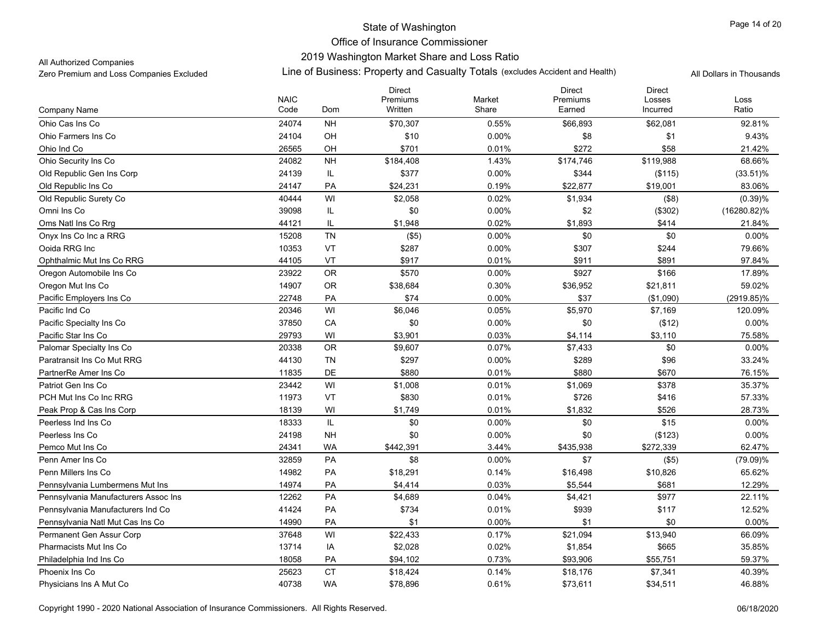### 2019 Washington Market Share and Loss Ratio

All Authorized Companies

|                                      |                     |               | <b>Direct</b>       |                 | <b>Direct</b>      | <b>Direct</b>      |               |
|--------------------------------------|---------------------|---------------|---------------------|-----------------|--------------------|--------------------|---------------|
| Company Name                         | <b>NAIC</b><br>Code | Dom           | Premiums<br>Written | Market<br>Share | Premiums<br>Earned | Losses<br>Incurred | Loss<br>Ratio |
| Ohio Cas Ins Co                      | 24074               | <b>NH</b>     | \$70,307            | 0.55%           | \$66,893           | \$62,081           | 92.81%        |
| Ohio Farmers Ins Co                  | 24104               | OH            | \$10                | 0.00%           | \$8                | \$1                | 9.43%         |
| Ohio Ind Co                          | 26565               | OH            | \$701               | 0.01%           | \$272              | \$58               | 21.42%        |
| Ohio Security Ins Co                 | 24082               | <b>NH</b>     | \$184,408           | 1.43%           | \$174,746          | \$119,988          | 68.66%        |
| Old Republic Gen Ins Corp            | 24139               | IL            | \$377               | $0.00\%$        | \$344              | (\$115)            | (33.51)%      |
| Old Republic Ins Co                  | 24147               | PA            | \$24,231            | 0.19%           | \$22,877           | \$19,001           | 83.06%        |
| Old Republic Surety Co               | 40444               | WI            | \$2,058             | 0.02%           | \$1,934            | (\$8)              | (0.39)%       |
| Omni Ins Co                          | 39098               | IL            | \$0                 | 0.00%           | \$2                | (\$302)            | (16280.82)%   |
| Oms Natl Ins Co Rrg                  | 44121               | IL            | \$1,948             | 0.02%           | \$1,893            | \$414              | 21.84%        |
| Onyx Ins Co Inc a RRG                | 15208               | <b>TN</b>     | (\$5)               | $0.00\%$        | \$0                | \$0                | 0.00%         |
| Ooida RRG Inc                        | 10353               | VT            | \$287               | $0.00\%$        | \$307              | \$244              | 79.66%        |
| Ophthalmic Mut Ins Co RRG            | 44105               | VT            | \$917               | 0.01%           | \$911              | \$891              | 97.84%        |
| Oregon Automobile Ins Co             | 23922               | OR            | \$570               | $0.00\%$        | \$927              | \$166              | 17.89%        |
| Oregon Mut Ins Co                    | 14907               | <b>OR</b>     | \$38,684            | 0.30%           | \$36,952           | \$21,811           | 59.02%        |
| Pacific Employers Ins Co             | 22748               | PA            | \$74                | 0.00%           | \$37               | (\$1,090)          | (2919.85)%    |
| Pacific Ind Co                       | 20346               | WI            | \$6,046             | 0.05%           | \$5,970            | \$7,169            | 120.09%       |
| Pacific Specialty Ins Co             | 37850               | CA            | \$0                 | $0.00\%$        | \$0                | (\$12)             | 0.00%         |
| Pacific Star Ins Co                  | 29793               | WI            | \$3,901             | 0.03%           | \$4,114            | \$3,110            | 75.58%        |
| Palomar Specialty Ins Co             | 20338               | ${\sf OR}$    | \$9,607             | 0.07%           | \$7,433            | \$0                | $0.00\%$      |
| Paratransit Ins Co Mut RRG           | 44130               | TN            | \$297               | 0.00%           | \$289              | \$96               | 33.24%        |
| PartnerRe Amer Ins Co                | 11835               | DE            | \$880               | 0.01%           | \$880              | \$670              | 76.15%        |
| Patriot Gen Ins Co                   | 23442               | WI            | \$1,008             | 0.01%           | \$1,069            | \$378              | 35.37%        |
| PCH Mut Ins Co Inc RRG               | 11973               | VT            | \$830               | 0.01%           | \$726              | \$416              | 57.33%        |
| Peak Prop & Cas Ins Corp             | 18139               | WI            | \$1,749             | 0.01%           | \$1,832            | \$526              | 28.73%        |
| Peerless Ind Ins Co                  | 18333               | $\mathsf{IL}$ | \$0                 | $0.00\%$        | \$0                | \$15               | 0.00%         |
| Peerless Ins Co                      | 24198               | <b>NH</b>     | \$0                 | $0.00\%$        | \$0                | (\$123)            | 0.00%         |
| Pemco Mut Ins Co                     | 24341               | <b>WA</b>     | \$442,391           | 3.44%           | \$435,938          | \$272,339          | 62.47%        |
| Penn Amer Ins Co                     | 32859               | PA            | \$8                 | $0.00\%$        | \$7                | (\$5)              | $(79.09)\%$   |
| Penn Millers Ins Co                  | 14982               | PA            | \$18,291            | 0.14%           | \$16,498           | \$10,826           | 65.62%        |
| Pennsylvania Lumbermens Mut Ins      | 14974               | PA            | \$4,414             | 0.03%           | \$5,544            | \$681              | 12.29%        |
| Pennsylvania Manufacturers Assoc Ins | 12262               | PA            | \$4,689             | 0.04%           | \$4,421            | \$977              | 22.11%        |
| Pennsylvania Manufacturers Ind Co    | 41424               | PA            | \$734               | 0.01%           | \$939              | \$117              | 12.52%        |
| Pennsylvania Natl Mut Cas Ins Co     | 14990               | PA            | \$1                 | $0.00\%$        | \$1                | \$0                | 0.00%         |
| Permanent Gen Assur Corp             | 37648               | WI            | \$22,433            | 0.17%           | \$21,094           | \$13,940           | 66.09%        |
| <b>Pharmacists Mut Ins Co</b>        | 13714               | IA            | \$2,028             | 0.02%           | \$1,854            | \$665              | 35.85%        |
| Philadelphia Ind Ins Co              | 18058               | PA            | \$94,102            | 0.73%           | \$93,906           | \$55,751           | 59.37%        |
| Phoenix Ins Co                       | 25623               | <b>CT</b>     | \$18,424            | 0.14%           | \$18,176           | \$7,341            | 40.39%        |
| Physicians Ins A Mut Co              | 40738               | <b>WA</b>     | \$78,896            | 0.61%           | \$73,611           | \$34,511           | 46.88%        |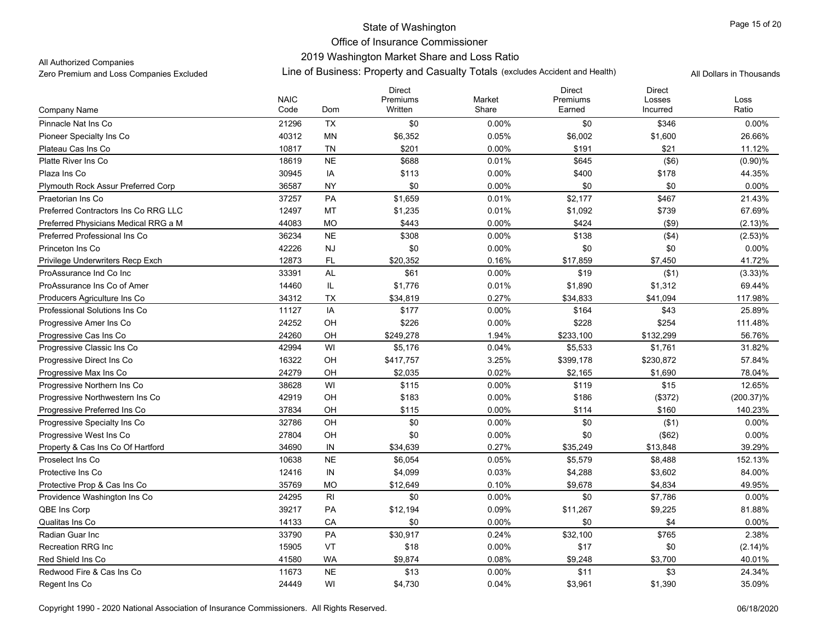### 2019 Washington Market Share and Loss Ratio

All Authorized Companies

|                                      |                     |           | <b>Direct</b>       |                 | <b>Direct</b>      | <b>Direct</b>      |               |
|--------------------------------------|---------------------|-----------|---------------------|-----------------|--------------------|--------------------|---------------|
| Company Name                         | <b>NAIC</b><br>Code | Dom       | Premiums<br>Written | Market<br>Share | Premiums<br>Earned | Losses<br>Incurred | Loss<br>Ratio |
| Pinnacle Nat Ins Co                  | 21296               | <b>TX</b> | \$0                 | $0.00\%$        | \$0                | \$346              | $0.00\%$      |
| Pioneer Specialty Ins Co             | 40312               | MN        | \$6,352             | 0.05%           | \$6,002            | \$1,600            | 26.66%        |
| Plateau Cas Ins Co                   | 10817               | <b>TN</b> | \$201               | $0.00\%$        | \$191              | \$21               | 11.12%        |
| Platte River Ins Co                  | 18619               | <b>NE</b> | \$688               | 0.01%           | \$645              | (\$6)              | (0.90)%       |
| Plaza Ins Co                         | 30945               | IA        | \$113               | 0.00%           | \$400              | \$178              | 44.35%        |
| Plymouth Rock Assur Preferred Corp   | 36587               | <b>NY</b> | \$0                 | 0.00%           | \$0                | \$0                | 0.00%         |
| Praetorian Ins Co                    | 37257               | PA        | \$1,659             | 0.01%           | \$2,177            | \$467              | 21.43%        |
| Preferred Contractors Ins Co RRG LLC | 12497               | MT        | \$1,235             | 0.01%           | \$1,092            | \$739              | 67.69%        |
| Preferred Physicians Medical RRG a M | 44083               | <b>MO</b> | \$443               | 0.00%           | \$424              | (\$9)              | (2.13)%       |
| Preferred Professional Ins Co        | 36234               | <b>NE</b> | \$308               | $0.00\%$        | \$138              | ( \$4)             | (2.53)%       |
| Princeton Ins Co                     | 42226               | NJ        | \$0                 | 0.00%           | \$0                | \$0                | 0.00%         |
| Privilege Underwriters Recp Exch     | 12873               | <b>FL</b> | \$20.352            | 0.16%           | \$17,859           | \$7,450            | 41.72%        |
| ProAssurance Ind Co Inc              | 33391               | <b>AL</b> | \$61                | 0.00%           | \$19               | ( \$1)             | $(3.33)\%$    |
| ProAssurance Ins Co of Amer          | 14460               | IL        | \$1,776             | 0.01%           | \$1,890            | \$1,312            | 69.44%        |
| Producers Agriculture Ins Co         | 34312               | TX        | \$34,819            | 0.27%           | \$34,833           | \$41,094           | 117.98%       |
| Professional Solutions Ins Co        | 11127               | IA        | \$177               | 0.00%           | \$164              | \$43               | 25.89%        |
| Progressive Amer Ins Co              | 24252               | OH        | \$226               | 0.00%           | \$228              | \$254              | 111.48%       |
| Progressive Cas Ins Co               | 24260               | OH        | \$249,278           | 1.94%           | \$233,100          | \$132,299          | 56.76%        |
| Progressive Classic Ins Co           | 42994               | WI        | \$5,176             | 0.04%           | \$5,533            | \$1,761            | 31.82%        |
| Progressive Direct Ins Co            | 16322               | OH        | \$417,757           | 3.25%           | \$399,178          | \$230,872          | 57.84%        |
| Progressive Max Ins Co               | 24279               | OH        | \$2,035             | 0.02%           | \$2,165            | \$1,690            | 78.04%        |
| Progressive Northern Ins Co          | 38628               | WI        | \$115               | $0.00\%$        | \$119              | \$15               | 12.65%        |
| Progressive Northwestern Ins Co      | 42919               | OH        | \$183               | 0.00%           | \$186              | (\$372)            | $(200.37)\%$  |
| Progressive Preferred Ins Co         | 37834               | OH        | \$115               | $0.00\%$        | \$114              | \$160              | 140.23%       |
| Progressive Specialty Ins Co         | 32786               | OH        | \$0                 | 0.00%           | \$0                | ( \$1)             | 0.00%         |
| Progressive West Ins Co              | 27804               | OH        | \$0                 | 0.00%           | \$0                | (\$62)             | 0.00%         |
| Property & Cas Ins Co Of Hartford    | 34690               | IN        | \$34,639            | 0.27%           | \$35,249           | \$13,848           | 39.29%        |
| Proselect Ins Co                     | 10638               | <b>NE</b> | \$6,054             | 0.05%           | \$5,579            | \$8,488            | 152.13%       |
| Protective Ins Co                    | 12416               | IN        | \$4,099             | 0.03%           | \$4,288            | \$3,602            | 84.00%        |
| Protective Prop & Cas Ins Co         | 35769               | <b>MO</b> | \$12,649            | 0.10%           | \$9,678            | \$4,834            | 49.95%        |
| Providence Washington Ins Co         | 24295               | RI        | \$0                 | $0.00\%$        | \$0                | \$7,786            | 0.00%         |
| QBE Ins Corp                         | 39217               | PA        | \$12,194            | 0.09%           | \$11,267           | \$9,225            | 81.88%        |
| Qualitas Ins Co                      | 14133               | CA        | \$0                 | 0.00%           | \$0                | \$4                | 0.00%         |
| Radian Guar Inc                      | 33790               | PA        | \$30,917            | 0.24%           | \$32,100           | \$765              | 2.38%         |
| <b>Recreation RRG Inc</b>            | 15905               | VT        | \$18                | $0.00\%$        | \$17               | \$0                | (2.14)%       |
| Red Shield Ins Co                    | 41580               | <b>WA</b> | \$9,874             | 0.08%           | \$9,248            | \$3,700            | 40.01%        |
| Redwood Fire & Cas Ins Co            | 11673               | <b>NE</b> | \$13                | 0.00%           | \$11               | \$3                | 24.34%        |
| Regent Ins Co                        | 24449               | WI        | \$4,730             | 0.04%           | \$3,961            | \$1,390            | 35.09%        |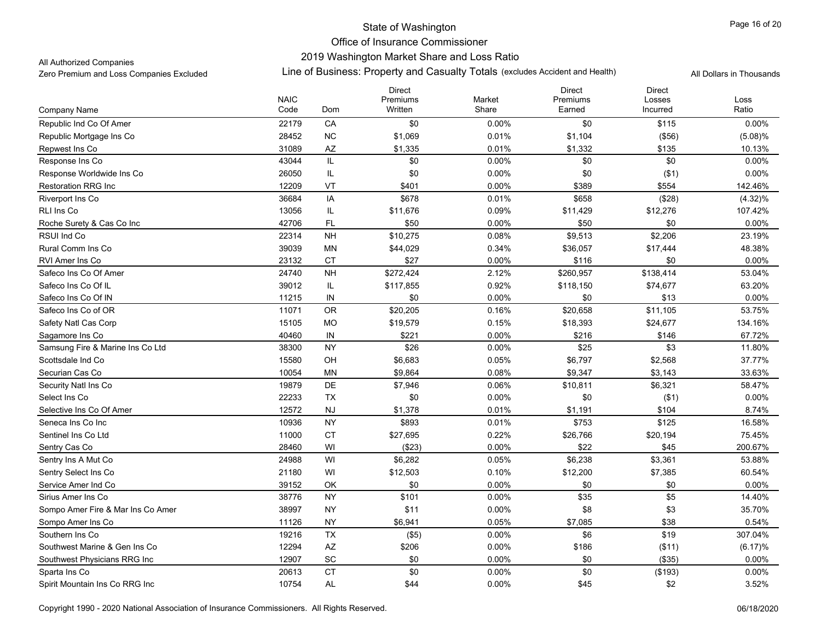### 2019 Washington Market Share and Loss Ratio

All Authorized Companies

|                                   | <b>NAIC</b> |           | <b>Direct</b>       |                 | Direct             | <b>Direct</b>      |               |
|-----------------------------------|-------------|-----------|---------------------|-----------------|--------------------|--------------------|---------------|
| Company Name                      | Code        | Dom       | Premiums<br>Written | Market<br>Share | Premiums<br>Earned | Losses<br>Incurred | Loss<br>Ratio |
| Republic Ind Co Of Amer           | 22179       | CA        | \$0                 | 0.00%           | \$0                | \$115              | 0.00%         |
| Republic Mortgage Ins Co          | 28452       | <b>NC</b> | \$1,069             | 0.01%           | \$1,104            | (\$56)             | $(5.08)\%$    |
| Repwest Ins Co                    | 31089       | AZ        | \$1,335             | 0.01%           | \$1,332            | \$135              | 10.13%        |
| Response Ins Co                   | 43044       | IL        | \$0                 | 0.00%           | \$0                | \$0                | 0.00%         |
| Response Worldwide Ins Co         | 26050       | IL        | \$0                 | $0.00\%$        | \$0                | ( \$1)             | 0.00%         |
| <b>Restoration RRG Inc</b>        | 12209       | VT        | \$401               | 0.00%           | \$389              | \$554              | 142.46%       |
| Riverport Ins Co                  | 36684       | IA        | \$678               | 0.01%           | \$658              | (\$28)             | (4.32)%       |
| <b>RLI Ins Co</b>                 | 13056       | IL        | \$11,676            | 0.09%           | \$11,429           | \$12,276           | 107.42%       |
| Roche Surety & Cas Co Inc         | 42706       | <b>FL</b> | \$50                | 0.00%           | \$50               | \$0                | 0.00%         |
| RSUI Ind Co                       | 22314       | <b>NH</b> | \$10,275            | 0.08%           | \$9,513            | \$2,206            | 23.19%        |
| Rural Comm Ins Co                 | 39039       | MN        | \$44,029            | 0.34%           | \$36,057           | \$17,444           | 48.38%        |
| RVI Amer Ins Co                   | 23132       | <b>CT</b> | \$27                | 0.00%           | \$116              | \$0                | 0.00%         |
| Safeco Ins Co Of Amer             | 24740       | <b>NH</b> | \$272,424           | 2.12%           | \$260,957          | \$138,414          | 53.04%        |
| Safeco Ins Co Of IL               | 39012       | IL        | \$117,855           | 0.92%           | \$118,150          | \$74,677           | 63.20%        |
| Safeco Ins Co Of IN               | 11215       | IN        | \$0                 | 0.00%           | \$0                | \$13               | 0.00%         |
| Safeco Ins Co of OR               | 11071       | <b>OR</b> | \$20,205            | 0.16%           | \$20,658           | \$11,105           | 53.75%        |
| Safety Natl Cas Corp              | 15105       | <b>MO</b> | \$19,579            | 0.15%           | \$18,393           | \$24,677           | 134.16%       |
| Sagamore Ins Co                   | 40460       | IN        | \$221               | $0.00\%$        | \$216              | \$146              | 67.72%        |
| Samsung Fire & Marine Ins Co Ltd  | 38300       | <b>NY</b> | \$26                | 0.00%           | \$25               | \$3                | 11.80%        |
| Scottsdale Ind Co                 | 15580       | OH        | \$6,683             | 0.05%           | \$6,797            | \$2,568            | 37.77%        |
| Securian Cas Co                   | 10054       | MN        | \$9,864             | 0.08%           | \$9,347            | \$3,143            | 33.63%        |
| Security Natl Ins Co              | 19879       | DE        | \$7,946             | 0.06%           | \$10,811           | \$6,321            | 58.47%        |
| Select Ins Co                     | 22233       | TX        | \$0                 | 0.00%           | \$0                | ( \$1)             | 0.00%         |
| Selective Ins Co Of Amer          | 12572       | <b>NJ</b> | \$1,378             | 0.01%           | \$1,191            | \$104              | 8.74%         |
| Seneca Ins Co Inc                 | 10936       | <b>NY</b> | \$893               | 0.01%           | \$753              | \$125              | 16.58%        |
| Sentinel Ins Co Ltd               | 11000       | <b>CT</b> | \$27,695            | 0.22%           | \$26,766           | \$20,194           | 75.45%        |
| Sentry Cas Co                     | 28460       | WI        | (\$23)              | 0.00%           | \$22               | \$45               | 200.67%       |
| Sentry Ins A Mut Co               | 24988       | WI        | \$6,282             | 0.05%           | \$6,238            | \$3,361            | 53.88%        |
| Sentry Select Ins Co              | 21180       | WI        | \$12,503            | 0.10%           | \$12,200           | \$7,385            | 60.54%        |
| Service Amer Ind Co               | 39152       | OK        | \$0                 | 0.00%           | \$0                | \$0                | 0.00%         |
| Sirius Amer Ins Co                | 38776       | <b>NY</b> | \$101               | 0.00%           | \$35               | \$5                | 14.40%        |
| Sompo Amer Fire & Mar Ins Co Amer | 38997       | <b>NY</b> | \$11                | 0.00%           | \$8                | \$3                | 35.70%        |
| Sompo Amer Ins Co                 | 11126       | <b>NY</b> | \$6,941             | 0.05%           | \$7,085            | \$38               | 0.54%         |
| Southern Ins Co                   | 19216       | <b>TX</b> | (\$5)               | 0.00%           | \$6                | \$19               | 307.04%       |
| Southwest Marine & Gen Ins Co     | 12294       | AZ        | \$206               | 0.00%           | \$186              | (\$11)             | (6.17)%       |
| Southwest Physicians RRG Inc      | 12907       | SC        | \$0                 | 0.00%           | \$0                | (\$35)             | 0.00%         |
| Sparta Ins Co                     | 20613       | <b>CT</b> | \$0                 | 0.00%           | \$0                | (\$193)            | 0.00%         |
| Spirit Mountain Ins Co RRG Inc    | 10754       | <b>AL</b> | \$44                | $0.00\%$        | \$45               | \$2                | 3.52%         |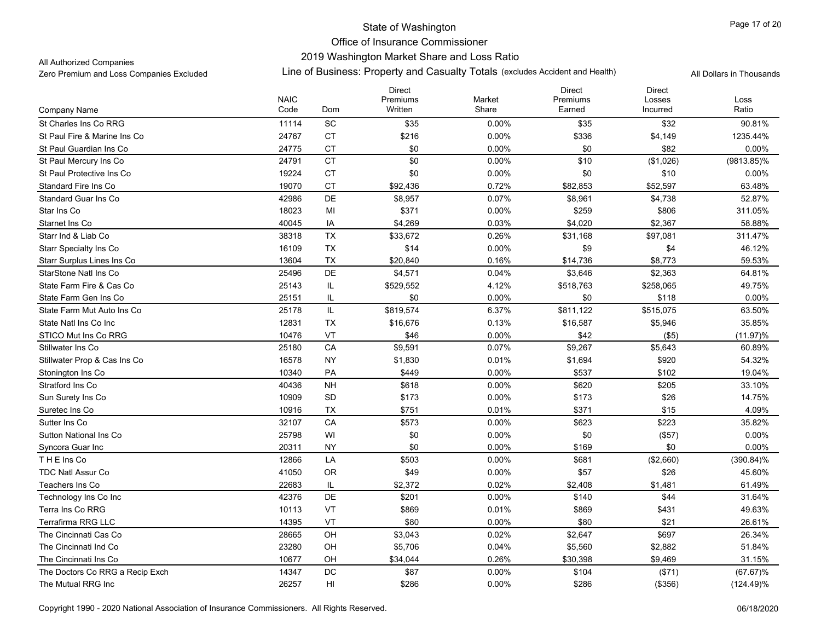### 2019 Washington Market Share and Loss Ratio

All Authorized Companies

|                                 | <b>NAIC</b> |                                   | <b>Direct</b><br>Premiums | Market   | <b>Direct</b><br>Premiums | <b>Direct</b><br>Losses | Loss          |
|---------------------------------|-------------|-----------------------------------|---------------------------|----------|---------------------------|-------------------------|---------------|
| Company Name                    | Code        | Dom                               | Written                   | Share    | Earned                    | Incurred                | Ratio         |
| St Charles Ins Co RRG           | 11114       | SC                                | \$35                      | $0.00\%$ | \$35                      | \$32                    | 90.81%        |
| St Paul Fire & Marine Ins Co    | 24767       | <b>CT</b>                         | \$216                     | 0.00%    | \$336                     | \$4,149                 | 1235.44%      |
| St Paul Guardian Ins Co         | 24775       | <b>CT</b>                         | \$0                       | $0.00\%$ | \$0                       | \$82                    | $0.00\%$      |
| St Paul Mercury Ins Co          | 24791       | CT                                | \$0                       | $0.00\%$ | \$10                      | (\$1,026)               | $(9813.85)\%$ |
| St Paul Protective Ins Co       | 19224       | <b>CT</b>                         | \$0                       | $0.00\%$ | \$0                       | \$10                    | 0.00%         |
| Standard Fire Ins Co            | 19070       | <b>CT</b>                         | \$92,436                  | 0.72%    | \$82,853                  | \$52,597                | 63.48%        |
| <b>Standard Guar Ins Co</b>     | 42986       | DE                                | \$8,957                   | 0.07%    | \$8,961                   | \$4,738                 | 52.87%        |
| Star Ins Co                     | 18023       | MI                                | \$371                     | 0.00%    | \$259                     | \$806                   | 311.05%       |
| Starnet Ins Co                  | 40045       | IA                                | \$4,269                   | 0.03%    | \$4,020                   | \$2,367                 | 58.88%        |
| Starr Ind & Liab Co             | 38318       | <b>TX</b>                         | \$33,672                  | 0.26%    | \$31,168                  | \$97,081                | 311.47%       |
| <b>Starr Specialty Ins Co</b>   | 16109       | TX                                | \$14                      | $0.00\%$ | \$9                       | \$4                     | 46.12%        |
| Starr Surplus Lines Ins Co      | 13604       | TX                                | \$20,840                  | 0.16%    | \$14,736                  | \$8,773                 | 59.53%        |
| StarStone Natl Ins Co           | 25496       | DE                                | \$4,571                   | 0.04%    | \$3,646                   | \$2,363                 | 64.81%        |
| State Farm Fire & Cas Co        | 25143       | IL                                | \$529,552                 | 4.12%    | \$518,763                 | \$258,065               | 49.75%        |
| State Farm Gen Ins Co           | 25151       | IL                                | \$0                       | 0.00%    | \$0                       | \$118                   | 0.00%         |
| State Farm Mut Auto Ins Co      | 25178       | $\ensuremath{\mathsf{IL}}\xspace$ | \$819,574                 | 6.37%    | \$811,122                 | \$515,075               | 63.50%        |
| State Natl Ins Co Inc           | 12831       | TX                                | \$16,676                  | 0.13%    | \$16,587                  | \$5,946                 | 35.85%        |
| STICO Mut Ins Co RRG            | 10476       | VT                                | \$46                      | 0.00%    | \$42                      | (\$5)                   | $(11.97)\%$   |
| Stillwater Ins Co               | 25180       | CA                                | \$9,591                   | 0.07%    | \$9,267                   | \$5,643                 | 60.89%        |
| Stillwater Prop & Cas Ins Co    | 16578       | <b>NY</b>                         | \$1,830                   | 0.01%    | \$1,694                   | \$920                   | 54.32%        |
| Stonington Ins Co               | 10340       | PA                                | \$449                     | 0.00%    | \$537                     | \$102                   | 19.04%        |
| Stratford Ins Co                | 40436       | <b>NH</b>                         | \$618                     | $0.00\%$ | \$620                     | \$205                   | 33.10%        |
| Sun Surety Ins Co               | 10909       | <b>SD</b>                         | \$173                     | $0.00\%$ | \$173                     | \$26                    | 14.75%        |
| Suretec Ins Co                  | 10916       | <b>TX</b>                         | \$751                     | 0.01%    | \$371                     | \$15                    | 4.09%         |
| Sutter Ins Co                   | 32107       | CA                                | \$573                     | $0.00\%$ | \$623                     | \$223                   | 35.82%        |
| <b>Sutton National Ins Co</b>   | 25798       | WI                                | \$0                       | $0.00\%$ | \$0                       | (\$57)                  | 0.00%         |
| Syncora Guar Inc                | 20311       | <b>NY</b>                         | \$0                       | 0.00%    | \$169                     | \$0                     | 0.00%         |
| THE Ins Co                      | 12866       | LA                                | \$503                     | $0.00\%$ | \$681                     | (\$2,660)               | $(390.84)\%$  |
| <b>TDC Natl Assur Co</b>        | 41050       | <b>OR</b>                         | \$49                      | $0.00\%$ | \$57                      | \$26                    | 45.60%        |
| Teachers Ins Co                 | 22683       | IL                                | \$2,372                   | 0.02%    | \$2,408                   | \$1,481                 | 61.49%        |
| Technology Ins Co Inc           | 42376       | DE                                | \$201                     | $0.00\%$ | \$140                     | \$44                    | 31.64%        |
| Terra Ins Co RRG                | 10113       | VT                                | \$869                     | 0.01%    | \$869                     | \$431                   | 49.63%        |
| <b>Terrafirma RRG LLC</b>       | 14395       | VT                                | \$80                      | 0.00%    | \$80                      | \$21                    | 26.61%        |
| The Cincinnati Cas Co           | 28665       | OH                                | \$3,043                   | 0.02%    | \$2,647                   | \$697                   | 26.34%        |
| The Cincinnati Ind Co           | 23280       | OH                                | \$5,706                   | 0.04%    | \$5,560                   | \$2,882                 | 51.84%        |
| The Cincinnati Ins Co           | 10677       | OH                                | \$34,044                  | 0.26%    | \$30,398                  | \$9,469                 | 31.15%        |
| The Doctors Co RRG a Recip Exch | 14347       | DC                                | \$87                      | 0.00%    | \$104                     | (\$71)                  | $(67.67)\%$   |
| The Mutual RRG Inc              | 26257       | HI                                | \$286                     | $0.00\%$ | \$286                     | (\$356)                 | $(124.49)\%$  |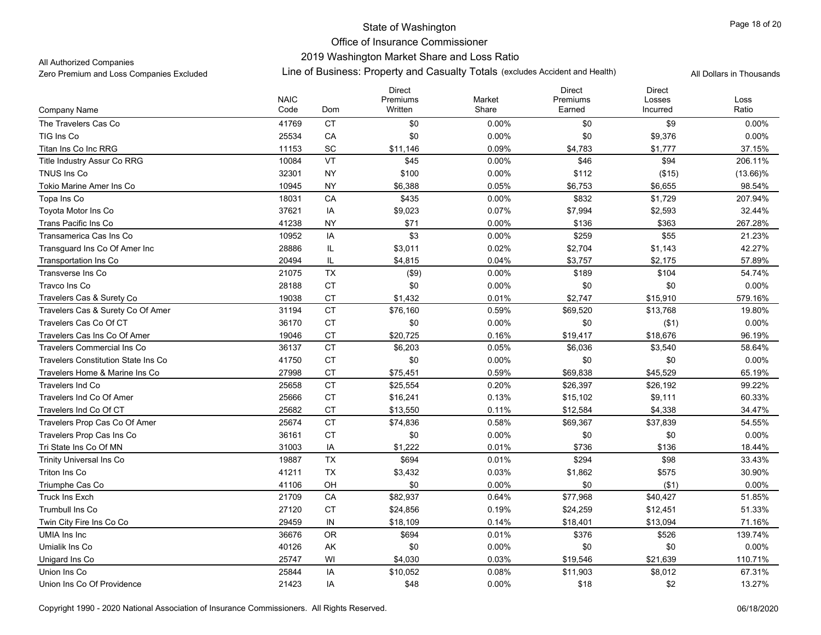### 2019 Washington Market Share and Loss Ratio

All Authorized Companies

|                                            |                     |                 | <b>Direct</b>       |                 | <b>Direct</b>      | <b>Direct</b>      |               |
|--------------------------------------------|---------------------|-----------------|---------------------|-----------------|--------------------|--------------------|---------------|
| Company Name                               | <b>NAIC</b><br>Code | Dom             | Premiums<br>Written | Market<br>Share | Premiums<br>Earned | Losses<br>Incurred | Loss<br>Ratio |
| The Travelers Cas Co                       | 41769               |                 |                     | $0.00\%$        |                    |                    |               |
|                                            |                     | <b>CT</b><br>CA | \$0                 |                 | \$0<br>\$0         | \$9<br>\$9,376     | $0.00\%$      |
| TIG Ins Co                                 | 25534               |                 | \$0                 | 0.00%           |                    |                    | 0.00%         |
| Titan Ins Co Inc RRG                       | 11153               | <b>SC</b>       | \$11,146            | 0.09%           | \$4,783            | \$1,777            | 37.15%        |
| Title Industry Assur Co RRG                | 10084               | VT              | \$45                | $0.00\%$        | \$46               | \$94               | 206.11%       |
| TNUS Ins Co                                | 32301               | <b>NY</b>       | \$100               | $0.00\%$        | \$112              | (\$15)             | $(13.66)\%$   |
| Tokio Marine Amer Ins Co                   | 10945               | <b>NY</b>       | \$6,388             | 0.05%           | \$6,753            | \$6,655            | 98.54%        |
| Topa Ins Co                                | 18031               | CA              | \$435               | $0.00\%$        | \$832              | \$1,729            | 207.94%       |
| Toyota Motor Ins Co                        | 37621               | IA              | \$9,023             | 0.07%           | \$7,994            | \$2,593            | 32.44%        |
| Trans Pacific Ins Co                       | 41238               | <b>NY</b>       | \$71                | $0.00\%$        | \$136              | \$363              | 267.28%       |
| Transamerica Cas Ins Co                    | 10952               | IA              | \$3                 | 0.00%           | \$259              | \$55               | 21.23%        |
| Transguard Ins Co Of Amer Inc              | 28886               | IL              | \$3,011             | 0.02%           | \$2,704            | \$1,143            | 42.27%        |
| <b>Transportation Ins Co</b>               | 20494               | IL              | \$4,815             | 0.04%           | \$3,757            | \$2,175            | 57.89%        |
| Transverse Ins Co                          | 21075               | <b>TX</b>       | $($ \$9)            | 0.00%           | \$189              | \$104              | 54.74%        |
| Travco Ins Co                              | 28188               | <b>CT</b>       | \$0                 | $0.00\%$        | \$0                | \$0                | 0.00%         |
| Travelers Cas & Surety Co                  | 19038               | CT              | \$1,432             | 0.01%           | \$2,747            | \$15,910           | 579.16%       |
| Travelers Cas & Surety Co Of Amer          | 31194               | <b>CT</b>       | \$76,160            | 0.59%           | \$69,520           | \$13,768           | 19.80%        |
| Travelers Cas Co Of CT                     | 36170               | <b>CT</b>       | \$0                 | $0.00\%$        | \$0                | (\$1)              | 0.00%         |
| Travelers Cas Ins Co Of Amer               | 19046               | <b>CT</b>       | \$20,725            | 0.16%           | \$19,417           | \$18,676           | 96.19%        |
| <b>Travelers Commercial Ins Co</b>         | 36137               | <b>CT</b>       | \$6,203             | 0.05%           | \$6,036            | \$3,540            | 58.64%        |
| <b>Travelers Constitution State Ins Co</b> | 41750               | <b>CT</b>       | \$0                 | $0.00\%$        | \$0                | \$0                | 0.00%         |
| Travelers Home & Marine Ins Co             | 27998               | <b>CT</b>       | \$75,451            | 0.59%           | \$69,838           | \$45,529           | 65.19%        |
| <b>Travelers Ind Co</b>                    | 25658               | <b>CT</b>       | \$25,554            | 0.20%           | \$26,397           | \$26,192           | 99.22%        |
| Travelers Ind Co Of Amer                   | 25666               | <b>CT</b>       | \$16,241            | 0.13%           | \$15,102           | \$9,111            | 60.33%        |
| Travelers Ind Co Of CT                     | 25682               | <b>CT</b>       | \$13,550            | 0.11%           | \$12,584           | \$4,338            | 34.47%        |
| Travelers Prop Cas Co Of Amer              | 25674               | <b>CT</b>       | \$74,836            | 0.58%           | \$69,367           | \$37,839           | 54.55%        |
| Travelers Prop Cas Ins Co                  | 36161               | <b>CT</b>       | \$0                 | 0.00%           | \$0                | \$0                | 0.00%         |
| Tri State Ins Co Of MN                     | 31003               | IA              | \$1,222             | 0.01%           | \$736              | \$136              | 18.44%        |
| <b>Trinity Universal Ins Co</b>            | 19887               | TX              | \$694               | 0.01%           | \$294              | \$98               | 33.43%        |
| <b>Triton Ins Co</b>                       | 41211               | TX              | \$3,432             | 0.03%           | \$1,862            | \$575              | 30.90%        |
| Triumphe Cas Co                            | 41106               | OH              | \$0                 | 0.00%           | \$0                | (\$1)              | 0.00%         |
| <b>Truck Ins Exch</b>                      | 21709               | CA              | \$82,937            | 0.64%           | \$77,968           | \$40,427           | 51.85%        |
| <b>Trumbull Ins Co</b>                     | 27120               | <b>CT</b>       | \$24,856            | 0.19%           | \$24,259           | \$12,451           | 51.33%        |
| Twin City Fire Ins Co Co                   | 29459               | IN              | \$18,109            | 0.14%           | \$18,401           | \$13,094           | 71.16%        |
| UMIA Ins Inc                               | 36676               | <b>OR</b>       | \$694               | 0.01%           | \$376              | \$526              | 139.74%       |
| Umialik Ins Co                             | 40126               | AK              | \$0                 | $0.00\%$        | \$0                | \$0                | 0.00%         |
| Unigard Ins Co                             | 25747               | WI              | \$4,030             | 0.03%           | \$19,546           | \$21,639           | 110.71%       |
| Union Ins Co                               | 25844               | IA              | \$10,052            | 0.08%           | \$11,903           | \$8,012            | 67.31%        |
| Union Ins Co Of Providence                 | 21423               | IA              | \$48                | $0.00\%$        | \$18               | \$2                | 13.27%        |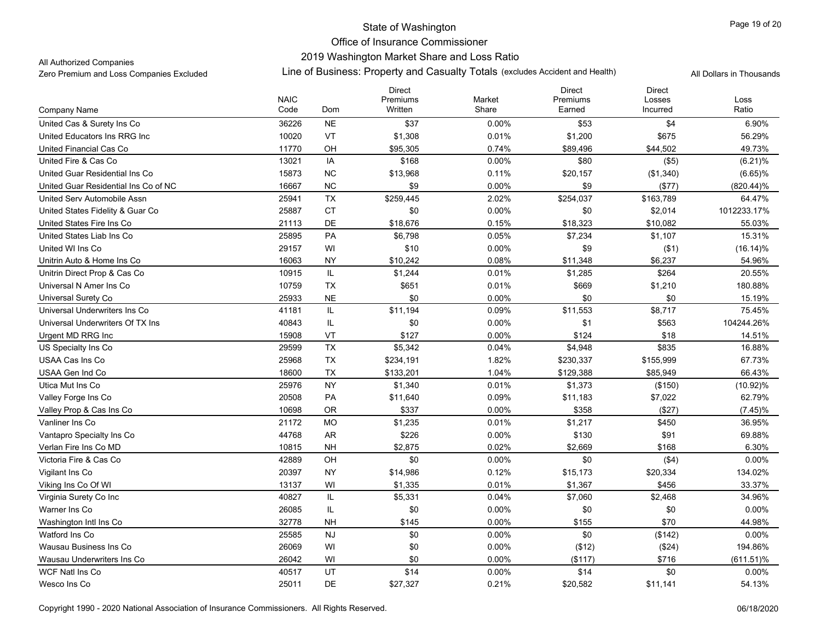# State of Washington Office of Insurance Commissioner 2019 Washington Market Share and Loss Ratio

### All Authorized Companies

|                                      | <b>NAIC</b> |           | <b>Direct</b><br>Premiums | Market   | <b>Direct</b><br>Premiums | <b>Direct</b><br>Losses | Loss         |
|--------------------------------------|-------------|-----------|---------------------------|----------|---------------------------|-------------------------|--------------|
| Company Name                         | Code        | Dom       | Written                   | Share    | Earned                    | Incurred                | Ratio        |
| United Cas & Surety Ins Co           | 36226       | <b>NE</b> | \$37                      | 0.00%    | \$53                      | \$4                     | 6.90%        |
| United Educators Ins RRG Inc.        | 10020       | <b>VT</b> | \$1,308                   | 0.01%    | \$1,200                   | \$675                   | 56.29%       |
| United Financial Cas Co              | 11770       | OH        | \$95,305                  | 0.74%    | \$89,496                  | \$44,502                | 49.73%       |
| United Fire & Cas Co                 | 13021       | IA        | \$168                     | $0.00\%$ | \$80                      | (\$5)                   | $(6.21)\%$   |
| United Guar Residential Ins Co       | 15873       | <b>NC</b> | \$13,968                  | 0.11%    | \$20,157                  | (\$1,340)               | $(6.65)\%$   |
| United Guar Residential Ins Co of NC | 16667       | NC        | \$9                       | $0.00\%$ | \$9                       | (\$77)                  | $(820.44)\%$ |
| United Serv Automobile Assn          | 25941       | TX        | \$259,445                 | 2.02%    | \$254,037                 | \$163,789               | 64.47%       |
| United States Fidelity & Guar Co     | 25887       | <b>CT</b> | \$0                       | 0.00%    | \$0                       | \$2,014                 | 1012233.17%  |
| United States Fire Ins Co            | 21113       | DE        | \$18,676                  | 0.15%    | \$18,323                  | \$10,082                | 55.03%       |
| United States Liab Ins Co            | 25895       | PA        | \$6,798                   | 0.05%    | \$7,234                   | \$1,107                 | 15.31%       |
| United WI Ins Co                     | 29157       | WI        | \$10                      | 0.00%    | \$9                       | ( \$1)                  | $(16.14)\%$  |
| Unitrin Auto & Home Ins Co           | 16063       | <b>NY</b> | \$10,242                  | 0.08%    | \$11,348                  | \$6,237                 | 54.96%       |
| Unitrin Direct Prop & Cas Co         | 10915       | IL        | \$1,244                   | 0.01%    | \$1,285                   | \$264                   | 20.55%       |
| Universal N Amer Ins Co              | 10759       | <b>TX</b> | \$651                     | 0.01%    | \$669                     | \$1,210                 | 180.88%      |
| Universal Surety Co                  | 25933       | <b>NE</b> | \$0                       | 0.00%    | \$0                       | \$0                     | 15.19%       |
| Universal Underwriters Ins Co        | 41181       | IL        | \$11,194                  | 0.09%    | \$11,553                  | \$8,717                 | 75.45%       |
| Universal Underwriters Of TX Ins     | 40843       | IL        | \$0                       | 0.00%    | \$1                       | \$563                   | 104244.26%   |
| Urgent MD RRG Inc                    | 15908       | VT        | \$127                     | 0.00%    | \$124                     | \$18                    | 14.51%       |
| US Specialty Ins Co.                 | 29599       | TX        | \$5,342                   | 0.04%    | \$4,948                   | \$835                   | 16.88%       |
| USAA Cas Ins Co                      | 25968       | TX        | \$234,191                 | 1.82%    | \$230,337                 | \$155,999               | 67.73%       |
| USAA Gen Ind Co                      | 18600       | <b>TX</b> | \$133,201                 | 1.04%    | \$129,388                 | \$85,949                | 66.43%       |
| Utica Mut Ins Co                     | 25976       | <b>NY</b> | \$1,340                   | 0.01%    | \$1,373                   | (\$150)                 | $(10.92)\%$  |
| Valley Forge Ins Co                  | 20508       | PA        | \$11,640                  | 0.09%    | \$11,183                  | \$7,022                 | 62.79%       |
| Valley Prop & Cas Ins Co             | 10698       | 0R        | \$337                     | 0.00%    | \$358                     | (\$27)                  | $(7.45)\%$   |
| Vanliner Ins Co                      | 21172       | <b>MO</b> | \$1,235                   | 0.01%    | \$1,217                   | \$450                   | 36.95%       |
| Vantapro Specialty Ins Co            | 44768       | <b>AR</b> | \$226                     | 0.00%    | \$130                     | \$91                    | 69.88%       |
| Verlan Fire Ins Co MD                | 10815       | <b>NH</b> | \$2,875                   | 0.02%    | \$2,669                   | \$168                   | 6.30%        |
| Victoria Fire & Cas Co               | 42889       | OH        | \$0                       | 0.00%    | \$0                       | (\$4)                   | 0.00%        |
| Vigilant Ins Co                      | 20397       | <b>NY</b> | \$14,986                  | 0.12%    | \$15,173                  | \$20,334                | 134.02%      |
| Viking Ins Co Of WI                  | 13137       | WI        | \$1,335                   | 0.01%    | \$1,367                   | \$456                   | 33.37%       |
| Virginia Surety Co Inc               | 40827       | IL        | \$5,331                   | 0.04%    | \$7,060                   | \$2,468                 | 34.96%       |
| Warner Ins Co                        | 26085       | IL        | \$0                       | 0.00%    | \$0                       | \$0                     | 0.00%        |
| Washington Intl Ins Co               | 32778       | <b>NH</b> | \$145                     | 0.00%    | \$155                     | \$70                    | 44.98%       |
| Watford Ins Co                       | 25585       | <b>NJ</b> | \$0                       | $0.00\%$ | \$0                       | (\$142)                 | 0.00%        |
| Wausau Business Ins Co               | 26069       | WI        | \$0                       | 0.00%    | (\$12)                    | (\$24)                  | 194.86%      |
| Wausau Underwriters Ins Co           | 26042       | WI        | \$0                       | 0.00%    | (\$117)                   | \$716                   | $(611.51)\%$ |
| WCF Natl Ins Co                      | 40517       | UT        | \$14                      | 0.00%    | \$14                      | \$0                     | 0.00%        |
| Wesco Ins Co                         | 25011       | DE        | \$27,327                  | 0.21%    | \$20,582                  | \$11,141                | 54.13%       |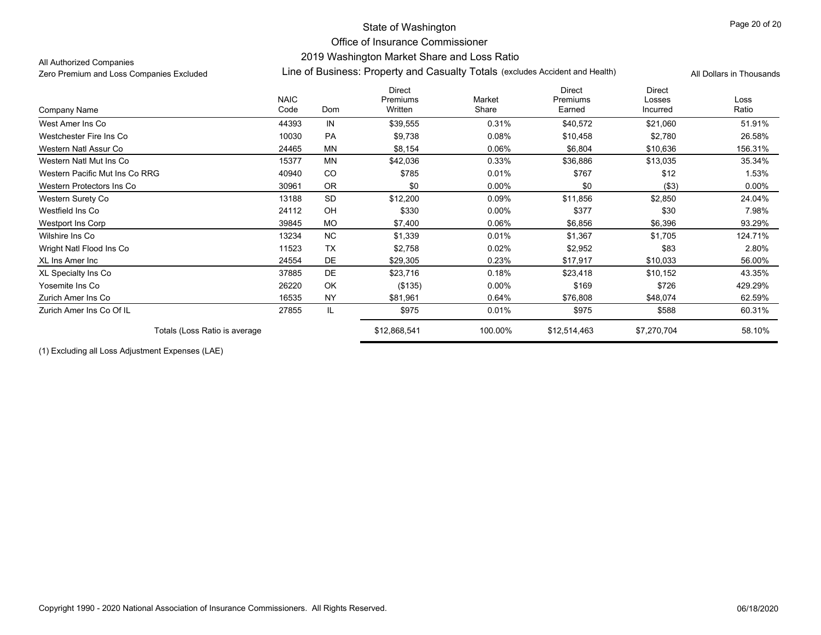# State of Washington Office of Insurance Commissioner2019 Washington Market Share and Loss Ratio

#### All Authorized Companies

### Zero Premium and Loss Companies Excluded Line of Business: Property and Casualty Totals (excludes Accident and Health) All Dollars in Thousands

|                                |                     |           | <b>Direct</b>       |                 | <b>Direct</b>      | <b>Direct</b>      |               |
|--------------------------------|---------------------|-----------|---------------------|-----------------|--------------------|--------------------|---------------|
| Company Name                   | <b>NAIC</b><br>Code | Dom       | Premiums<br>Written | Market<br>Share | Premiums<br>Earned | Losses<br>Incurred | Loss<br>Ratio |
| West Amer Ins Co               | 44393               | IN        | \$39,555            | 0.31%           | \$40,572           | \$21,060           | 51.91%        |
| Westchester Fire Ins Co        | 10030               | <b>PA</b> | \$9,738             | 0.08%           | \$10,458           | \$2,780            | 26.58%        |
| Western Natl Assur Co          | 24465               | <b>MN</b> | \$8,154             | 0.06%           | \$6,804            | \$10,636           | 156.31%       |
| Western Natl Mut Ins Co        | 15377               | <b>MN</b> | \$42,036            | 0.33%           | \$36,886           | \$13,035           | 35.34%        |
| Western Pacific Mut Ins Co RRG | 40940               | CO        | \$785               | 0.01%           | \$767              | \$12               | 1.53%         |
| Western Protectors Ins Co      | 30961               | <b>OR</b> | \$0                 | $0.00\%$        | \$0                | ( \$3)             | $0.00\%$      |
| Western Surety Co              | 13188               | <b>SD</b> | \$12,200            | 0.09%           | \$11,856           | \$2,850            | 24.04%        |
| Westfield Ins Co               | 24112               | OH        | \$330               | 0.00%           | \$377              | \$30               | 7.98%         |
| Westport Ins Corp              | 39845               | <b>MO</b> | \$7,400             | 0.06%           | \$6,856            | \$6,396            | 93.29%        |
| Wilshire Ins Co                | 13234               | <b>NC</b> | \$1,339             | 0.01%           | \$1,367            | \$1,705            | 124.71%       |
| Wright Natl Flood Ins Co       | 11523               | <b>TX</b> | \$2,758             | 0.02%           | \$2,952            | \$83               | 2.80%         |
| XL Ins Amer Inc                | 24554               | DE        | \$29,305            | 0.23%           | \$17,917           | \$10,033           | 56.00%        |
| XL Specialty Ins Co            | 37885               | DE        | \$23,716            | 0.18%           | \$23,418           | \$10,152           | 43.35%        |
| Yosemite Ins Co                | 26220               | OK        | (\$135)             | $0.00\%$        | \$169              | \$726              | 429.29%       |
| Zurich Amer Ins Co             | 16535               | <b>NY</b> | \$81,961            | 0.64%           | \$76,808           | \$48,074           | 62.59%        |
| Zurich Amer Ins Co Of IL       | 27855               | IL        | \$975               | 0.01%           | \$975              | \$588              | 60.31%        |
| Totals (Loss Ratio is average  |                     |           | \$12,868,541        | 100.00%         | \$12,514,463       | \$7,270,704        | 58.10%        |

(1) Excluding all Loss Adjustment Expenses (LAE)